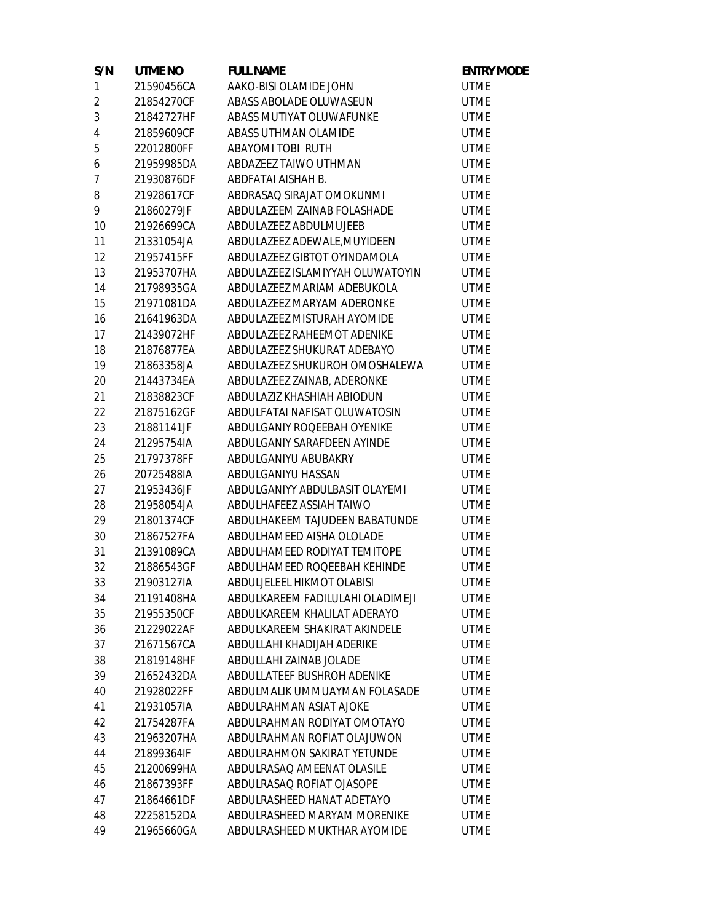| S/N            | UTME NO    | <b>FULL NAME</b>                 | <b>ENTRY MODE</b> |
|----------------|------------|----------------------------------|-------------------|
| $\mathbf{1}$   | 21590456CA | AAKO-BISI OLAMIDE JOHN           | <b>UTME</b>       |
| $\overline{2}$ | 21854270CF | ABASS ABOLADE OLUWASEUN          | <b>UTME</b>       |
| 3              | 21842727HF | ABASS MUTIYAT OLUWAFUNKE         | <b>UTME</b>       |
| $\overline{4}$ | 21859609CF | ABASS UTHMAN OLAMIDE             | <b>UTME</b>       |
| 5              | 22012800FF | ABAYOMI TOBI RUTH                | <b>UTME</b>       |
| 6              | 21959985DA | ABDAZEEZ TAIWO UTHMAN            | <b>UTME</b>       |
| $\overline{7}$ | 21930876DF | ABDFATAI AISHAH B.               | <b>UTME</b>       |
| 8              | 21928617CF | ABDRASAQ SIRAJAT OMOKUNMI        | <b>UTME</b>       |
| 9              | 21860279JF | ABDULAZEEM ZAINAB FOLASHADE      | <b>UTME</b>       |
| 10             | 21926699CA | ABDULAZEEZ ABDULMUJEEB           | <b>UTME</b>       |
| 11             | 21331054JA | ABDULAZEEZ ADEWALE, MUYIDEEN     | <b>UTME</b>       |
| 12             | 21957415FF | ABDULAZEEZ GIBTOT OYINDAMOLA     | <b>UTME</b>       |
| 13             | 21953707HA | ABDULAZEEZ ISLAMIYYAH OLUWATOYIN | <b>UTME</b>       |
| 14             | 21798935GA | ABDULAZEEZ MARIAM ADEBUKOLA      | <b>UTME</b>       |
| 15             | 21971081DA | ABDULAZEEZ MARYAM ADERONKE       | <b>UTME</b>       |
| 16             | 21641963DA | ABDULAZEEZ MISTURAH AYOMIDE      | <b>UTME</b>       |
| 17             | 21439072HF | ABDULAZEEZ RAHEEMOT ADENIKE      | <b>UTME</b>       |
| 18             | 21876877EA | ABDULAZEEZ SHUKURAT ADEBAYO      | <b>UTME</b>       |
| 19             | 21863358JA | ABDULAZEEZ SHUKUROH OMOSHALEWA   | <b>UTME</b>       |
| 20             | 21443734EA | ABDULAZEEZ ZAINAB, ADERONKE      | <b>UTME</b>       |
| 21             | 21838823CF | ABDULAZIZ KHASHIAH ABIODUN       | <b>UTME</b>       |
| 22             | 21875162GF | ABDULFATAI NAFISAT OLUWATOSIN    | <b>UTME</b>       |
| 23             | 21881141JF | ABDULGANIY ROQEEBAH OYENIKE      | <b>UTME</b>       |
| 24             | 21295754IA | ABDULGANIY SARAFDEEN AYINDE      | <b>UTME</b>       |
| 25             | 21797378FF | ABDULGANIYU ABUBAKRY             | <b>UTME</b>       |
| 26             | 20725488IA | ABDULGANIYU HASSAN               | <b>UTME</b>       |
| 27             | 21953436JF | ABDULGANIYY ABDULBASIT OLAYEMI   | <b>UTME</b>       |
| 28             | 21958054JA | ABDULHAFEEZ ASSIAH TAIWO         | <b>UTME</b>       |
| 29             | 21801374CF | ABDULHAKEEM TAJUDEEN BABATUNDE   | <b>UTME</b>       |
| 30             | 21867527FA | ABDULHAMEED AISHA OLOLADE        | <b>UTME</b>       |
| 31             | 21391089CA | ABDULHAMEED RODIYAT TEMITOPE     | <b>UTME</b>       |
| 32             | 21886543GF | ABDULHAMEED ROQEEBAH KEHINDE     | <b>UTME</b>       |
| 33             | 21903127IA | ABDULJELEEL HIKMOT OLABISI       | <b>UTME</b>       |
| 34             | 21191408HA | ABDULKAREEM FADILULAHI OLADIMEJI | <b>UTME</b>       |
| 35             | 21955350CF | ABDULKAREEM KHALILAT ADERAYO     | <b>UTME</b>       |
| 36             | 21229022AF | ABDULKAREEM SHAKIRAT AKINDELE    | <b>UTME</b>       |
| 37             | 21671567CA | ABDULLAHI KHADIJAH ADERIKE       | <b>UTME</b>       |
| 38             | 21819148HF | ABDULLAHI ZAINAB JOLADE          | <b>UTME</b>       |
| 39             | 21652432DA | ABDULLATEEF BUSHROH ADENIKE      | <b>UTME</b>       |
| 40             | 21928022FF | ABDULMALIK UMMUAYMAN FOLASADE    | <b>UTME</b>       |
| 41             | 21931057IA | ABDULRAHMAN ASIAT AJOKE          | <b>UTME</b>       |
| 42             | 21754287FA | ABDULRAHMAN RODIYAT OMOTAYO      | <b>UTME</b>       |
| 43             | 21963207HA | ABDULRAHMAN ROFIAT OLAJUWON      | <b>UTME</b>       |
| 44             | 21899364IF | ABDULRAHMON SAKIRAT YETUNDE      | <b>UTME</b>       |
| 45             | 21200699HA | ABDULRASAQ AMEENAT OLASILE       | <b>UTME</b>       |
| 46             | 21867393FF | ABDULRASAQ ROFIAT OJASOPE        | <b>UTME</b>       |
| 47             | 21864661DF | ABDULRASHEED HANAT ADETAYO       | <b>UTME</b>       |
| 48             | 22258152DA | ABDULRASHEED MARYAM MORENIKE     | <b>UTME</b>       |
| 49             | 21965660GA | ABDULRASHEED MUKTHAR AYOMIDE     | <b>UTME</b>       |
|                |            |                                  |                   |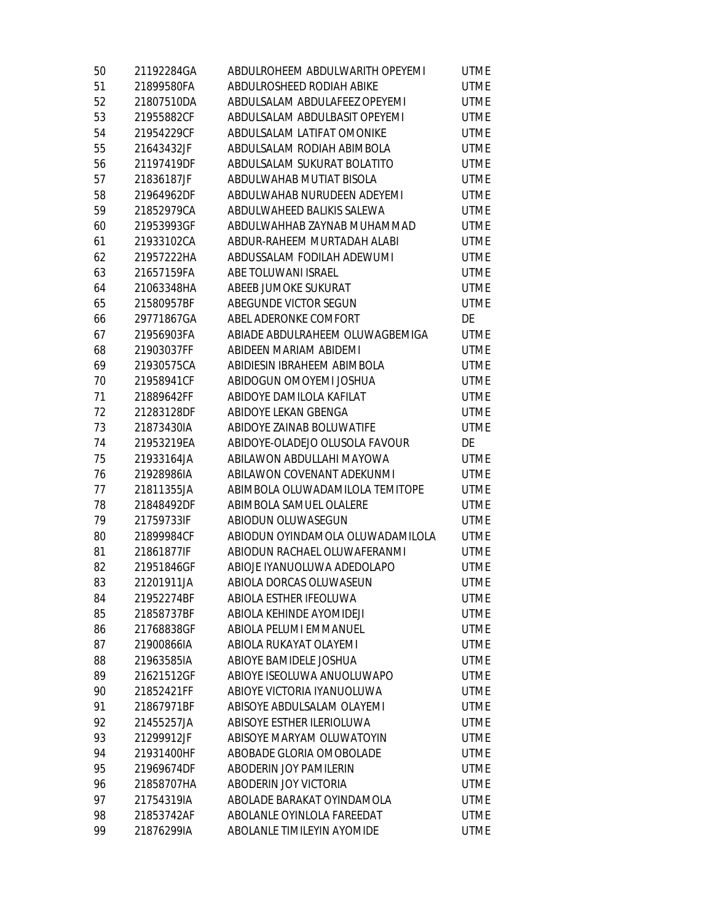| 50 | 21192284GA | ABDULROHEEM ABDULWARITH OPEYEMI  | <b>UTME</b> |
|----|------------|----------------------------------|-------------|
| 51 | 21899580FA | ABDULROSHEED RODIAH ABIKE        | <b>UTME</b> |
| 52 | 21807510DA | ABDULSALAM ABDULAFEEZ OPEYEMI    | <b>UTME</b> |
| 53 | 21955882CF | ABDULSALAM ABDULBASIT OPEYEMI    | <b>UTME</b> |
| 54 | 21954229CF | ABDULSALAM LATIFAT OMONIKE       | <b>UTME</b> |
| 55 | 21643432JF | ABDULSALAM RODIAH ABIMBOLA       | <b>UTME</b> |
| 56 | 21197419DF | ABDULSALAM SUKURAT BOLATITO      | <b>UTME</b> |
| 57 | 21836187JF | ABDULWAHAB MUTIAT BISOLA         | <b>UTME</b> |
| 58 | 21964962DF | ABDULWAHAB NURUDEEN ADEYEMI      | <b>UTME</b> |
| 59 | 21852979CA | ABDULWAHEED BALIKIS SALEWA       | <b>UTME</b> |
| 60 | 21953993GF | ABDULWAHHAB ZAYNAB MUHAMMAD      | <b>UTME</b> |
| 61 | 21933102CA | ABDUR-RAHEEM MURTADAH ALABI      | <b>UTME</b> |
| 62 | 21957222HA | ABDUSSALAM FODILAH ADEWUMI       | <b>UTME</b> |
| 63 | 21657159FA | ABE TOLUWANI ISRAEL              | <b>UTME</b> |
| 64 | 21063348HA | ABEEB JUMOKE SUKURAT             | <b>UTME</b> |
| 65 | 21580957BF | ABEGUNDE VICTOR SEGUN            | <b>UTME</b> |
| 66 | 29771867GA | ABEL ADERONKE COMFORT            | DE          |
| 67 | 21956903FA | ABIADE ABDULRAHEEM OLUWAGBEMIGA  | <b>UTME</b> |
| 68 | 21903037FF | ABIDEEN MARIAM ABIDEMI           | <b>UTME</b> |
| 69 | 21930575CA | ABIDIESIN IBRAHEEM ABIMBOLA      | <b>UTME</b> |
| 70 | 21958941CF | ABIDOGUN OMOYEMI JOSHUA          | <b>UTME</b> |
| 71 | 21889642FF | ABIDOYE DAMILOLA KAFILAT         | <b>UTME</b> |
| 72 | 21283128DF | ABIDOYE LEKAN GBENGA             | <b>UTME</b> |
| 73 | 21873430IA | ABIDOYE ZAINAB BOLUWATIFE        | <b>UTME</b> |
| 74 | 21953219EA | ABIDOYE-OLADEJO OLUSOLA FAVOUR   | DE          |
| 75 | 21933164JA | ABILAWON ABDULLAHI MAYOWA        | <b>UTME</b> |
| 76 | 21928986IA | ABILAWON COVENANT ADEKUNMI       | <b>UTME</b> |
| 77 | 21811355JA | ABIMBOLA OLUWADAMILOLA TEMITOPE  | <b>UTME</b> |
| 78 | 21848492DF | ABIMBOLA SAMUEL OLALERE          | <b>UTME</b> |
| 79 | 21759733IF | ABIODUN OLUWASEGUN               | <b>UTME</b> |
| 80 | 21899984CF | ABIODUN OYINDAMOLA OLUWADAMILOLA | <b>UTME</b> |
| 81 | 21861877IF | ABIODUN RACHAEL OLUWAFERANMI     | <b>UTME</b> |
| 82 | 21951846GF | ABIOJE IYANUOLUWA ADEDOLAPO      | <b>UTME</b> |
| 83 | 21201911JA | ABIOLA DORCAS OLUWASEUN          | UTME        |
| 84 | 21952274BF | ABIOLA ESTHER IFEOLUWA           | <b>UTME</b> |
| 85 | 21858737BF | ABIOLA KEHINDE AYOMIDEJI         | <b>UTME</b> |
| 86 | 21768838GF | ABIOLA PELUMI EMMANUEL           | <b>UTME</b> |
| 87 | 21900866IA | ABIOLA RUKAYAT OLAYEMI           | <b>UTME</b> |
| 88 | 21963585IA | ABIOYE BAMIDELE JOSHUA           | <b>UTME</b> |
| 89 | 21621512GF | ABIOYE ISEOLUWA ANUOLUWAPO       | <b>UTME</b> |
| 90 | 21852421FF | ABIOYE VICTORIA IYANUOLUWA       | <b>UTME</b> |
| 91 | 21867971BF | ABISOYE ABDULSALAM OLAYEMI       | <b>UTME</b> |
| 92 | 21455257JA | ABISOYE ESTHER ILERIOLUWA        | <b>UTME</b> |
| 93 | 21299912JF | ABISOYE MARYAM OLUWATOYIN        | <b>UTME</b> |
| 94 | 21931400HF | ABOBADE GLORIA OMOBOLADE         | <b>UTME</b> |
| 95 | 21969674DF | ABODERIN JOY PAMILERIN           | <b>UTME</b> |
| 96 | 21858707HA | ABODERIN JOY VICTORIA            | <b>UTME</b> |
| 97 | 21754319IA | ABOLADE BARAKAT OYINDAMOLA       | <b>UTME</b> |
| 98 | 21853742AF | ABOLANLE OYINLOLA FAREEDAT       | <b>UTME</b> |
| 99 | 21876299IA | ABOLANLE TIMILEYIN AYOMIDE       | <b>UTME</b> |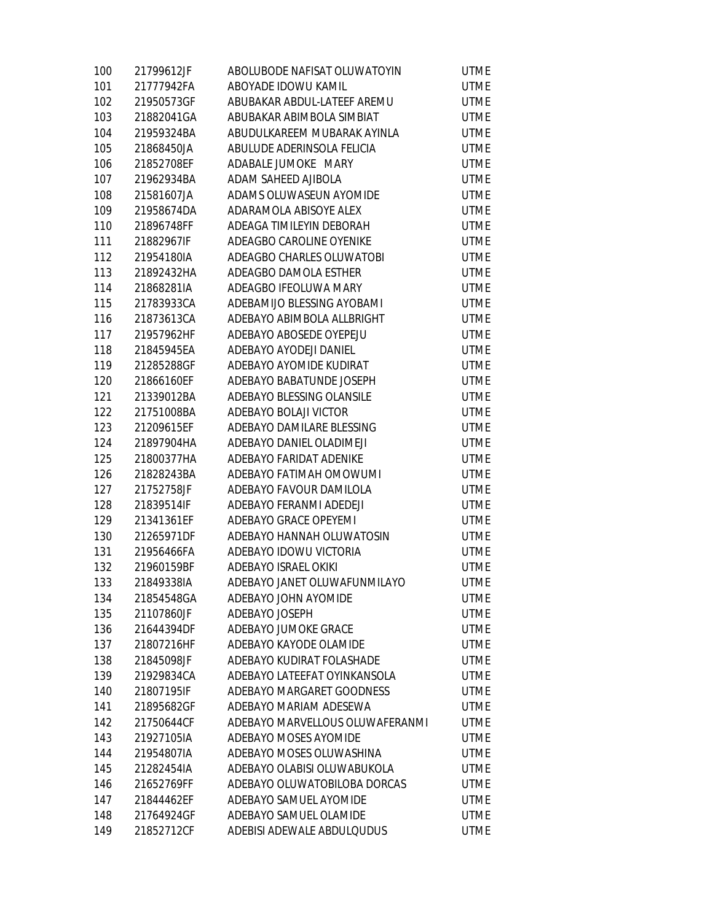| 100 | 21799612JF | ABOLUBODE NAFISAT OLUWATOYIN    | <b>UTME</b> |
|-----|------------|---------------------------------|-------------|
| 101 | 21777942FA | ABOYADE IDOWU KAMIL             | <b>UTME</b> |
| 102 | 21950573GF | ABUBAKAR ABDUL-LATEEF AREMU     | <b>UTME</b> |
| 103 | 21882041GA | ABUBAKAR ABIMBOLA SIMBIAT       | <b>UTME</b> |
| 104 | 21959324BA | ABUDULKAREEM MUBARAK AYINLA     | <b>UTME</b> |
| 105 | 21868450JA | ABULUDE ADERINSOLA FELICIA      | <b>UTME</b> |
| 106 | 21852708EF | ADABALE JUMOKE MARY             | <b>UTME</b> |
| 107 | 21962934BA | ADAM SAHEED AJIBOLA             | <b>UTME</b> |
| 108 | 21581607JA | ADAMS OLUWASEUN AYOMIDE         | <b>UTME</b> |
| 109 | 21958674DA | ADARAMOLA ABISOYE ALEX          | <b>UTME</b> |
| 110 | 21896748FF | ADEAGA TIMILEYIN DEBORAH        | <b>UTME</b> |
| 111 | 21882967IF | ADEAGBO CAROLINE OYENIKE        | <b>UTME</b> |
| 112 | 21954180IA | ADEAGBO CHARLES OLUWATOBI       | <b>UTME</b> |
| 113 | 21892432HA | ADEAGBO DAMOLA ESTHER           | <b>UTME</b> |
| 114 | 21868281IA | ADEAGBO IFEOLUWA MARY           | <b>UTME</b> |
| 115 | 21783933CA | ADEBAMIJO BLESSING AYOBAMI      | <b>UTME</b> |
| 116 | 21873613CA | ADEBAYO ABIMBOLA ALLBRIGHT      | <b>UTME</b> |
| 117 | 21957962HF | ADEBAYO ABOSEDE OYEPEJU         | <b>UTME</b> |
| 118 | 21845945EA | ADEBAYO AYODEJI DANIEL          | <b>UTME</b> |
| 119 | 21285288GF | ADEBAYO AYOMIDE KUDIRAT         | <b>UTME</b> |
| 120 | 21866160EF | ADEBAYO BABATUNDE JOSEPH        | <b>UTME</b> |
| 121 | 21339012BA | ADEBAYO BLESSING OLANSILE       | <b>UTME</b> |
| 122 | 21751008BA | ADEBAYO BOLAJI VICTOR           | <b>UTME</b> |
| 123 | 21209615EF | ADEBAYO DAMILARE BLESSING       | <b>UTME</b> |
| 124 | 21897904HA | ADEBAYO DANIEL OLADIMEJI        | <b>UTME</b> |
| 125 | 21800377HA | ADEBAYO FARIDAT ADENIKE         | <b>UTME</b> |
| 126 | 21828243BA | ADEBAYO FATIMAH OMOWUMI         | <b>UTME</b> |
| 127 | 21752758JF | ADEBAYO FAVOUR DAMILOLA         | <b>UTME</b> |
| 128 | 21839514IF | ADEBAYO FERANMI ADEDEJI         | <b>UTME</b> |
| 129 | 21341361EF | ADEBAYO GRACE OPEYEMI           | <b>UTME</b> |
| 130 | 21265971DF | ADEBAYO HANNAH OLUWATOSIN       | <b>UTME</b> |
| 131 | 21956466FA | ADEBAYO IDOWU VICTORIA          | <b>UTME</b> |
| 132 | 21960159BF | ADEBAYO ISRAEL OKIKI            | <b>UTME</b> |
| 133 | 21849338IA | ADEBAYO JANET OLUWAFUNMILAYO    | <b>UTME</b> |
| 134 | 21854548GA | ADEBAYO JOHN AYOMIDE            | <b>UTME</b> |
| 135 | 21107860JF | ADEBAYO JOSEPH                  | <b>UTME</b> |
| 136 | 21644394DF | ADEBAYO JUMOKE GRACE            | <b>UTME</b> |
| 137 | 21807216HF | ADEBAYO KAYODE OLAMIDE          | <b>UTME</b> |
| 138 | 21845098JF | ADEBAYO KUDIRAT FOLASHADE       | <b>UTME</b> |
| 139 | 21929834CA | ADEBAYO LATEEFAT OYINKANSOLA    | <b>UTME</b> |
| 140 | 21807195IF | ADEBAYO MARGARET GOODNESS       | <b>UTME</b> |
| 141 | 21895682GF | ADEBAYO MARIAM ADESEWA          | <b>UTME</b> |
| 142 | 21750644CF | ADEBAYO MARVELLOUS OLUWAFERANMI | <b>UTME</b> |
| 143 | 21927105IA | ADEBAYO MOSES AYOMIDE           | <b>UTME</b> |
| 144 | 21954807IA | ADEBAYO MOSES OLUWASHINA        | <b>UTME</b> |
| 145 | 21282454IA | ADEBAYO OLABISI OLUWABUKOLA     | <b>UTME</b> |
| 146 | 21652769FF | ADEBAYO OLUWATOBILOBA DORCAS    | <b>UTME</b> |
| 147 | 21844462EF | ADEBAYO SAMUEL AYOMIDE          | <b>UTME</b> |
| 148 | 21764924GF | ADEBAYO SAMUEL OLAMIDE          | <b>UTME</b> |
| 149 | 21852712CF | ADEBISI ADEWALE ABDULQUDUS      | <b>UTME</b> |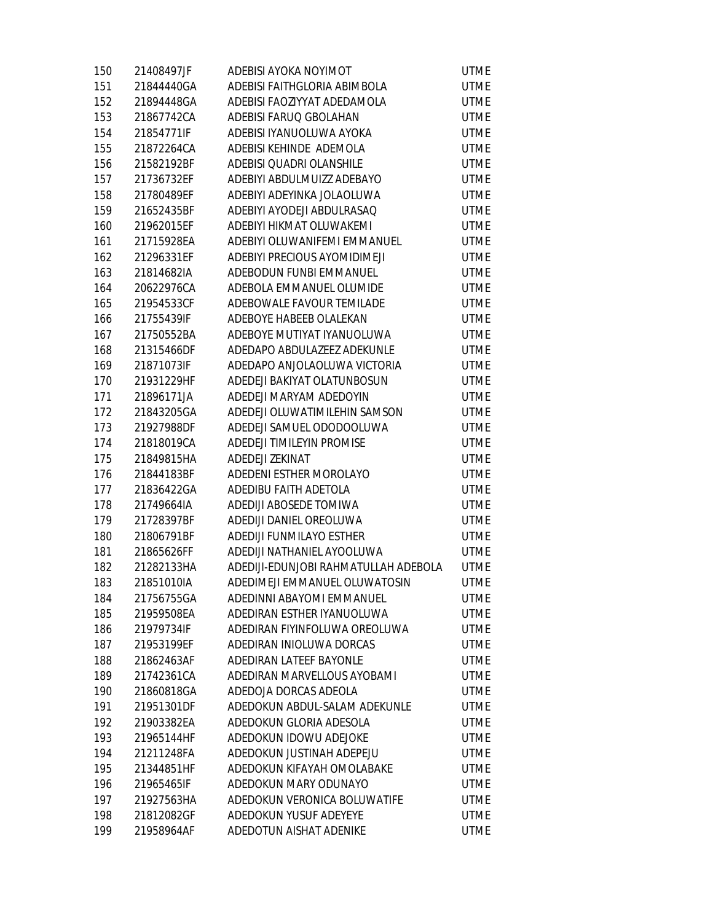| 150 | 21408497JF | ADEBISI AYOKA NOYIMOT                | <b>UTME</b> |
|-----|------------|--------------------------------------|-------------|
| 151 | 21844440GA | ADEBISI FAITHGLORIA ABIMBOLA         | <b>UTME</b> |
| 152 | 21894448GA | ADEBISI FAOZIYYAT ADEDAMOLA          | <b>UTME</b> |
| 153 | 21867742CA | ADEBISI FARUQ GBOLAHAN               | <b>UTME</b> |
| 154 | 21854771IF | ADEBISI IYANUOLUWA AYOKA             | <b>UTME</b> |
| 155 | 21872264CA | ADEBISI KEHINDE ADEMOLA              | <b>UTME</b> |
| 156 | 21582192BF | ADEBISI QUADRI OLANSHILE             | <b>UTME</b> |
| 157 | 21736732EF | ADEBIYI ABDULMUIZZ ADEBAYO           | <b>UTME</b> |
| 158 | 21780489EF | ADEBIYI ADEYINKA JOLAOLUWA           | <b>UTME</b> |
| 159 | 21652435BF | ADEBIYI AYODEJI ABDULRASAQ           | <b>UTME</b> |
| 160 | 21962015EF | ADEBIYI HIKMAT OLUWAKEMI             | <b>UTME</b> |
| 161 | 21715928EA | ADEBIYI OLUWANIFEMI EMMANUEL         | <b>UTME</b> |
| 162 | 21296331EF | ADEBIYI PRECIOUS AYOMIDIMEJI         | <b>UTME</b> |
| 163 | 21814682IA | ADEBODUN FUNBI EMMANUEL              | <b>UTME</b> |
| 164 | 20622976CA | ADEBOLA EMMANUEL OLUMIDE             | <b>UTME</b> |
| 165 | 21954533CF | ADEBOWALE FAVOUR TEMILADE            | <b>UTME</b> |
| 166 | 21755439IF | ADEBOYE HABEEB OLALEKAN              | <b>UTME</b> |
| 167 | 21750552BA | ADEBOYE MUTIYAT IYANUOLUWA           | <b>UTME</b> |
| 168 | 21315466DF | ADEDAPO ABDULAZEEZ ADEKUNLE          | <b>UTME</b> |
| 169 | 21871073IF | ADEDAPO ANJOLAOLUWA VICTORIA         | <b>UTME</b> |
| 170 | 21931229HF | ADEDEJI BAKIYAT OLATUNBOSUN          | <b>UTME</b> |
| 171 | 21896171JA | ADEDEJI MARYAM ADEDOYIN              | <b>UTME</b> |
| 172 | 21843205GA | ADEDEJI OLUWATIMILEHIN SAMSON        | <b>UTME</b> |
| 173 | 21927988DF | ADEDEJI SAMUEL ODODOOLUWA            | <b>UTME</b> |
| 174 | 21818019CA | ADEDEJI TIMILEYIN PROMISE            | <b>UTME</b> |
| 175 | 21849815HA | ADEDEJI ZEKINAT                      | <b>UTME</b> |
| 176 | 21844183BF | ADEDENI ESTHER MOROLAYO              | <b>UTME</b> |
| 177 | 21836422GA | ADEDIBU FAITH ADETOLA                | <b>UTME</b> |
| 178 | 21749664IA | ADEDIJI ABOSEDE TOMIWA               | <b>UTME</b> |
| 179 | 21728397BF | ADEDIJI DANIEL OREOLUWA              | <b>UTME</b> |
| 180 | 21806791BF | ADEDIJI FUNMILAYO ESTHER             | <b>UTME</b> |
| 181 | 21865626FF | ADEDIJI NATHANIEL AYOOLUWA           | <b>UTME</b> |
| 182 | 21282133HA | ADEDIJI-EDUNJOBI RAHMATULLAH ADEBOLA | <b>UTME</b> |
| 183 | 21851010IA | ADEDIMEJI EMMANUEL OLUWATOSIN        | <b>UTME</b> |
| 184 | 21756755GA | ADEDINNI ABAYOMI EMMANUEL            | <b>UTME</b> |
| 185 | 21959508EA | ADEDIRAN ESTHER IYANUOLUWA           | <b>UTME</b> |
| 186 | 21979734IF | ADEDIRAN FIYINFOLUWA OREOLUWA        | <b>UTME</b> |
| 187 | 21953199EF | ADEDIRAN INIOLUWA DORCAS             | <b>UTME</b> |
| 188 | 21862463AF | ADEDIRAN LATEEF BAYONLE              | <b>UTME</b> |
| 189 | 21742361CA | ADEDIRAN MARVELLOUS AYOBAMI          | <b>UTME</b> |
| 190 | 21860818GA | ADEDOJA DORCAS ADEOLA                | <b>UTME</b> |
| 191 | 21951301DF | ADEDOKUN ABDUL-SALAM ADEKUNLE        | <b>UTME</b> |
| 192 | 21903382EA | ADEDOKUN GLORIA ADESOLA              | <b>UTME</b> |
| 193 | 21965144HF | ADEDOKUN IDOWU ADEJOKE               | <b>UTME</b> |
| 194 | 21211248FA | ADEDOKUN JUSTINAH ADEPEJU            | <b>UTME</b> |
| 195 | 21344851HF | ADEDOKUN KIFAYAH OMOLABAKE           | <b>UTME</b> |
| 196 | 21965465IF | ADEDOKUN MARY ODUNAYO                | <b>UTME</b> |
| 197 | 21927563HA | ADEDOKUN VERONICA BOLUWATIFE         | <b>UTME</b> |
| 198 | 21812082GF | ADEDOKUN YUSUF ADEYEYE               | <b>UTME</b> |
| 199 | 21958964AF | ADEDOTUN AISHAT ADENIKE              | <b>UTME</b> |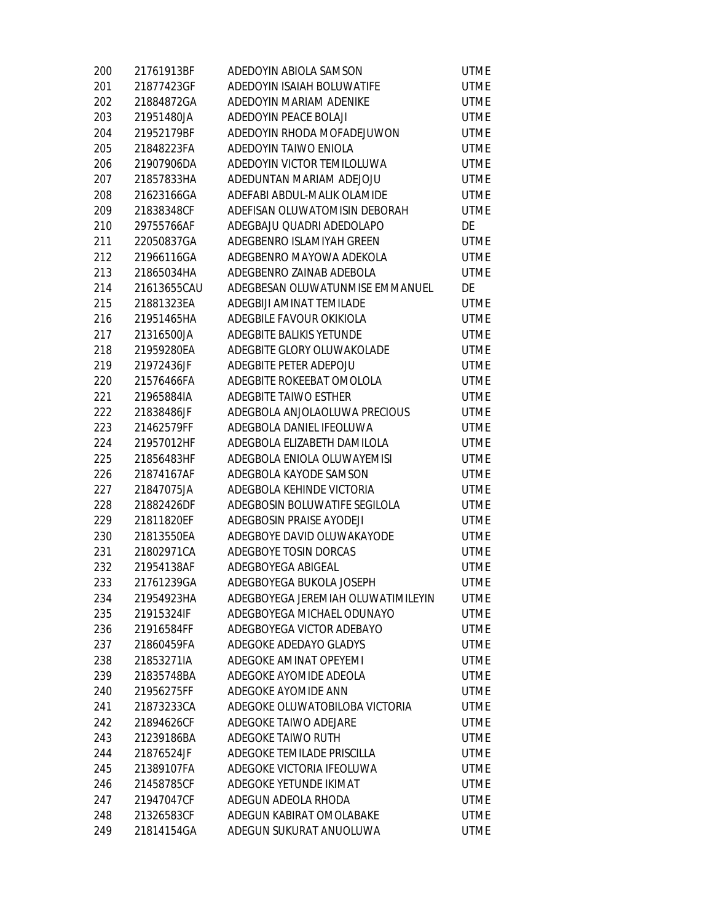| 200 | 21761913BF  | ADEDOYIN ABIOLA SAMSON             | <b>UTME</b> |
|-----|-------------|------------------------------------|-------------|
| 201 | 21877423GF  | ADEDOYIN ISAIAH BOLUWATIFE         | <b>UTME</b> |
| 202 | 21884872GA  | ADEDOYIN MARIAM ADENIKE            | <b>UTME</b> |
| 203 | 21951480JA  | ADEDOYIN PEACE BOLAJI              | <b>UTME</b> |
| 204 | 21952179BF  | ADEDOYIN RHODA MOFADEJUWON         | <b>UTME</b> |
| 205 | 21848223FA  | ADEDOYIN TAIWO ENIOLA              | <b>UTME</b> |
| 206 | 21907906DA  | ADEDOYIN VICTOR TEMILOLUWA         | <b>UTME</b> |
| 207 | 21857833HA  | ADEDUNTAN MARIAM ADEJOJU           | <b>UTME</b> |
| 208 | 21623166GA  | ADEFABI ABDUL-MALIK OLAMIDE        | <b>UTME</b> |
| 209 | 21838348CF  | ADEFISAN OLUWATOMISIN DEBORAH      | <b>UTME</b> |
| 210 | 29755766AF  | ADEGBAJU QUADRI ADEDOLAPO          | DE          |
| 211 | 22050837GA  | ADEGBENRO ISLAMIYAH GREEN          | <b>UTME</b> |
| 212 | 21966116GA  | ADEGBENRO MAYOWA ADEKOLA           | <b>UTME</b> |
| 213 | 21865034HA  | ADEGBENRO ZAINAB ADEBOLA           | <b>UTME</b> |
| 214 | 21613655CAU | ADEGBESAN OLUWATUNMISE EMMANUEL    | DE          |
| 215 | 21881323EA  | ADEGBIJI AMINAT TEMILADE           | <b>UTME</b> |
| 216 | 21951465HA  | ADEGBILE FAVOUR OKIKIOLA           | <b>UTME</b> |
| 217 | 21316500JA  | ADEGBITE BALIKIS YETUNDE           | <b>UTME</b> |
| 218 | 21959280EA  | ADEGBITE GLORY OLUWAKOLADE         | <b>UTME</b> |
| 219 | 21972436JF  | ADEGBITE PETER ADEPOJU             | <b>UTME</b> |
| 220 | 21576466FA  | ADEGBITE ROKEEBAT OMOLOLA          | <b>UTME</b> |
| 221 | 21965884IA  | ADEGBITE TAIWO ESTHER              | <b>UTME</b> |
| 222 | 21838486JF  | ADEGBOLA ANJOLAOLUWA PRECIOUS      | <b>UTME</b> |
| 223 | 21462579FF  | ADEGBOLA DANIEL IFEOLUWA           | <b>UTME</b> |
| 224 | 21957012HF  | ADEGBOLA ELIZABETH DAMILOLA        | <b>UTME</b> |
| 225 | 21856483HF  | ADEGBOLA ENIOLA OLUWAYEMISI        | <b>UTME</b> |
| 226 | 21874167AF  | ADEGBOLA KAYODE SAMSON             | <b>UTME</b> |
| 227 | 21847075JA  | ADEGBOLA KEHINDE VICTORIA          | <b>UTME</b> |
| 228 | 21882426DF  | ADEGBOSIN BOLUWATIFE SEGILOLA      | <b>UTME</b> |
| 229 | 21811820EF  | ADEGBOSIN PRAISE AYODEJI           | <b>UTME</b> |
| 230 | 21813550EA  | ADEGBOYE DAVID OLUWAKAYODE         | <b>UTME</b> |
| 231 | 21802971CA  | ADEGBOYE TOSIN DORCAS              | <b>UTME</b> |
| 232 | 21954138AF  | ADEGBOYEGA ABIGEAL                 | <b>UTME</b> |
| 233 | 21761239GA  | ADEGBOYEGA BUKOLA JOSEPH           | <b>UTME</b> |
| 234 | 21954923HA  | ADEGBOYEGA JEREMIAH OLUWATIMILEYIN | <b>UTME</b> |
| 235 | 21915324IF  | ADEGBOYEGA MICHAEL ODUNAYO         | <b>UTME</b> |
| 236 | 21916584FF  | ADEGBOYEGA VICTOR ADEBAYO          | <b>UTME</b> |
| 237 | 21860459FA  | ADEGOKE ADEDAYO GLADYS             | <b>UTME</b> |
| 238 | 21853271IA  | ADEGOKE AMINAT OPEYEMI             | <b>UTME</b> |
| 239 | 21835748BA  | ADEGOKE AYOMIDE ADEOLA             | <b>UTME</b> |
| 240 | 21956275FF  | ADEGOKE AYOMIDE ANN                | <b>UTME</b> |
| 241 | 21873233CA  | ADEGOKE OLUWATOBILOBA VICTORIA     | <b>UTME</b> |
| 242 | 21894626CF  | ADEGOKE TAIWO ADEJARE              | <b>UTME</b> |
| 243 | 21239186BA  | ADEGOKE TAIWO RUTH                 | <b>UTME</b> |
| 244 | 21876524JF  | ADEGOKE TEMILADE PRISCILLA         | <b>UTME</b> |
| 245 | 21389107FA  | ADEGOKE VICTORIA IFEOLUWA          | <b>UTME</b> |
| 246 | 21458785CF  | ADEGOKE YETUNDE IKIMAT             | <b>UTME</b> |
| 247 | 21947047CF  | ADEGUN ADEOLA RHODA                | <b>UTME</b> |
| 248 | 21326583CF  | ADEGUN KABIRAT OMOLABAKE           | <b>UTME</b> |
| 249 | 21814154GA  | ADEGUN SUKURAT ANUOLUWA            | <b>UTME</b> |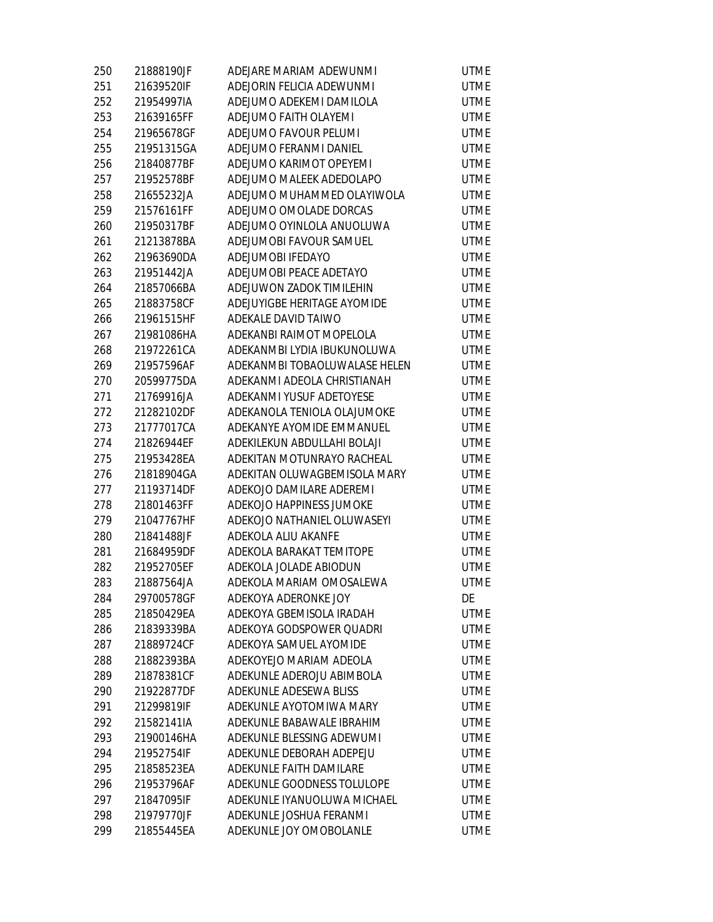| 250 | 21888190JF | ADEJARE MARIAM ADEWUNMI       | <b>UTME</b> |
|-----|------------|-------------------------------|-------------|
| 251 | 21639520IF | ADEJORIN FELICIA ADEWUNMI     | <b>UTME</b> |
| 252 | 21954997IA | ADEJUMO ADEKEMI DAMILOLA      | <b>UTME</b> |
| 253 | 21639165FF | ADEJUMO FAITH OLAYEMI         | <b>UTME</b> |
| 254 | 21965678GF | ADEJUMO FAVOUR PELUMI         | <b>UTME</b> |
| 255 | 21951315GA | ADEJUMO FERANMI DANIEL        | <b>UTME</b> |
| 256 | 21840877BF | ADEJUMO KARIMOT OPEYEMI       | <b>UTME</b> |
| 257 | 21952578BF | ADEJUMO MALEEK ADEDOLAPO      | <b>UTME</b> |
| 258 | 21655232JA | ADEJUMO MUHAMMED OLAYIWOLA    | <b>UTME</b> |
| 259 | 21576161FF | ADEJUMO OMOLADE DORCAS        | <b>UTME</b> |
| 260 | 21950317BF | ADEJUMO OYINLOLA ANUOLUWA     | <b>UTME</b> |
| 261 | 21213878BA | ADEJUMOBI FAVOUR SAMUEL       | <b>UTME</b> |
| 262 | 21963690DA | ADEJUMOBI IFEDAYO             | <b>UTME</b> |
| 263 | 21951442JA | ADEJUMOBI PEACE ADETAYO       | <b>UTME</b> |
| 264 | 21857066BA | ADEJUWON ZADOK TIMILEHIN      | <b>UTME</b> |
| 265 | 21883758CF | ADEJUYIGBE HERITAGE AYOMIDE   | <b>UTME</b> |
| 266 | 21961515HF | ADEKALE DAVID TAIWO           | <b>UTME</b> |
| 267 | 21981086HA | ADEKANBI RAIMOT MOPELOLA      | <b>UTME</b> |
| 268 | 21972261CA | ADEKANMBI LYDIA IBUKUNOLUWA   | <b>UTME</b> |
| 269 | 21957596AF | ADEKANMBI TOBAOLUWALASE HELEN | <b>UTME</b> |
| 270 | 20599775DA | ADEKANMI ADEOLA CHRISTIANAH   | <b>UTME</b> |
| 271 | 21769916JA | ADEKANMI YUSUF ADETOYESE      | <b>UTME</b> |
| 272 | 21282102DF | ADEKANOLA TENIOLA OLAJUMOKE   | <b>UTME</b> |
| 273 | 21777017CA | ADEKANYE AYOMIDE EMMANUEL     | <b>UTME</b> |
| 274 | 21826944EF | ADEKILEKUN ABDULLAHI BOLAJI   | <b>UTME</b> |
| 275 | 21953428EA | ADEKITAN MOTUNRAYO RACHEAL    | <b>UTME</b> |
| 276 | 21818904GA | ADEKITAN OLUWAGBEMISOLA MARY  | <b>UTME</b> |
| 277 | 21193714DF | ADEKOJO DAMILARE ADEREMI      | <b>UTME</b> |
| 278 | 21801463FF | ADEKOJO HAPPINESS JUMOKE      | <b>UTME</b> |
| 279 | 21047767HF | ADEKOJO NATHANIEL OLUWASEYI   | <b>UTME</b> |
| 280 | 21841488JF | ADEKOLA ALIU AKANFE           | <b>UTME</b> |
| 281 | 21684959DF | ADEKOLA BARAKAT TEMITOPE      | <b>UTME</b> |
| 282 | 21952705EF | ADEKOLA JOLADE ABIODUN        | <b>UTME</b> |
| 283 | 21887564JA | ADEKOLA MARIAM OMOSALEWA      | <b>UTME</b> |
| 284 | 29700578GF | ADEKOYA ADERONKE JOY          | DE          |
| 285 | 21850429EA | ADEKOYA GBEMISOLA IRADAH      | <b>UTME</b> |
| 286 | 21839339BA | ADEKOYA GODSPOWER QUADRI      | <b>UTME</b> |
| 287 | 21889724CF | ADEKOYA SAMUEL AYOMIDE        | <b>UTME</b> |
| 288 | 21882393BA | ADEKOYEJO MARIAM ADEOLA       | <b>UTME</b> |
| 289 | 21878381CF | ADEKUNLE ADEROJU ABIMBOLA     | <b>UTME</b> |
| 290 | 21922877DF | ADEKUNLE ADESEWA BLISS        | <b>UTME</b> |
| 291 | 21299819IF | ADEKUNLE AYOTOMIWA MARY       | <b>UTME</b> |
| 292 | 21582141IA | ADEKUNLE BABAWALE IBRAHIM     | <b>UTME</b> |
| 293 | 21900146HA | ADEKUNLE BLESSING ADEWUMI     | <b>UTME</b> |
| 294 | 21952754IF | ADEKUNLE DEBORAH ADEPEJU      | <b>UTME</b> |
| 295 | 21858523EA | ADEKUNLE FAITH DAMILARE       | <b>UTME</b> |
| 296 | 21953796AF | ADEKUNLE GOODNESS TOLULOPE    | <b>UTME</b> |
| 297 | 21847095IF | ADEKUNLE IYANUOLUWA MICHAEL   | <b>UTME</b> |
| 298 | 21979770JF | ADEKUNLE JOSHUA FERANMI       | <b>UTME</b> |
| 299 | 21855445EA | ADEKUNLE JOY OMOBOLANLE       | <b>UTME</b> |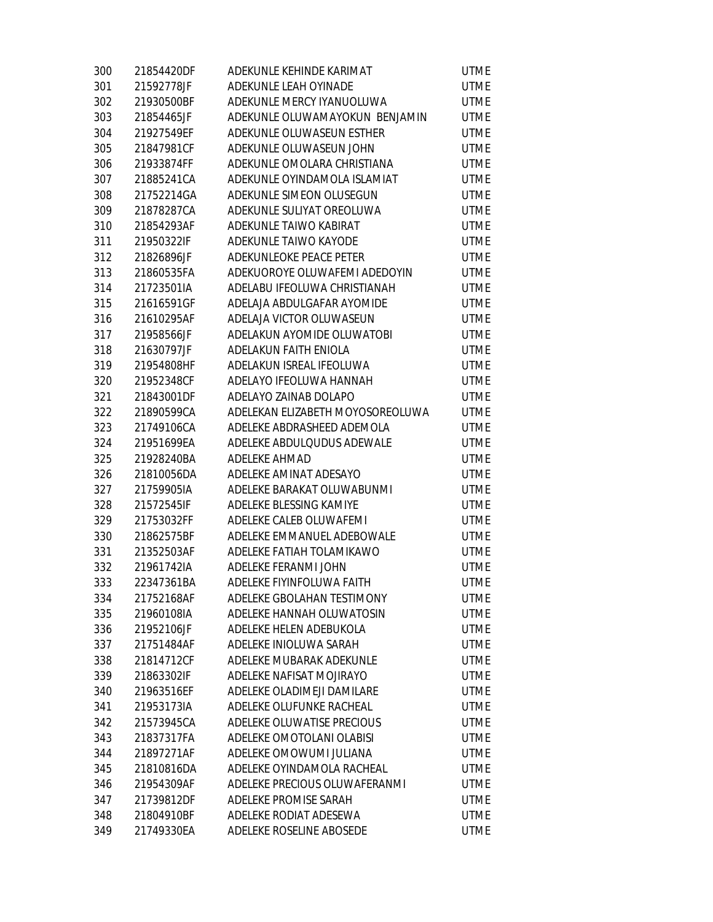| 300 | 21854420DF | ADEKUNLE KEHINDE KARIMAT         | <b>UTME</b> |
|-----|------------|----------------------------------|-------------|
| 301 | 21592778JF | ADEKUNLE LEAH OYINADE            | <b>UTME</b> |
| 302 | 21930500BF | ADEKUNLE MERCY IYANUOLUWA        | <b>UTME</b> |
| 303 | 21854465JF | ADEKUNLE OLUWAMAYOKUN BENJAMIN   | <b>UTME</b> |
| 304 | 21927549EF | ADEKUNLE OLUWASEUN ESTHER        | <b>UTME</b> |
| 305 | 21847981CF | ADEKUNLE OLUWASEUN JOHN          | <b>UTME</b> |
| 306 | 21933874FF | ADEKUNLE OMOLARA CHRISTIANA      | <b>UTME</b> |
| 307 | 21885241CA | ADEKUNLE OYINDAMOLA ISLAMIAT     | <b>UTME</b> |
| 308 | 21752214GA | ADEKUNLE SIMEON OLUSEGUN         | <b>UTME</b> |
| 309 | 21878287CA | ADEKUNLE SULIYAT OREOLUWA        | <b>UTME</b> |
| 310 | 21854293AF | ADEKUNLE TAIWO KABIRAT           | <b>UTME</b> |
| 311 | 21950322IF | ADEKUNLE TAIWO KAYODE            | <b>UTME</b> |
| 312 | 21826896JF | ADEKUNLEOKE PEACE PETER          | <b>UTME</b> |
| 313 | 21860535FA | ADEKUOROYE OLUWAFEMI ADEDOYIN    | <b>UTME</b> |
| 314 | 21723501IA | ADELABU IFEOLUWA CHRISTIANAH     | <b>UTME</b> |
| 315 | 21616591GF | ADELAJA ABDULGAFAR AYOMIDE       | <b>UTME</b> |
| 316 | 21610295AF | ADELAJA VICTOR OLUWASEUN         | <b>UTME</b> |
| 317 | 21958566JF | ADELAKUN AYOMIDE OLUWATOBI       | <b>UTME</b> |
| 318 | 21630797JF | ADELAKUN FAITH ENIOLA            | <b>UTME</b> |
| 319 | 21954808HF | ADELAKUN ISREAL IFEOLUWA         | <b>UTME</b> |
| 320 | 21952348CF | ADELAYO IFEOLUWA HANNAH          | <b>UTME</b> |
| 321 | 21843001DF | ADELAYO ZAINAB DOLAPO            | <b>UTME</b> |
| 322 | 21890599CA | ADELEKAN ELIZABETH MOYOSOREOLUWA | <b>UTME</b> |
| 323 | 21749106CA | ADELEKE ABDRASHEED ADEMOLA       | <b>UTME</b> |
| 324 | 21951699EA | ADELEKE ABDULQUDUS ADEWALE       | <b>UTME</b> |
| 325 | 21928240BA | ADELEKE AHMAD                    | <b>UTME</b> |
| 326 | 21810056DA | ADELEKE AMINAT ADESAYO           | <b>UTME</b> |
| 327 | 21759905IA | ADELEKE BARAKAT OLUWABUNMI       | <b>UTME</b> |
| 328 | 21572545IF | ADELEKE BLESSING KAMIYE          | <b>UTME</b> |
| 329 | 21753032FF | ADELEKE CALEB OLUWAFEMI          | <b>UTME</b> |
| 330 | 21862575BF | ADELEKE EMMANUEL ADEBOWALE       | <b>UTME</b> |
| 331 | 21352503AF | ADELEKE FATIAH TOLAMIKAWO        | <b>UTME</b> |
| 332 | 21961742IA | ADELEKE FERANMI JOHN             | <b>UTME</b> |
| 333 | 22347361BA | ADELEKE FIYINFOLUWA FAITH        | <b>UTME</b> |
| 334 | 21752168AF | ADELEKE GBOLAHAN TESTIMONY       | <b>UTME</b> |
| 335 | 21960108IA | ADELEKE HANNAH OLUWATOSIN        | <b>UTME</b> |
| 336 | 21952106JF | ADELEKE HELEN ADEBUKOLA          | <b>UTME</b> |
| 337 | 21751484AF | ADELEKE INIOLUWA SARAH           | <b>UTME</b> |
| 338 | 21814712CF | ADELEKE MUBARAK ADEKUNLE         | <b>UTME</b> |
| 339 | 21863302IF | ADELEKE NAFISAT MOJIRAYO         | <b>UTME</b> |
| 340 | 21963516EF | ADELEKE OLADIMEJI DAMILARE       | <b>UTME</b> |
| 341 | 21953173IA | ADELEKE OLUFUNKE RACHEAL         | <b>UTME</b> |
| 342 | 21573945CA | ADELEKE OLUWATISE PRECIOUS       | <b>UTME</b> |
| 343 | 21837317FA | ADELEKE OMOTOLANI OLABISI        | <b>UTME</b> |
| 344 | 21897271AF | ADELEKE OMOWUMI JULIANA          | <b>UTME</b> |
| 345 | 21810816DA | ADELEKE OYINDAMOLA RACHEAL       | <b>UTME</b> |
| 346 | 21954309AF | ADELEKE PRECIOUS OLUWAFERANMI    | <b>UTME</b> |
| 347 | 21739812DF | ADELEKE PROMISE SARAH            | <b>UTME</b> |
| 348 | 21804910BF | ADELEKE RODIAT ADESEWA           | <b>UTME</b> |
| 349 | 21749330EA | ADELEKE ROSELINE ABOSEDE         | <b>UTME</b> |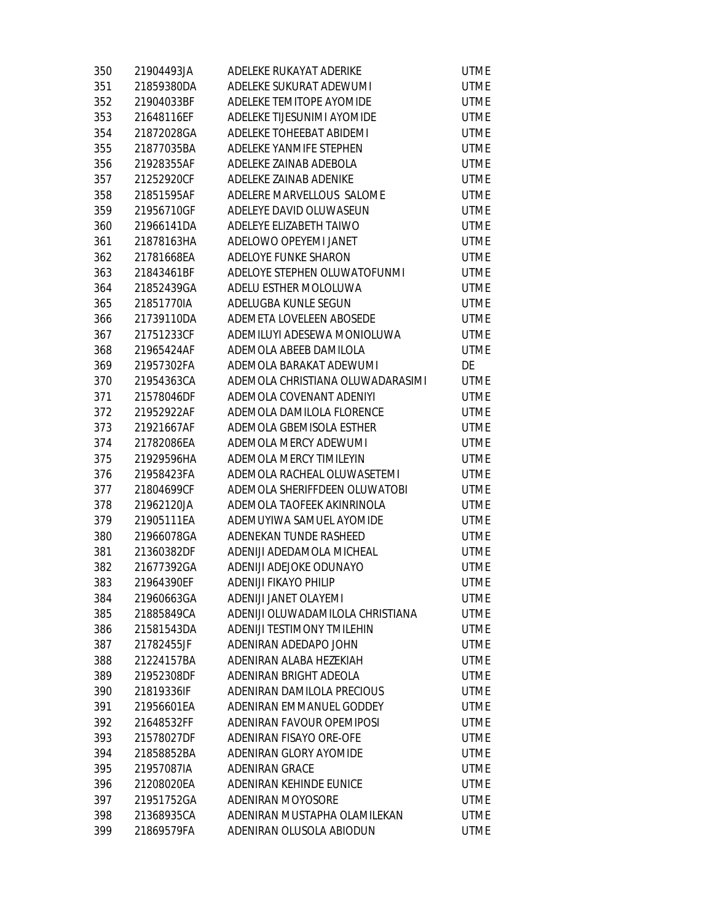| 350 | 21904493JA | ADELEKE RUKAYAT ADERIKE          | <b>UTME</b> |
|-----|------------|----------------------------------|-------------|
| 351 | 21859380DA | ADELEKE SUKURAT ADEWUMI          | <b>UTME</b> |
| 352 | 21904033BF | ADELEKE TEMITOPE AYOMIDE         | <b>UTME</b> |
| 353 | 21648116EF | ADELEKE TIJESUNIMI AYOMIDE       | <b>UTME</b> |
| 354 | 21872028GA | ADELEKE TOHEEBAT ABIDEMI         | <b>UTME</b> |
| 355 | 21877035BA | ADELEKE YANMIFE STEPHEN          | <b>UTME</b> |
| 356 | 21928355AF | ADELEKE ZAINAB ADEBOLA           | <b>UTME</b> |
| 357 | 21252920CF | ADELEKE ZAINAB ADENIKE           | <b>UTME</b> |
| 358 | 21851595AF | ADELERE MARVELLOUS SALOME        | <b>UTME</b> |
| 359 | 21956710GF | ADELEYE DAVID OLUWASEUN          | <b>UTME</b> |
| 360 | 21966141DA | ADELEYE ELIZABETH TAIWO          | <b>UTME</b> |
| 361 | 21878163HA | ADELOWO OPEYEMI JANET            | <b>UTME</b> |
| 362 | 21781668EA | ADELOYE FUNKE SHARON             | <b>UTME</b> |
| 363 | 21843461BF | ADELOYE STEPHEN OLUWATOFUNMI     | <b>UTME</b> |
| 364 | 21852439GA | ADELU ESTHER MOLOLUWA            | <b>UTME</b> |
| 365 | 21851770IA | ADELUGBA KUNLE SEGUN             | <b>UTME</b> |
| 366 | 21739110DA | ADEMETA LOVELEEN ABOSEDE         | <b>UTME</b> |
| 367 | 21751233CF | ADEMILUYI ADESEWA MONIOLUWA      | <b>UTME</b> |
| 368 | 21965424AF | ADEMOLA ABEEB DAMILOLA           | <b>UTME</b> |
| 369 | 21957302FA | ADEMOLA BARAKAT ADEWUMI          | DE          |
| 370 | 21954363CA | ADEMOLA CHRISTIANA OLUWADARASIMI | <b>UTME</b> |
| 371 | 21578046DF | ADEMOLA COVENANT ADENIYI         | <b>UTME</b> |
| 372 | 21952922AF | ADEMOLA DAMILOLA FLORENCE        | <b>UTME</b> |
| 373 | 21921667AF | ADEMOLA GBEMISOLA ESTHER         | <b>UTME</b> |
| 374 | 21782086EA | ADEMOLA MERCY ADEWUMI            | <b>UTME</b> |
| 375 | 21929596HA | ADEMOLA MERCY TIMILEYIN          | <b>UTME</b> |
| 376 | 21958423FA | ADEMOLA RACHEAL OLUWASETEMI      | <b>UTME</b> |
| 377 | 21804699CF | ADEMOLA SHERIFFDEEN OLUWATOBI    | <b>UTME</b> |
| 378 | 21962120JA | ADEMOLA TAOFEEK AKINRINOLA       | <b>UTME</b> |
| 379 | 21905111EA | ADEMUYIWA SAMUEL AYOMIDE         | <b>UTME</b> |
| 380 | 21966078GA | ADENEKAN TUNDE RASHEED           | <b>UTME</b> |
| 381 | 21360382DF | ADENIJI ADEDAMOLA MICHEAL        | <b>UTME</b> |
| 382 | 21677392GA | ADENIJI ADEJOKE ODUNAYO          | <b>UTME</b> |
| 383 | 21964390EF | <b>ADENIJI FIKAYO PHILIP</b>     | <b>UTME</b> |
| 384 | 21960663GA | ADENIJI JANET OLAYEMI            | <b>UTME</b> |
| 385 | 21885849CA | ADENIJI OLUWADAMILOLA CHRISTIANA | <b>UTME</b> |
| 386 | 21581543DA | ADENIJI TESTIMONY TMILEHIN       | <b>UTME</b> |
| 387 | 21782455JF | ADENIRAN ADEDAPO JOHN            | <b>UTME</b> |
| 388 | 21224157BA | ADENIRAN ALABA HEZEKIAH          | <b>UTME</b> |
| 389 | 21952308DF | ADENIRAN BRIGHT ADEOLA           | <b>UTME</b> |
| 390 | 21819336IF | ADENIRAN DAMILOLA PRECIOUS       | <b>UTME</b> |
| 391 | 21956601EA | ADENIRAN EMMANUEL GODDEY         | <b>UTME</b> |
| 392 | 21648532FF | ADENIRAN FAVOUR OPEMIPOSI        | <b>UTME</b> |
| 393 | 21578027DF | ADENIRAN FISAYO ORE-OFE          | <b>UTME</b> |
| 394 | 21858852BA | ADENIRAN GLORY AYOMIDE           | <b>UTME</b> |
| 395 | 21957087IA | ADENIRAN GRACE                   | <b>UTME</b> |
| 396 | 21208020EA | ADENIRAN KEHINDE EUNICE          | <b>UTME</b> |
| 397 | 21951752GA | ADENIRAN MOYOSORE                | <b>UTME</b> |
| 398 | 21368935CA | ADENIRAN MUSTAPHA OLAMILEKAN     | <b>UTME</b> |
| 399 | 21869579FA | ADENIRAN OLUSOLA ABIODUN         | <b>UTME</b> |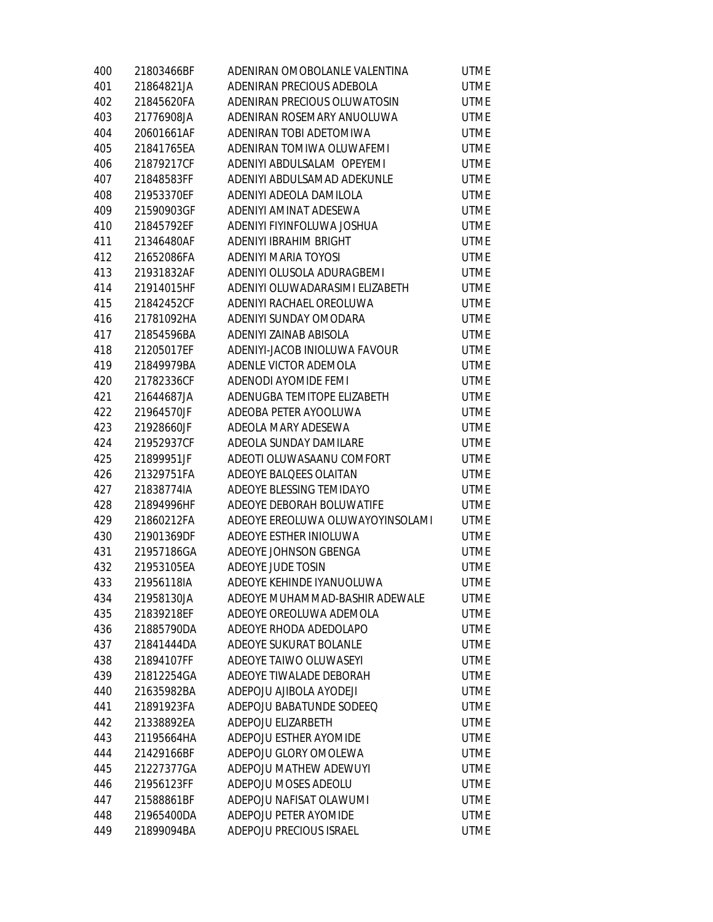| 400 | 21803466BF | ADENIRAN OMOBOLANLE VALENTINA    | <b>UTME</b> |
|-----|------------|----------------------------------|-------------|
| 401 | 21864821JA | ADENIRAN PRECIOUS ADEBOLA        | <b>UTME</b> |
| 402 | 21845620FA | ADENIRAN PRECIOUS OLUWATOSIN     | <b>UTME</b> |
| 403 | 21776908JA | ADENIRAN ROSEMARY ANUOLUWA       | <b>UTME</b> |
| 404 | 20601661AF | ADENIRAN TOBI ADETOMIWA          | <b>UTME</b> |
| 405 | 21841765EA | ADENIRAN TOMIWA OLUWAFEMI        | <b>UTME</b> |
| 406 | 21879217CF | ADENIYI ABDULSALAM OPEYEMI       | <b>UTME</b> |
| 407 | 21848583FF | ADENIYI ABDULSAMAD ADEKUNLE      | <b>UTME</b> |
| 408 | 21953370EF | ADENIYI ADEOLA DAMILOLA          | <b>UTME</b> |
| 409 | 21590903GF | ADENIYI AMINAT ADESEWA           | <b>UTME</b> |
| 410 | 21845792EF | ADENIYI FIYINFOLUWA JOSHUA       | <b>UTME</b> |
| 411 | 21346480AF | ADENIYI IBRAHIM BRIGHT           | <b>UTME</b> |
| 412 | 21652086FA | ADENIYI MARIA TOYOSI             | <b>UTME</b> |
| 413 | 21931832AF | ADENIYI OLUSOLA ADURAGBEMI       | <b>UTME</b> |
| 414 | 21914015HF | ADENIYI OLUWADARASIMI ELIZABETH  | <b>UTME</b> |
| 415 | 21842452CF | ADENIYI RACHAEL OREOLUWA         | <b>UTME</b> |
| 416 | 21781092HA | ADENIYI SUNDAY OMODARA           | <b>UTME</b> |
| 417 | 21854596BA | ADENIYI ZAINAB ABISOLA           | <b>UTME</b> |
| 418 | 21205017EF | ADENIYI-JACOB INIOLUWA FAVOUR    | <b>UTME</b> |
| 419 | 21849979BA | ADENLE VICTOR ADEMOLA            | <b>UTME</b> |
| 420 | 21782336CF | ADENODI AYOMIDE FEMI             | <b>UTME</b> |
| 421 | 21644687JA | ADENUGBA TEMITOPE ELIZABETH      | <b>UTME</b> |
| 422 | 21964570JF | ADEOBA PETER AYOOLUWA            | <b>UTME</b> |
| 423 | 21928660JF | ADEOLA MARY ADESEWA              | <b>UTME</b> |
| 424 | 21952937CF | ADEOLA SUNDAY DAMILARE           | <b>UTME</b> |
| 425 | 21899951JF | ADEOTI OLUWASAANU COMFORT        | <b>UTME</b> |
| 426 | 21329751FA | ADEOYE BALQEES OLAITAN           | <b>UTME</b> |
| 427 | 21838774IA | ADEOYE BLESSING TEMIDAYO         | <b>UTME</b> |
| 428 | 21894996HF | ADEOYE DEBORAH BOLUWATIFE        | <b>UTME</b> |
| 429 | 21860212FA | ADEOYE EREOLUWA OLUWAYOYINSOLAMI | <b>UTME</b> |
| 430 | 21901369DF | ADEOYE ESTHER INIOLUWA           | <b>UTME</b> |
| 431 | 21957186GA | ADEOYE JOHNSON GBENGA            | <b>UTME</b> |
| 432 | 21953105EA | ADEOYE JUDE TOSIN                | <b>UTME</b> |
| 433 | 21956118IA | ADEOYE KEHINDE IYANUOLUWA        | <b>UTME</b> |
| 434 | 21958130JA | ADEOYE MUHAMMAD-BASHIR ADEWALE   | <b>UTME</b> |
| 435 | 21839218EF | ADEOYE OREOLUWA ADEMOLA          | <b>UTME</b> |
| 436 | 21885790DA | ADEOYE RHODA ADEDOLAPO           | <b>UTME</b> |
| 437 | 21841444DA | ADEOYE SUKURAT BOLANLE           | <b>UTME</b> |
| 438 | 21894107FF | ADEOYE TAIWO OLUWASEYI           | <b>UTME</b> |
| 439 | 21812254GA | ADEOYE TIWALADE DEBORAH          | <b>UTME</b> |
| 440 | 21635982BA | ADEPOJU AJIBOLA AYODEJI          | <b>UTME</b> |
| 441 | 21891923FA | ADEPOJU BABATUNDE SODEEQ         | <b>UTME</b> |
| 442 | 21338892EA | ADEPOJU ELIZARBETH               | <b>UTME</b> |
| 443 | 21195664HA | ADEPOJU ESTHER AYOMIDE           | <b>UTME</b> |
| 444 | 21429166BF | ADEPOJU GLORY OMOLEWA            | <b>UTME</b> |
| 445 | 21227377GA | ADEPOJU MATHEW ADEWUYI           | <b>UTME</b> |
| 446 | 21956123FF | ADEPOJU MOSES ADEOLU             | <b>UTME</b> |
| 447 | 21588861BF | ADEPOJU NAFISAT OLAWUMI          | <b>UTME</b> |
| 448 | 21965400DA | ADEPOJU PETER AYOMIDE            | <b>UTME</b> |
| 449 | 21899094BA | ADEPOJU PRECIOUS ISRAEL          | <b>UTME</b> |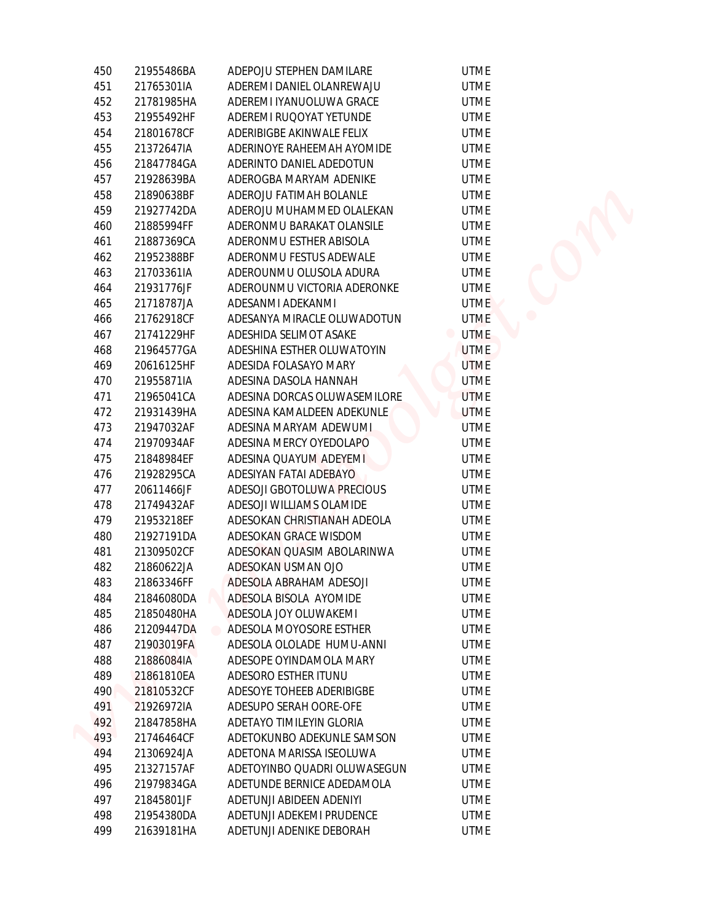| 450 | 21955486BA | ADEPOJU STEPHEN DAMILARE     | <b>UTME</b>                   |  |
|-----|------------|------------------------------|-------------------------------|--|
| 451 | 21765301IA | ADEREMI DANIEL OLANREWAJU    | <b>UTME</b>                   |  |
| 452 | 21781985HA | ADEREMI IYANUOLUWA GRACE     | <b>UTME</b>                   |  |
| 453 | 21955492HF | ADEREMI RUQOYAT YETUNDE      | <b>UTME</b>                   |  |
| 454 | 21801678CF | ADERIBIGBE AKINWALE FELIX    | <b>UTME</b>                   |  |
| 455 | 21372647IA | ADERINOYE RAHEEMAH AYOMIDE   | <b>UTME</b>                   |  |
| 456 | 21847784GA | ADERINTO DANIEL ADEDOTUN     | <b>UTME</b>                   |  |
| 457 | 21928639BA | ADEROGBA MARYAM ADENIKE      | <b>UTME</b>                   |  |
| 458 | 21890638BF | ADEROJU FATIMAH BOLANLE      | <b>UTME</b>                   |  |
| 459 | 21927742DA | ADEROJU MUHAMMED OLALEKAN    | <b>UTME</b>                   |  |
| 460 | 21885994FF | ADERONMU BARAKAT OLANSILE    | <b>UTME</b>                   |  |
| 461 | 21887369CA | ADERONMU ESTHER ABISOLA      | <b>UTME</b>                   |  |
| 462 | 21952388BF | ADERONMU FESTUS ADEWALE      | <b>UTME</b>                   |  |
| 463 | 21703361IA | ADEROUNMU OLUSOLA ADURA      | <b>UTME</b>                   |  |
| 464 | 21931776JF | ADEROUNMU VICTORIA ADERONKE  | <b>UTME</b>                   |  |
| 465 | 21718787JA | ADESANMI ADEKANMI            | <b>UTME</b>                   |  |
| 466 | 21762918CF | ADESANYA MIRACLE OLUWADOTUN  | <b>UTME</b>                   |  |
| 467 | 21741229HF | ADESHIDA SELIMOT ASAKE       | <b>UTME</b><br>$\blacksquare$ |  |
|     | 21964577GA | ADESHINA ESTHER OLUWATOYIN   | <b>UTME</b>                   |  |
| 468 |            |                              |                               |  |
| 469 | 20616125HF | ADESIDA FOLASAYO MARY        | <b>UTME</b>                   |  |
| 470 | 21955871IA | ADESINA DASOLA HANNAH        | <b>UTME</b>                   |  |
| 471 | 21965041CA | ADESINA DORCAS OLUWASEMILORE | <b>UTME</b>                   |  |
| 472 | 21931439HA | ADESINA KAMALDEEN ADEKUNLE   | <b>UTME</b>                   |  |
| 473 | 21947032AF | ADESINA MARYAM ADEWUMI       | <b>UTME</b>                   |  |
| 474 | 21970934AF | ADESINA MERCY OYEDOLAPO      | <b>UTME</b>                   |  |
| 475 | 21848984EF | ADESINA QUAYUM ADEYEMI       | <b>UTME</b>                   |  |
| 476 | 21928295CA | ADESIYAN FATAI ADEBAYO       | <b>UTME</b>                   |  |
| 477 | 20611466JF | ADESOJI GBOTOLUWA PRECIOUS   | <b>UTME</b>                   |  |
| 478 | 21749432AF | ADESOJI WILLIAMS OLAMIDE     | <b>UTME</b>                   |  |
| 479 | 21953218EF | ADESOKAN CHRISTIANAH ADEOLA  | <b>UTME</b>                   |  |
| 480 | 21927191DA | ADESOKAN GRACE WISDOM        | <b>UTME</b>                   |  |
| 481 | 21309502CF | ADESOKAN QUASIM ABOLARINWA   | <b>UTME</b>                   |  |
| 482 | 21860622JA | ADESOKAN USMAN OJO           | <b>UTME</b>                   |  |
| 483 | 21863346FF | ADESOLA ABRAHAM ADESOJI      | <b>UTME</b>                   |  |
| 484 | 21846080DA | ADESOLA BISOLA AYOMIDE       | <b>UTME</b>                   |  |
| 485 | 21850480HA | ADESOLA JOY OLUWAKEMI        | <b>UTME</b>                   |  |
| 486 | 21209447DA | ADESOLA MOYOSORE ESTHER      | <b>UTME</b>                   |  |
| 487 | 21903019FA | ADESOLA OLOLADE HUMU-ANNI    | <b>UTME</b>                   |  |
| 488 | 21886084IA | ADESOPE OYINDAMOLA MARY      | <b>UTME</b>                   |  |
| 489 | 21861810EA | ADESORO ESTHER ITUNU         | <b>UTME</b>                   |  |
| 490 | 21810532CF | ADESOYE TOHEEB ADERIBIGBE    | <b>UTME</b>                   |  |
| 491 | 21926972IA | ADESUPO SERAH OORE-OFE       | <b>UTME</b>                   |  |
| 492 | 21847858HA | ADETAYO TIMILEYIN GLORIA     | <b>UTME</b>                   |  |
| 493 | 21746464CF | ADETOKUNBO ADEKUNLE SAMSON   | <b>UTME</b>                   |  |
| 494 | 21306924JA | ADETONA MARISSA ISEOLUWA     | <b>UTME</b>                   |  |
| 495 | 21327157AF | ADETOYINBO QUADRI OLUWASEGUN | <b>UTME</b>                   |  |
| 496 | 21979834GA | ADETUNDE BERNICE ADEDAMOLA   | <b>UTME</b>                   |  |
| 497 | 21845801JF | ADETUNJI ABIDEEN ADENIYI     | <b>UTME</b>                   |  |
| 498 | 21954380DA | ADETUNJI ADEKEMI PRUDENCE    | <b>UTME</b>                   |  |
| 499 | 21639181HA | ADETUNJI ADENIKE DEBORAH     | <b>UTME</b>                   |  |
|     |            |                              |                               |  |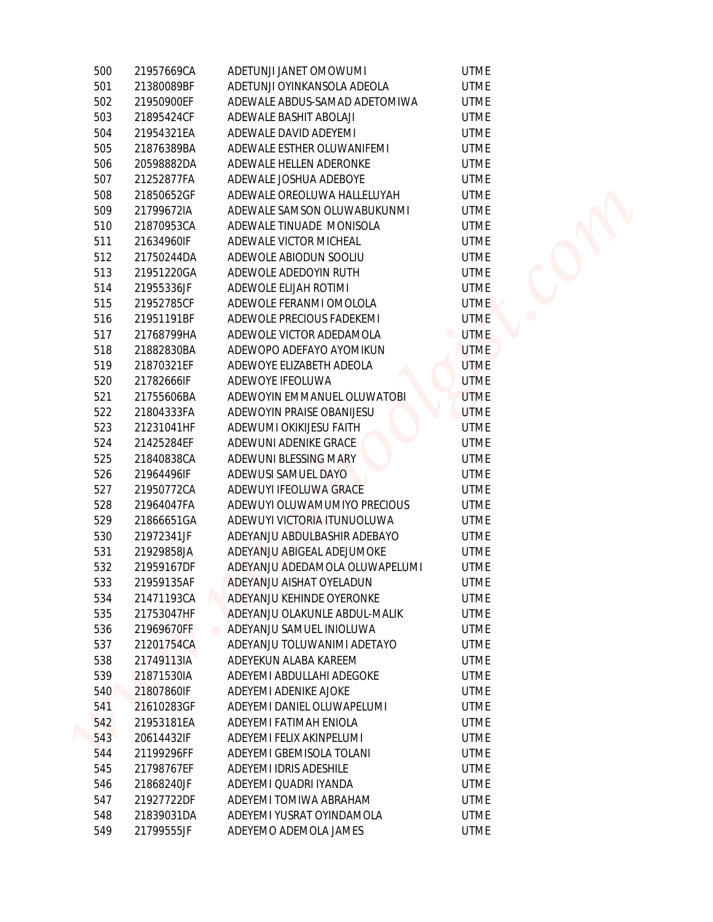| 500 | 21957669CA | ADETUNJI JANET OMOWUMI                     | <b>UTME</b> |
|-----|------------|--------------------------------------------|-------------|
| 501 | 21380089BF | ADETUNJI OYINKANSOLA ADEOLA                | <b>UTME</b> |
| 502 | 21950900EF | ADEWALE ABDUS-SAMAD ADETOMIWA              | <b>UTME</b> |
| 503 | 21895424CF | ADEWALE BASHIT ABOLAJI                     | <b>UTME</b> |
| 504 | 21954321EA | ADEWALE DAVID ADEYEMI                      | <b>UTME</b> |
| 505 | 21876389BA | ADEWALE ESTHER OLUWANIFEMI                 | <b>UTME</b> |
| 506 | 20598882DA | ADEWALE HELLEN ADERONKE                    | <b>UTME</b> |
| 507 | 21252877FA | ADEWALE JOSHUA ADEBOYE                     | <b>UTME</b> |
| 508 | 21850652GF | ADEWALE OREOLUWA HALLELUYAH                | <b>UTME</b> |
| 509 | 21799672IA | ADEWALE SAMSON OLUWABUKUNMI                | <b>UTME</b> |
| 510 | 21870953CA | ADEWALE TINUADE MONISOLA                   | <b>UTME</b> |
| 511 | 21634960IF | ADEWALE VICTOR MICHEAL                     | <b>UTME</b> |
| 512 | 21750244DA | ADEWOLE ABIODUN SOOLIU                     | <b>UTME</b> |
| 513 | 21951220GA | ADEWOLE ADEDOYIN RUTH                      | <b>UTME</b> |
| 514 | 21955336JF | ADEWOLE ELIJAH ROTIMI                      | <b>UTME</b> |
| 515 | 21952785CF | ADEWOLE FERANMI OMOLOLA                    | <b>UTME</b> |
| 516 | 21951191BF | ADEWOLE PRECIOUS FADEKEMI                  | <b>UTME</b> |
| 517 | 21768799HA | ADEWOLE VICTOR ADEDAMOLA                   | <b>UTME</b> |
| 518 | 21882830BA | ADEWOPO ADEFAYO AYOMIKUN                   | <b>UTME</b> |
| 519 | 21870321EF | ADEWOYE ELIZABETH ADEOLA                   | <b>UTME</b> |
| 520 | 21782666IF | ADEWOYE IFEOLUWA                           | <b>UTME</b> |
| 521 | 21755606BA | ADEWOYIN EMMANUEL OLUWATOBI                | <b>UTME</b> |
| 522 | 21804333FA | ADEWOYIN PRAISE OBANIJESU                  | <b>UTME</b> |
| 523 | 21231041HF | ADEWUMI OKIKIJESU FAITH                    | <b>UTME</b> |
| 524 | 21425284EF | ADEWUNI ADENIKE GRACE                      | <b>UTME</b> |
| 525 | 21840838CA | ADEWUNI BLESSING MARY                      | <b>UTME</b> |
| 526 | 21964496IF | ADEWUSI SAMUEL DAYO                        | <b>UTME</b> |
| 527 | 21950772CA | ADEWUYI IFEOLUWA GRACE                     | <b>UTME</b> |
| 528 | 21964047FA | ADEWUYI OLUWAMUMIYO PRECIOUS               | <b>UTME</b> |
| 529 | 21866651GA | ADEWUYI VICTORIA ITUNUOLUWA                | <b>UTME</b> |
| 530 | 21972341JF | ADEYANJU ABDULBASHIR ADEBAYO               | <b>UTME</b> |
| 531 | 21929858JA | ADEYANJU ABIGEAL ADEJUMOKE                 | <b>UTME</b> |
| 532 | 21959167DF | ADEYANJU ADEDAMOLA OLUWAPELUMI             | <b>UTME</b> |
| 533 | 21959135AF | ADEYANJU AISHAT OYELADUN                   | <b>UTME</b> |
| 534 | 21471193CA | ADEYANJU KEHINDE OYERONKE                  | <b>UTME</b> |
| 535 | 21753047HF | ADEYANJU OLAKUNLE ABDUL-MALIK              | <b>UTME</b> |
| 536 | 21969670FF | ADEYANJU SAMUEL INIOLUWA<br>$\blacksquare$ | <b>UTME</b> |
| 537 | 21201754CA | ADEYANJU TOLUWANIMI ADETAYO                | <b>UTME</b> |
| 538 | 21749113IA | ADEYEKUN ALABA KAREEM                      | <b>UTME</b> |
| 539 | 21871530IA | ADEYEMI ABDULLAHI ADEGOKE                  | <b>UTME</b> |
| 540 | 21807860IF | ADEYEMI ADENIKE AJOKE                      | <b>UTME</b> |
| 541 | 21610283GF | ADEYEMI DANIEL OLUWAPELUMI                 | <b>UTME</b> |
| 542 | 21953181EA | ADEYEMI FATIMAH ENIOLA                     | <b>UTME</b> |
| 543 | 20614432IF | ADEYEMI FELIX AKINPELUMI                   | <b>UTME</b> |
| 544 | 21199296FF | ADEYEMI GBEMISOLA TOLANI                   | <b>UTME</b> |
| 545 | 21798767EF | ADEYEMI IDRIS ADESHILE                     | <b>UTME</b> |
| 546 | 21868240JF | ADEYEMI QUADRI IYANDA                      | <b>UTME</b> |
| 547 | 21927722DF | ADEYEMI TOMIWA ABRAHAM                     | <b>UTME</b> |
| 548 | 21839031DA | ADEYEMI YUSRAT OYINDAMOLA                  | <b>UTME</b> |
| 549 | 21799555JF | ADEYEMO ADEMOLA JAMES                      | <b>UTME</b> |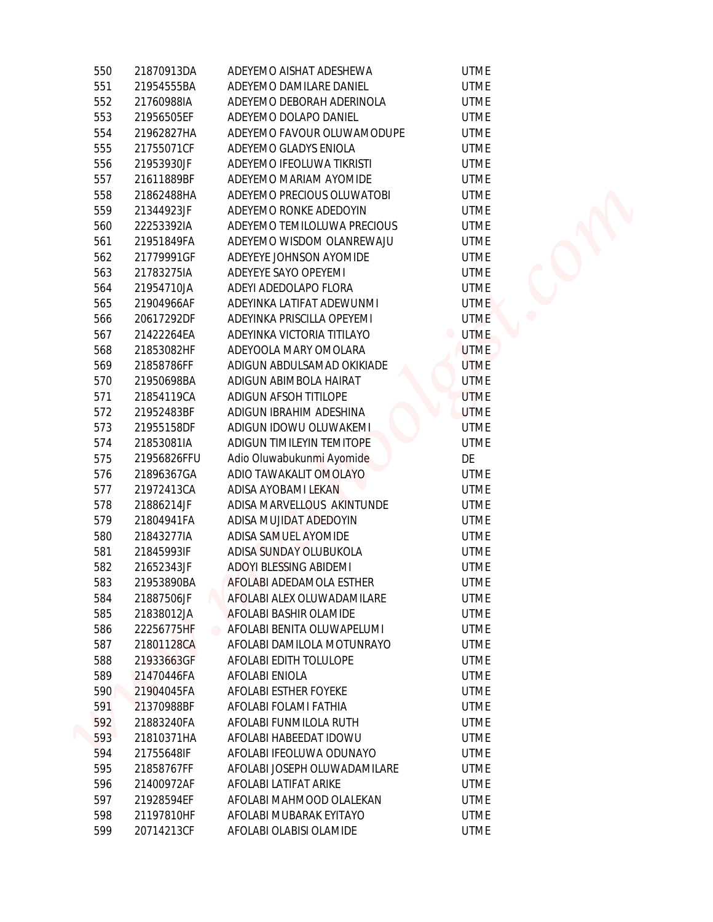| 550        | 21870913DA               | ADEYEMO AISHAT ADESHEWA                               | <b>UTME</b>                   |
|------------|--------------------------|-------------------------------------------------------|-------------------------------|
| 551        | 21954555BA               | ADEYEMO DAMILARE DANIEL                               | <b>UTME</b>                   |
| 552        | 21760988IA               | ADEYEMO DEBORAH ADERINOLA                             | <b>UTME</b>                   |
| 553        | 21956505EF               | ADEYEMO DOLAPO DANIEL                                 | <b>UTME</b>                   |
| 554        | 21962827HA               | ADEYEMO FAVOUR OLUWAMODUPE                            | <b>UTME</b>                   |
| 555        | 21755071CF               | ADEYEMO GLADYS ENIOLA                                 | <b>UTME</b>                   |
| 556        | 21953930JF               | ADEYEMO IFEOLUWA TIKRISTI                             | <b>UTME</b>                   |
| 557        | 21611889BF               | ADEYEMO MARIAM AYOMIDE                                | <b>UTME</b>                   |
| 558        | 21862488HA               | ADEYEMO PRECIOUS OLUWATOBI                            | <b>UTME</b>                   |
| 559        | 21344923JF               | ADEYEMO RONKE ADEDOYIN                                | <b>UTME</b>                   |
| 560        | 22253392IA               | ADEYEMO TEMILOLUWA PRECIOUS                           | <b>UTME</b>                   |
|            | 21951849FA               | ADEYEMO WISDOM OLANREWAJU                             | <b>UTME</b>                   |
| 561<br>562 | 21779991GF               | ADEYEYE JOHNSON AYOMIDE                               | <b>UTME</b>                   |
| 563        | 21783275IA               | ADEYEYE SAYO OPEYEMI                                  | <b>UTME</b>                   |
| 564        | 21954710JA               | ADEYI ADEDOLAPO FLORA                                 | <b>UTME</b>                   |
| 565        | 21904966AF               | ADEYINKA LATIFAT ADEWUNMI                             | <b>UTME</b>                   |
| 566        | 20617292DF               | ADEYINKA PRISCILLA OPEYEMI                            | <b>UTME</b>                   |
| 567        | 21422264EA               | ADEYINKA VICTORIA TITILAYO                            | <b>UTME</b><br>$\blacksquare$ |
| 568        | 21853082HF               | ADEYOOLA MARY OMOLARA                                 | <b>UTME</b>                   |
| 569        | 21858786FF               | ADIGUN ABDULSAMAD OKIKIADE                            | <b>UTME</b>                   |
| 570        | 21950698BA               | ADIGUN ABIMBOLA HAIRAT                                | <b>UTME</b>                   |
| 571        | 21854119CA               | ADIGUN AFSOH TITILOPE                                 | <b>UTME</b>                   |
| 572        | 21952483BF               | ADIGUN IBRAHIM ADESHINA                               | <b>UTME</b>                   |
| 573        | 21955158DF               | ADIGUN IDOWU OLUWAKEMI                                | <b>UTME</b>                   |
| 574        | 21853081IA               | ADIGUN TIMILEYIN TEMITOPE                             | <b>UTME</b>                   |
| 575        | 21956826FFU              | Adio Oluwabukunmi Ayomide                             | DE                            |
| 576        | 21896367GA               | ADIO TAWAKALIT OMOLAYO                                | <b>UTME</b>                   |
| 577        | 21972413CA               | ADISA AYOBAMI LEKAN                                   | <b>UTME</b>                   |
| 578        |                          | ADISA MARVELLOUS AKINTUNDE                            | <b>UTME</b>                   |
| 579        | 21886214JF<br>21804941FA | ADISA MUJIDAT ADEDOYIN                                | <b>UTME</b>                   |
| 580        |                          | ADISA SAMUEL AYOMIDE                                  | <b>UTME</b>                   |
| 581        | 21843277IA<br>21845993IF | ADISA SUNDAY OLUBUKOLA                                | <b>UTME</b>                   |
| 582        | 21652343JF               | ADOYI BLESSING ABIDEMI                                | <b>UTME</b>                   |
| 583        | 21953890BA               | AFOLABI ADEDAMOLA ESTHER                              | <b>UTME</b>                   |
|            |                          | AFOLABI ALEX OLUWADAMILARE                            | <b>UTME</b>                   |
| 584<br>585 | 21887506JF<br>21838012JA | AFOLABI BASHIR OLAMIDE                                | <b>UTME</b>                   |
| 586        | 22256775HF               | AFOLABI BENITA OLUWAPELUMI                            | <b>UTME</b>                   |
| 587        | 21801128CA               | AFOLABI DAMILOLA MOTUNRAYO                            | <b>UTME</b>                   |
| 588        | 21933663GF               | AFOLABI EDITH TOLULOPE                                | <b>UTME</b>                   |
| 589        | 21470446FA               | AFOLABI ENIOLA                                        | <b>UTME</b>                   |
| 590        | 21904045FA               | AFOLABI ESTHER FOYEKE                                 | <b>UTME</b>                   |
|            |                          | AFOLABI FOLAMI FATHIA                                 | <b>UTME</b>                   |
| 591        | 21370988BF               |                                                       | <b>UTME</b>                   |
| 592<br>593 | 21883240FA               | AFOLABI FUNMILOLA RUTH<br>AFOLABI HABEEDAT IDOWU      | <b>UTME</b>                   |
| 594        | 21810371HA               | AFOLABI IFEOLUWA ODUNAYO                              | <b>UTME</b>                   |
|            | 21755648IF               |                                                       |                               |
| 595<br>596 | 21858767FF               | AFOLABI JOSEPH OLUWADAMILARE<br>AFOLABI LATIFAT ARIKE | UTME<br><b>UTME</b>           |
| 597        | 21400972AF<br>21928594EF | AFOLABI MAHMOOD OLALEKAN                              | <b>UTME</b>                   |
| 598        | 21197810HF               | AFOLABI MUBARAK EYITAYO                               | <b>UTME</b>                   |
| 599        | 20714213CF               | AFOLABI OLABISI OLAMIDE                               | <b>UTME</b>                   |
|            |                          |                                                       |                               |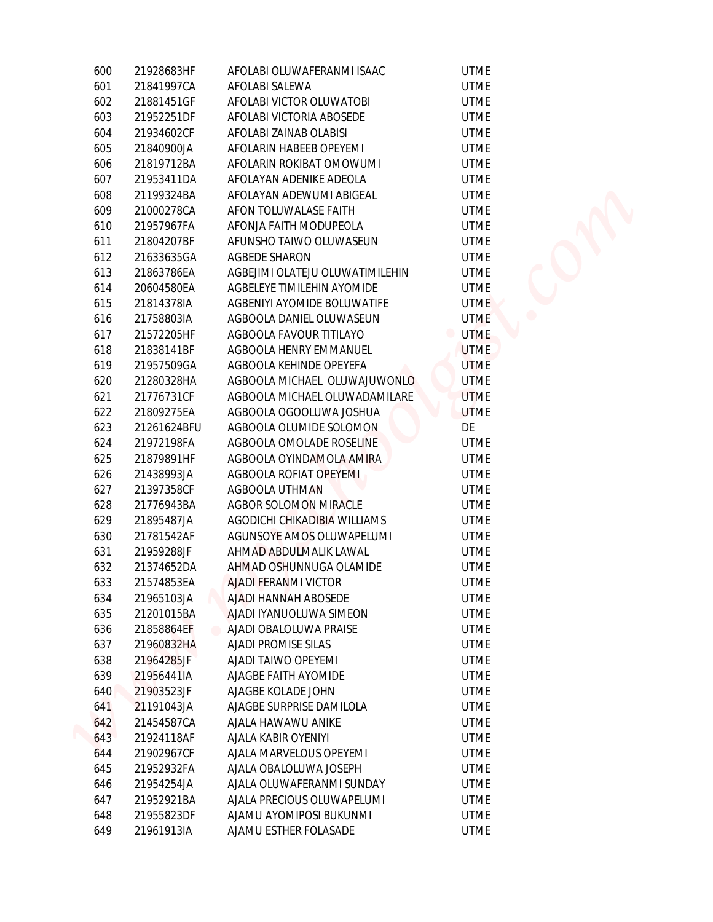| 600 | 21928683HF  | AFOLABI OLUWAFERANMI ISAAC               | <b>UTME</b> |
|-----|-------------|------------------------------------------|-------------|
| 601 | 21841997CA  | AFOLABI SALEWA                           | <b>UTME</b> |
| 602 | 21881451GF  | AFOLABI VICTOR OLUWATOBI                 | <b>UTME</b> |
| 603 | 21952251DF  | AFOLABI VICTORIA ABOSEDE                 | <b>UTME</b> |
| 604 | 21934602CF  | AFOLABI ZAINAB OLABISI                   | <b>UTME</b> |
| 605 | 21840900JA  | AFOLARIN HABEEB OPEYEMI                  | <b>UTME</b> |
| 606 | 21819712BA  | AFOLARIN ROKIBAT OMOWUMI                 | <b>UTME</b> |
| 607 | 21953411DA  | AFOLAYAN ADENIKE ADEOLA                  | <b>UTME</b> |
| 608 | 21199324BA  | AFOLAYAN ADEWUMI ABIGEAL                 | <b>UTME</b> |
| 609 | 21000278CA  | AFON TOLUWALASE FAITH                    | <b>UTME</b> |
| 610 | 21957967FA  | AFONJA FAITH MODUPEOLA                   | <b>UTME</b> |
| 611 | 21804207BF  | AFUNSHO TAIWO OLUWASEUN                  | <b>UTME</b> |
| 612 | 21633635GA  | <b>AGBEDE SHARON</b>                     | <b>UTME</b> |
| 613 | 21863786EA  | AGBEJIMI OLATEJU OLUWATIMILEHIN          | <b>UTME</b> |
| 614 | 20604580EA  | AGBELEYE TIMILEHIN AYOMIDE               | <b>UTME</b> |
| 615 | 21814378IA  | AGBENIYI AYOMIDE BOLUWATIFE              | <b>UTME</b> |
| 616 | 21758803IA  | AGBOOLA DANIEL OLUWASEUN                 | <b>UTME</b> |
| 617 | 21572205HF  | AGBOOLA FAVOUR TITILAYO                  | <b>UTME</b> |
| 618 | 21838141BF  | AGBOOLA HENRY EMMANUEL                   | <b>UTME</b> |
| 619 | 21957509GA  | AGBOOLA KEHINDE OPEYEFA                  | <b>UTME</b> |
| 620 | 21280328HA  | AGBOOLA MICHAEL OLUWAJUWONLO             | <b>UTME</b> |
| 621 | 21776731CF  | AGBOOLA MICHAEL OLUWADAMILARE            | <b>UTME</b> |
| 622 | 21809275EA  | AGBOOLA OGOOLUWA JOSHUA                  | <b>UTME</b> |
| 623 | 21261624BFU | AGBOOLA OLUMIDE SOLOMON                  | DE          |
| 624 | 21972198FA  | AGBOOLA OMOLADE ROSELINE                 | <b>UTME</b> |
| 625 | 21879891HF  | AGBOOLA OYINDAMOLA AMIRA                 | <b>UTME</b> |
| 626 | 21438993JA  | AGBOOLA ROFIAT OPEYEMI                   | <b>UTME</b> |
| 627 | 21397358CF  | AGBOOLA UTHMAN                           | <b>UTME</b> |
| 628 | 21776943BA  | <b>AGBOR SOLOMON MIRACLE</b>             | <b>UTME</b> |
| 629 | 21895487JA  | AGODICHI CHIKADIBIA WILLIAMS             | <b>UTME</b> |
| 630 | 21781542AF  | AGUNSOYE AMOS OLUWAPELUMI                | <b>UTME</b> |
| 631 | 21959288JF  | AHMAD ABDULMALIK LAWAL                   | <b>UTME</b> |
| 632 | 21374652DA  | AHMAD OSHUNNUGA OLAMIDE                  | <b>UTME</b> |
| 633 | 21574853EA  | AJADI FERANMI VICTOR                     | <b>UTME</b> |
| 634 | 21965103JA  | AJADI HANNAH ABOSEDE                     | <b>UTME</b> |
| 635 | 21201015BA  | AJADI IYANUOLUWA SIMEON                  | <b>UTME</b> |
| 636 | 21858864EF  | AJADI OBALOLUWA PRAISE<br>$\blacksquare$ | <b>UTME</b> |
| 637 | 21960832HA  | <b>AJADI PROMISE SILAS</b>               | <b>UTME</b> |
| 638 | 21964285JF  | AJADI TAIWO OPEYEMI                      | <b>UTME</b> |
| 639 | 21956441IA  | AJAGBE FAITH AYOMIDE                     | <b>UTME</b> |
| 640 | 21903523JF  | AJAGBE KOLADE JOHN                       | <b>UTME</b> |
| 641 | 21191043JA  | AJAGBE SURPRISE DAMILOLA                 | <b>UTME</b> |
| 642 | 21454587CA  | AJALA HAWAWU ANIKE                       | <b>UTME</b> |
| 643 | 21924118AF  | AJALA KABIR OYENIYI                      | <b>UTME</b> |
| 644 | 21902967CF  | AJALA MARVELOUS OPEYEMI                  | <b>UTME</b> |
| 645 | 21952932FA  | AJALA OBALOLUWA JOSEPH                   | <b>UTME</b> |
| 646 | 21954254JA  | AJALA OLUWAFERANMI SUNDAY                | <b>UTME</b> |
| 647 | 21952921BA  | AJALA PRECIOUS OLUWAPELUMI               | <b>UTME</b> |
| 648 | 21955823DF  | AJAMU AYOMIPOSI BUKUNMI                  | <b>UTME</b> |
| 649 | 21961913IA  | AJAMU ESTHER FOLASADE                    | <b>UTME</b> |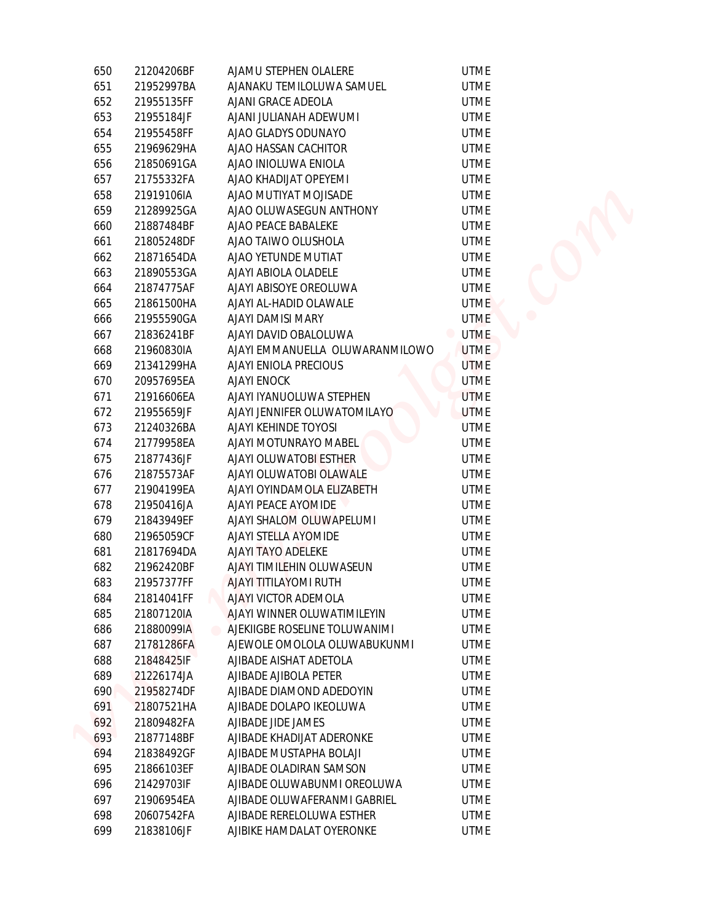| 650 | 21204206BF | AJAMU STEPHEN OLALERE           | <b>UTME</b> |
|-----|------------|---------------------------------|-------------|
| 651 | 21952997BA | AJANAKU TEMILOLUWA SAMUEL       | <b>UTME</b> |
| 652 | 21955135FF | AJANI GRACE ADEOLA              | <b>UTME</b> |
| 653 | 21955184JF | AJANI JULIANAH ADEWUMI          | UTME        |
| 654 | 21955458FF | AJAO GLADYS ODUNAYO             | <b>UTME</b> |
| 655 | 21969629HA | AJAO HASSAN CACHITOR            | <b>UTME</b> |
| 656 | 21850691GA | AJAO INIOLUWA ENIOLA            | <b>UTME</b> |
| 657 | 21755332FA | AJAO KHADIJAT OPEYEMI           | <b>UTME</b> |
| 658 | 21919106IA | AJAO MUTIYAT MOJISADE           | <b>UTME</b> |
| 659 | 21289925GA | AJAO OLUWASEGUN ANTHONY         | <b>UTME</b> |
| 660 | 21887484BF | AJAO PEACE BABALEKE             | <b>UTME</b> |
| 661 | 21805248DF | AJAO TAIWO OLUSHOLA             | <b>UTME</b> |
| 662 | 21871654DA | AJAO YETUNDE MUTIAT             | <b>UTME</b> |
| 663 | 21890553GA | AJAYI ABIOLA OLADELE            | <b>UTME</b> |
| 664 | 21874775AF | AJAYI ABISOYE OREOLUWA          | <b>UTME</b> |
| 665 | 21861500HA | AJAYI AL-HADID OLAWALE          | <b>UTME</b> |
| 666 | 21955590GA | AJAYI DAMISI MARY               | <b>UTME</b> |
| 667 | 21836241BF | AJAYI DAVID OBALOLUWA           | <b>UTME</b> |
| 668 | 21960830IA | AJAYI EMMANUELLA OLUWARANMILOWO | <b>UTME</b> |
| 669 | 21341299HA | AJAYI ENIOLA PRECIOUS           | <b>UTME</b> |
| 670 | 20957695EA | <b>AJAYI ENOCK</b>              | <b>UTME</b> |
| 671 | 21916606EA | AJAYI IYANUOLUWA STEPHEN        | <b>UTME</b> |
| 672 | 21955659JF | AJAYI JENNIFER OLUWATOMILAYO    | <b>UTME</b> |
| 673 | 21240326BA | AJAYI KEHINDE TOYOSI            | <b>UTME</b> |
| 674 | 21779958EA | AJAYI MOTUNRAYO MABEL           | <b>UTME</b> |
| 675 | 21877436JF | AJAYI OLUWATOBI ESTHER          | <b>UTME</b> |
| 676 | 21875573AF | AJAYI OLUWATOBI OLAWALE         | <b>UTME</b> |
| 677 | 21904199EA | AJAYI OYINDAMOLA ELIZABETH      | <b>UTME</b> |
| 678 | 21950416JA | AJAYI PEACE AYOMIDE             | <b>UTME</b> |
| 679 | 21843949EF | AJAYI SHALOM OLUWAPELUMI        | <b>UTME</b> |
| 680 | 21965059CF | AJAYI STELLA AYOMIDE            | UTME        |
| 681 | 21817694DA | AJAYI TAYO ADELEKE              | <b>UTME</b> |
| 682 | 21962420BF | AJAYI TIMILEHIN OLUWASEUN       | <b>UTME</b> |
| 683 | 21957377FF | <b>AJAYI TITILAYOMI RUTH</b>    | UTME        |
| 684 | 21814041FF | AJAYI VICTOR ADEMOLA            | <b>UTME</b> |
| 685 | 21807120IA | AJAYI WINNER OLUWATIMILEYIN     | <b>UTME</b> |
| 686 | 21880099IA | AJEKIIGBE ROSELINE TOLUWANIMI   | <b>UTME</b> |
| 687 | 21781286FA | AJEWOLE OMOLOLA OLUWABUKUNMI    | <b>UTME</b> |
| 688 | 21848425IF | AJIBADE AISHAT ADETOLA          | <b>UTME</b> |
| 689 | 21226174JA | AJIBADE AJIBOLA PETER           | UTME        |
| 690 | 21958274DF | AJIBADE DIAMOND ADEDOYIN        | <b>UTME</b> |
| 691 | 21807521HA | AJIBADE DOLAPO IKEOLUWA         | <b>UTME</b> |
| 692 | 21809482FA | AJIBADE JIDE JAMES              | <b>UTME</b> |
| 693 | 21877148BF | AJIBADE KHADIJAT ADERONKE       | <b>UTME</b> |
| 694 | 21838492GF | AJIBADE MUSTAPHA BOLAJI         | <b>UTME</b> |
| 695 | 21866103EF | AJIBADE OLADIRAN SAMSON         | <b>UTME</b> |
| 696 | 21429703IF | AJIBADE OLUWABUNMI OREOLUWA     | <b>UTME</b> |
| 697 | 21906954EA | AJIBADE OLUWAFERANMI GABRIEL    | <b>UTME</b> |
| 698 | 20607542FA | AJIBADE RERELOLUWA ESTHER       | <b>UTME</b> |
| 699 | 21838106JF | AJIBIKE HAMDALAT OYERONKE       | <b>UTME</b> |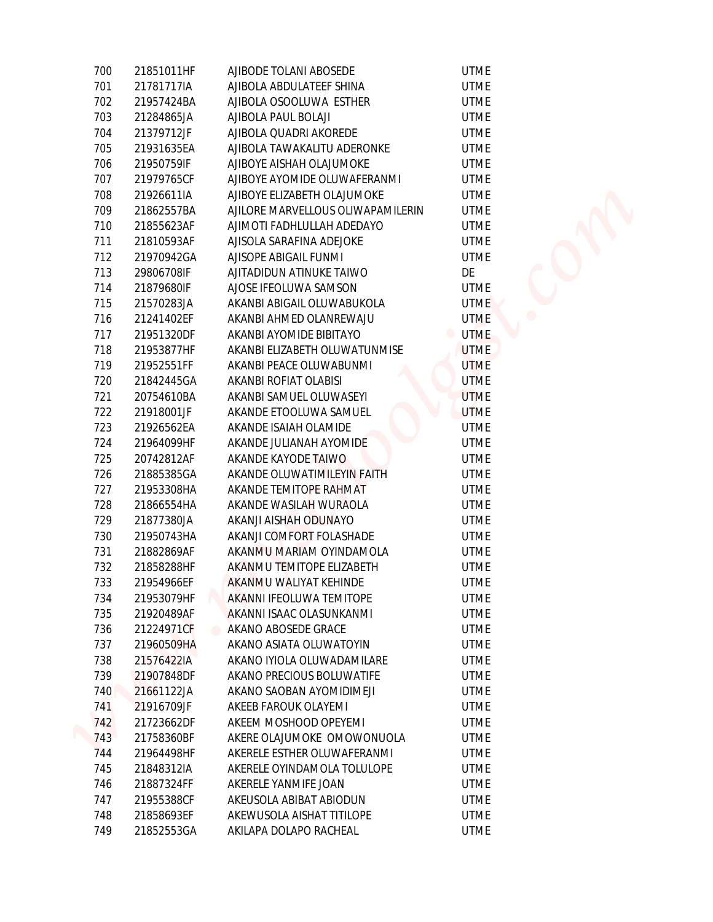| 700 | 21851011HF | AJIBODE TOLANI ABOSEDE            | <b>UTME</b> |
|-----|------------|-----------------------------------|-------------|
| 701 | 21781717IA | AJIBOLA ABDULATEEF SHINA          | <b>UTME</b> |
| 702 | 21957424BA | AJIBOLA OSOOLUWA ESTHER           | <b>UTME</b> |
| 703 | 21284865JA | AJIBOLA PAUL BOLAJI               | <b>UTME</b> |
| 704 | 21379712JF | AJIBOLA QUADRI AKOREDE            | <b>UTME</b> |
| 705 | 21931635EA | AJIBOLA TAWAKALITU ADERONKE       | <b>UTME</b> |
| 706 | 21950759IF | AJIBOYE AISHAH OLAJUMOKE          | <b>UTME</b> |
| 707 | 21979765CF | AJIBOYE AYOMIDE OLUWAFERANMI      | <b>UTME</b> |
| 708 | 21926611IA | AJIBOYE ELIZABETH OLAJUMOKE       | <b>UTME</b> |
| 709 | 21862557BA | AJILORE MARVELLOUS OLIWAPAMILERIN | <b>UTME</b> |
| 710 | 21855623AF | AJIMOTI FADHLULLAH ADEDAYO        | <b>UTME</b> |
| 711 | 21810593AF | AJISOLA SARAFINA ADEJOKE          | <b>UTME</b> |
| 712 | 21970942GA | AJISOPE ABIGAIL FUNMI             | <b>UTME</b> |
| 713 | 29806708IF | AJITADIDUN ATINUKE TAIWO          | DE          |
| 714 | 21879680IF | AJOSE IFEOLUWA SAMSON             | <b>UTME</b> |
| 715 | 21570283JA | AKANBI ABIGAIL OLUWABUKOLA        | <b>UTME</b> |
| 716 | 21241402EF | AKANBI AHMED OLANREWAJU           | <b>UTME</b> |
| 717 | 21951320DF | AKANBI AYOMIDE BIBITAYO           | <b>UTME</b> |
| 718 | 21953877HF | AKANBI ELIZABETH OLUWATUNMISE     | <b>UTME</b> |
| 719 | 21952551FF | AKANBI PEACE OLUWABUNMI           | <b>UTME</b> |
| 720 | 21842445GA | AKANBI ROFIAT OLABISI             | <b>UTME</b> |
| 721 | 20754610BA | AKANBI SAMUEL OLUWASEYI           | <b>UTME</b> |
| 722 | 21918001JF | AKANDE ETOOLUWA SAMUEL            | <b>UTME</b> |
| 723 | 21926562EA | AKANDE ISAIAH OLAMIDE             | <b>UTME</b> |
| 724 | 21964099HF | AKANDE JULIANAH AYOMIDE           | <b>UTME</b> |
| 725 | 20742812AF | AKANDE KAYODE TAIWO               | <b>UTME</b> |
| 726 | 21885385GA | AKANDE OLUWATIMILEYIN FAITH       | <b>UTME</b> |
| 727 | 21953308HA | AKANDE TEMITOPE RAHMAT            | <b>UTME</b> |
| 728 | 21866554HA | AKANDE WASILAH WURAOLA            | <b>UTME</b> |
| 729 | 21877380JA | AKANJI AISHAH ODUNAYO             | <b>UTME</b> |
| 730 | 21950743HA | AKANJI COMFORT FOLASHADE          | <b>UTME</b> |
| 731 | 21882869AF | AKANMU MARIAM OYINDAMOLA          | <b>UTME</b> |
| 732 | 21858288HF | AKANMU TEMITOPE ELIZABETH         | <b>UTME</b> |
| 733 | 21954966EF | AKANMU WALIYAT KEHINDE            | <b>UTME</b> |
| 734 | 21953079HF | AKANNI IFEOLUWA TEMITOPE          | <b>UTME</b> |
| 735 | 21920489AF | AKANNI ISAAC OLASUNKANMI          | <b>UTME</b> |
| 736 | 21224971CF | AKANO ABOSEDE GRACE<br>$\bullet$  | <b>UTME</b> |
| 737 | 21960509HA | AKANO ASIATA OLUWATOYIN           | <b>UTME</b> |
| 738 | 21576422IA | AKANO IYIOLA OLUWADAMILARE        | <b>UTME</b> |
| 739 | 21907848DF | AKANO PRECIOUS BOLUWATIFE         | <b>UTME</b> |
| 740 | 21661122JA | AKANO SAOBAN AYOMIDIMEJI          | <b>UTME</b> |
| 741 | 21916709JF | AKEEB FAROUK OLAYEMI              | <b>UTME</b> |
| 742 | 21723662DF | AKEEM MOSHOOD OPEYEMI             | <b>UTME</b> |
| 743 | 21758360BF | AKERE OLAJUMOKE OMOWONUOLA        | <b>UTME</b> |
| 744 | 21964498HF | AKERELE ESTHER OLUWAFERANMI       | <b>UTME</b> |
| 745 | 21848312IA | AKERELE OYINDAMOLA TOLULOPE       | <b>UTME</b> |
| 746 | 21887324FF | AKERELE YANMIFE JOAN              | <b>UTME</b> |
| 747 | 21955388CF | AKEUSOLA ABIBAT ABIODUN           | <b>UTME</b> |
| 748 | 21858693EF | AKEWUSOLA AISHAT TITILOPE         | <b>UTME</b> |
| 749 | 21852553GA | AKILAPA DOLAPO RACHEAL            | <b>UTME</b> |
|     |            |                                   |             |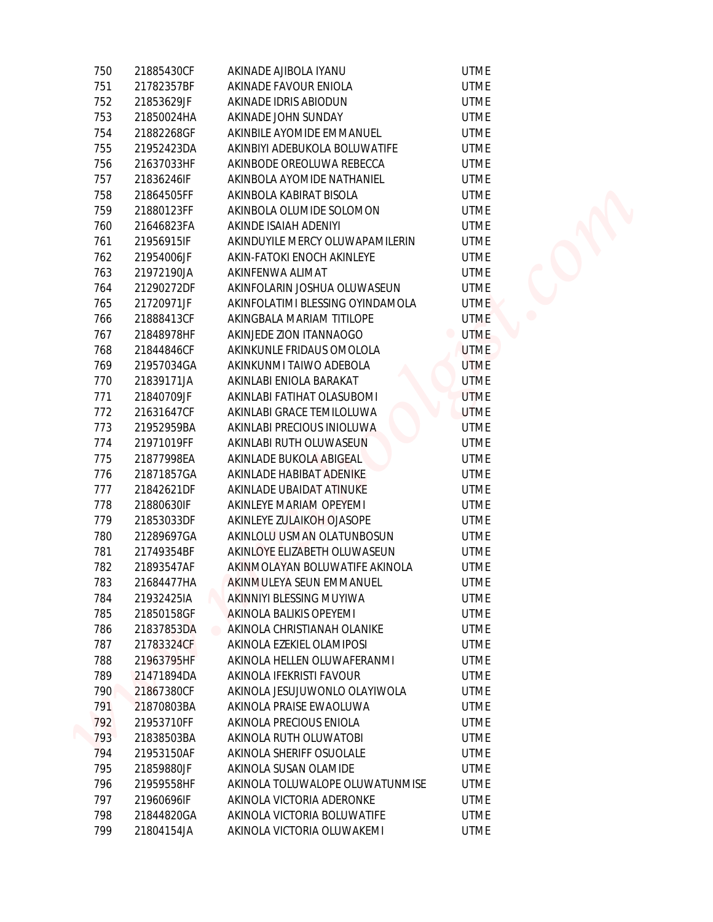| 750 | 21885430CF | AKINADE AJIBOLA IYANU                     | <b>UTME</b> |
|-----|------------|-------------------------------------------|-------------|
| 751 | 21782357BF | AKINADE FAVOUR ENIOLA                     | <b>UTME</b> |
| 752 | 21853629JF | AKINADE IDRIS ABIODUN                     | <b>UTME</b> |
| 753 | 21850024HA | AKINADE JOHN SUNDAY                       | <b>UTME</b> |
| 754 | 21882268GF | AKINBILE AYOMIDE EMMANUEL                 | <b>UTME</b> |
| 755 | 21952423DA | AKINBIYI ADEBUKOLA BOLUWATIFE             | <b>UTME</b> |
| 756 | 21637033HF | AKINBODE OREOLUWA REBECCA                 | <b>UTME</b> |
| 757 | 21836246IF | AKINBOLA AYOMIDE NATHANIEL                | <b>UTME</b> |
| 758 | 21864505FF | AKINBOLA KABIRAT BISOLA                   | <b>UTME</b> |
| 759 | 21880123FF | AKINBOLA OLUMIDE SOLOMON                  | <b>UTME</b> |
| 760 | 21646823FA | AKINDE ISAIAH ADENIYI                     | <b>UTME</b> |
| 761 | 21956915IF | AKINDUYILE MERCY OLUWAPAMILERIN           | <b>UTME</b> |
| 762 | 21954006JF | AKIN-FATOKI ENOCH AKINLEYE                | <b>UTME</b> |
| 763 | 21972190JA | AKINFENWA ALIMAT                          | <b>UTME</b> |
| 764 | 21290272DF | AKINFOLARIN JOSHUA OLUWASEUN              | <b>UTME</b> |
| 765 | 21720971JF | AKINFOLATIMI BLESSING OYINDAMOLA          | <b>UTME</b> |
| 766 | 21888413CF | AKINGBALA MARIAM TITILOPE                 | <b>UTME</b> |
| 767 | 21848978HF | AKINJEDE ZION ITANNAOGO                   | <b>UTME</b> |
| 768 | 21844846CF | AKINKUNLE FRIDAUS OMOLOLA                 | <b>UTME</b> |
| 769 | 21957034GA | AKINKUNMI TAIWO ADEBOLA                   | <b>UTME</b> |
| 770 | 21839171JA | AKINLABI ENIOLA BARAKAT                   | <b>UTME</b> |
| 771 | 21840709JF | AKINLABI FATIHAT OLASUBOMI                | <b>UTME</b> |
| 772 | 21631647CF | AKINLABI GRACE TEMILOLUWA                 | <b>UTME</b> |
| 773 | 21952959BA | AKINLABI PRECIOUS INIOLUWA                | <b>UTME</b> |
| 774 | 21971019FF | AKINLABI RUTH OLUWASEUN                   | <b>UTME</b> |
| 775 | 21877998EA | AKINLADE BUKOLA ABIGEAL                   | <b>UTME</b> |
| 776 | 21871857GA | AKINLADE HABIBAT ADENIKE                  | <b>UTME</b> |
| 777 | 21842621DF | AKINLADE UBAIDAT ATINUKE                  | <b>UTME</b> |
| 778 | 21880630IF | AKINLEYE MARIAM OPEYEMI                   | <b>UTME</b> |
| 779 | 21853033DF | AKINLEYE ZULAIKOH OJASOPE                 | <b>UTME</b> |
| 780 | 21289697GA | AKINLOLU USMAN OLATUNBOSUN                | <b>UTME</b> |
| 781 | 21749354BF | AKINLOYE ELIZABETH OLUWASEUN              | <b>UTME</b> |
| 782 | 21893547AF | AKINMOLAYAN BOLUWATIFE AKINOLA            | <b>UTME</b> |
| 783 | 21684477HA | AKINMULEYA SEUN EMMANUEL                  | <b>UTME</b> |
| 784 | 21932425IA | AKINNIYI BLESSING MUYIWA                  | <b>UTME</b> |
| 785 | 21850158GF | AKINOLA BALIKIS OPEYEMI                   | <b>UTME</b> |
| 786 | 21837853DA | AKINOLA CHRISTIANAH OLANIKE<br>$\bigcirc$ | <b>UTME</b> |
| 787 | 21783324CF | AKINOLA EZEKIEL OLAMIPOSI                 | <b>UTME</b> |
| 788 | 21963795HF | AKINOLA HELLEN OLUWAFERANMI               | <b>UTME</b> |
| 789 | 21471894DA | AKINOLA IFEKRISTI FAVOUR                  | <b>UTME</b> |
| 790 | 21867380CF | AKINOLA JESUJUWONLO OLAYIWOLA             | <b>UTME</b> |
| 791 | 21870803BA | AKINOLA PRAISE EWAOLUWA                   | <b>UTME</b> |
| 792 | 21953710FF | AKINOLA PRECIOUS ENIOLA                   | <b>UTME</b> |
| 793 | 21838503BA | AKINOLA RUTH OLUWATOBI                    | <b>UTME</b> |
| 794 | 21953150AF | AKINOLA SHERIFF OSUOLALE                  | <b>UTME</b> |
| 795 | 21859880JF | AKINOLA SUSAN OLAMIDE                     | <b>UTME</b> |
| 796 | 21959558HF | AKINOLA TOLUWALOPE OLUWATUNMISE           | <b>UTME</b> |
| 797 | 21960696IF | AKINOLA VICTORIA ADERONKE                 | <b>UTME</b> |
| 798 | 21844820GA | AKINOLA VICTORIA BOLUWATIFE               | <b>UTME</b> |
| 799 | 21804154JA | AKINOLA VICTORIA OLUWAKEMI                | <b>UTME</b> |
|     |            |                                           |             |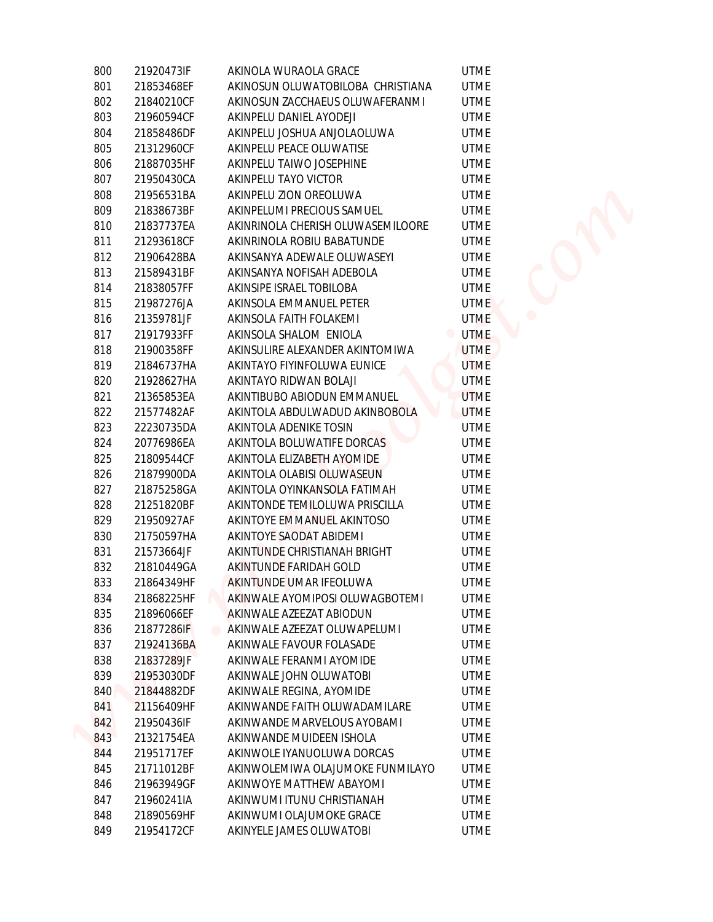| 800 | 21920473IF                   | AKINOLA WURAOLA GRACE             | <b>UTME</b> |
|-----|------------------------------|-----------------------------------|-------------|
| 801 | 21853468EF                   | AKINOSUN OLUWATOBILOBA CHRISTIANA | <b>UTME</b> |
| 802 | 21840210CF                   | AKINOSUN ZACCHAEUS OLUWAFERANMI   | <b>UTME</b> |
| 803 | 21960594CF                   | AKINPELU DANIEL AYODEJI           | <b>UTME</b> |
| 804 | 21858486DF                   | AKINPELU JOSHUA ANJOLAOLUWA       | <b>UTME</b> |
| 805 | 21312960CF                   | AKINPELU PEACE OLUWATISE          | <b>UTME</b> |
| 806 | 21887035HF                   | AKINPELU TAIWO JOSEPHINE          | <b>UTME</b> |
| 807 | 21950430CA                   | AKINPELU TAYO VICTOR              | <b>UTME</b> |
| 808 | 21956531BA                   | AKINPELU ZION OREOLUWA            | <b>UTME</b> |
| 809 | 21838673BF                   | AKINPELUMI PRECIOUS SAMUEL        | <b>UTME</b> |
| 810 | 21837737EA                   | AKINRINOLA CHERISH OLUWASEMILOORE | <b>UTME</b> |
| 811 | 21293618CF                   | AKINRINOLA ROBIU BABATUNDE        | <b>UTME</b> |
| 812 | 21906428BA                   | AKINSANYA ADEWALE OLUWASEYI       | <b>UTME</b> |
| 813 | 21589431BF                   | AKINSANYA NOFISAH ADEBOLA         | <b>UTME</b> |
| 814 | 21838057FF                   | AKINSIPE ISRAEL TOBILOBA          | <b>UTME</b> |
| 815 | 21987276JA                   | AKINSOLA EMMANUEL PETER           | <b>UTME</b> |
| 816 | 21359781JF                   | AKINSOLA FAITH FOLAKEMI           | <b>UTME</b> |
| 817 | 21917933FF                   | AKINSOLA SHALOM ENIOLA            | <b>UTME</b> |
| 818 | 21900358FF                   | AKINSULIRE ALEXANDER AKINTOMIWA   | <b>UTME</b> |
| 819 | 21846737HA                   | AKINTAYO FIYINFOLUWA EUNICE       | <b>UTME</b> |
| 820 | 21928627HA                   | AKINTAYO RIDWAN BOLAJI            | <b>UTME</b> |
| 821 | 21365853EA                   | AKINTIBUBO ABIODUN EMMANUEL       | <b>UTME</b> |
| 822 | 21577482AF                   | AKINTOLA ABDULWADUD AKINBOBOLA    | <b>UTME</b> |
| 823 | 22230735DA                   | AKINTOLA ADENIKE TOSIN            | <b>UTME</b> |
| 824 | 20776986EA                   | AKINTOLA BOLUWATIFE DORCAS        | <b>UTME</b> |
| 825 | 21809544CF                   | AKINTOLA ELIZABETH AYOMIDE        | <b>UTME</b> |
| 826 | 21879900DA                   | AKINTOLA OLABISI OLUWASEUN        | <b>UTME</b> |
| 827 | 21875258GA                   | AKINTOLA OYINKANSOLA FATIMAH      | <b>UTME</b> |
| 828 | 21251820BF                   | AKINTONDE TEMILOLUWA PRISCILLA    | <b>UTME</b> |
| 829 | 21950927AF                   | AKINTOYE EMMANUEL AKINTOSO        | <b>UTME</b> |
| 830 | 21750597HA                   | AKINTOYE SAODAT ABIDEMI           | <b>UTME</b> |
| 831 | 21573664JF                   | AKINTUNDE CHRISTIANAH BRIGHT      | <b>UTME</b> |
| 832 | 21810449GA                   | AKINTUNDE FARIDAH GOLD            | <b>UTME</b> |
| 833 | 21864349HF                   | AKINTUNDE UMAR IFEOLUWA           | <b>UTME</b> |
| 834 | 21868225HF                   | AKINWALE AYOMIPOSI OLUWAGBOTEMI   | <b>UTME</b> |
| 835 | 21896066EF                   | AKINWALE AZEEZAT ABIODUN          | <b>UTME</b> |
| 836 | 21877286IF<br>$\blacksquare$ | AKINWALE AZEEZAT OLUWAPELUMI      | <b>UTME</b> |
| 837 | 21924136BA                   | AKINWALE FAVOUR FOLASADE          | <b>UTME</b> |
| 838 | 21837289JF                   | AKINWALE FERANMI AYOMIDE          | <b>UTME</b> |
| 839 | 21953030DF                   | AKINWALE JOHN OLUWATOBI           | <b>UTME</b> |
| 840 | 21844882DF                   | AKINWALE REGINA, AYOMIDE          | <b>UTME</b> |
| 841 | 21156409HF                   | AKINWANDE FAITH OLUWADAMILARE     | <b>UTME</b> |
| 842 | 21950436IF                   | AKINWANDE MARVELOUS AYOBAMI       | <b>UTME</b> |
| 843 | 21321754EA                   | AKINWANDE MUIDEEN ISHOLA          | <b>UTME</b> |
| 844 | 21951717EF                   | AKINWOLE IYANUOLUWA DORCAS        | <b>UTME</b> |
| 845 | 21711012BF                   | AKINWOLEMIWA OLAJUMOKE FUNMILAYO  | <b>UTME</b> |
| 846 | 21963949GF                   | AKINWOYE MATTHEW ABAYOMI          | <b>UTME</b> |
| 847 | 21960241IA                   | AKINWUMI ITUNU CHRISTIANAH        | <b>UTME</b> |
| 848 | 21890569HF                   | AKINWUMI OLAJUMOKE GRACE          | <b>UTME</b> |
| 849 | 21954172CF                   | AKINYELE JAMES OLUWATOBI          | <b>UTME</b> |
|     |                              |                                   |             |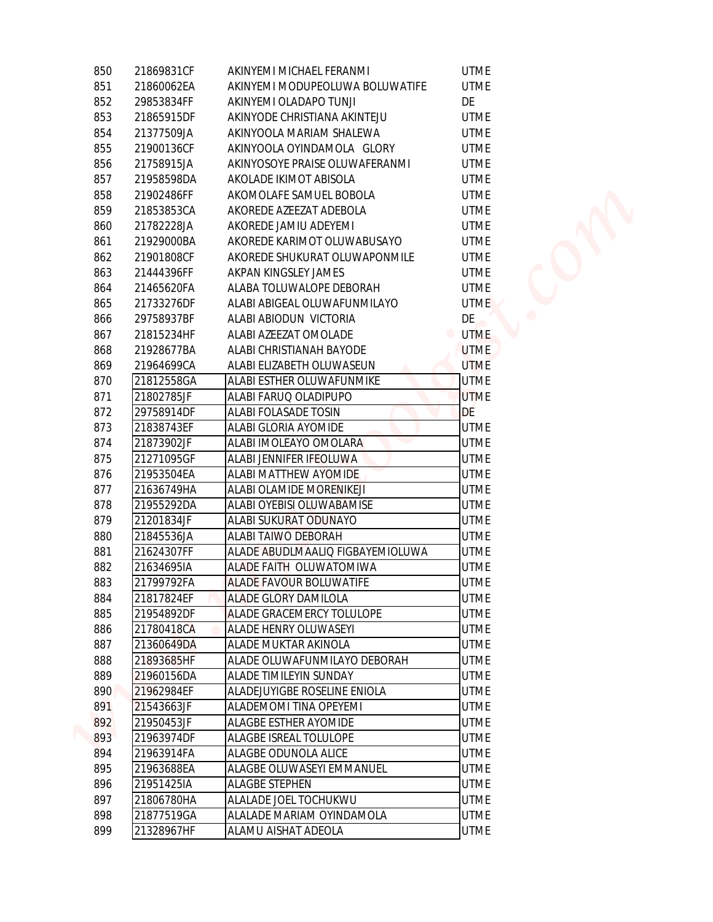| 850 | 21869831CF | AKINYEMI MICHAEL FERANMI         | <b>UTME</b>      |
|-----|------------|----------------------------------|------------------|
| 851 | 21860062EA | AKINYEMI MODUPEOLUWA BOLUWATIFE  | <b>UTME</b>      |
| 852 | 29853834FF | AKINYEMI OLADAPO TUNJI           | DE               |
| 853 | 21865915DF | AKINYODE CHRISTIANA AKINTEJU     | <b>UTME</b>      |
| 854 | 21377509JA | AKINYOOLA MARIAM SHALEWA         | <b>UTME</b>      |
| 855 | 21900136CF | AKINYOOLA OYINDAMOLA GLORY       | <b>UTME</b>      |
| 856 | 21758915JA | AKINYOSOYE PRAISE OLUWAFERANMI   | <b>UTME</b>      |
| 857 | 21958598DA | AKOLADE IKIMOT ABISOLA           | <b>UTME</b>      |
| 858 | 21902486FF | AKOMOLAFE SAMUEL BOBOLA          | <b>UTME</b>      |
| 859 | 21853853CA | AKOREDE AZEEZAT ADEBOLA          | <b>UTME</b>      |
| 860 | 21782228JA | AKOREDE JAMIU ADEYEMI            | <b>UTME</b>      |
| 861 | 21929000BA | AKOREDE KARIMOT OLUWABUSAYO      | <b>UTME</b>      |
| 862 | 21901808CF | AKOREDE SHUKURAT OLUWAPONMILE    | <b>UTME</b>      |
| 863 | 21444396FF | AKPAN KINGSLEY JAMES             | <b>UTME</b>      |
| 864 | 21465620FA | ALABA TOLUWALOPE DEBORAH         | <b>UTME</b>      |
| 865 | 21733276DF | ALABI ABIGEAL OLUWAFUNMILAYO     | <b>UTME</b>      |
| 866 | 29758937BF | ALABI ABIODUN VICTORIA           | DE               |
| 867 | 21815234HF | ALABI AZEEZAT OMOLADE            | <b>UTME</b><br>۰ |
| 868 | 21928677BA | ALABI CHRISTIANAH BAYODE         | <b>UTME</b>      |
| 869 | 21964699CA | ALABI ELIZABETH OLUWASEUN        | <b>UTME</b>      |
| 870 | 21812558GA | ALABI ESTHER OLUWAFUNMIKE        | <b>UTME</b>      |
| 871 | 21802785JF | ALABI FARUQ OLADIPUPO            | <b>UTME</b>      |
| 872 | 29758914DF | <b>ALABI FOLASADE TOSIN</b>      | DE               |
| 873 | 21838743EF | ALABI GLORIA AYOMIDE             | <b>UTME</b>      |
| 874 | 21873902JF | ALABI IMOLEAYO OMOLARA           | <b>UTME</b>      |
| 875 | 21271095GF | ALABI JENNIFER IFEOLUWA          | <b>UTME</b>      |
| 876 | 21953504EA | ALABI MATTHEW AYOMIDE            | <b>UTME</b>      |
| 877 | 21636749HA | ALABI OLAMIDE MORENIKEJI         | <b>UTME</b>      |
| 878 | 21955292DA | ALABI OYEBISI OLUWABAMISE        | <b>UTME</b>      |
| 879 | 21201834JF | ALABI SUKURAT ODUNAYO            | <b>UTME</b>      |
| 880 | 21845536JA | ALABI TAIWO DEBORAH              | <b>UTME</b>      |
| 881 | 21624307FF | ALADE ABUDLMAALIQ FIGBAYEMIOLUWA | <b>UTME</b>      |
| 882 | 21634695IA | ALADE FAITH OLUWATOMIWA          | <b>UTME</b>      |
| 883 | 21799792FA | <b>ALADE FAVOUR BOLUWATIFE</b>   | <b>UTME</b>      |
| 884 | 21817824EF | <b>ALADE GLORY DAMILOLA</b>      | <b>UTME</b>      |
| 885 | 21954892DF | ALADE GRACEMERCY TOLULOPE        | <b>UTME</b>      |
| 886 | 21780418CA | ALADE HENRY OLUWASEYI            | <b>UTME</b>      |
| 887 | 21360649DA | ALADE MUKTAR AKINOLA             | <b>UTME</b>      |
| 888 | 21893685HF | ALADE OLUWAFUNMILAYO DEBORAH     | <b>UTME</b>      |
| 889 | 21960156DA | ALADE TIMILEYIN SUNDAY           | <b>UTME</b>      |
| 890 | 21962984EF | ALADEJUYIGBE ROSELINE ENIOLA     | <b>UTME</b>      |
| 891 | 21543663JF | ALADEMOMI TINA OPEYEMI           | <b>UTME</b>      |
| 892 | 21950453JF | ALAGBE ESTHER AYOMIDE            | <b>UTME</b>      |
| 893 | 21963974DF | ALAGBE ISREAL TOLULOPE           | <b>UTME</b>      |
| 894 | 21963914FA | ALAGBE ODUNOLA ALICE             | <b>UTME</b>      |
| 895 | 21963688EA | ALAGBE OLUWASEYI EMMANUEL        | <b>UTME</b>      |
| 896 | 21951425IA | <b>ALAGBE STEPHEN</b>            | <b>UTME</b>      |
| 897 | 21806780HA | ALALADE JOEL TOCHUKWU            | <b>UTME</b>      |
| 898 | 21877519GA | ALALADE MARIAM OYINDAMOLA        | <b>UTME</b>      |
| 899 | 21328967HF | ALAMU AISHAT ADEOLA              | <b>UTME</b>      |
|     |            |                                  |                  |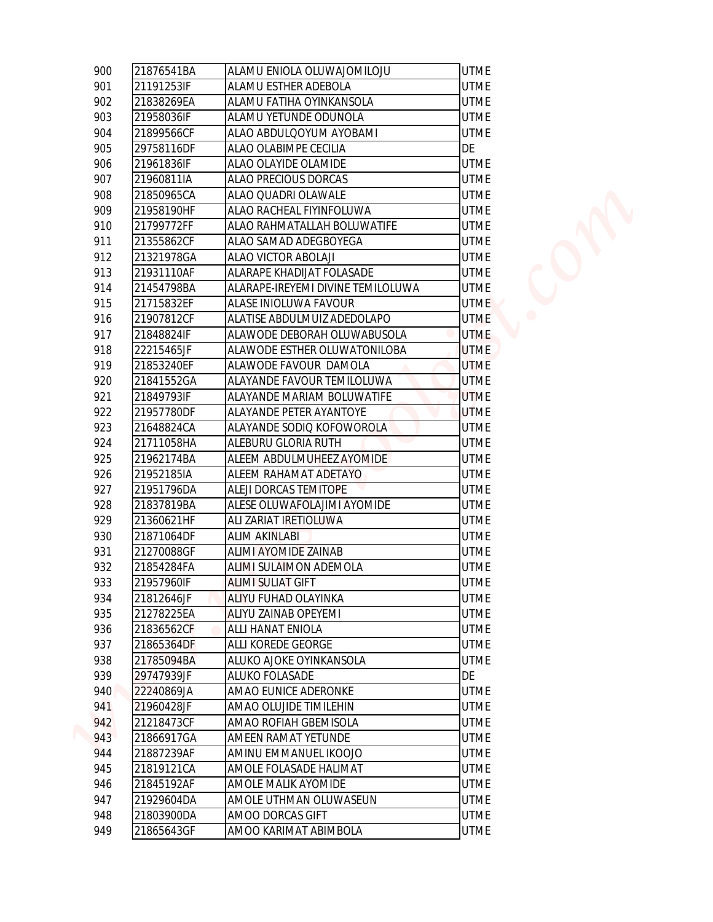| 900 | 21876541BA | ALAMU ENIOLA OLUWAJOMILOJU        | <b>UTME</b>       |
|-----|------------|-----------------------------------|-------------------|
| 901 | 21191253IF | ALAMU ESTHER ADEBOLA              | <b>UTME</b>       |
| 902 | 21838269EA | ALAMU FATIHA OYINKANSOLA          | <b>UTME</b>       |
| 903 | 21958036IF | ALAMU YETUNDE ODUNOLA             | <b>UTME</b>       |
| 904 | 21899566CF | ALAO ABDULQOYUM AYOBAMI           | <b>UTME</b>       |
| 905 | 29758116DF | ALAO OLABIMPE CECILIA             | DE                |
| 906 | 21961836IF | ALAO OLAYIDE OLAMIDE              | <b>UTME</b>       |
| 907 | 21960811IA | ALAO PRECIOUS DORCAS              | <b>UTME</b>       |
| 908 | 21850965CA | ALAO QUADRI OLAWALE               | <b>UTME</b>       |
| 909 | 21958190HF | ALAO RACHEAL FIYINFOLUWA          | <b>UTME</b>       |
| 910 | 21799772FF | ALAO RAHMATALLAH BOLUWATIFE       | <b>UTME</b>       |
| 911 | 21355862CF | ALAO SAMAD ADEGBOYEGA             | <b>UTME</b>       |
| 912 | 21321978GA | ALAO VICTOR ABOLAJI               | <b>UTME</b>       |
| 913 | 21931110AF | ALARAPE KHADIJAT FOLASADE         | <b>UTME</b>       |
| 914 | 21454798BA | ALARAPE-IREYEMI DIVINE TEMILOLUWA | <b>UTME</b>       |
| 915 | 21715832EF | ALASE INIOLUWA FAVOUR             | UTME <sup>1</sup> |
| 916 | 21907812CF | ALATISE ABDULMUIZ ADEDOLAPO       | <b>UTME</b>       |
| 917 | 21848824IF | ALAWODE DEBORAH OLUWABUSOLA       | <b>UTME</b>       |
| 918 | 22215465JF | ALAWODE ESTHER OLUWATONILOBA      | <b>UTME</b>       |
| 919 | 21853240EF | ALAWODE FAVOUR DAMOLA             | <b>UTME</b>       |
| 920 | 21841552GA | ALAYANDE FAVOUR TEMILOLUWA        | <b>UTME</b>       |
| 921 | 21849793IF | ALAYANDE MARIAM BOLUWATIFE        | <b>UTME</b>       |
| 922 | 21957780DF | ALAYANDE PETER AYANTOYE           | <b>UTME</b>       |
| 923 | 21648824CA | ALAYANDE SODIQ KOFOWOROLA         | <b>UTME</b>       |
| 924 | 21711058HA | ALEBURU GLORIA RUTH               | <b>UTME</b>       |
| 925 | 21962174BA | ALEEM ABDULMUHEEZ AYOMIDE         | <b>UTME</b>       |
| 926 | 21952185IA | ALEEM RAHAMAT ADETAYO             | <b>UTME</b>       |
| 927 | 21951796DA | ALEJI DORCAS TEMITOPE             | <b>UTME</b>       |
| 928 | 21837819BA | ALESE OLUWAFOLAJIMI AYOMIDE       | <b>UTME</b>       |
| 929 | 21360621HF | ALI ZARIAT IRETIOLUWA             | <b>UTME</b>       |
| 930 | 21871064DF | <b>ALIM AKINLABI</b>              | <b>UTME</b>       |
| 931 | 21270088GF | <b>ALIMI AYOMIDE ZAINAB</b>       | <b>UTME</b>       |
| 932 | 21854284FA | <b>ALIMI SULAIMON ADEMOLA</b>     | <b>UTME</b>       |
| 933 | 21957960IF | <b>ALIMI SULIAT GIFT</b>          | <b>UTME</b>       |
| 934 | 21812646JF | ALIYU FUHAD OLAYINKA              | <b>UTME</b>       |
| 935 | 21278225EA | ALIYU ZAINAB OPEYEMI              | <b>UTME</b>       |
| 936 | 21836562CF | ALLI HANAT ENIOLA                 | <b>UTME</b>       |
| 937 | 21865364DF | ALLI KOREDE GEORGE                | <b>UTME</b>       |
| 938 | 21785094BA | ALUKO AJOKE OYINKANSOLA           | <b>UTME</b>       |
| 939 | 29747939JF | ALUKO FOLASADE                    | DE                |
| 940 | 22240869JA | AMAO EUNICE ADERONKE              | <b>UTME</b>       |
| 941 | 21960428JF | AMAO OLUJIDE TIMILEHIN            | <b>UTME</b>       |
| 942 | 21218473CF | AMAO ROFIAH GBEMISOLA             | <b>UTME</b>       |
| 943 | 21866917GA | AMEEN RAMAT YETUNDE               | <b>UTME</b>       |
| 944 | 21887239AF | AMINU EMMANUEL IKOOJO             | <b>UTME</b>       |
| 945 | 21819121CA | AMOLE FOLASADE HALIMAT            | <b>UTME</b>       |
| 946 | 21845192AF | AMOLE MALIK AYOMIDE               | <b>UTME</b>       |
| 947 | 21929604DA | AMOLE UTHMAN OLUWASEUN            | <b>UTME</b>       |
| 948 | 21803900DA | AMOO DORCAS GIFT                  | <b>UTME</b>       |
| 949 | 21865643GF | AMOO KARIMAT ABIMBOLA             | <b>UTME</b>       |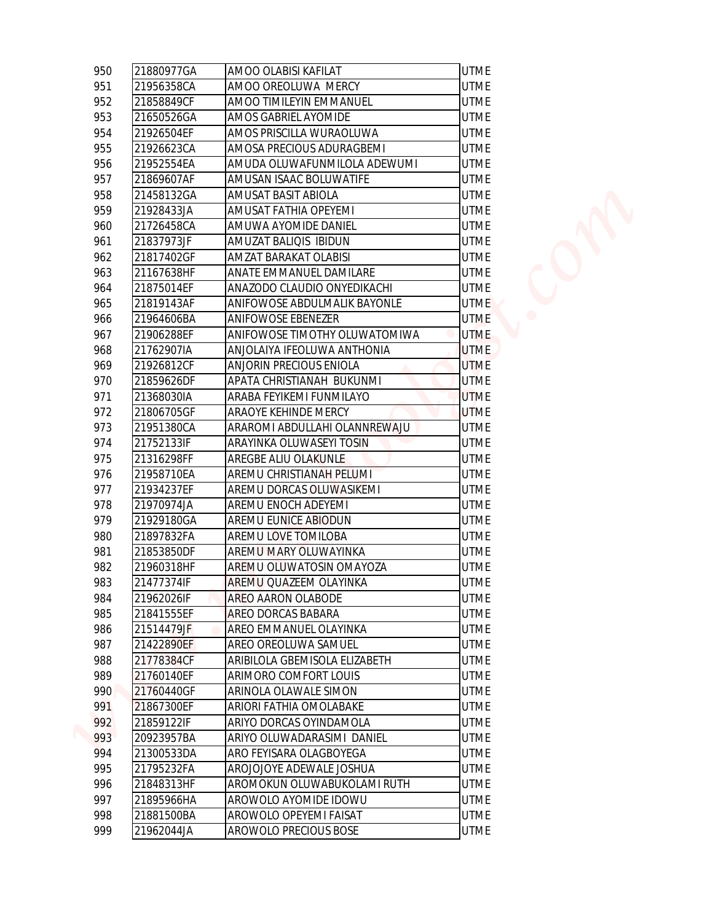| 950 | 21880977GA | AMOO OLABISI KAFILAT          | <b>UTME</b>      |
|-----|------------|-------------------------------|------------------|
| 951 | 21956358CA | AMOO OREOLUWA MERCY           | <b>UTME</b>      |
| 952 | 21858849CF | AMOO TIMILEYIN EMMANUEL       | <b>UTME</b>      |
| 953 | 21650526GA | AMOS GABRIEL AYOMIDE          | <b>UTME</b>      |
| 954 | 21926504EF | AMOS PRISCILLA WURAOLUWA      | <b>UTME</b>      |
| 955 | 21926623CA | AMOSA PRECIOUS ADURAGBEMI     | <b>UTME</b>      |
| 956 | 21952554EA | AMUDA OLUWAFUNMILOLA ADEWUMI  | <b>UTME</b>      |
| 957 | 21869607AF | AMUSAN ISAAC BOLUWATIFE       | <b>UTME</b>      |
| 958 | 21458132GA | AMUSAT BASIT ABIOLA           | <b>UTME</b>      |
| 959 | 21928433JA | AMUSAT FATHIA OPEYEMI         | <b>UTME</b>      |
| 960 | 21726458CA | AMUWA AYOMIDE DANIEL          | <b>UTME</b>      |
| 961 | 21837973JF | AMUZAT BALIQIS IBIDUN         | <b>UTME</b>      |
| 962 | 21817402GF | AMZAT BARAKAT OLABISI         | <b>UTME</b>      |
| 963 | 21167638HF | ANATE EMMANUEL DAMILARE       | <b>UTME</b>      |
| 964 | 21875014EF | ANAZODO CLAUDIO ONYEDIKACHI   | <b>UTME</b>      |
| 965 | 21819143AF | ANIFOWOSE ABDULMALIK BAYONLE  | UTME <sup></sup> |
| 966 | 21964606BA | ANIFOWOSE EBENEZER            | <b>UTME</b>      |
| 967 | 21906288EF | ANIFOWOSE TIMOTHY OLUWATOMIWA | <b>UTME</b>      |
| 968 | 21762907IA | ANJOLAIYA IFEOLUWA ANTHONIA   | UTME             |
| 969 | 21926812CF | ANJORIN PRECIOUS ENIOLA       | <b>UTME</b>      |
| 970 | 21859626DF | APATA CHRISTIANAH BUKUNMI     | <b>UTME</b>      |
| 971 | 21368030IA | ARABA FEYIKEMI FUNMILAYO      | <b>UTME</b>      |
| 972 | 21806705GF | ARAOYE KEHINDE MERCY          | <b>UTME</b>      |
| 973 | 21951380CA | ARAROMI ABDULLAHI OLANNREWAJU | <b>UTME</b>      |
| 974 | 21752133IF | ARAYINKA OLUWASEYI TOSIN      | <b>UTME</b>      |
| 975 | 21316298FF | AREGBE ALIU OLAKUNLE          | <b>UTME</b>      |
| 976 | 21958710EA | AREMU CHRISTIANAH PELUMI      | <b>UTME</b>      |
| 977 | 21934237EF | AREMU DORCAS OLUWASIKEMI      | <b>UTME</b>      |
| 978 | 21970974JA | AREMU ENOCH ADEYEMI           | <b>UTME</b>      |
| 979 | 21929180GA | AREMU EUNICE ABIODUN          | <b>UTME</b>      |
| 980 | 21897832FA | AREMU LOVE TOMILOBA           | <b>UTME</b>      |
| 981 | 21853850DF | AREMU MARY OLUWAYINKA         | <b>UTME</b>      |
| 982 | 21960318HF | AREMU OLUWATOSIN OMAYOZA      | <b>UTME</b>      |
| 983 | 21477374IF | AREMU QUAZEEM OLAYINKA        | <b>UTME</b>      |
| 984 | 21962026IF | AREO AARON OLABODE            | <b>UTME</b>      |
| 985 | 21841555EF | AREO DORCAS BABARA            | <b>UTME</b>      |
| 986 | 21514479JF | AREO EMMANUEL OLAYINKA        | <b>UTME</b>      |
| 987 | 21422890EF | AREO OREOLUWA SAMUEL          | <b>UTME</b>      |
| 988 | 21778384CF | ARIBILOLA GBEMISOLA ELIZABETH | <b>UTME</b>      |
| 989 | 21760140EF | ARIMORO COMFORT LOUIS         | <b>UTME</b>      |
| 990 | 21760440GF | ARINOLA OLAWALE SIMON         | <b>UTME</b>      |
| 991 | 21867300EF | ARIORI FATHIA OMOLABAKE       | <b>UTME</b>      |
| 992 | 21859122IF | ARIYO DORCAS OYINDAMOLA       | <b>UTME</b>      |
| 993 | 20923957BA | ARIYO OLUWADARASIMI DANIEL    | <b>UTME</b>      |
| 994 | 21300533DA | ARO FEYISARA OLAGBOYEGA       | <b>UTME</b>      |
| 995 | 21795232FA | AROJOJOYE ADEWALE JOSHUA      | <b>UTME</b>      |
| 996 | 21848313HF | AROMOKUN OLUWABUKOLAMI RUTH   | <b>UTME</b>      |
| 997 | 21895966HA | AROWOLO AYOMIDE IDOWU         | <b>UTME</b>      |
| 998 | 21881500BA | AROWOLO OPEYEMI FAISAT        | <b>UTME</b>      |
| 999 | 21962044JA | AROWOLO PRECIOUS BOSE         | <b>UTME</b>      |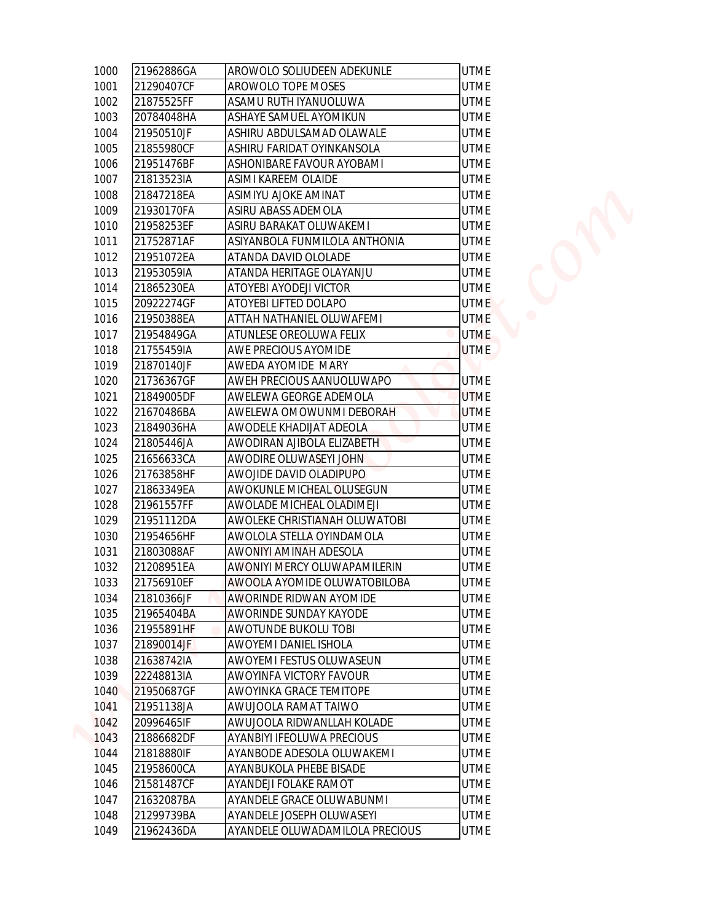| 1000 | 21962886GA | AROWOLO SOLIUDEEN ADEKUNLE      | <b>UTME</b> |
|------|------------|---------------------------------|-------------|
| 1001 | 21290407CF | AROWOLO TOPE MOSES              | <b>UTME</b> |
| 1002 | 21875525FF | ASAMU RUTH IYANUOLUWA           | <b>UTME</b> |
| 1003 | 20784048HA | ASHAYE SAMUEL AYOMIKUN          | <b>UTME</b> |
| 1004 | 21950510JF | ASHIRU ABDULSAMAD OLAWALE       | <b>UTME</b> |
| 1005 | 21855980CF | ASHIRU FARIDAT OYINKANSOLA      | <b>UTME</b> |
| 1006 | 21951476BF | ASHONIBARE FAVOUR AYOBAMI       | <b>UTME</b> |
| 1007 | 21813523IA | ASIMI KAREEM OLAIDE             | <b>UTME</b> |
| 1008 | 21847218EA | ASIMIYU AJOKE AMINAT            | <b>UTME</b> |
| 1009 | 21930170FA | ASIRU ABASS ADEMOLA             | <b>UTME</b> |
| 1010 | 21958253EF | ASIRU BARAKAT OLUWAKEMI         | <b>UTME</b> |
| 1011 | 21752871AF | ASIYANBOLA FUNMILOLA ANTHONIA   | <b>UTME</b> |
| 1012 | 21951072EA | ATANDA DAVID OLOLADE            | <b>UTME</b> |
| 1013 | 21953059IA | ATANDA HERITAGE OLAYANJU        | <b>UTME</b> |
| 1014 | 21865230EA | ATOYEBI AYODEJI VICTOR          | <b>UTME</b> |
| 1015 | 20922274GF | ATOYEBI LIFTED DOLAPO           | <b>UTME</b> |
| 1016 | 21950388EA | ATTAH NATHANIEL OLUWAFEMI       | <b>UTME</b> |
| 1017 | 21954849GA | ATUNLESE OREOLUWA FELIX         | <b>UTME</b> |
| 1018 | 21755459IA | AWE PRECIOUS AYOMIDE            | <b>UTME</b> |
| 1019 | 21870140JF | AWEDA AYOMIDE MARY              |             |
| 1020 | 21736367GF | AWEH PRECIOUS AANUOLUWAPO       | <b>UTME</b> |
| 1021 | 21849005DF | AWELEWA GEORGE ADEMOLA          | <b>UTME</b> |
| 1022 | 21670486BA | AWELEWA OMOWUNMI DEBORAH        | <b>UTME</b> |
| 1023 | 21849036HA | AWODELE KHADIJAT ADEOLA         | <b>UTME</b> |
| 1024 | 21805446JA | AWODIRAN AJIBOLA ELIZABETH      | <b>UTME</b> |
| 1025 | 21656633CA | AWODIRE OLUWASEYI JOHN          | <b>UTME</b> |
| 1026 | 21763858HF | AWOJIDE DAVID OLADIPUPO         | <b>UTME</b> |
| 1027 | 21863349EA | AWOKUNLE MICHEAL OLUSEGUN       | <b>UTME</b> |
| 1028 | 21961557FF | AWOLADE MICHEAL OLADIMEJI       | <b>UTME</b> |
| 1029 | 21951112DA | AWOLEKE CHRISTIANAH OLUWATOBI   | <b>UTME</b> |
| 1030 | 21954656HF | AWOLOLA STELLA OYINDAMOLA       | <b>UTME</b> |
| 1031 | 21803088AF | AWONIYI AMINAH ADESOLA          | <b>UTME</b> |
| 1032 | 21208951EA | AWONIYI MERCY OLUWAPAMILERIN    | <b>UTME</b> |
| 1033 | 21756910EF | AWOOLA AYOMIDE OLUWATOBILOBA    | <b>UTME</b> |
| 1034 | 21810366JF | AWORINDE RIDWAN AYOMIDE         | <b>UTME</b> |
| 1035 | 21965404BA | AWORINDE SUNDAY KAYODE          | <b>UTME</b> |
| 1036 | 21955891HF | AWOTUNDE BUKOLU TOBI            | <b>UTME</b> |
| 1037 | 21890014JF | AWOYEMI DANIEL ISHOLA           | <b>UTME</b> |
| 1038 | 21638742IA | AWOYEMI FESTUS OLUWASEUN        | <b>UTME</b> |
| 1039 | 22248813IA | AWOYINFA VICTORY FAVOUR         | <b>UTME</b> |
| 1040 | 21950687GF | AWOYINKA GRACE TEMITOPE         | <b>UTME</b> |
| 1041 | 21951138JA | AWUJOOLA RAMAT TAIWO            | <b>UTME</b> |
| 1042 | 20996465IF | AWUJOOLA RIDWANLLAH KOLADE      | <b>UTME</b> |
| 1043 | 21886682DF | AYANBIYI IFEOLUWA PRECIOUS      | <b>UTME</b> |
| 1044 | 21818880IF | AYANBODE ADESOLA OLUWAKEMI      | <b>UTME</b> |
| 1045 | 21958600CA | AYANBUKOLA PHEBE BISADE         | <b>UTME</b> |
| 1046 | 21581487CF | AYANDEJI FOLAKE RAMOT           | <b>UTME</b> |
| 1047 | 21632087BA | AYANDELE GRACE OLUWABUNMI       | <b>UTME</b> |
| 1048 | 21299739BA | AYANDELE JOSEPH OLUWASEYI       | <b>UTME</b> |
| 1049 | 21962436DA | AYANDELE OLUWADAMILOLA PRECIOUS | <b>UTME</b> |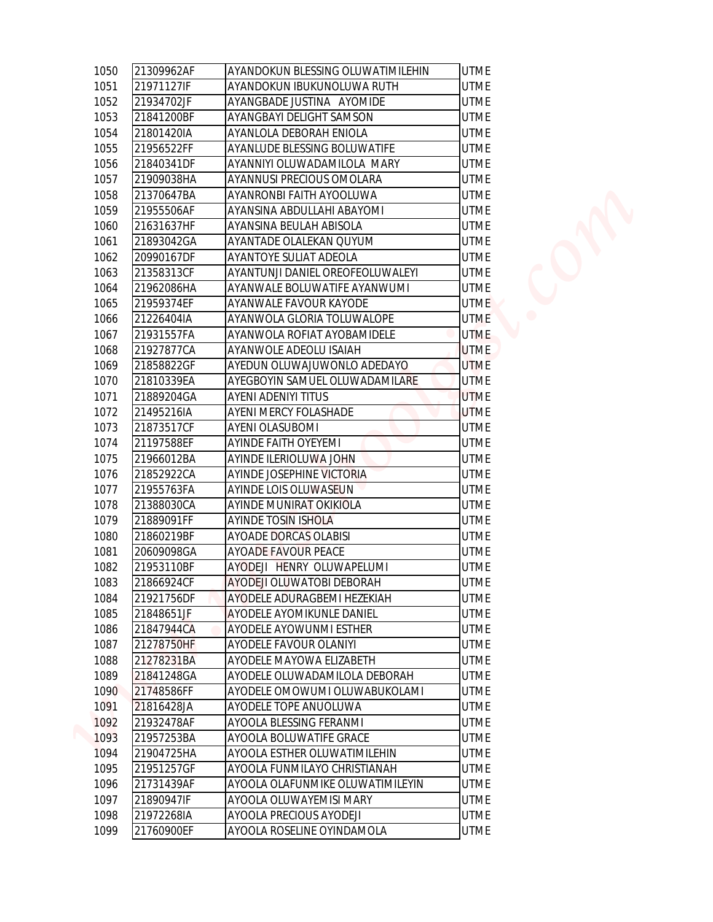| 1050<br>21309962AF         | AYANDOKUN BLESSING OLUWATIMILEHIN | <b>UTME</b> |
|----------------------------|-----------------------------------|-------------|
| 1051<br>21971127IF         | AYANDOKUN IBUKUNOLUWA RUTH        | <b>UTME</b> |
| 1052<br>21934702JF         | AYANGBADE JUSTINA AYOMIDE         | <b>UTME</b> |
| 21841200BF<br>1053         | AYANGBAYI DELIGHT SAMSON          | <b>UTME</b> |
| 21801420IA                 | AYANLOLA DEBORAH ENIOLA           | <b>UTME</b> |
| 21956522FF                 | AYANLUDE BLESSING BOLUWATIFE      | <b>UTME</b> |
| 21840341DF                 | AYANNIYI OLUWADAMILOLA MARY       | <b>UTME</b> |
| 21909038HA                 | AYANNUSI PRECIOUS OMOLARA         | <b>UTME</b> |
| 21370647BA                 | AYANRONBI FAITH AYOOLUWA          | <b>UTME</b> |
| 21955506AF                 | AYANSINA ABDULLAHI ABAYOMI        | <b>UTME</b> |
| 21631637HF                 | AYANSINA BEULAH ABISOLA           | <b>UTME</b> |
| 1060<br>21893042GA         | AYANTADE OLALEKAN QUYUM           | <b>UTME</b> |
| 20990167DF<br>1062         | AYANTOYE SULIAT ADEOLA            | <b>UTME</b> |
| 21358313CF<br>1063         | AYANTUNJI DANIEL OREOFEOLUWALEYI  | <b>UTME</b> |
| 21962086HA                 | AYANWALE BOLUWATIFE AYANWUMI      | <b>UTME</b> |
| 1064<br>21959374EF         | AYANWALE FAVOUR KAYODE            | <b>UTME</b> |
| 1065<br>21226404IA<br>1066 | AYANWOLA GLORIA TOLUWALOPE        | <b>UTME</b> |
| 1067<br>21931557FA         | AYANWOLA ROFIAT AYOBAMIDELE       | <b>UTME</b> |
| 21927877CA<br>1068         | <b>AYANWOLE ADEOLU ISAIAH</b>     | <b>UTME</b> |
| 1069<br>21858822GF         | AYEDUN OLUWAJUWONLO ADEDAYO       | <b>UTME</b> |
| 1070<br>21810339EA         | AYEGBOYIN SAMUEL OLUWADAMILARE    | <b>UTME</b> |
| 21889204GA<br>1071         | <b>AYENI ADENIYI TITUS</b>        | <b>UTME</b> |
| 21495216IA<br>1072         | <b>AYENI MERCY FOLASHADE</b>      | <b>UTME</b> |
| 21873517CF                 | <b>AYENI OLASUBOMI</b>            | <b>UTME</b> |
| 1073<br>1074<br>21197588EF | <b>AYINDE FAITH OYEYEMI</b>       | <b>UTME</b> |
| 1075<br>21966012BA         | AYINDE ILERIOLUWA JOHN            | <b>UTME</b> |
| 21852922CA                 | <b>AYINDE JOSEPHINE VICTORIA</b>  | <b>UTME</b> |
| 1076<br>21955763FA<br>1077 | <b>AYINDE LOIS OLUWASEUN</b>      | UTME        |
| 21388030CA                 | AYINDE MUNIRAT OKIKIOLA           | <b>UTME</b> |
| 1078<br>1079<br>21889091FF | <b>AYINDE TOSIN ISHOLA</b>        | <b>UTME</b> |
|                            |                                   |             |
| 1080<br>21860219BF<br>1081 | AYOADE DORCAS OLABISI             | <b>UTME</b> |
| 20609098GA<br>1082         | AYOADE FAVOUR PEACE               | <b>UTME</b> |
| 21953110BF                 | AYODEJI HENRY OLUWAPELUMI         | <b>UTME</b> |
| 21866924CF                 | <b>AYODEJI OLUWATOBI DEBORAH</b>  | <b>UTME</b> |
| 1084<br>21921756DF         | AYODELE ADURAGBEMI HEZEKIAH       | <b>UTME</b> |
| 1085<br>21848651JF<br>1086 | <b>AYODELE AYOMIKUNLE DANIEL</b>  | <b>UTME</b> |
| 21847944CA                 | AYODELE AYOWUNMI ESTHER           | <b>UTME</b> |
| 1087<br>21278750HF         | <b>AYODELE FAVOUR OLANIYI</b>     | <b>UTME</b> |
| 1088<br>21278231BA         | AYODELE MAYOWA ELIZABETH          | <b>UTME</b> |
| 1089<br>21841248GA         | AYODELE OLUWADAMILOLA DEBORAH     | <b>UTME</b> |
| 1090<br>21748586FF         | AYODELE OMOWUMI OLUWABUKOLAMI     | <b>UTME</b> |
| 21816428JA<br>1091         | AYODELE TOPE ANUOLUWA             | <b>UTME</b> |
| 1092<br>21932478AF         | AYOOLA BLESSING FERANMI           | <b>UTME</b> |
| 1093<br>21957253BA         | AYOOLA BOLUWATIFE GRACE           | <b>UTME</b> |
| 1094<br>21904725HA         | AYOOLA ESTHER OLUWATIMILEHIN      | <b>UTME</b> |
| 1095<br>21951257GF         | AYOOLA FUNMILAYO CHRISTIANAH      | <b>UTME</b> |
| 21731439AF<br>1096         | AYOOLA OLAFUNMIKE OLUWATIMILEYIN  | <b>UTME</b> |
| 1097<br>21890947IF         | AYOOLA OLUWAYEMISI MARY           | <b>UTME</b> |
| 21972268IA<br>1098         | AYOOLA PRECIOUS AYODEJI           | <b>UTME</b> |
| 1099<br>21760900EF         | AYOOLA ROSELINE OYINDAMOLA        | <b>UTME</b> |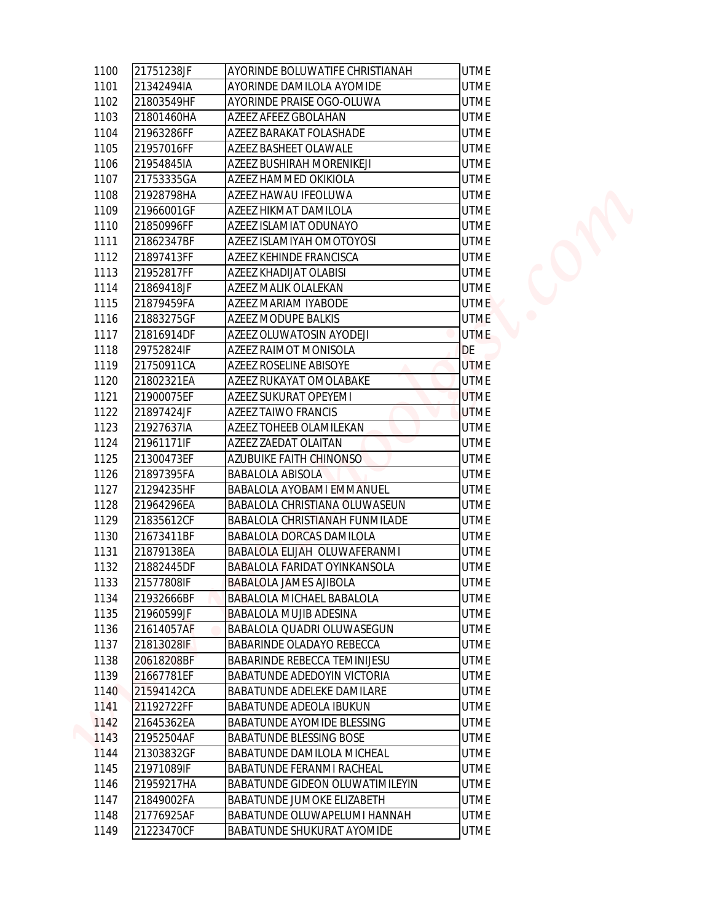| 21751238JF               | AYORINDE BOLUWATIFE CHRISTIANAH                                  | <b>UTME</b> |
|--------------------------|------------------------------------------------------------------|-------------|
| 21342494IA               | AYORINDE DAMILOLA AYOMIDE                                        | <b>UTME</b> |
| 21803549HF               | AYORINDE PRAISE OGO-OLUWA                                        | <b>UTME</b> |
| 21801460HA               | AZEEZ AFEEZ GBOLAHAN                                             | <b>UTME</b> |
| 21963286FF               | AZEEZ BARAKAT FOLASHADE                                          | <b>UTME</b> |
| 21957016FF               | AZEEZ BASHEET OLAWALE                                            | <b>UTME</b> |
| 21954845IA               | AZEEZ BUSHIRAH MORENIKEJI                                        | <b>UTME</b> |
| 21753335GA               | AZEEZ HAMMED OKIKIOLA                                            | <b>UTME</b> |
| 21928798HA               | AZEEZ HAWAU IFEOLUWA                                             | <b>UTME</b> |
| 21966001GF               | AZEEZ HIKMAT DAMILOLA                                            | <b>UTME</b> |
| 21850996FF               | AZEEZ ISLAMIAT ODUNAYO                                           | <b>UTME</b> |
| 21862347BF               | AZEEZ ISLAMIYAH OMOTOYOSI                                        | <b>UTME</b> |
| 21897413FF               | AZEEZ KEHINDE FRANCISCA                                          | <b>UTME</b> |
| 21952817FF               | AZEEZ KHADIJAT OLABISI                                           | <b>UTME</b> |
| 21869418JF               | AZEEZ MALIK OLALEKAN                                             | <b>UTME</b> |
| 21879459FA               | AZEEZ MARIAM IYABODE                                             | <b>UTME</b> |
| 21883275GF               | AZEEZ MODUPE BALKIS                                              | <b>UTME</b> |
| 21816914DF               | AZEEZ OLUWATOSIN AYODEJI                                         | <b>UTME</b> |
| 29752824IF               | AZEEZ RAIMOT MONISOLA                                            | DE          |
| 21750911CA               | <b>AZEEZ ROSELINE ABISOYE</b>                                    | <b>UTME</b> |
| 21802321EA               | AZEEZ RUKAYAT OMOLABAKE                                          | <b>UTME</b> |
| 21900075EF               | AZEEZ SUKURAT OPEYEMI                                            | <b>UTME</b> |
| 21897424JF               | <b>AZEEZ TAIWO FRANCIS</b>                                       | <b>UTME</b> |
| 21927637IA               | AZEEZ TOHEEB OLAMILEKAN                                          | <b>UTME</b> |
| 21961171IF               | AZEEZ ZAEDAT OLAITAN                                             | <b>UTME</b> |
| 21300473EF               | <b>AZUBUIKE FAITH CHINONSO</b>                                   | <b>UTME</b> |
| 21897395FA               | <b>BABALOLA ABISOLA</b>                                          | <b>UTME</b> |
| 21294235HF               | <b>BABALOLA AYOBAMI EMMANUEL</b>                                 | <b>UTME</b> |
| 21964296EA               | BABALOLA CHRISTIANA OLUWASEUN                                    | <b>UTME</b> |
| 21835612CF               | <b>BABALOLA CHRISTIANAH FUNMILADE</b>                            | <b>UTME</b> |
| 21673411BF               | <b>BABALOLA DORCAS DAMILOLA</b>                                  | <b>UTME</b> |
| 21879138EA               | BABALOLA ELIJAH OLUWAFERANMI                                     | <b>UTME</b> |
| 21882445DF               | <b>BABALOLA FARIDAT OYINKANSOLA</b>                              | <b>UTME</b> |
| 21577808IF               | <b>BABALOLA JAMES AJIBOLA</b>                                    | <b>UTME</b> |
| 21932666BF               | <b>BABALOLA MICHAEL BABALOLA</b>                                 | <b>UTME</b> |
| 21960599JF               | <b>BABALOLA MUJIB ADESINA</b>                                    | <b>UTME</b> |
| 21614057AF               | <b>BABALOLA QUADRI OLUWASEGUN</b>                                | <b>UTME</b> |
|                          |                                                                  | <b>UTME</b> |
| 21813028IF<br>20618208BF | BABARINDE OLADAYO REBECCA<br><b>BABARINDE REBECCA TEMINIJESU</b> | <b>UTME</b> |
|                          |                                                                  |             |
| 21667781EF               | <b>BABATUNDE ADEDOYIN VICTORIA</b>                               | <b>UTME</b> |
| 21594142CA               | <b>BABATUNDE ADELEKE DAMILARE</b>                                | <b>UTME</b> |
| 21192722FF               | <b>BABATUNDE ADEOLA IBUKUN</b>                                   | <b>UTME</b> |
| 21645362EA               | <b>BABATUNDE AYOMIDE BLESSING</b>                                | <b>UTME</b> |
| 21952504AF               | <b>BABATUNDE BLESSING BOSE</b>                                   | <b>UTME</b> |
| 21303832GF               | <b>BABATUNDE DAMILOLA MICHEAL</b>                                | <b>UTME</b> |
| 21971089IF               | <b>BABATUNDE FERANMI RACHEAL</b>                                 | <b>UTME</b> |
| 21959217HA               | <b>BABATUNDE GIDEON OLUWATIMILEYIN</b>                           | <b>UTME</b> |
| 21849002FA               | <b>BABATUNDE JUMOKE ELIZABETH</b>                                | <b>UTME</b> |
| 21776925AF               | BABATUNDE OLUWAPELUMI HANNAH                                     | <b>UTME</b> |
| 21223470CF               | <b>BABATUNDE SHUKURAT AYOMIDE</b>                                | <b>UTME</b> |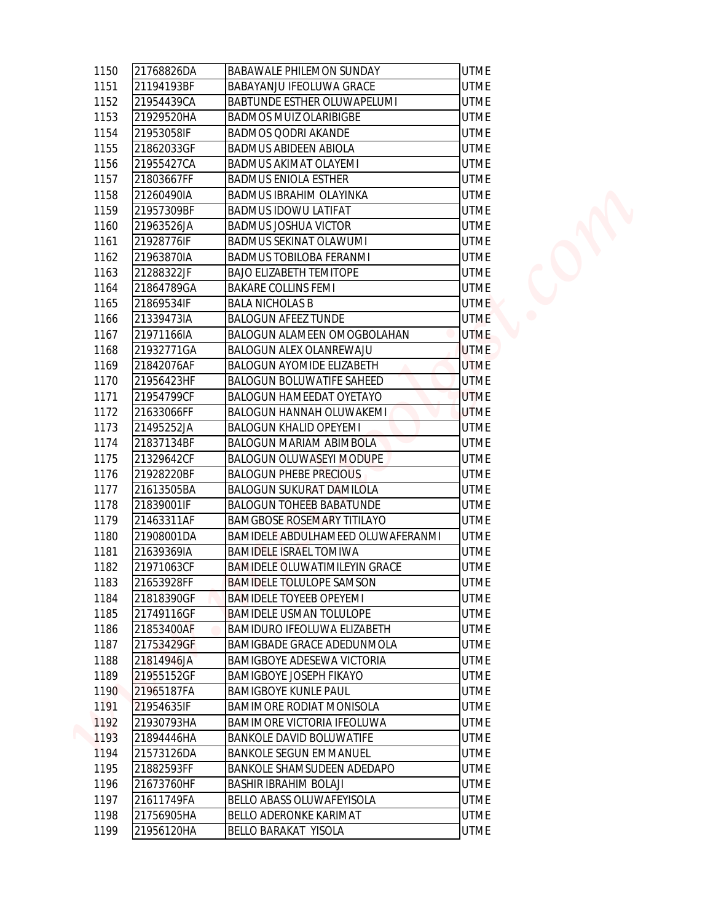| 1150         | 21768826DA | <b>BABAWALE PHILEMON SUNDAY</b>      | <b>UTME</b> |  |
|--------------|------------|--------------------------------------|-------------|--|
|              | 21194193BF | <b>BABAYANJU IFEOLUWA GRACE</b>      | <b>UTME</b> |  |
|              | 21954439CA | <b>BABTUNDE ESTHER OLUWAPELUMI</b>   | <b>UTME</b> |  |
|              | 21929520HA | <b>BADMOS MUIZ OLARIBIGBE</b>        | <b>UTME</b> |  |
|              | 21953058IF | <b>BADMOS QODRI AKANDE</b>           | <b>UTME</b> |  |
|              | 21862033GF | <b>BADMUS ABIDEEN ABIOLA</b>         | <b>UTME</b> |  |
|              | 21955427CA | <b>BADMUS AKIMAT OLAYEMI</b>         | <b>UTME</b> |  |
|              | 21803667FF | <b>BADMUS ENIOLA ESTHER</b>          | <b>UTME</b> |  |
|              | 21260490IA | <b>BADMUS IBRAHIM OLAYINKA</b>       | <b>UTME</b> |  |
|              | 21957309BF | <b>BADMUS IDOWU LATIFAT</b>          | <b>UTME</b> |  |
|              | 21963526JA | <b>BADMUS JOSHUA VICTOR</b>          | <b>UTME</b> |  |
|              | 21928776IF | <b>BADMUS SEKINAT OLAWUMI</b>        | <b>UTME</b> |  |
|              | 21963870IA | <b>BADMUS TOBILOBA FERANMI</b>       | <b>UTME</b> |  |
|              | 21288322JF | <b>BAJO ELIZABETH TEMITOPE</b>       | <b>UTME</b> |  |
|              | 21864789GA | <b>BAKARE COLLINS FEMI</b>           | <b>UTME</b> |  |
|              | 21869534IF | <b>BALA NICHOLAS B</b>               | <b>UTME</b> |  |
|              | 21339473IA | <b>BALOGUN AFEEZ TUNDE</b>           | <b>UTME</b> |  |
|              | 21971166IA | <b>BALOGUN ALAMEEN OMOGBOLAHAN</b>   | <b>UTME</b> |  |
|              | 21932771GA | <b>BALOGUN ALEX OLANREWAJU</b>       | <b>UTME</b> |  |
|              | 21842076AF | <b>BALOGUN AYOMIDE ELIZABETH</b>     | <b>UTME</b> |  |
| 1169<br>1170 | 21956423HF | <b>BALOGUN BOLUWATIFE SAHEED</b>     | <b>UTME</b> |  |
| 1171         | 21954799CF | <b>BALOGUN HAMEEDAT OYETAYO</b>      | <b>UTME</b> |  |
| 1172         | 21633066FF | <b>BALOGUN HANNAH OLUWAKEMI</b>      | <b>UTME</b> |  |
| 1173         | 21495252JA | <b>BALOGUN KHALID OPEYEMI</b>        | <b>UTME</b> |  |
|              | 21837134BF | <b>BALOGUN MARIAM ABIMBOLA</b>       | <b>UTME</b> |  |
|              | 21329642CF | <b>BALOGUN OLUWASEYI MODUPE</b>      | <b>UTME</b> |  |
|              | 21928220BF | <b>BALOGUN PHEBE PRECIOUS</b>        | <b>UTME</b> |  |
| 1176<br>1177 | 21613505BA | <b>BALOGUN SUKURAT DAMILOLA</b>      | <b>UTME</b> |  |
|              | 21839001IF | <b>BALOGUN TOHEEB BABATUNDE</b>      | <b>UTME</b> |  |
|              | 21463311AF | <b>BAMGBOSE ROSEMARY TITILAYO</b>    | <b>UTME</b> |  |
|              | 21908001DA | BAMIDELE ABDULHAMEED OLUWAFERANMI    | <b>UTME</b> |  |
| 1180<br>1181 | 21639369IA | <b>BAMIDELE ISRAEL TOMIWA</b>        | <b>UTME</b> |  |
|              | 21971063CF | <b>BAMIDELE OLUWATIMILEYIN GRACE</b> | <b>UTME</b> |  |
|              | 21653928FF | <b>BAMIDELE TOLULOPE SAMSON</b>      | <b>UTME</b> |  |
|              | 21818390GF | <b>BAMIDELE TOYEEB OPEYEMI</b>       | <b>UTME</b> |  |
|              | 21749116GF | <b>BAMIDELE USMAN TOLULOPE</b>       | <b>UTME</b> |  |
|              | 21853400AF | <b>BAMIDURO IFEOLUWA ELIZABETH</b>   | <b>UTME</b> |  |
|              | 21753429GF | <b>BAMIGBADE GRACE ADEDUNMOLA</b>    | <b>UTME</b> |  |
|              | 21814946JA | <b>BAMIGBOYE ADESEWA VICTORIA</b>    | <b>UTME</b> |  |
| 1188         | 21955152GF | <b>BAMIGBOYE JOSEPH FIKAYO</b>       | <b>UTME</b> |  |
| 1189<br>1190 | 21965187FA | <b>BAMIGBOYE KUNLE PAUL</b>          | <b>UTME</b> |  |
|              | 21954635IF | <b>BAMIMORE RODIAT MONISOLA</b>      | <b>UTME</b> |  |
| 1191         | 21930793HA | BAMIMORE VICTORIA IFEOLUWA           | <b>UTME</b> |  |
| 1192<br>1193 | 21894446HA | <b>BANKOLE DAVID BOLUWATIFE</b>      | <b>UTME</b> |  |
| 1194         |            |                                      | <b>UTME</b> |  |
| 1195         | 21573126DA | <b>BANKOLE SEGUN EMMANUEL</b>        |             |  |
|              | 21882593FF | <b>BANKOLE SHAMSUDEEN ADEDAPO</b>    | <b>UTME</b> |  |
| 1196<br>1197 | 21673760HF | <b>BASHIR IBRAHIM BOLAJI</b>         | <b>UTME</b> |  |
|              | 21611749FA | BELLO ABASS OLUWAFEYISOLA            | <b>UTME</b> |  |
| 1198<br>1199 | 21756905HA | <b>BELLO ADERONKE KARIMAT</b>        | <b>UTME</b> |  |
|              | 21956120HA | BELLO BARAKAT YISOLA                 | <b>UTME</b> |  |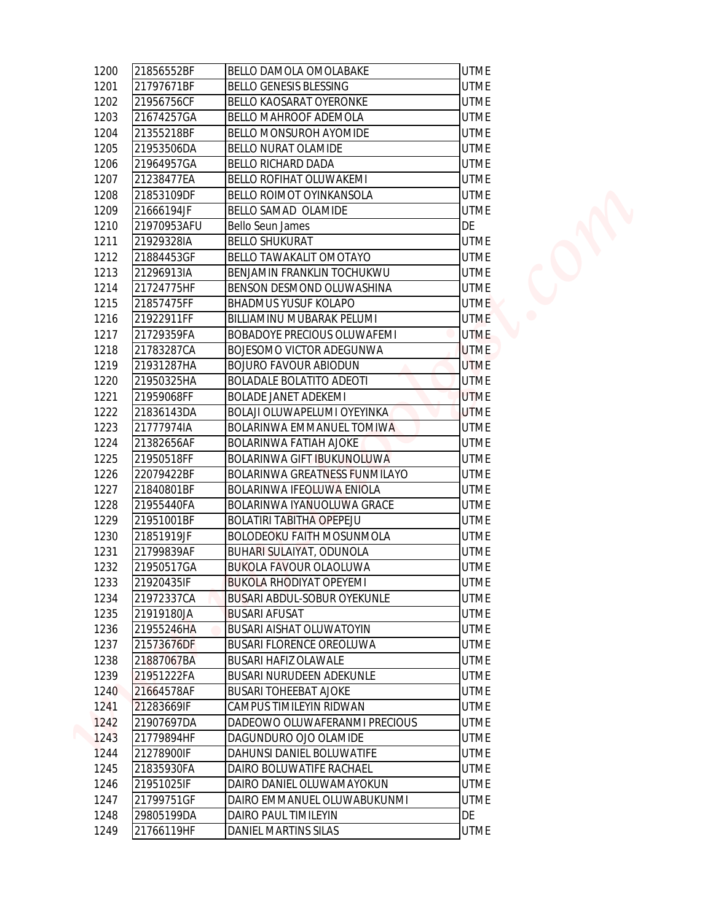| 21856552BF  | <b>BELLO DAMOLA OMOLABAKE</b>        | <b>UTME</b> |
|-------------|--------------------------------------|-------------|
| 21797671BF  | <b>BELLO GENESIS BLESSING</b>        | <b>UTME</b> |
| 21956756CF  | <b>BELLO KAOSARAT OYERONKE</b>       | <b>UTME</b> |
| 21674257GA  | <b>BELLO MAHROOF ADEMOLA</b>         | <b>UTME</b> |
| 21355218BF  | <b>BELLO MONSUROH AYOMIDE</b>        | <b>UTME</b> |
| 21953506DA  | <b>BELLO NURAT OLAMIDE</b>           | <b>UTME</b> |
| 21964957GA  | <b>BELLO RICHARD DADA</b>            | <b>UTME</b> |
| 21238477EA  | <b>BELLO ROFIHAT OLUWAKEMI</b>       | <b>UTME</b> |
| 21853109DF  | <b>BELLO ROIMOT OYINKANSOLA</b>      | <b>UTME</b> |
| 21666194JF  | BELLO SAMAD OLAMIDE                  | <b>UTME</b> |
| 21970953AFU | <b>Bello Seun James</b>              | DE          |
| 21929328IA  | <b>BELLO SHUKURAT</b>                | <b>UTME</b> |
| 21884453GF  | <b>BELLO TAWAKALIT OMOTAYO</b>       | <b>UTME</b> |
| 21296913IA  | BENJAMIN FRANKLIN TOCHUKWU           | <b>UTME</b> |
| 21724775HF  | <b>BENSON DESMOND OLUWASHINA</b>     | <b>UTME</b> |
| 21857475FF  | <b>BHADMUS YUSUF KOLAPO</b>          | <b>UTME</b> |
| 21922911FF  | <b>BILLIAMINU MUBARAK PELUMI</b>     | <b>UTME</b> |
| 21729359FA  | <b>BOBADOYE PRECIOUS OLUWAFEMI</b>   | <b>UTME</b> |
| 21783287CA  | <b>BOJESOMO VICTOR ADEGUNWA</b>      | <b>UTME</b> |
| 21931287HA  | <b>BOJURO FAVOUR ABIODUN</b>         | <b>UTME</b> |
| 21950325HA  | <b>BOLADALE BOLATITO ADEOTI</b>      | <b>UTME</b> |
| 21959068FF  | <b>BOLADE JANET ADEKEMI</b>          | <b>UTME</b> |
| 21836143DA  | BOLAJI OLUWAPELUMI OYEYINKA          | <b>UTME</b> |
| 21777974IA  | BOLARINWA EMMANUEL TOMIWA            | <b>UTME</b> |
| 21382656AF  | <b>BOLARINWA FATIAH AJOKE</b>        | <b>UTME</b> |
| 21950518FF  | <b>BOLARINWA GIFT IBUKUNOLUWA</b>    | <b>UTME</b> |
| 22079422BF  | <b>BOLARINWA GREATNESS FUNMILAYO</b> | <b>UTME</b> |
| 21840801BF  | <b>BOLARINWA IFEOLUWA ENIOLA</b>     | <b>UTME</b> |
| 21955440FA  | BOLARINWA IYANUOLUWA GRACE           | <b>UTME</b> |
| 21951001BF  | <b>BOLATIRI TABITHA OPEPEJU</b>      | <b>UTME</b> |
| 21851919JF  | <b>BOLODEOKU FAITH MOSUNMOLA</b>     | <b>UTME</b> |
| 21799839AF  | <b>BUHARI SULAIYAT, ODUNOLA</b>      | <b>UTME</b> |
| 21950517GA  | <b>BUKOLA FAVOUR OLAOLUWA</b>        | <b>UTME</b> |
| 21920435IF  | <b>BUKOLA RHODIYAT OPEYEMI</b>       | <b>UTME</b> |
| 21972337CA  | <b>BUSARI ABDUL-SOBUR OYEKUNLE</b>   | <b>UTME</b> |
| 21919180JA  | <b>BUSARI AFUSAT</b>                 | <b>UTME</b> |
| 21955246HA  | <b>BUSARI AISHAT OLUWATOYIN</b>      | <b>UTME</b> |
| 21573676DF  | <b>BUSARI FLORENCE OREOLUWA</b>      | <b>UTME</b> |
| 21887067BA  | <b>BUSARI HAFIZ OLAWALE</b>          | <b>UTME</b> |
| 21951222FA  | <b>BUSARI NURUDEEN ADEKUNLE</b>      | <b>UTME</b> |
| 21664578AF  | <b>BUSARI TOHEEBAT AJOKE</b>         | <b>UTME</b> |
| 21283669IF  | CAMPUS TIMILEYIN RIDWAN              | <b>UTME</b> |
| 21907697DA  | DADEOWO OLUWAFERANMI PRECIOUS        | <b>UTME</b> |
| 21779894HF  | DAGUNDURO OJO OLAMIDE                | <b>UTME</b> |
| 21278900IF  | DAHUNSI DANIEL BOLUWATIFE            | <b>UTME</b> |
| 21835930FA  | DAIRO BOLUWATIFE RACHAEL             | <b>UTME</b> |
| 21951025IF  | DAIRO DANIEL OLUWAMAYOKUN            | <b>UTME</b> |
| 21799751GF  | DAIRO EMMANUEL OLUWABUKUNMI          | <b>UTME</b> |
| 29805199DA  | DAIRO PAUL TIMILEYIN                 | DE          |
| 21766119HF  |                                      | <b>UTME</b> |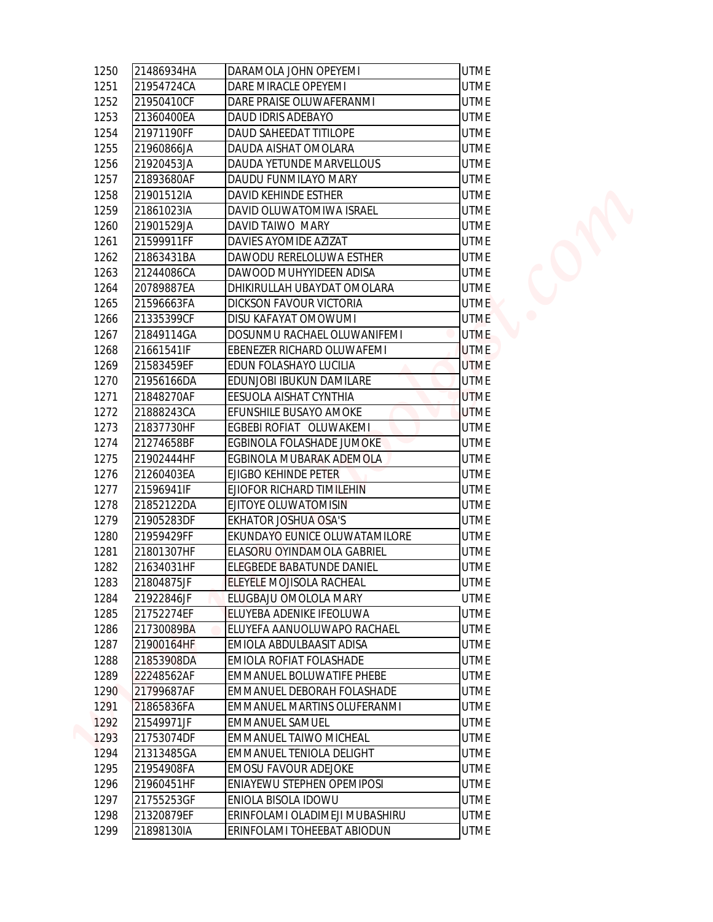| 21486934HA<br>DARAMOLA JOHN OPEYEMI<br><b>UTME</b><br>21954724CA<br><b>UTME</b><br>DARE MIRACLE OPEYEMI<br>21950410CF<br>DARE PRAISE OLUWAFERANMI<br><b>UTME</b><br>DAUD IDRIS ADEBAYO<br><b>UTME</b><br>21360400EA<br>21971190FF<br>DAUD SAHEEDAT TITILOPE<br><b>UTME</b><br>21960866JA<br>DAUDA AISHAT OMOLARA<br><b>UTME</b><br>21920453JA<br>DAUDA YETUNDE MARVELLOUS<br><b>UTME</b><br>21893680AF<br>DAUDU FUNMILAYO MARY<br><b>UTME</b><br>21901512IA<br>DAVID KEHINDE ESTHER<br><b>UTME</b><br>21861023IA<br>DAVID OLUWATOMIWA ISRAEL<br><b>UTME</b><br>21901529JA<br>DAVID TAIWO MARY<br><b>UTME</b><br>21599911FF<br>DAVIES AYOMIDE AZIZAT<br><b>UTME</b><br>21863431BA<br>DAWODU RERELOLUWA ESTHER<br><b>UTME</b><br>21244086CA<br>DAWOOD MUHYYIDEEN ADISA<br><b>UTME</b><br>20789887EA<br>DHIKIRULLAH UBAYDAT OMOLARA<br><b>UTME</b><br>21596663FA<br><b>DICKSON FAVOUR VICTORIA</b><br><b>UTME</b><br>21335399CF<br>DISU KAFAYAT OMOWUMI<br><b>UTME</b><br>21849114GA<br>DOSUNMU RACHAEL OLUWANIFEMI<br><b>UTME</b><br>21661541IF<br>EBENEZER RICHARD OLUWAFEMI<br><b>UTME</b><br><b>UTME</b><br>21583459EF<br>EDUN FOLASHAYO LUCILIA |
|---------------------------------------------------------------------------------------------------------------------------------------------------------------------------------------------------------------------------------------------------------------------------------------------------------------------------------------------------------------------------------------------------------------------------------------------------------------------------------------------------------------------------------------------------------------------------------------------------------------------------------------------------------------------------------------------------------------------------------------------------------------------------------------------------------------------------------------------------------------------------------------------------------------------------------------------------------------------------------------------------------------------------------------------------------------------------------------------------------------------------------------------------|
|                                                                                                                                                                                                                                                                                                                                                                                                                                                                                                                                                                                                                                                                                                                                                                                                                                                                                                                                                                                                                                                                                                                                                   |
|                                                                                                                                                                                                                                                                                                                                                                                                                                                                                                                                                                                                                                                                                                                                                                                                                                                                                                                                                                                                                                                                                                                                                   |
|                                                                                                                                                                                                                                                                                                                                                                                                                                                                                                                                                                                                                                                                                                                                                                                                                                                                                                                                                                                                                                                                                                                                                   |
|                                                                                                                                                                                                                                                                                                                                                                                                                                                                                                                                                                                                                                                                                                                                                                                                                                                                                                                                                                                                                                                                                                                                                   |
|                                                                                                                                                                                                                                                                                                                                                                                                                                                                                                                                                                                                                                                                                                                                                                                                                                                                                                                                                                                                                                                                                                                                                   |
|                                                                                                                                                                                                                                                                                                                                                                                                                                                                                                                                                                                                                                                                                                                                                                                                                                                                                                                                                                                                                                                                                                                                                   |
|                                                                                                                                                                                                                                                                                                                                                                                                                                                                                                                                                                                                                                                                                                                                                                                                                                                                                                                                                                                                                                                                                                                                                   |
|                                                                                                                                                                                                                                                                                                                                                                                                                                                                                                                                                                                                                                                                                                                                                                                                                                                                                                                                                                                                                                                                                                                                                   |
|                                                                                                                                                                                                                                                                                                                                                                                                                                                                                                                                                                                                                                                                                                                                                                                                                                                                                                                                                                                                                                                                                                                                                   |
|                                                                                                                                                                                                                                                                                                                                                                                                                                                                                                                                                                                                                                                                                                                                                                                                                                                                                                                                                                                                                                                                                                                                                   |
|                                                                                                                                                                                                                                                                                                                                                                                                                                                                                                                                                                                                                                                                                                                                                                                                                                                                                                                                                                                                                                                                                                                                                   |
|                                                                                                                                                                                                                                                                                                                                                                                                                                                                                                                                                                                                                                                                                                                                                                                                                                                                                                                                                                                                                                                                                                                                                   |
|                                                                                                                                                                                                                                                                                                                                                                                                                                                                                                                                                                                                                                                                                                                                                                                                                                                                                                                                                                                                                                                                                                                                                   |
|                                                                                                                                                                                                                                                                                                                                                                                                                                                                                                                                                                                                                                                                                                                                                                                                                                                                                                                                                                                                                                                                                                                                                   |
|                                                                                                                                                                                                                                                                                                                                                                                                                                                                                                                                                                                                                                                                                                                                                                                                                                                                                                                                                                                                                                                                                                                                                   |
|                                                                                                                                                                                                                                                                                                                                                                                                                                                                                                                                                                                                                                                                                                                                                                                                                                                                                                                                                                                                                                                                                                                                                   |
|                                                                                                                                                                                                                                                                                                                                                                                                                                                                                                                                                                                                                                                                                                                                                                                                                                                                                                                                                                                                                                                                                                                                                   |
|                                                                                                                                                                                                                                                                                                                                                                                                                                                                                                                                                                                                                                                                                                                                                                                                                                                                                                                                                                                                                                                                                                                                                   |
|                                                                                                                                                                                                                                                                                                                                                                                                                                                                                                                                                                                                                                                                                                                                                                                                                                                                                                                                                                                                                                                                                                                                                   |
|                                                                                                                                                                                                                                                                                                                                                                                                                                                                                                                                                                                                                                                                                                                                                                                                                                                                                                                                                                                                                                                                                                                                                   |
|                                                                                                                                                                                                                                                                                                                                                                                                                                                                                                                                                                                                                                                                                                                                                                                                                                                                                                                                                                                                                                                                                                                                                   |
|                                                                                                                                                                                                                                                                                                                                                                                                                                                                                                                                                                                                                                                                                                                                                                                                                                                                                                                                                                                                                                                                                                                                                   |
| 21956166DA<br>EDUNJOBI IBUKUN DAMILARE<br><b>UTME</b>                                                                                                                                                                                                                                                                                                                                                                                                                                                                                                                                                                                                                                                                                                                                                                                                                                                                                                                                                                                                                                                                                             |
| 21848270AF<br>EESUOLA AISHAT CYNTHIA<br><b>UTME</b>                                                                                                                                                                                                                                                                                                                                                                                                                                                                                                                                                                                                                                                                                                                                                                                                                                                                                                                                                                                                                                                                                               |
| EFUNSHILE BUSAYO AMOKE<br>21888243CA<br><b>UTME</b>                                                                                                                                                                                                                                                                                                                                                                                                                                                                                                                                                                                                                                                                                                                                                                                                                                                                                                                                                                                                                                                                                               |
| EGBEBI ROFIAT OLUWAKEMI<br>21837730HF<br><b>UTME</b>                                                                                                                                                                                                                                                                                                                                                                                                                                                                                                                                                                                                                                                                                                                                                                                                                                                                                                                                                                                                                                                                                              |
| 21274658BF<br>EGBINOLA FOLASHADE JUMOKE<br><b>UTME</b>                                                                                                                                                                                                                                                                                                                                                                                                                                                                                                                                                                                                                                                                                                                                                                                                                                                                                                                                                                                                                                                                                            |
| 21902444HF<br>EGBINOLA MUBARAK ADEMOLA<br><b>UTME</b>                                                                                                                                                                                                                                                                                                                                                                                                                                                                                                                                                                                                                                                                                                                                                                                                                                                                                                                                                                                                                                                                                             |
| <b>EJIGBO KEHINDE PETER</b><br>21260403EA<br><b>UTME</b>                                                                                                                                                                                                                                                                                                                                                                                                                                                                                                                                                                                                                                                                                                                                                                                                                                                                                                                                                                                                                                                                                          |
| 21596941IF<br>EJIOFOR RICHARD TIMILEHIN<br>UTME                                                                                                                                                                                                                                                                                                                                                                                                                                                                                                                                                                                                                                                                                                                                                                                                                                                                                                                                                                                                                                                                                                   |
| 21852122DA<br><b>UTME</b><br>EJITOYE OLUWATOMISIN                                                                                                                                                                                                                                                                                                                                                                                                                                                                                                                                                                                                                                                                                                                                                                                                                                                                                                                                                                                                                                                                                                 |
| 21905283DF<br><b>EKHATOR JOSHUA OSA'S</b><br><b>UTME</b>                                                                                                                                                                                                                                                                                                                                                                                                                                                                                                                                                                                                                                                                                                                                                                                                                                                                                                                                                                                                                                                                                          |
| 21959429FF<br>EKUNDAYO EUNICE OLUWATAMILORE<br><b>UTME</b>                                                                                                                                                                                                                                                                                                                                                                                                                                                                                                                                                                                                                                                                                                                                                                                                                                                                                                                                                                                                                                                                                        |
| <b>UTME</b><br>21801307HF<br>ELASORU OYINDAMOLA GABRIEL                                                                                                                                                                                                                                                                                                                                                                                                                                                                                                                                                                                                                                                                                                                                                                                                                                                                                                                                                                                                                                                                                           |
| <b>UTME</b><br>21634031HF<br>ELEGBEDE BABATUNDE DANIEL                                                                                                                                                                                                                                                                                                                                                                                                                                                                                                                                                                                                                                                                                                                                                                                                                                                                                                                                                                                                                                                                                            |
| <b>UTME</b><br>21804875JF<br>ELEYELE MOJISOLA RACHEAL                                                                                                                                                                                                                                                                                                                                                                                                                                                                                                                                                                                                                                                                                                                                                                                                                                                                                                                                                                                                                                                                                             |
| <b>UTME</b><br>21922846JF<br>ELUGBAJU OMOLOLA MARY                                                                                                                                                                                                                                                                                                                                                                                                                                                                                                                                                                                                                                                                                                                                                                                                                                                                                                                                                                                                                                                                                                |
| <b>UTME</b><br>21752274EF<br>ELUYEBA ADENIKE IFEOLUWA                                                                                                                                                                                                                                                                                                                                                                                                                                                                                                                                                                                                                                                                                                                                                                                                                                                                                                                                                                                                                                                                                             |
| <b>UTME</b><br>21730089BA<br>ELUYEFA AANUOLUWAPO RACHAEL                                                                                                                                                                                                                                                                                                                                                                                                                                                                                                                                                                                                                                                                                                                                                                                                                                                                                                                                                                                                                                                                                          |
| <b>UTME</b><br>21900164HF<br>EMIOLA ABDULBAASIT ADISA                                                                                                                                                                                                                                                                                                                                                                                                                                                                                                                                                                                                                                                                                                                                                                                                                                                                                                                                                                                                                                                                                             |
| 21853908DA<br>EMIOLA ROFIAT FOLASHADE<br><b>UTME</b>                                                                                                                                                                                                                                                                                                                                                                                                                                                                                                                                                                                                                                                                                                                                                                                                                                                                                                                                                                                                                                                                                              |
| 22248562AF<br><b>EMMANUEL BOLUWATIFE PHEBE</b><br><b>UTME</b>                                                                                                                                                                                                                                                                                                                                                                                                                                                                                                                                                                                                                                                                                                                                                                                                                                                                                                                                                                                                                                                                                     |
| <b>UTME</b><br>21799687AF<br><b>EMMANUEL DEBORAH FOLASHADE</b>                                                                                                                                                                                                                                                                                                                                                                                                                                                                                                                                                                                                                                                                                                                                                                                                                                                                                                                                                                                                                                                                                    |
| 21865836FA<br><b>UTME</b><br>EMMANUEL MARTINS OLUFERANMI                                                                                                                                                                                                                                                                                                                                                                                                                                                                                                                                                                                                                                                                                                                                                                                                                                                                                                                                                                                                                                                                                          |
| <b>UTME</b><br>21549971JF<br><b>EMMANUEL SAMUEL</b>                                                                                                                                                                                                                                                                                                                                                                                                                                                                                                                                                                                                                                                                                                                                                                                                                                                                                                                                                                                                                                                                                               |
| <b>UTME</b><br>21753074DF<br><b>EMMANUEL TAIWO MICHEAL</b>                                                                                                                                                                                                                                                                                                                                                                                                                                                                                                                                                                                                                                                                                                                                                                                                                                                                                                                                                                                                                                                                                        |
| <b>UTME</b><br>21313485GA<br><b>EMMANUEL TENIOLA DELIGHT</b>                                                                                                                                                                                                                                                                                                                                                                                                                                                                                                                                                                                                                                                                                                                                                                                                                                                                                                                                                                                                                                                                                      |
|                                                                                                                                                                                                                                                                                                                                                                                                                                                                                                                                                                                                                                                                                                                                                                                                                                                                                                                                                                                                                                                                                                                                                   |
| 21954908FA<br><b>EMOSU FAVOUR ADEJOKE</b><br><b>UTME</b>                                                                                                                                                                                                                                                                                                                                                                                                                                                                                                                                                                                                                                                                                                                                                                                                                                                                                                                                                                                                                                                                                          |
| 21960451HF<br><b>UTME</b><br>ENIAYEWU STEPHEN OPEMIPOSI                                                                                                                                                                                                                                                                                                                                                                                                                                                                                                                                                                                                                                                                                                                                                                                                                                                                                                                                                                                                                                                                                           |
|                                                                                                                                                                                                                                                                                                                                                                                                                                                                                                                                                                                                                                                                                                                                                                                                                                                                                                                                                                                                                                                                                                                                                   |
| 21755253GF<br>ENIOLA BISOLA IDOWU<br><b>UTME</b><br>21320879EF<br>ERINFOLAMI OLADIMEJI MUBASHIRU<br><b>UTME</b>                                                                                                                                                                                                                                                                                                                                                                                                                                                                                                                                                                                                                                                                                                                                                                                                                                                                                                                                                                                                                                   |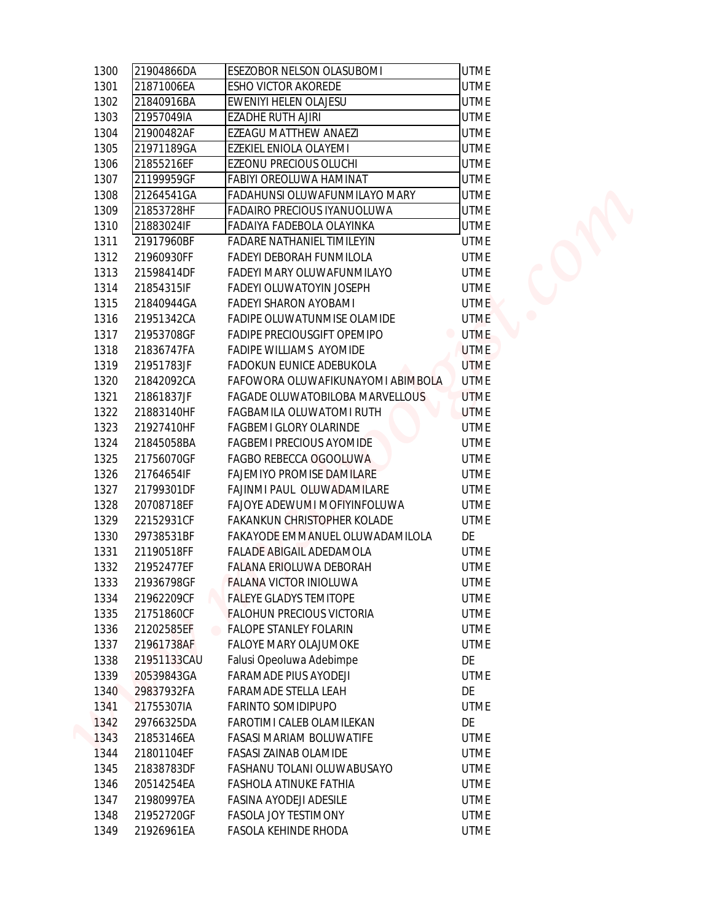| 1300 | 21904866DA  | ESEZOBOR NELSON OLASUBOMI         | <b>UTME</b> |
|------|-------------|-----------------------------------|-------------|
| 1301 | 21871006EA  | ESHO VICTOR AKOREDE               | <b>UTME</b> |
| 1302 | 21840916BA  | EWENIYI HELEN OLAJESU             | <b>UTME</b> |
| 1303 | 21957049IA  | EZADHE RUTH AJIRI                 | <b>UTME</b> |
| 1304 | 21900482AF  | EZEAGU MATTHEW ANAEZI             | <b>UTME</b> |
| 1305 | 21971189GA  | EZEKIEL ENIOLA OLAYEMI            | <b>UTME</b> |
| 1306 | 21855216EF  | EZEONU PRECIOUS OLUCHI            | <b>UTME</b> |
| 1307 | 21199959GF  | FABIYI OREOLUWA HAMINAT           | <b>UTME</b> |
| 1308 | 21264541GA  | FADAHUNSI OLUWAFUNMILAYO MARY     | <b>UTME</b> |
| 1309 | 21853728HF  | FADAIRO PRECIOUS IYANUOLUWA       | <b>UTME</b> |
| 1310 | 21883024IF  | FADAIYA FADEBOLA OLAYINKA         | <b>UTME</b> |
| 1311 | 21917960BF  | FADARE NATHANIEL TIMILEYIN        | <b>UTME</b> |
| 1312 | 21960930FF  | FADEYI DEBORAH FUNMILOLA          | <b>UTME</b> |
| 1313 | 21598414DF  | FADEYI MARY OLUWAFUNMILAYO        | <b>UTME</b> |
| 1314 | 21854315IF  | FADEYI OLUWATOYIN JOSEPH          | <b>UTME</b> |
| 1315 | 21840944GA  | FADEYI SHARON AYOBAMI             | <b>UTME</b> |
| 1316 | 21951342CA  | FADIPE OLUWATUNMISE OLAMIDE       | <b>UTME</b> |
| 1317 | 21953708GF  | FADIPE PRECIOUSGIFT OPEMIPO       | <b>UTME</b> |
| 1318 | 21836747FA  | FADIPE WILLIAMS AYOMIDE           | <b>UTME</b> |
| 1319 | 21951783JF  | FADOKUN EUNICE ADEBUKOLA          | <b>UTME</b> |
| 1320 | 21842092CA  | FAFOWORA OLUWAFIKUNAYOMI ABIMBOLA | <b>UTME</b> |
| 1321 | 21861837JF  | FAGADE OLUWATOBILOBA MARVELLOUS   | <b>UTME</b> |
| 1322 | 21883140HF  | FAGBAMILA OLUWATOMI RUTH          | <b>UTME</b> |
| 1323 | 21927410HF  | FAGBEMI GLORY OLARINDE            | <b>UTME</b> |
| 1324 | 21845058BA  | FAGBEMI PRECIOUS AYOMIDE          | <b>UTME</b> |
| 1325 | 21756070GF  | FAGBO REBECCA OGOOLUWA            | <b>UTME</b> |
| 1326 | 21764654IF  | FAJEMIYO PROMISE DAMILARE         | <b>UTME</b> |
| 1327 | 21799301DF  | FAJINMI PAUL OLUWADAMILARE        | <b>UTME</b> |
| 1328 | 20708718EF  | FAJOYE ADEWUMI MOFIYINFOLUWA      | <b>UTME</b> |
| 1329 | 22152931CF  | FAKANKUN CHRISTOPHER KOLADE       | <b>UTME</b> |
| 1330 | 29738531BF  | FAKAYODE EMMANUEL OLUWADAMILOLA   | DE          |
| 1331 | 21190518FF  | FALADE ABIGAIL ADEDAMOLA          | <b>UTME</b> |
| 1332 | 21952477EF  | FALANA ERIOLUWA DEBORAH           | <b>UTME</b> |
| 1333 | 21936798GF  | FALANA VICTOR INIOLUWA            | <b>UTME</b> |
| 1334 | 21962209CF  | FALEYE GLADYS TEMITOPE            | UTME        |
| 1335 | 21751860CF  | <b>FALOHUN PRECIOUS VICTORIA</b>  | <b>UTME</b> |
| 1336 | 21202585EF  | <b>FALOPE STANLEY FOLARIN</b>     | <b>UTME</b> |
| 1337 | 21961738AF  | FALOYE MARY OLAJUMOKE             | <b>UTME</b> |
| 1338 | 21951133CAU | Falusi Opeoluwa Adebimpe          | DE          |
| 1339 | 20539843GA  | FARAMADE PIUS AYODEJI             | <b>UTME</b> |
| 1340 | 29837932FA  | FARAMADE STELLA LEAH              | DE          |
| 1341 | 21755307IA  | FARINTO SOMIDIPUPO                | <b>UTME</b> |
| 1342 | 29766325DA  | FAROTIMI CALEB OLAMILEKAN         | DE          |
| 1343 | 21853146EA  | FASASI MARIAM BOLUWATIFE          | <b>UTME</b> |
| 1344 | 21801104EF  | FASASI ZAINAB OLAMIDE             | <b>UTME</b> |
| 1345 | 21838783DF  | FASHANU TOLANI OLUWABUSAYO        | <b>UTME</b> |
| 1346 | 20514254EA  | FASHOLA ATINUKE FATHIA            | <b>UTME</b> |
| 1347 | 21980997EA  | FASINA AYODEJI ADESILE            | <b>UTME</b> |
| 1348 | 21952720GF  | FASOLA JOY TESTIMONY              | <b>UTME</b> |
| 1349 | 21926961EA  | FASOLA KEHINDE RHODA              | <b>UTME</b> |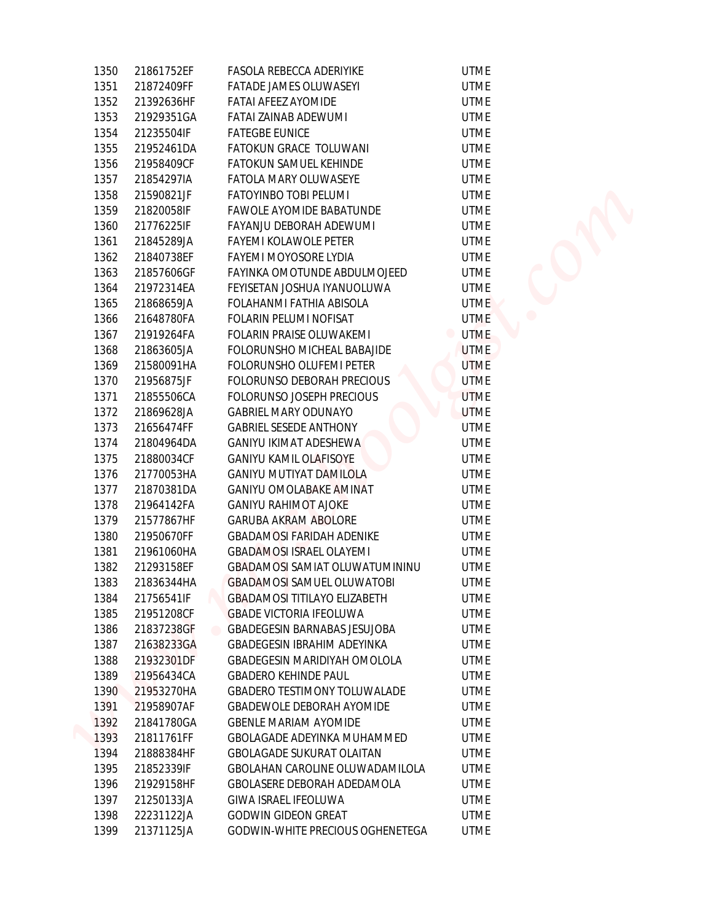| 1350         | 21861752EF               | FASOLA REBECCA ADERIYIKE                                                 | <b>UTME</b>                   |
|--------------|--------------------------|--------------------------------------------------------------------------|-------------------------------|
| 1351         | 21872409FF               | <b>FATADE JAMES OLUWASEYI</b>                                            | <b>UTME</b>                   |
| 1352         | 21392636HF               | FATAI AFEEZ AYOMIDE                                                      | <b>UTME</b>                   |
| 1353         | 21929351GA               | FATAI ZAINAB ADEWUMI                                                     | <b>UTME</b>                   |
| 1354         | 21235504IF               | <b>FATEGBE EUNICE</b>                                                    | <b>UTME</b>                   |
| 1355         | 21952461DA               | FATOKUN GRACE TOLUWANI                                                   | <b>UTME</b>                   |
| 1356         | 21958409CF               | FATOKUN SAMUEL KEHINDE                                                   | <b>UTME</b>                   |
| 1357         | 21854297IA               | FATOLA MARY OLUWASEYE                                                    | <b>UTME</b>                   |
| 1358         | 21590821JF               | FATOYINBO TOBI PELUMI                                                    | <b>UTME</b>                   |
| 1359         | 21820058IF               | FAWOLE AYOMIDE BABATUNDE                                                 | <b>UTME</b>                   |
| 1360         | 21776225IF               | FAYANJU DEBORAH ADEWUMI                                                  | <b>UTME</b>                   |
| 1361         | 21845289JA               | FAYEMI KOLAWOLE PETER                                                    | <b>UTME</b>                   |
| 1362         | 21840738EF               | FAYEMI MOYOSORE LYDIA                                                    | <b>UTME</b>                   |
| 1363         | 21857606GF               | FAYINKA OMOTUNDE ABDULMOJEED                                             | <b>UTME</b>                   |
| 1364         | 21972314EA               | FEYISETAN JOSHUA IYANUOLUWA                                              | <b>UTME</b>                   |
| 1365         | 21868659JA               | FOLAHANMI FATHIA ABISOLA                                                 | <b>UTME</b>                   |
| 1366         | 21648780FA               | FOLARIN PELUMI NOFISAT                                                   | <b>UTME</b>                   |
| 1367         | 21919264FA               | FOLARIN PRAISE OLUWAKEMI                                                 | <b>UTME</b><br>$\blacksquare$ |
| 1368         | 21863605JA               | FOLORUNSHO MICHEAL BABAJIDE                                              | <b>UTME</b>                   |
| 1369         | 21580091HA               | FOLORUNSHO OLUFEMI PETER                                                 | <b>UTME</b>                   |
| 1370         | 21956875JF               | FOLORUNSO DEBORAH PRECIOUS                                               | <b>UTME</b>                   |
| 1371         | 21855506CA               | FOLORUNSO JOSEPH PRECIOUS                                                | <b>UTME</b>                   |
| 1372         | 21869628JA               | <b>GABRIEL MARY ODUNAYO</b>                                              | <b>UTME</b>                   |
| 1373         | 21656474FF               | <b>GABRIEL SESEDE ANTHONY</b>                                            | <b>UTME</b>                   |
| 1374         | 21804964DA               | GANIYU IKIMAT ADESHEWA                                                   | <b>UTME</b>                   |
| 1375         | 21880034CF               | <b>GANIYU KAMIL OLAFISOYE</b>                                            | <b>UTME</b>                   |
| 1376         | 21770053HA               | <b>GANIYU MUTIYAT DAMILOLA</b>                                           | <b>UTME</b>                   |
| 1377         | 21870381DA               | GANIYU OMOLABAKE AMINAT                                                  | <b>UTME</b>                   |
|              |                          |                                                                          | <b>UTME</b>                   |
| 1378<br>1379 | 21964142FA               | <b>GANIYU RAHIMOT AJOKE</b>                                              | <b>UTME</b>                   |
|              | 21577867HF               | GARUBA AKRAM ABOLORE                                                     |                               |
| 1380<br>1381 | 21950670FF<br>21961060HA | <b>GBADAMOSI FARIDAH ADENIKE</b><br><b>GBADAMOSI ISRAEL OLAYEMI</b>      | <b>UTME</b><br><b>UTME</b>    |
|              |                          |                                                                          |                               |
| 1382         | 21293158EF               | <b>GBADAMOSI SAMIAT OLUWATUMININU</b>                                    | <b>UTME</b>                   |
| 1383         | 21836344HA               | <b>GBADAMOSI SAMUEL OLUWATOBI</b><br><b>GBADAMOSI TITILAYO ELIZABETH</b> | <b>UTME</b>                   |
| 1384         | 21756541IF               |                                                                          | <b>UTME</b>                   |
| 1385         | 21951208CF               | <b>GBADE VICTORIA IFEOLUWA</b><br><b>GBADEGESIN BARNABAS JESUJOBA</b>    | <b>UTME</b>                   |
| 1386         | 21837238GF               |                                                                          | <b>UTME</b>                   |
| 1387         | 21638233GA               | <b>GBADEGESIN IBRAHIM ADEYINKA</b>                                       | <b>UTME</b>                   |
| 1388         | 21932301DF               | GBADEGESIN MARIDIYAH OMOLOLA                                             | <b>UTME</b>                   |
| 1389         | 21956434CA               | <b>GBADERO KEHINDE PAUL</b>                                              | <b>UTME</b>                   |
| 1390         | 21953270HA               | <b>GBADERO TESTIMONY TOLUWALADE</b>                                      | <b>UTME</b>                   |
| 1391         | 21958907AF               | <b>GBADEWOLE DEBORAH AYOMIDE</b>                                         | <b>UTME</b>                   |
| 1392         | 21841780GA               | <b>GBENLE MARIAM AYOMIDE</b>                                             | <b>UTME</b>                   |
| 1393         | 21811761FF               | GBOLAGADE ADEYINKA MUHAMMED                                              | <b>UTME</b>                   |
| 1394         | 21888384HF               | <b>GBOLAGADE SUKURAT OLAITAN</b>                                         | <b>UTME</b>                   |
| 1395         | 21852339IF               | <b>GBOLAHAN CAROLINE OLUWADAMILOLA</b>                                   | UTME                          |
| 1396         | 21929158HF               | GBOLASERE DEBORAH ADEDAMOLA                                              | <b>UTME</b>                   |
| 1397         | 21250133JA               | GIWA ISRAEL IFEOLUWA                                                     | UTME                          |
| 1398         | 22231122JA               | GODWIN GIDEON GREAT                                                      | <b>UTME</b>                   |
| 1399         | 21371125JA               | GODWIN-WHITE PRECIOUS OGHENETEGA                                         | <b>UTME</b>                   |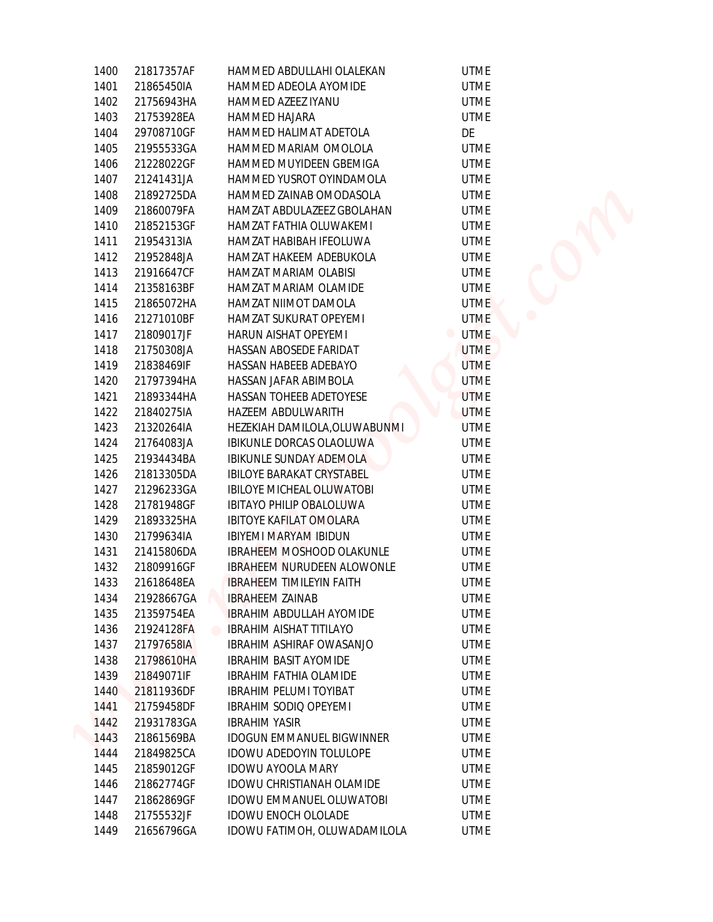| 1400         | 21817357AF | HAMMED ABDULLAHI OLALEKAN         | <b>UTME</b>                   |
|--------------|------------|-----------------------------------|-------------------------------|
| 1401         | 21865450IA | HAMMED ADEOLA AYOMIDE             | <b>UTME</b>                   |
| 1402         | 21756943HA | HAMMED AZEEZ IYANU                | <b>UTME</b>                   |
| 1403         | 21753928EA | HAMMED HAJARA                     | <b>UTME</b>                   |
| 1404         | 29708710GF | HAMMED HALIMAT ADETOLA            | DE                            |
| 1405         | 21955533GA | HAMMED MARIAM OMOLOLA             | <b>UTME</b>                   |
| 1406         | 21228022GF | HAMMED MUYIDEEN GBEMIGA           | <b>UTME</b>                   |
| 1407         | 21241431JA | HAMMED YUSROT OYINDAMOLA          | <b>UTME</b>                   |
| 1408         | 21892725DA | HAMMED ZAINAB OMODASOLA           | <b>UTME</b>                   |
| 1409         | 21860079FA | HAMZAT ABDULAZEEZ GBOLAHAN        | <b>UTME</b>                   |
| 1410         | 21852153GF | HAMZAT FATHIA OLUWAKEMI           | <b>UTME</b>                   |
| 1411         | 21954313IA | HAMZAT HABIBAH IFEOLUWA           | <b>UTME</b>                   |
| 1412         | 21952848JA | HAMZAT HAKEEM ADEBUKOLA           | <b>UTME</b>                   |
|              | 21916647CF | HAMZAT MARIAM OLABISI             |                               |
| 1413<br>1414 | 21358163BF | HAMZAT MARIAM OLAMIDE             | <b>UTME</b><br><b>UTME</b>    |
| 1415         | 21865072HA | HAMZAT NIIMOT DAMOLA              | <b>UTME</b>                   |
|              | 21271010BF | HAMZAT SUKURAT OPEYEMI            | <b>UTME</b>                   |
| 1416         |            |                                   |                               |
| 1417         | 21809017JF | HARUN AISHAT OPEYEMI              | <b>UTME</b><br>$\blacksquare$ |
| 1418         | 21750308JA | HASSAN ABOSEDE FARIDAT            | <b>UTME</b>                   |
| 1419         | 21838469IF | HASSAN HABEEB ADEBAYO             | <b>UTME</b>                   |
| 1420         | 21797394HA | HASSAN JAFAR ABIMBOLA             | <b>UTME</b>                   |
| 1421         | 21893344HA | HASSAN TOHEEB ADETOYESE           | <b>UTME</b>                   |
| 1422         | 21840275IA | HAZEEM ABDULWARITH                | <b>UTME</b>                   |
| 1423         | 21320264IA | HEZEKIAH DAMILOLA, OLUWABUNMI     | <b>UTME</b>                   |
| 1424         | 21764083JA | IBIKUNLE DORCAS OLAOLUWA          | <b>UTME</b>                   |
| 1425         | 21934434BA | <b>IBIKUNLE SUNDAY ADEMOLA</b>    | <b>UTME</b>                   |
| 1426         | 21813305DA | IBILOYE BARAKAT CRYSTABEL         | <b>UTME</b>                   |
| 1427         | 21296233GA | IBILOYE MICHEAL OLUWATOBI         | <b>UTME</b>                   |
| 1428         | 21781948GF | <b>IBITAYO PHILIP OBALOLUWA</b>   | <b>UTME</b>                   |
| 1429         | 21893325HA | IBITOYE KAFILAT OMOLARA           | <b>UTME</b>                   |
| 1430         | 21799634IA | <b>IBIYEMI MARYAM IBIDUN</b>      | <b>UTME</b>                   |
| 1431         | 21415806DA | IBRAHEEM MOSHOOD OLAKUNLE         | <b>UTME</b>                   |
| 1432         | 21809916GF | <b>IBRAHEEM NURUDEEN ALOWONLE</b> | <b>UTME</b>                   |
| 1433         | 21618648EA | <b>IBRAHEEM TIMILEYIN FAITH</b>   | <b>UTME</b>                   |
| 1434         | 21928667GA | <b>IBRAHEEM ZAINAB</b>            | <b>UTME</b>                   |
| 1435         | 21359754EA | <b>IBRAHIM ABDULLAH AYOMIDE</b>   | <b>UTME</b>                   |
| 1436         | 21924128FA | <b>IBRAHIM AISHAT TITILAYO</b>    | <b>UTME</b>                   |
| 1437         | 21797658IA | IBRAHIM ASHIRAF OWASANJO          | <b>UTME</b>                   |
| 1438         | 21798610HA | <b>IBRAHIM BASIT AYOMIDE</b>      | <b>UTME</b>                   |
| 1439         | 21849071IF | IBRAHIM FATHIA OLAMIDE            | <b>UTME</b>                   |
| 1440         | 21811936DF | <b>IBRAHIM PELUMI TOYIBAT</b>     | <b>UTME</b>                   |
| 1441         | 21759458DF | <b>IBRAHIM SODIQ OPEYEMI</b>      | <b>UTME</b>                   |
| 1442         | 21931783GA | <b>IBRAHIM YASIR</b>              | <b>UTME</b>                   |
| 1443         | 21861569BA | <b>IDOGUN EMMANUEL BIGWINNER</b>  | <b>UTME</b>                   |
| 1444         | 21849825CA | IDOWU ADEDOYIN TOLULOPE           | <b>UTME</b>                   |
| 1445         | 21859012GF | <b>IDOWU AYOOLA MARY</b>          | <b>UTME</b>                   |
|              | 21862774GF | IDOWU CHRISTIANAH OLAMIDE         | <b>UTME</b>                   |
| 1446         |            |                                   |                               |
| 1447         | 21862869GF | <b>IDOWU EMMANUEL OLUWATOBI</b>   | <b>UTME</b>                   |
| 1448         | 21755532JF | <b>IDOWU ENOCH OLOLADE</b>        | <b>UTME</b>                   |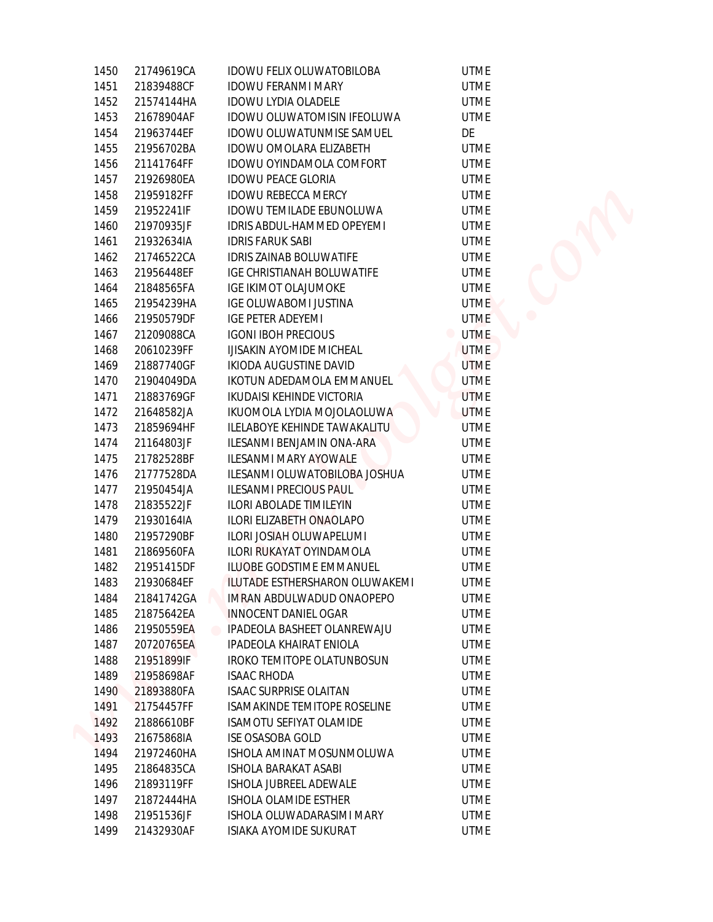| 1450 | 21749619CA | IDOWU FELIX OLUWATOBILOBA           | <b>UTME</b>                   |
|------|------------|-------------------------------------|-------------------------------|
| 1451 | 21839488CF | <b>IDOWU FERANMI MARY</b>           | <b>UTME</b>                   |
| 1452 | 21574144HA | IDOWU LYDIA OLADELE                 | <b>UTME</b>                   |
| 1453 | 21678904AF | IDOWU OLUWATOMISIN IFEOLUWA         | <b>UTME</b>                   |
| 1454 | 21963744EF | IDOWU OLUWATUNMISE SAMUEL           | DE                            |
| 1455 | 21956702BA | IDOWU OMOLARA ELIZABETH             | <b>UTME</b>                   |
| 1456 | 21141764FF | IDOWU OYINDAMOLA COMFORT            | <b>UTME</b>                   |
| 1457 | 21926980EA | <b>IDOWU PEACE GLORIA</b>           | <b>UTME</b>                   |
| 1458 | 21959182FF | <b>IDOWU REBECCA MERCY</b>          | <b>UTME</b>                   |
| 1459 | 21952241IF | IDOWU TEMILADE EBUNOLUWA            | <b>UTME</b>                   |
| 1460 | 21970935JF | IDRIS ABDUL-HAMMED OPEYEMI          | <b>UTME</b>                   |
| 1461 | 21932634IA | <b>IDRIS FARUK SABI</b>             | <b>UTME</b>                   |
| 1462 | 21746522CA | IDRIS ZAINAB BOLUWATIFE             | <b>UTME</b>                   |
| 1463 | 21956448EF | IGE CHRISTIANAH BOLUWATIFE          | <b>UTME</b>                   |
| 1464 | 21848565FA | <b>IGE IKIMOT OLAJUMOKE</b>         | <b>UTME</b>                   |
| 1465 | 21954239HA | IGE OLUWABOMI JUSTINA               | <b>UTME</b>                   |
| 1466 | 21950579DF | <b>IGE PETER ADEYEMI</b>            | <b>UTME</b>                   |
| 1467 | 21209088CA | <b>IGONI IBOH PRECIOUS</b>          | $\blacksquare$<br><b>UTME</b> |
| 1468 | 20610239FF | IJISAKIN AYOMIDE MICHEAL            | UTME                          |
| 1469 | 21887740GF | IKIODA AUGUSTINE DAVID              | <b>UTME</b>                   |
| 1470 | 21904049DA | IKOTUN ADEDAMOLA EMMANUEL           | <b>UTME</b>                   |
| 1471 | 21883769GF | <b>IKUDAISI KEHINDE VICTORIA</b>    | <b>UTME</b>                   |
| 1472 | 21648582JA | IKUOMOLA LYDIA MOJOLAOLUWA          | <b>UTME</b>                   |
| 1473 | 21859694HF | ILELABOYE KEHINDE TAWAKALITU        | <b>UTME</b>                   |
| 1474 | 21164803JF | ILESANMI BENJAMIN ONA-ARA           | <b>UTME</b>                   |
| 1475 | 21782528BF | ILESANMI MARY AYOWALE               | <b>UTME</b>                   |
| 1476 | 21777528DA | ILESANMI OLUWATOBILOBA JOSHUA       | <b>UTME</b>                   |
| 1477 | 21950454JA | ILESANMI PRECIOUS PAUL              | <b>UTME</b>                   |
| 1478 | 21835522JF | ILORI ABOLADE TIMILEYIN             | <b>UTME</b>                   |
| 1479 | 21930164IA | ILORI ELIZABETH ONAOLAPO            | <b>UTME</b>                   |
| 1480 | 21957290BF | ILORI JOSIAH OLUWAPELUMI            | <b>UTME</b>                   |
| 1481 | 21869560FA | ILORI RUKAYAT OYINDAMOLA            | <b>UTME</b>                   |
| 1482 | 21951415DF | ILUOBE GODSTIME EMMANUEL            | <b>UTME</b>                   |
| 1483 | 21930684EF | ILUTADE ESTHERSHARON OLUWAKEMI      | <b>UTME</b>                   |
| 1484 | 21841742GA | IMRAN ABDULWADUD ONAOPEPO           | <b>UTME</b>                   |
| 1485 | 21875642EA | INNOCENT DANIEL OGAR                | <b>UTME</b>                   |
| 1486 | 21950559EA | IPADEOLA BASHEET OLANREWAJU         | <b>UTME</b>                   |
| 1487 | 20720765EA | IPADEOLA KHAIRAT ENIOLA             | <b>UTME</b>                   |
| 1488 | 21951899IF | IROKO TEMITOPE OLATUNBOSUN          | <b>UTME</b>                   |
| 1489 | 21958698AF | <b>ISAAC RHODA</b>                  | <b>UTME</b>                   |
| 1490 | 21893880FA | <b>ISAAC SURPRISE OLAITAN</b>       | <b>UTME</b>                   |
| 1491 | 21754457FF | <b>ISAMAKINDE TEMITOPE ROSELINE</b> | <b>UTME</b>                   |
| 1492 | 21886610BF | ISAMOTU SEFIYAT OLAMIDE             | <b>UTME</b>                   |
| 1493 | 21675868IA | <b>ISE OSASOBA GOLD</b>             | <b>UTME</b>                   |
| 1494 | 21972460HA | ISHOLA AMINAT MOSUNMOLUWA           | <b>UTME</b>                   |
| 1495 | 21864835CA | ISHOLA BARAKAT ASABI                | <b>UTME</b>                   |
| 1496 | 21893119FF | ISHOLA JUBREEL ADEWALE              | <b>UTME</b>                   |
| 1497 | 21872444HA | ISHOLA OLAMIDE ESTHER               | <b>UTME</b>                   |
| 1498 | 21951536JF | ISHOLA OLUWADARASIMI MARY           | <b>UTME</b>                   |
| 1499 | 21432930AF | ISIAKA AYOMIDE SUKURAT              | <b>UTME</b>                   |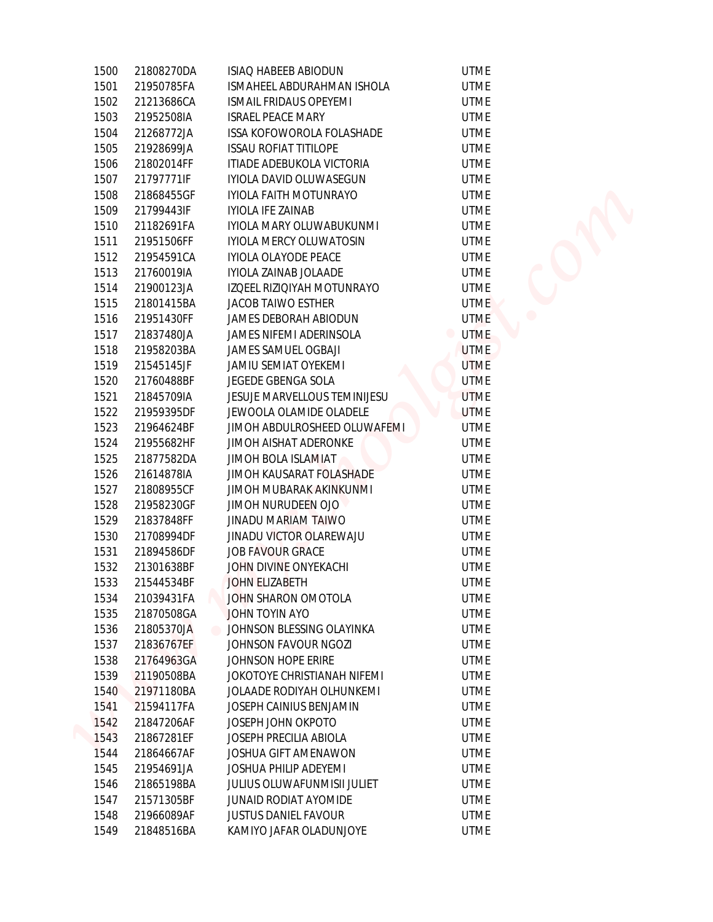| 1500 | 21808270DA | ISIAQ HABEEB ABIODUN                   | <b>UTME</b> |
|------|------------|----------------------------------------|-------------|
| 1501 | 21950785FA | ISMAHEEL ABDURAHMAN ISHOLA             | <b>UTME</b> |
| 1502 | 21213686CA | ISMAIL FRIDAUS OPEYEMI                 | <b>UTME</b> |
| 1503 | 21952508IA | <b>ISRAEL PEACE MARY</b>               | <b>UTME</b> |
| 1504 | 21268772JA | ISSA KOFOWOROLA FOLASHADE              | <b>UTME</b> |
| 1505 | 21928699JA | <b>ISSAU ROFIAT TITILOPE</b>           | <b>UTME</b> |
| 1506 | 21802014FF | ITIADE ADEBUKOLA VICTORIA              | <b>UTME</b> |
| 1507 | 21797771IF | IYIOLA DAVID OLUWASEGUN                | <b>UTME</b> |
| 1508 | 21868455GF | IYIOLA FAITH MOTUNRAYO                 | <b>UTME</b> |
| 1509 | 21799443IF | <b>IYIOLA IFE ZAINAB</b>               | <b>UTME</b> |
| 1510 | 21182691FA | IYIOLA MARY OLUWABUKUNMI               | <b>UTME</b> |
| 1511 | 21951506FF | <b>IYIOLA MERCY OLUWATOSIN</b>         | <b>UTME</b> |
| 1512 | 21954591CA | IYIOLA OLAYODE PEACE                   | UTME        |
| 1513 | 21760019IA | IYIOLA ZAINAB JOLAADE                  | <b>UTME</b> |
| 1514 | 21900123JA | IZQEEL RIZIQIYAH MOTUNRAYO             | <b>UTME</b> |
| 1515 | 21801415BA | <b>JACOB TAIWO ESTHER</b>              | <b>UTME</b> |
| 1516 | 21951430FF | <b>JAMES DEBORAH ABIODUN</b>           | <b>UTME</b> |
| 1517 | 21837480JA | JAMES NIFEMI ADERINSOLA                | <b>UTME</b> |
| 1518 | 21958203BA | JAMES SAMUEL OGBAJI                    | <b>UTME</b> |
| 1519 | 21545145JF | JAMIU SEMIAT OYEKEMI                   | <b>UTME</b> |
| 1520 | 21760488BF | JEGEDE GBENGA SOLA                     | <b>UTME</b> |
| 1521 | 21845709IA | JESUJE MARVELLOUS TEMINIJESU           | <b>UTME</b> |
| 1522 | 21959395DF | JEWOOLA OLAMIDE OLADELE                | <b>UTME</b> |
| 1523 | 21964624BF | JIMOH ABDULROSHEED OLUWAFEMI           | <b>UTME</b> |
| 1524 | 21955682HF | JIMOH AISHAT ADERONKE                  | <b>UTME</b> |
| 1525 | 21877582DA | JIMOH BOLA ISLAMIAT                    | <b>UTME</b> |
| 1526 | 21614878IA | JIMOH KAUSARAT FOLASHADE               | <b>UTME</b> |
| 1527 | 21808955CF | JIMOH MUBARAK AKINKUNMI                | <b>UTME</b> |
| 1528 | 21958230GF | JIMOH NURUDEEN OJO                     | <b>UTME</b> |
| 1529 | 21837848FF | JINADU MARIAM TAIWO                    | <b>UTME</b> |
| 1530 | 21708994DF | JINADU VICTOR OLAREWAJU                | <b>UTME</b> |
| 1531 | 21894586DF | <b>JOB FAVOUR GRACE</b>                | <b>UTME</b> |
| 1532 | 21301638BF | JOHN DIVINE ONYEKACHI                  | <b>UTME</b> |
| 1533 | 21544534BF | JOHN ELIZABETH                         | <b>UTME</b> |
| 1534 | 21039431FA | JOHN SHARON OMOTOLA                    | <b>UTME</b> |
| 1535 | 21870508GA | <b>JOHN TOYIN AYO</b>                  | <b>UTME</b> |
| 1536 | 21805370JA | JOHNSON BLESSING OLAYINKA<br>$\bullet$ | <b>UTME</b> |
| 1537 | 21836767EF | JOHNSON FAVOUR NGOZI                   | <b>UTME</b> |
| 1538 | 21764963GA | JOHNSON HOPE ERIRE                     | <b>UTME</b> |
| 1539 | 21190508BA | JOKOTOYE CHRISTIANAH NIFEMI            | <b>UTME</b> |
| 1540 | 21971180BA | JOLAADE RODIYAH OLHUNKEMI              | <b>UTME</b> |
| 1541 | 21594117FA | JOSEPH CAINIUS BENJAMIN                | <b>UTME</b> |
| 1542 | 21847206AF | JOSEPH JOHN OKPOTO                     | <b>UTME</b> |
| 1543 | 21867281EF | JOSEPH PRECILIA ABIOLA                 | <b>UTME</b> |
| 1544 | 21864667AF | JOSHUA GIFT AMENAWON                   | <b>UTME</b> |
| 1545 | 21954691JA | JOSHUA PHILIP ADEYEMI                  | <b>UTME</b> |
| 1546 | 21865198BA | JULIUS OLUWAFUNMISII JULIET            | <b>UTME</b> |
| 1547 | 21571305BF | JUNAID RODIAT AYOMIDE                  | <b>UTME</b> |
| 1548 | 21966089AF | <b>JUSTUS DANIEL FAVOUR</b>            | <b>UTME</b> |
| 1549 | 21848516BA | KAMIYO JAFAR OLADUNJOYE                | <b>UTME</b> |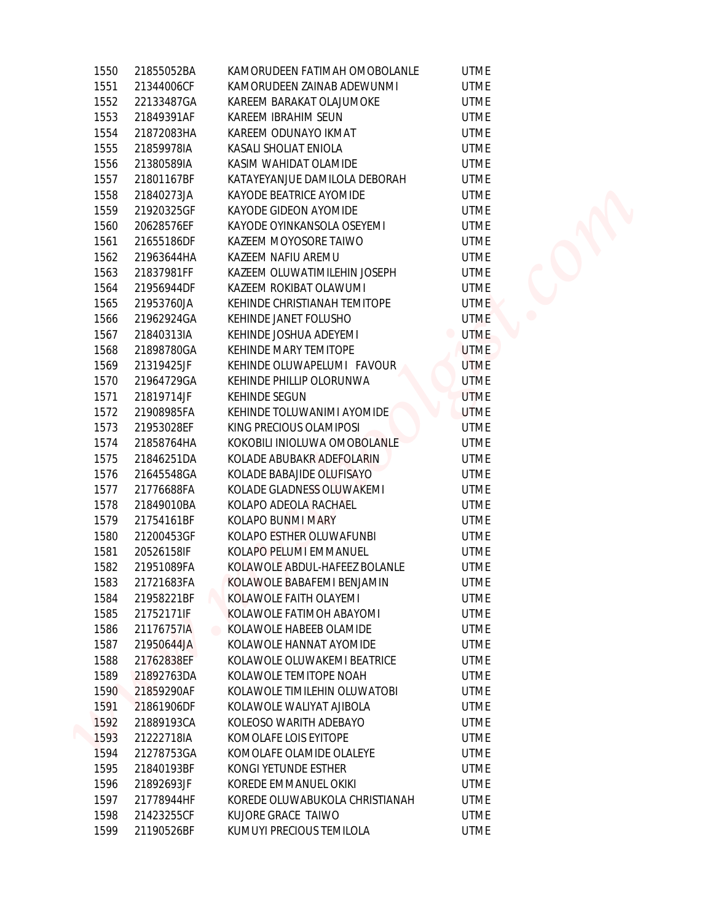| 1550 | 21855052BA | KAMORUDEEN FATIMAH OMOBOLANLE  | <b>UTME</b>                   |  |
|------|------------|--------------------------------|-------------------------------|--|
| 1551 | 21344006CF | KAMORUDEEN ZAINAB ADEWUNMI     | <b>UTME</b>                   |  |
| 1552 | 22133487GA | KAREEM BARAKAT OLAJUMOKE       | <b>UTME</b>                   |  |
| 1553 | 21849391AF | KAREEM IBRAHIM SEUN            | <b>UTME</b>                   |  |
| 1554 | 21872083HA | KAREEM ODUNAYO IKMAT           | <b>UTME</b>                   |  |
| 1555 | 21859978IA | KASALI SHOLIAT ENIOLA          | <b>UTME</b>                   |  |
| 1556 | 21380589IA | KASIM WAHIDAT OLAMIDE          | <b>UTME</b>                   |  |
| 1557 | 21801167BF | KATAYEYANJUE DAMILOLA DEBORAH  | <b>UTME</b>                   |  |
| 1558 | 21840273JA | KAYODE BEATRICE AYOMIDE        | <b>UTME</b>                   |  |
| 1559 | 21920325GF | KAYODE GIDEON AYOMIDE          | <b>UTME</b>                   |  |
| 1560 | 20628576EF | KAYODE OYINKANSOLA OSEYEMI     | <b>UTME</b>                   |  |
| 1561 | 21655186DF | KAZEEM MOYOSORE TAIWO          | <b>UTME</b>                   |  |
| 1562 | 21963644HA | KAZEEM NAFIU AREMU             | <b>UTME</b>                   |  |
| 1563 | 21837981FF | KAZEEM OLUWATIMILEHIN JOSEPH   | <b>UTME</b>                   |  |
| 1564 | 21956944DF | KAZEEM ROKIBAT OLAWUMI         | <b>UTME</b>                   |  |
| 1565 | 21953760JA | KEHINDE CHRISTIANAH TEMITOPE   | <b>UTME</b>                   |  |
|      |            |                                |                               |  |
| 1566 | 21962924GA | KEHINDE JANET FOLUSHO          | <b>UTME</b>                   |  |
| 1567 | 21840313IA | KEHINDE JOSHUA ADEYEMI         | <b>UTME</b><br>$\blacksquare$ |  |
| 1568 | 21898780GA | KEHINDE MARY TEMITOPE          | <b>UTME</b>                   |  |
| 1569 | 21319425JF | KEHINDE OLUWAPELUMI FAVOUR     | <b>UTME</b>                   |  |
| 1570 | 21964729GA | KEHINDE PHILLIP OLORUNWA       | <b>UTME</b>                   |  |
| 1571 | 21819714JF | KEHINDE SEGUN                  | <b>UTME</b>                   |  |
| 1572 | 21908985FA | KEHINDE TOLUWANIMI AYOMIDE     | <b>UTME</b>                   |  |
| 1573 | 21953028EF | KING PRECIOUS OLAMIPOSI        | <b>UTME</b>                   |  |
| 1574 | 21858764HA | KOKOBILI INIOLUWA OMOBOLANLE   | <b>UTME</b>                   |  |
| 1575 | 21846251DA | KOLADE ABUBAKR ADEFOLARIN      | <b>UTME</b>                   |  |
| 1576 | 21645548GA | KOLADE BABAJIDE OLUFISAYO      | <b>UTME</b>                   |  |
| 1577 | 21776688FA | KOLADE GLADNESS OLUWAKEMI      | <b>UTME</b>                   |  |
| 1578 | 21849010BA | KOLAPO ADEOLA RACHAEL          | <b>UTME</b>                   |  |
| 1579 | 21754161BF | KOLAPO BUNMI MARY              | <b>UTME</b>                   |  |
| 1580 | 21200453GF | KOLAPO ESTHER OLUWAFUNBI       | <b>UTME</b>                   |  |
| 1581 | 20526158IF | KOLAPO PELUMI EMMANUEL         | <b>UTME</b>                   |  |
| 1582 | 21951089FA | KOLAWOLE ABDUL-HAFEEZ BOLANLE  | <b>UTME</b>                   |  |
| 1583 | 21721683FA | KOLAWOLE BABAFEMI BENJAMIN     | <b>UTME</b>                   |  |
| 1584 | 21958221BF | KOLAWOLE FAITH OLAYEMI         | <b>UTME</b>                   |  |
| 1585 | 21752171IF | KOLAWOLE FATIMOH ABAYOMI       | <b>UTME</b>                   |  |
| 1586 | 21176757IA | KOLAWOLE HABEEB OLAMIDE        | <b>UTME</b>                   |  |
| 1587 | 21950644JA | KOLAWOLE HANNAT AYOMIDE        | <b>UTME</b>                   |  |
| 1588 | 21762838EF | KOLAWOLE OLUWAKEMI BEATRICE    | <b>UTME</b>                   |  |
| 1589 | 21892763DA | KOLAWOLE TEMITOPE NOAH         | <b>UTME</b>                   |  |
| 1590 | 21859290AF | KOLAWOLE TIMILEHIN OLUWATOBI   | <b>UTME</b>                   |  |
| 1591 | 21861906DF | KOLAWOLE WALIYAT AJIBOLA       | <b>UTME</b>                   |  |
| 1592 | 21889193CA | KOLEOSO WARITH ADEBAYO         | <b>UTME</b>                   |  |
| 1593 | 21222718IA | KOMOLAFE LOIS EYITOPE          | <b>UTME</b>                   |  |
| 1594 | 21278753GA | KOMOLAFE OLAMIDE OLALEYE       | <b>UTME</b>                   |  |
| 1595 | 21840193BF | KONGI YETUNDE ESTHER           |                               |  |
|      |            |                                | UTME                          |  |
| 1596 | 21892693JF | KOREDE EMMANUEL OKIKI          | <b>UTME</b>                   |  |
| 1597 | 21778944HF | KOREDE OLUWABUKOLA CHRISTIANAH | <b>UTME</b>                   |  |
| 1598 | 21423255CF | KUJORE GRACE TAIWO             | <b>UTME</b><br><b>UTME</b>    |  |
| 1599 | 21190526BF | KUMUYI PRECIOUS TEMILOLA       |                               |  |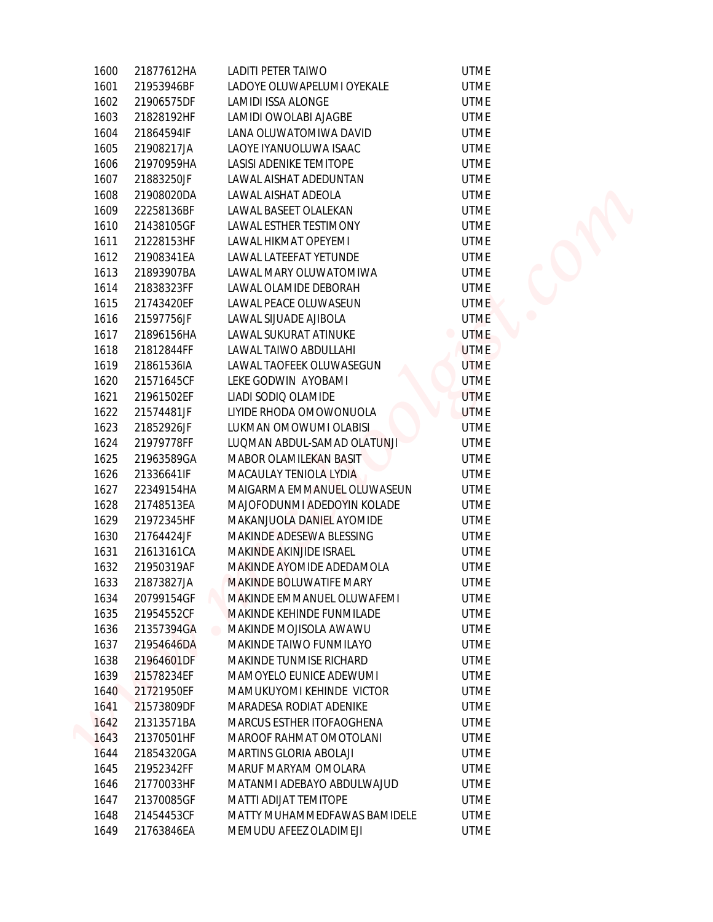| 1600         | 21877612HA               | LADITI PETER TAIWO                               | <b>UTME</b>                   |
|--------------|--------------------------|--------------------------------------------------|-------------------------------|
| 1601         | 21953946BF               | LADOYE OLUWAPELUMI OYEKALE                       | <b>UTME</b>                   |
| 1602         | 21906575DF               | <b>LAMIDI ISSA ALONGE</b>                        | <b>UTME</b>                   |
| 1603         | 21828192HF               | LAMIDI OWOLABI AJAGBE                            | <b>UTME</b>                   |
| 1604         | 21864594IF               | LANA OLUWATOMIWA DAVID                           | <b>UTME</b>                   |
| 1605         | 21908217JA               | LAOYE IYANUOLUWA ISAAC                           | <b>UTME</b>                   |
| 1606         | 21970959HA               | LASISI ADENIKE TEMITOPE                          | <b>UTME</b>                   |
| 1607         | 21883250JF               | LAWAL AISHAT ADEDUNTAN                           | <b>UTME</b>                   |
| 1608         | 21908020DA               | LAWAL AISHAT ADEOLA                              | <b>UTME</b>                   |
| 1609         | 22258136BF               | LAWAL BASEET OLALEKAN                            | <b>UTME</b>                   |
| 1610         | 21438105GF               | LAWAL ESTHER TESTIMONY                           | <b>UTME</b>                   |
| 1611         |                          | LAWAL HIKMAT OPEYEMI                             | <b>UTME</b>                   |
|              | 21228153HF               |                                                  |                               |
| 1612<br>1613 | 21908341EA<br>21893907BA | LAWAL LATEEFAT YETUNDE<br>LAWAL MARY OLUWATOMIWA | <b>UTME</b><br><b>UTME</b>    |
| 1614         |                          | LAWAL OLAMIDE DEBORAH                            | <b>UTME</b>                   |
| 1615         | 21838323FF<br>21743420EF | LAWAL PEACE OLUWASEUN                            | <b>UTME</b>                   |
|              |                          | LAWAL SIJUADE AJIBOLA                            |                               |
| 1616         | 21597756JF               |                                                  | <b>UTME</b>                   |
| 1617         | 21896156HA               | LAWAL SUKURAT ATINUKE                            | <b>UTME</b><br>$\blacksquare$ |
| 1618         | 21812844FF               | LAWAL TAIWO ABDULLAHI                            | <b>UTME</b>                   |
| 1619         | 21861536IA               | LAWAL TAOFEEK OLUWASEGUN                         | <b>UTME</b>                   |
| 1620         | 21571645CF               | LEKE GODWIN AYOBAMI                              | <b>UTME</b>                   |
| 1621         | 21961502EF               | LIADI SODIQ OLAMIDE                              | <b>UTME</b>                   |
| 1622         | 21574481JF               | LIYIDE RHODA OMOWONUOLA                          | <b>UTME</b>                   |
| 1623         | 21852926JF               | LUKMAN OMOWUMI OLABISI                           | <b>UTME</b>                   |
| 1624         | 21979778FF               | LUQMAN ABDUL-SAMAD OLATUNJI                      | <b>UTME</b>                   |
| 1625         | 21963589GA               | MABOR OLAMILEKAN BASIT                           | <b>UTME</b>                   |
| 1626         | 21336641IF               | MACAULAY TENIOLA LYDIA                           | <b>UTME</b>                   |
| 1627         | 22349154HA               | MAIGARMA EMMANUEL OLUWASEUN                      | <b>UTME</b>                   |
| 1628         | 21748513EA               | MAJOFODUNMI ADEDOYIN KOLADE                      | <b>UTME</b>                   |
| 1629         | 21972345HF               | MAKANJUOLA DANIEL AYOMIDE                        | <b>UTME</b>                   |
| 1630         | 21764424JF               | MAKINDE ADESEWA BLESSING                         | <b>UTME</b>                   |
| 1631         | 21613161CA               | MAKINDE AKINJIDE ISRAEL                          | <b>UTME</b>                   |
| 1632         | 21950319AF               | MAKINDE AYOMIDE ADEDAMOLA                        | <b>UTME</b>                   |
| 1633         | 21873827JA               | MAKINDE BOLUWATIFE MARY                          | <b>UTME</b>                   |
| 1634         | 20799154GF               | MAKINDE EMMANUEL OLUWAFEMI                       | <b>UTME</b>                   |
| 1635         | 21954552CF               | MAKINDE KEHINDE FUNMILADE                        | <b>UTME</b>                   |
| 1636         | 21357394GA               | MAKINDE MOJISOLA AWAWU                           | <b>UTME</b>                   |
| 1637         | 21954646DA               | MAKINDE TAIWO FUNMILAYO                          | <b>UTME</b>                   |
| 1638         | 21964601DF               | MAKINDE TUNMISE RICHARD                          | <b>UTME</b>                   |
| 1639         | 21578234EF               | MAMOYELO EUNICE ADEWUMI                          | <b>UTME</b>                   |
| 1640         | 21721950EF               | MAMUKUYOMI KEHINDE VICTOR                        | <b>UTME</b>                   |
| 1641         | 21573809DF               | MARADESA RODIAT ADENIKE                          | <b>UTME</b>                   |
| 1642         | 21313571BA               | MARCUS ESTHER ITOFAOGHENA                        | <b>UTME</b>                   |
| 1643         | 21370501HF               | MAROOF RAHMAT OMOTOLANI                          | <b>UTME</b>                   |
| 1644         | 21854320GA               | MARTINS GLORIA ABOLAJI                           | <b>UTME</b>                   |
| 1645         | 21952342FF               | MARUF MARYAM OMOLARA                             | <b>UTME</b>                   |
| 1646         | 21770033HF               | MATANMI ADEBAYO ABDULWAJUD                       | <b>UTME</b>                   |
| 1647         | 21370085GF               | MATTI ADIJAT TEMITOPE                            | <b>UTME</b>                   |
|              |                          |                                                  |                               |
| 1648         | 21454453CF               | MATTY MUHAMMEDFAWAS BAMIDELE                     | <b>UTME</b>                   |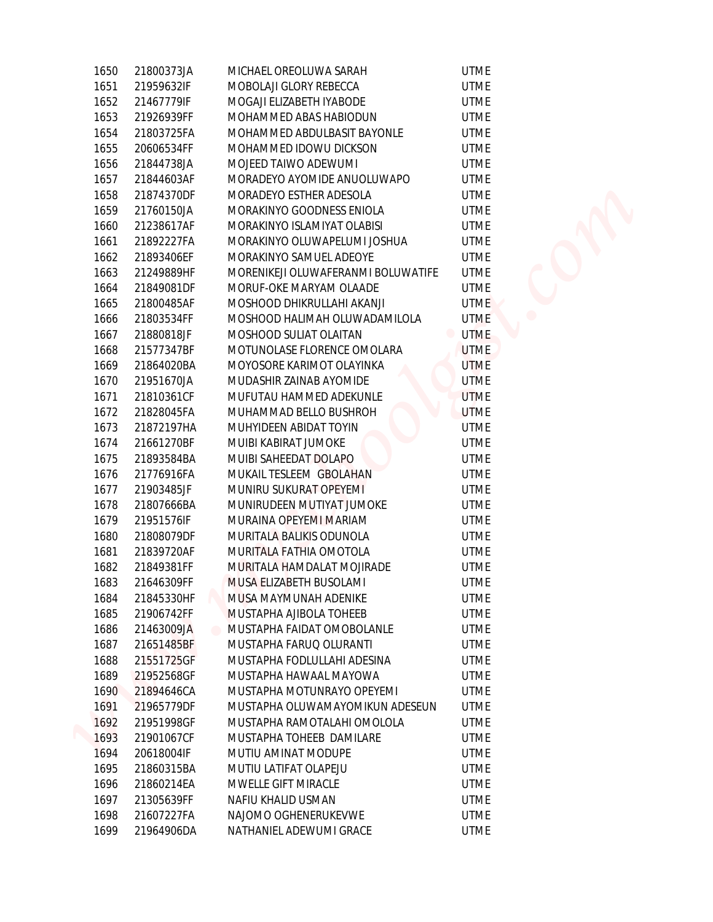| 1650 | 21800373JA | MICHAEL OREOLUWA SARAH             | <b>UTME</b>                   |
|------|------------|------------------------------------|-------------------------------|
| 1651 | 21959632IF | MOBOLAJI GLORY REBECCA             | <b>UTME</b>                   |
| 1652 | 21467779IF | MOGAJI ELIZABETH IYABODE           | <b>UTME</b>                   |
| 1653 | 21926939FF | MOHAMMED ABAS HABIODUN             | <b>UTME</b>                   |
| 1654 | 21803725FA | MOHAMMED ABDULBASIT BAYONLE        | <b>UTME</b>                   |
| 1655 | 20606534FF | MOHAMMED IDOWU DICKSON             | <b>UTME</b>                   |
| 1656 | 21844738JA | MOJEED TAIWO ADEWUMI               | <b>UTME</b>                   |
| 1657 | 21844603AF | MORADEYO AYOMIDE ANUOLUWAPO        | <b>UTME</b>                   |
| 1658 | 21874370DF | MORADEYO ESTHER ADESOLA            | <b>UTME</b>                   |
| 1659 | 21760150JA | MORAKINYO GOODNESS ENIOLA          | <b>UTME</b>                   |
| 1660 | 21238617AF | MORAKINYO ISLAMIYAT OLABISI        | <b>UTME</b>                   |
|      |            |                                    |                               |
| 1661 | 21892227FA | MORAKINYO OLUWAPELUMI JOSHUA       | <b>UTME</b>                   |
| 1662 | 21893406EF | MORAKINYO SAMUEL ADEOYE            | <b>UTME</b>                   |
| 1663 | 21249889HF | MORENIKEJI OLUWAFERANMI BOLUWATIFE | <b>UTME</b>                   |
| 1664 | 21849081DF | MORUF-OKE MARYAM OLAADE            | <b>UTME</b>                   |
| 1665 | 21800485AF | MOSHOOD DHIKRULLAHI AKANJI         | <b>UTME</b>                   |
| 1666 | 21803534FF | MOSHOOD HALIMAH OLUWADAMILOLA      | <b>UTME</b>                   |
| 1667 | 21880818JF | MOSHOOD SULIAT OLAITAN             | <b>UTME</b><br>$\blacksquare$ |
| 1668 | 21577347BF | MOTUNOLASE FLORENCE OMOLARA        | <b>UTME</b>                   |
| 1669 | 21864020BA | MOYOSORE KARIMOT OLAYINKA          | <b>UTME</b>                   |
| 1670 | 21951670JA | MUDASHIR ZAINAB AYOMIDE            | <b>UTME</b>                   |
| 1671 | 21810361CF | MUFUTAU HAMMED ADEKUNLE            | <b>UTME</b>                   |
| 1672 | 21828045FA | MUHAMMAD BELLO BUSHROH             | <b>UTME</b>                   |
| 1673 | 21872197HA | MUHYIDEEN ABIDAT TOYIN             | <b>UTME</b>                   |
| 1674 | 21661270BF | MUIBI KABIRAT JUMOKE               | <b>UTME</b>                   |
| 1675 | 21893584BA | MUIBI SAHEEDAT DOLAPO              | <b>UTME</b>                   |
| 1676 | 21776916FA | MUKAIL TESLEEM GBOLAHAN            | <b>UTME</b>                   |
| 1677 | 21903485JF | MUNIRU SUKURAT OPEYEMI             | <b>UTME</b>                   |
| 1678 | 21807666BA | MUNIRUDEEN MUTIYAT JUMOKE          | <b>UTME</b>                   |
| 1679 | 21951576IF | MURAINA OPEYEMI MARIAM             | <b>UTME</b>                   |
| 1680 | 21808079DF | MURITALA BALIKIS ODUNOLA           | <b>UTME</b>                   |
| 1681 | 21839720AF | MURITALA FATHIA OMOTOLA            | <b>UTME</b>                   |
| 1682 | 21849381FF | MURITALA HAMDALAT MOJIRADE         | <b>UTME</b>                   |
| 1683 | 21646309FF | MUSA ELIZABETH BUSOLAMI            | <b>UTME</b>                   |
| 1684 | 21845330HF | MUSA MAYMUNAH ADENIKE              | UTME                          |
| 1685 | 21906742FF | MUSTAPHA AJIBOLA TOHEEB            | <b>UTME</b>                   |
| 1686 | 21463009JA | MUSTAPHA FAIDAT OMOBOLANLE         | UTME                          |
| 1687 | 21651485BF | MUSTAPHA FARUQ OLURANTI            | <b>UTME</b>                   |
| 1688 | 21551725GF | MUSTAPHA FODLULLAHI ADESINA        | <b>UTME</b>                   |
| 1689 | 21952568GF | MUSTAPHA HAWAAL MAYOWA             | <b>UTME</b>                   |
| 1690 | 21894646CA | MUSTAPHA MOTUNRAYO OPEYEMI         | <b>UTME</b>                   |
| 1691 | 21965779DF | MUSTAPHA OLUWAMAYOMIKUN ADESEUN    | <b>UTME</b>                   |
| 1692 | 21951998GF | MUSTAPHA RAMOTALAHI OMOLOLA        | <b>UTME</b>                   |
| 1693 | 21901067CF | MUSTAPHA TOHEEB DAMILARE           | <b>UTME</b>                   |
| 1694 | 20618004IF | MUTIU AMINAT MODUPE                | <b>UTME</b>                   |
| 1695 | 21860315BA | MUTIU LATIFAT OLAPEJU              | UTME                          |
| 1696 | 21860214EA | MWELLE GIFT MIRACLE                | <b>UTME</b>                   |
| 1697 | 21305639FF | NAFIU KHALID USMAN                 | UTME                          |
| 1698 | 21607227FA | NAJOMO OGHENERUKEVWE               | <b>UTME</b>                   |
| 1699 | 21964906DA | NATHANIEL ADEWUMI GRACE            |                               |
|      |            |                                    | <b>UTME</b>                   |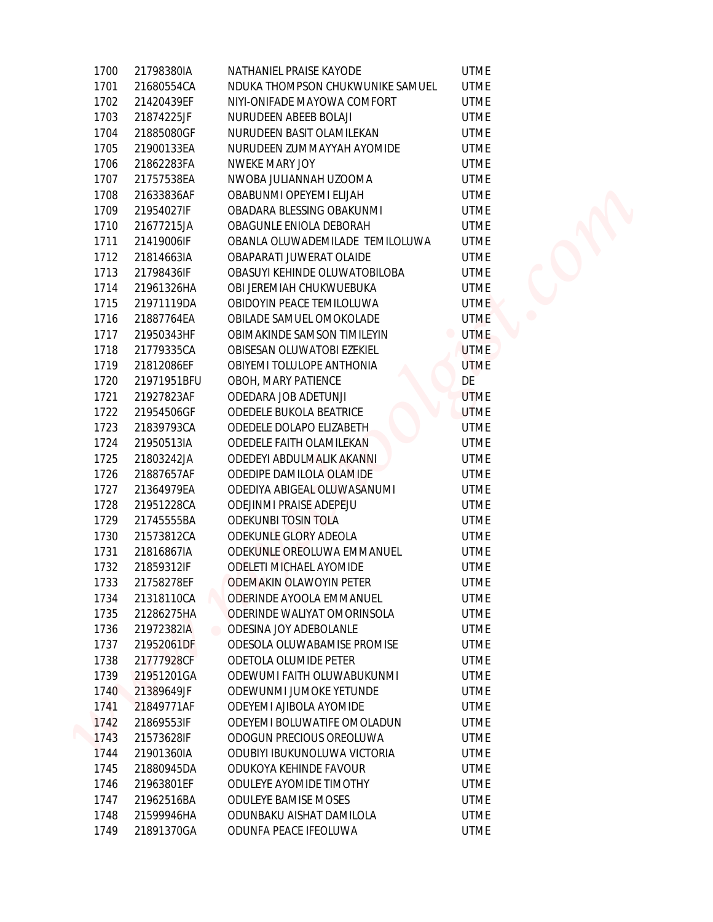| 1700 | 21798380IA  | NATHANIEL PRAISE KAYODE              | <b>UTME</b> |
|------|-------------|--------------------------------------|-------------|
| 1701 | 21680554CA  | NDUKA THOMPSON CHUKWUNIKE SAMUEL     | <b>UTME</b> |
| 1702 | 21420439EF  | NIYI-ONIFADE MAYOWA COMFORT          | <b>UTME</b> |
| 1703 | 21874225JF  | NURUDEEN ABEEB BOLAJI                | <b>UTME</b> |
| 1704 | 21885080GF  | NURUDEEN BASIT OLAMILEKAN            | <b>UTME</b> |
| 1705 | 21900133EA  | NURUDEEN ZUMMAYYAH AYOMIDE           | <b>UTME</b> |
| 1706 | 21862283FA  | NWEKE MARY JOY                       | <b>UTME</b> |
| 1707 | 21757538EA  | NWOBA JULIANNAH UZOOMA               | <b>UTME</b> |
| 1708 | 21633836AF  | OBABUNMI OPEYEMI ELIJAH              | <b>UTME</b> |
| 1709 | 21954027IF  | OBADARA BLESSING OBAKUNMI            | <b>UTME</b> |
| 1710 | 21677215JA  | OBAGUNLE ENIOLA DEBORAH              | <b>UTME</b> |
| 1711 | 21419006IF  | OBANLA OLUWADEMILADE TEMILOLUWA      | <b>UTME</b> |
| 1712 | 21814663IA  | OBAPARATI JUWERAT OLAIDE             | <b>UTME</b> |
| 1713 | 21798436IF  | OBASUYI KEHINDE OLUWATOBILOBA        | <b>UTME</b> |
| 1714 | 21961326HA  | OBI JEREMIAH CHUKWUEBUKA             | <b>UTME</b> |
| 1715 | 21971119DA  | OBIDOYIN PEACE TEMILOLUWA            | <b>UTME</b> |
| 1716 | 21887764EA  | OBILADE SAMUEL OMOKOLADE             | <b>UTME</b> |
| 1717 | 21950343HF  | OBIMAKINDE SAMSON TIMILEYIN          | <b>UTME</b> |
| 1718 | 21779335CA  | OBISESAN OLUWATOBI EZEKIEL           | <b>UTME</b> |
| 1719 | 21812086EF  | OBIYEMI TOLULOPE ANTHONIA            | <b>UTME</b> |
| 1720 | 21971951BFU | OBOH, MARY PATIENCE                  | DE          |
| 1721 | 21927823AF  | ODEDARA JOB ADETUNJI                 | <b>UTME</b> |
| 1722 | 21954506GF  | ODEDELE BUKOLA BEATRICE              | <b>UTME</b> |
| 1723 | 21839793CA  | ODEDELE DOLAPO ELIZABETH             | <b>UTME</b> |
| 1724 | 21950513IA  | ODEDELE FAITH OLAMILEKAN             | <b>UTME</b> |
| 1725 | 21803242JA  | ODEDEYI ABDULMALIK AKANNI            | <b>UTME</b> |
| 1726 | 21887657AF  | ODEDIPE DAMILOLA OLAMIDE             | <b>UTME</b> |
| 1727 | 21364979EA  | ODEDIYA ABIGEAL OLUWASANUMI          | <b>UTME</b> |
| 1728 | 21951228CA  | ODEJINMI PRAISE ADEPEJU              | <b>UTME</b> |
| 1729 | 21745555BA  | ODEKUNBI TOSIN TOLA                  | <b>UTME</b> |
| 1730 | 21573812CA  | ODEKUNLE GLORY ADEOLA                | <b>UTME</b> |
| 1731 | 21816867IA  | ODEKUNLE OREOLUWA EMMANUEL           | <b>UTME</b> |
| 1732 | 21859312IF  | <b>ODELETI MICHAEL AYOMIDE</b>       | <b>UTME</b> |
| 1733 | 21758278EF  | <b>ODEMAKIN OLAWOYIN PETER</b>       | <b>UTME</b> |
| 1734 | 21318110CA  | ODERINDE AYOOLA EMMANUEL             | <b>UTME</b> |
| 1735 | 21286275HA  | ODERINDE WALIYAT OMORINSOLA          | <b>UTME</b> |
| 1736 | 21972382IA  | ODESINA JOY ADEBOLANLE<br>$\bigcirc$ | <b>UTME</b> |
| 1737 | 21952061DF  | ODESOLA OLUWABAMISE PROMISE          | <b>UTME</b> |
| 1738 | 21777928CF  | ODETOLA OLUMIDE PETER                | <b>UTME</b> |
| 1739 | 21951201GA  | ODEWUMI FAITH OLUWABUKUNMI           | <b>UTME</b> |
| 1740 | 21389649JF  | ODEWUNMI JUMOKE YETUNDE              | <b>UTME</b> |
| 1741 | 21849771AF  | ODEYEMI AJIBOLA AYOMIDE              | <b>UTME</b> |
| 1742 | 21869553IF  | ODEYEMI BOLUWATIFE OMOLADUN          | <b>UTME</b> |
| 1743 | 21573628IF  | ODOGUN PRECIOUS OREOLUWA             | <b>UTME</b> |
| 1744 | 21901360IA  | ODUBIYI IBUKUNOLUWA VICTORIA         | <b>UTME</b> |
| 1745 | 21880945DA  | ODUKOYA KEHINDE FAVOUR               | <b>UTME</b> |
| 1746 | 21963801EF  | ODULEYE AYOMIDE TIMOTHY              | <b>UTME</b> |
| 1747 | 21962516BA  | ODULEYE BAMISE MOSES                 | <b>UTME</b> |
| 1748 | 21599946HA  | ODUNBAKU AISHAT DAMILOLA             | <b>UTME</b> |
| 1749 | 21891370GA  | ODUNFA PEACE IFEOLUWA                | <b>UTME</b> |
|      |             |                                      |             |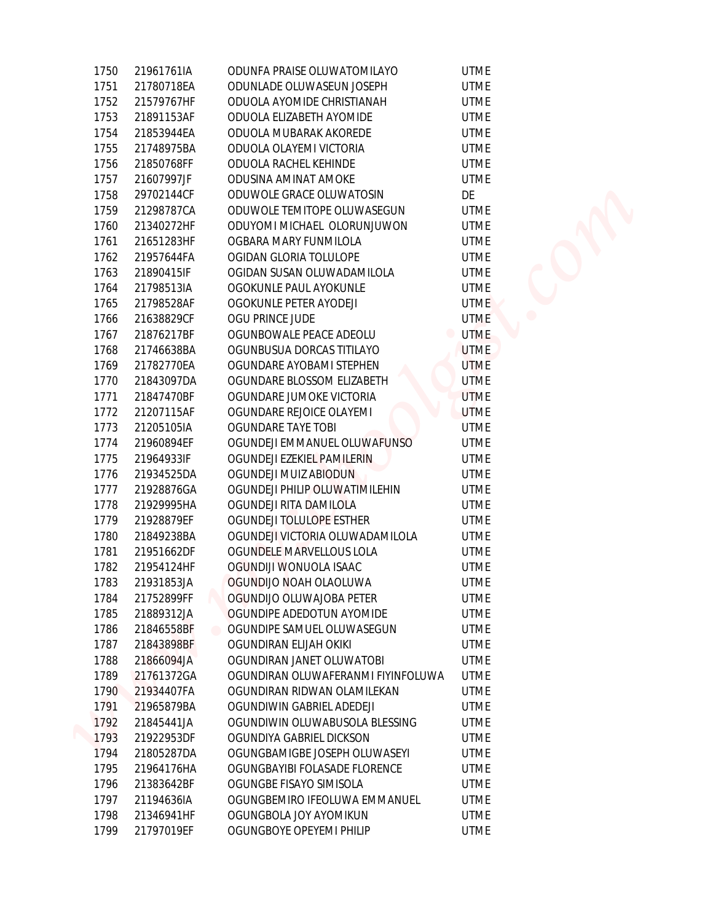| 1750 | 21961761IA | ODUNFA PRAISE OLUWATOMILAYO        | <b>UTME</b>                   |
|------|------------|------------------------------------|-------------------------------|
| 1751 | 21780718EA | ODUNLADE OLUWASEUN JOSEPH          | <b>UTME</b>                   |
| 1752 | 21579767HF | ODUOLA AYOMIDE CHRISTIANAH         | <b>UTME</b>                   |
| 1753 | 21891153AF | ODUOLA ELIZABETH AYOMIDE           | <b>UTME</b>                   |
| 1754 | 21853944EA | ODUOLA MUBARAK AKOREDE             | <b>UTME</b>                   |
| 1755 | 21748975BA | ODUOLA OLAYEMI VICTORIA            | <b>UTME</b>                   |
| 1756 | 21850768FF | ODUOLA RACHEL KEHINDE              | <b>UTME</b>                   |
| 1757 | 21607997JF | ODUSINA AMINAT AMOKE               | <b>UTME</b>                   |
| 1758 | 29702144CF | ODUWOLE GRACE OLUWATOSIN           | DE                            |
| 1759 | 21298787CA | ODUWOLE TEMITOPE OLUWASEGUN        | <b>UTME</b>                   |
|      |            |                                    |                               |
| 1760 | 21340272HF | ODUYOMI MICHAEL OLORUNJUWON        | <b>UTME</b>                   |
| 1761 | 21651283HF | OGBARA MARY FUNMILOLA              | <b>UTME</b>                   |
| 1762 | 21957644FA | OGIDAN GLORIA TOLULOPE             | <b>UTME</b>                   |
| 1763 | 21890415IF | OGIDAN SUSAN OLUWADAMILOLA         | <b>UTME</b>                   |
| 1764 | 21798513IA | OGOKUNLE PAUL AYOKUNLE             | <b>UTME</b>                   |
| 1765 | 21798528AF | OGOKUNLE PETER AYODEJI             | <b>UTME</b>                   |
| 1766 | 21638829CF | OGU PRINCE JUDE                    | <b>UTME</b>                   |
| 1767 | 21876217BF | OGUNBOWALE PEACE ADEOLU            | <b>UTME</b><br>$\blacksquare$ |
| 1768 | 21746638BA | OGUNBUSUA DORCAS TITILAYO          | <b>UTME</b>                   |
| 1769 | 21782770EA | OGUNDARE AYOBAMI STEPHEN           | <b>UTME</b>                   |
| 1770 | 21843097DA | OGUNDARE BLOSSOM ELIZABETH         | <b>UTME</b>                   |
| 1771 | 21847470BF | OGUNDARE JUMOKE VICTORIA           | <b>UTME</b>                   |
| 1772 | 21207115AF | OGUNDARE REJOICE OLAYEMI           | <b>UTME</b>                   |
| 1773 | 21205105IA | <b>OGUNDARE TAYE TOBI</b>          | <b>UTME</b>                   |
| 1774 | 21960894EF | OGUNDEJI EMMANUEL OLUWAFUNSO       | <b>UTME</b>                   |
| 1775 | 21964933IF | OGUNDEJI EZEKIEL PAMILERIN         | <b>UTME</b>                   |
| 1776 | 21934525DA | OGUNDEJI MUIZ ABIODUN              | <b>UTME</b>                   |
| 1777 | 21928876GA | OGUNDEJI PHILIP OLUWATIMILEHIN     | <b>UTME</b>                   |
| 1778 | 21929995HA | OGUNDEJI RITA DAMILOLA             | <b>UTME</b>                   |
| 1779 | 21928879EF | OGUNDEJI TOLULOPE ESTHER           | <b>UTME</b>                   |
| 1780 | 21849238BA | OGUNDEJI VICTORIA OLUWADAMILOLA    | <b>UTME</b>                   |
| 1781 | 21951662DF | OGUNDELE MARVELLOUS LOLA           | <b>UTME</b>                   |
| 1782 | 21954124HF | OGUNDIJI WONUOLA ISAAC             | <b>UTME</b>                   |
| 1783 | 21931853JA | OGUNDIJO NOAH OLAOLUWA             | <b>UTME</b>                   |
| 1784 | 21752899FF | OGUNDIJO OLUWAJOBA PETER           | <b>UTME</b>                   |
| 1785 | 21889312JA | OGUNDIPE ADEDOTUN AYOMIDE          | <b>UTME</b>                   |
| 1786 | 21846558BF | OGUNDIPE SAMUEL OLUWASEGUN         | UTME                          |
| 1787 | 21843898BF | OGUNDIRAN ELIJAH OKIKI             | <b>UTME</b>                   |
| 1788 | 21866094JA | OGUNDIRAN JANET OLUWATOBI          | <b>UTME</b>                   |
| 1789 | 21761372GA | OGUNDIRAN OLUWAFERANMI FIYINFOLUWA | <b>UTME</b>                   |
| 1790 | 21934407FA | OGUNDIRAN RIDWAN OLAMILEKAN        | <b>UTME</b>                   |
| 1791 | 21965879BA | OGUNDIWIN GABRIEL ADEDEJI          | <b>UTME</b>                   |
| 1792 | 21845441JA | OGUNDIWIN OLUWABUSOLA BLESSING     | <b>UTME</b>                   |
| 1793 | 21922953DF | OGUNDIYA GABRIEL DICKSON           | <b>UTME</b>                   |
| 1794 | 21805287DA | OGUNGBAMIGBE JOSEPH OLUWASEYI      | <b>UTME</b>                   |
| 1795 | 21964176HA | OGUNGBAYIBI FOLASADE FLORENCE      | UTME                          |
| 1796 | 21383642BF | OGUNGBE FISAYO SIMISOLA            | <b>UTME</b>                   |
| 1797 | 21194636IA | OGUNGBEMIRO IFEOLUWA EMMANUEL      | <b>UTME</b>                   |
| 1798 | 21346941HF | OGUNGBOLA JOY AYOMIKUN             | <b>UTME</b>                   |
| 1799 | 21797019EF | OGUNGBOYE OPEYEMI PHILIP           | <b>UTME</b>                   |
|      |            |                                    |                               |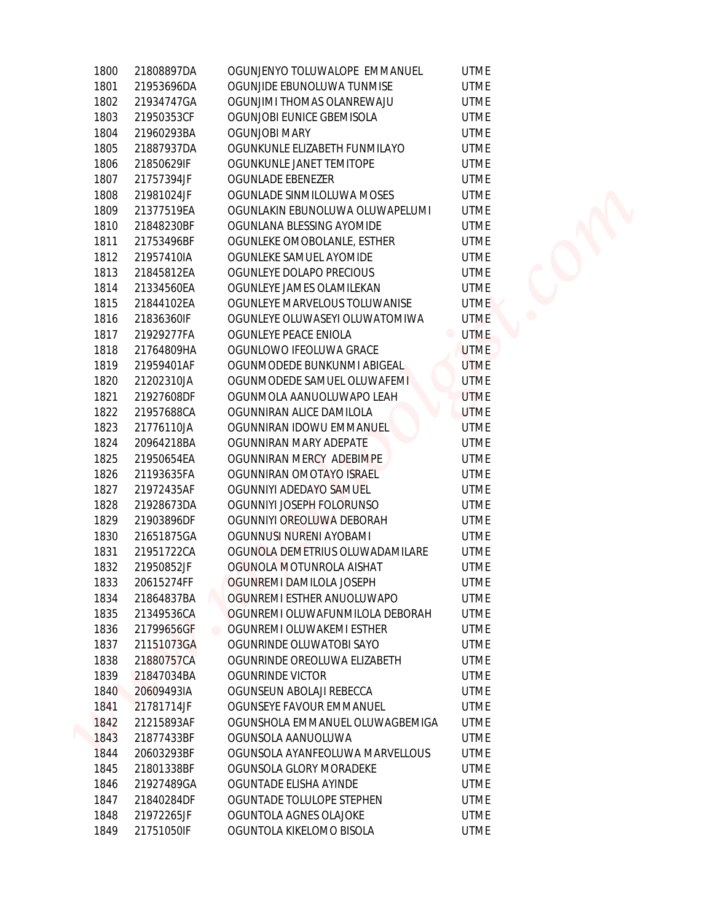| 1800 | 21808897DA | OGUNJENYO TOLUWALOPE EMMANUEL   | <b>UTME</b>                   |
|------|------------|---------------------------------|-------------------------------|
| 1801 | 21953696DA | OGUNJIDE EBUNOLUWA TUNMISE      | <b>UTME</b>                   |
| 1802 | 21934747GA | OGUNJIMI THOMAS OLANREWAJU      | <b>UTME</b>                   |
| 1803 | 21950353CF | OGUNJOBI EUNICE GBEMISOLA       | <b>UTME</b>                   |
| 1804 | 21960293BA | OGUNJOBI MARY                   | <b>UTME</b>                   |
| 1805 | 21887937DA | OGUNKUNLE ELIZABETH FUNMILAYO   | <b>UTME</b>                   |
| 1806 | 21850629IF | OGUNKUNLE JANET TEMITOPE        | <b>UTME</b>                   |
| 1807 | 21757394JF | OGUNLADE EBENEZER               | <b>UTME</b>                   |
| 1808 | 21981024JF | OGUNLADE SINMILOLUWA MOSES      | <b>UTME</b>                   |
| 1809 | 21377519EA | OGUNLAKIN EBUNOLUWA OLUWAPELUMI | <b>UTME</b>                   |
| 1810 | 21848230BF | OGUNLANA BLESSING AYOMIDE       | <b>UTME</b>                   |
| 1811 | 21753496BF | OGUNLEKE OMOBOLANLE, ESTHER     | <b>UTME</b>                   |
| 1812 | 21957410IA | OGUNLEKE SAMUEL AYOMIDE         | <b>UTME</b>                   |
| 1813 | 21845812EA | OGUNLEYE DOLAPO PRECIOUS        | <b>UTME</b>                   |
| 1814 | 21334560EA | OGUNLEYE JAMES OLAMILEKAN       | <b>UTME</b>                   |
| 1815 | 21844102EA | OGUNLEYE MARVELOUS TOLUWANISE   | <b>UTME</b>                   |
| 1816 | 21836360IF | OGUNLEYE OLUWASEYI OLUWATOMIWA  | <b>UTME</b>                   |
| 1817 | 21929277FA | OGUNLEYE PEACE ENIOLA           | <b>UTME</b><br>$\blacksquare$ |
| 1818 | 21764809HA | OGUNLOWO IFEOLUWA GRACE         | <b>UTME</b>                   |
| 1819 | 21959401AF | OGUNMODEDE BUNKUNMI ABIGEAL     | <b>UTME</b>                   |
| 1820 | 21202310JA | OGUNMODEDE SAMUEL OLUWAFEMI     | <b>UTME</b>                   |
| 1821 | 21927608DF | OGUNMOLA AANUOLUWAPO LEAH       | <b>UTME</b>                   |
| 1822 | 21957688CA | OGUNNIRAN ALICE DAMILOLA        | <b>UTME</b>                   |
| 1823 | 21776110JA | OGUNNIRAN IDOWU EMMANUEL        | <b>UTME</b>                   |
| 1824 | 20964218BA | OGUNNIRAN MARY ADEPATE          | <b>UTME</b>                   |
| 1825 | 21950654EA | OGUNNIRAN MERCY ADEBIMPE        | <b>UTME</b>                   |
| 1826 | 21193635FA | OGUNNIRAN OMOTAYO ISRAEL        | <b>UTME</b>                   |
| 1827 | 21972435AF | OGUNNIYI ADEDAYO SAMUEL         | <b>UTME</b>                   |
| 1828 | 21928673DA | OGUNNIYI JOSEPH FOLORUNSO       | <b>UTME</b>                   |
| 1829 | 21903896DF | OGUNNIYI OREOLUWA DEBORAH       | <b>UTME</b>                   |
| 1830 | 21651875GA | OGUNNUSI NURENI AYOBAMI         | <b>UTME</b>                   |
| 1831 | 21951722CA | OGUNOLA DEMETRIUS OLUWADAMILARE | <b>UTME</b>                   |
| 1832 | 21950852JF | OGUNOLA MOTUNROLA AISHAT        | <b>UTME</b>                   |
| 1833 | 20615274FF | OGUNREMI DAMILOLA JOSEPH        | <b>UTME</b>                   |
| 1834 | 21864837BA | OGUNREMI ESTHER ANUOLUWAPO      | <b>UTME</b>                   |
| 1835 | 21349536CA | OGUNREMI OLUWAFUNMILOLA DEBORAH | <b>UTME</b>                   |
| 1836 | 21799656GF | OGUNREMI OLUWAKEMI ESTHER       | <b>UTME</b>                   |
| 1837 | 21151073GA | OGUNRINDE OLUWATOBI SAYO        | <b>UTME</b>                   |
| 1838 | 21880757CA | OGUNRINDE OREOLUWA ELIZABETH    | <b>UTME</b>                   |
| 1839 | 21847034BA | OGUNRINDE VICTOR                | <b>UTME</b>                   |
| 1840 | 20609493IA | OGUNSEUN ABOLAJI REBECCA        | <b>UTME</b>                   |
| 1841 | 21781714JF | OGUNSEYE FAVOUR EMMANUEL        | <b>UTME</b>                   |
| 1842 | 21215893AF | OGUNSHOLA EMMANUEL OLUWAGBEMIGA | <b>UTME</b>                   |
| 1843 | 21877433BF | OGUNSOLA AANUOLUWA              | <b>UTME</b>                   |
| 1844 | 20603293BF | OGUNSOLA AYANFEOLUWA MARVELLOUS | <b>UTME</b>                   |
| 1845 | 21801338BF | OGUNSOLA GLORY MORADEKE         | UTME                          |
| 1846 | 21927489GA | OGUNTADE ELISHA AYINDE          | <b>UTME</b>                   |
| 1847 | 21840284DF | OGUNTADE TOLULOPE STEPHEN       | UTME                          |
| 1848 | 21972265JF | OGUNTOLA AGNES OLAJOKE          | <b>UTME</b>                   |
| 1849 | 21751050IF | OGUNTOLA KIKELOMO BISOLA        | <b>UTME</b>                   |
|      |            |                                 |                               |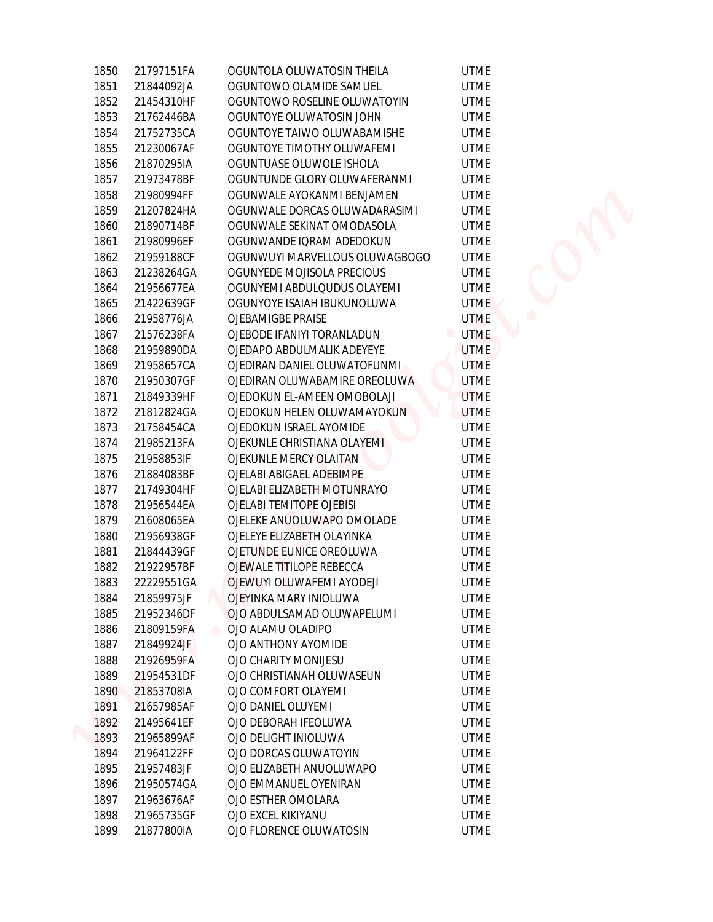| 1850         | 21797151FA               | OGUNTOLA OLUWATOSIN THEILA                    | <b>UTME</b>                |
|--------------|--------------------------|-----------------------------------------------|----------------------------|
| 1851         | 21844092JA               | OGUNTOWO OLAMIDE SAMUEL                       | <b>UTME</b>                |
| 1852         | 21454310HF               | OGUNTOWO ROSELINE OLUWATOYIN                  | <b>UTME</b>                |
| 1853         | 21762446BA               | OGUNTOYE OLUWATOSIN JOHN                      | <b>UTME</b>                |
| 1854         | 21752735CA               | OGUNTOYE TAIWO OLUWABAMISHE                   | <b>UTME</b>                |
| 1855         | 21230067AF               | OGUNTOYE TIMOTHY OLUWAFEMI                    | <b>UTME</b>                |
| 1856         | 21870295IA               | OGUNTUASE OLUWOLE ISHOLA                      | <b>UTME</b>                |
| 1857         |                          | OGUNTUNDE GLORY OLUWAFERANMI                  | <b>UTME</b>                |
|              | 21973478BF               |                                               |                            |
| 1858         | 21980994FF               | OGUNWALE AYOKANMI BENJAMEN                    | <b>UTME</b>                |
| 1859         | 21207824HA               | OGUNWALE DORCAS OLUWADARASIMI                 | <b>UTME</b>                |
| 1860         | 21890714BF               | OGUNWALE SEKINAT OMODASOLA                    | <b>UTME</b>                |
| 1861         | 21980996EF               | OGUNWANDE IQRAM ADEDOKUN                      | <b>UTME</b>                |
| 1862         | 21959188CF               | OGUNWUYI MARVELLOUS OLUWAGBOGO                | <b>UTME</b>                |
| 1863         | 21238264GA               | OGUNYEDE MOJISOLA PRECIOUS                    | <b>UTME</b>                |
| 1864         | 21956677EA               | OGUNYEMI ABDULQUDUS OLAYEMI                   | <b>UTME</b>                |
| 1865         | 21422639GF               | OGUNYOYE ISAIAH IBUKUNOLUWA                   | <b>UTME</b>                |
| 1866         | 21958776JA               | OJEBAMIGBE PRAISE                             | <b>UTME</b>                |
| 1867         | 21576238FA               | OJEBODE IFANIYI TORANLADUN                    | <b>UTME</b><br>۰           |
| 1868         | 21959890DA               | OJEDAPO ABDULMALIK ADEYEYE                    | <b>UTME</b>                |
| 1869         | 21958657CA               | OJEDIRAN DANIEL OLUWATOFUNMI.                 | <b>UTME</b>                |
| 1870         | 21950307GF               | OJEDIRAN OLUWABAMIRE OREOLUWA                 | <b>UTME</b>                |
| 1871         | 21849339HF               | OJEDOKUN EL-AMEEN OMOBOLAJI                   | <b>UTME</b>                |
| 1872         | 21812824GA               | OJEDOKUN HELEN OLUWAMAYOKUN                   | <b>UTME</b>                |
| 1873         | 21758454CA               | OJEDOKUN ISRAEL AYOMIDE                       | <b>UTME</b>                |
| 1874         | 21985213FA               | OJEKUNLE CHRISTIANA OLAYEMI                   | <b>UTME</b>                |
| 1875         | 21958853IF               | OJEKUNLE MERCY OLAITAN                        | <b>UTME</b>                |
| 1876         | 21884083BF               | OJELABI ABIGAEL ADEBIMPE                      | <b>UTME</b>                |
| 1877         | 21749304HF               | OJELABI ELIZABETH MOTUNRAYO                   | <b>UTME</b>                |
| 1878         | 21956544EA               | OJELABI TEMITOPE OJEBISI                      | <b>UTME</b>                |
| 1879         | 21608065EA               | OJELEKE ANUOLUWAPO OMOLADE                    | <b>UTME</b>                |
| 1880         | 21956938GF               | OJELEYE ELIZABETH OLAYINKA                    | <b>UTME</b>                |
| 1881         | 21844439GF               | OJETUNDE EUNICE OREOLUWA                      | <b>UTME</b>                |
| 1882         | 21922957BF               | OJEWALE TITILOPE REBECCA                      | <b>UTME</b>                |
| 1883         | 22229551GA               | OJEWUYI OLUWAFEMI AYODEJI                     | <b>UTME</b>                |
| 1884         | 21859975JF               | OJEYINKA MARY INIOLUWA                        | <b>UTME</b>                |
| 1885         | 21952346DF               | OJO ABDULSAMAD OLUWAPELUMI                    | <b>UTME</b>                |
| 1886         | 21809159FA               | OJO ALAMU OLADIPO                             | <b>UTME</b>                |
| 1887         | 21849924JF               | OJO ANTHONY AYOMIDE                           | <b>UTME</b>                |
| 1888         | 21926959FA               | OJO CHARITY MONIJESU                          | <b>UTME</b>                |
| 1889         | 21954531DF               | OJO CHRISTIANAH OLUWASEUN                     | <b>UTME</b>                |
| 1890         | 21853708IA               | OJO COMFORT OLAYEMI                           | <b>UTME</b>                |
| 1891         | 21657985AF               | OJO DANIEL OLUYEMI                            | <b>UTME</b>                |
| 1892         | 21495641EF               | OJO DEBORAH IFEOLUWA                          | <b>UTME</b>                |
| 1893         | 21965899AF               | OJO DELIGHT INIOLUWA                          | <b>UTME</b>                |
| 1894         | 21964122FF               | OJO DORCAS OLUWATOYIN                         | <b>UTME</b>                |
|              |                          |                                               |                            |
| 1895         | 21957483JF               | OJO ELIZABETH ANUOLUWAPO                      | <b>UTME</b>                |
| 1896         | 21950574GA               | OJO EMMANUEL OYENIRAN                         | <b>UTME</b>                |
| 1897         | 21963676AF               | OJO ESTHER OMOLARA                            | <b>UTME</b>                |
| 1898<br>1899 | 21965735GF<br>21877800IA | OJO EXCEL KIKIYANU<br>OJO FLORENCE OLUWATOSIN | <b>UTME</b><br><b>UTME</b> |
|              |                          |                                               |                            |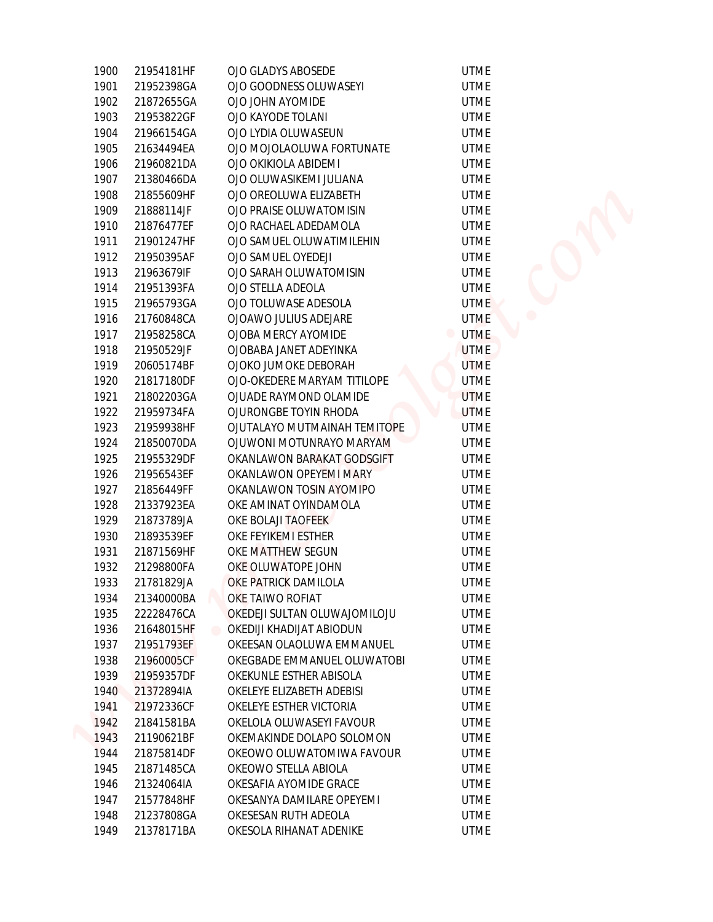| 1900 | 21954181HF | OJO GLADYS ABOSEDE                    | <b>UTME</b> |  |
|------|------------|---------------------------------------|-------------|--|
| 1901 | 21952398GA | OJO GOODNESS OLUWASEYI                | <b>UTME</b> |  |
| 1902 | 21872655GA | OJO JOHN AYOMIDE                      | <b>UTME</b> |  |
| 1903 | 21953822GF | OJO KAYODE TOLANI                     | <b>UTME</b> |  |
| 1904 | 21966154GA | OJO LYDIA OLUWASEUN                   | <b>UTME</b> |  |
| 1905 | 21634494EA | OJO MOJOLAOLUWA FORTUNATE             | <b>UTME</b> |  |
| 1906 | 21960821DA | OJO OKIKIOLA ABIDEMI                  | <b>UTME</b> |  |
| 1907 | 21380466DA | OJO OLUWASIKEMI JULIANA               | <b>UTME</b> |  |
| 1908 | 21855609HF | OJO OREOLUWA ELIZABETH                | <b>UTME</b> |  |
| 1909 | 21888114JF | OJO PRAISE OLUWATOMISIN               | <b>UTME</b> |  |
| 1910 | 21876477EF | OJO RACHAEL ADEDAMOLA                 | <b>UTME</b> |  |
| 1911 | 21901247HF | OJO SAMUEL OLUWATIMILEHIN             | <b>UTME</b> |  |
| 1912 | 21950395AF | OJO SAMUEL OYEDEJI                    | <b>UTME</b> |  |
| 1913 | 21963679IF | OJO SARAH OLUWATOMISIN                | <b>UTME</b> |  |
| 1914 | 21951393FA | OJO STELLA ADEOLA                     | <b>UTME</b> |  |
| 1915 | 21965793GA | OJO TOLUWASE ADESOLA                  | <b>UTME</b> |  |
| 1916 | 21760848CA | OJOAWO JULIUS ADEJARE                 | <b>UTME</b> |  |
| 1917 | 21958258CA | OJOBA MERCY AYOMIDE                   | <b>UTME</b> |  |
| 1918 | 21950529JF | OJOBABA JANET ADEYINKA                | <b>UTME</b> |  |
| 1919 | 20605174BF | OJOKO JUMOKE DEBORAH                  | <b>UTME</b> |  |
| 1920 | 21817180DF | OJO-OKEDERE MARYAM TITILOPE           | <b>UTME</b> |  |
| 1921 | 21802203GA | OJUADE RAYMOND OLAMIDE                | <b>UTME</b> |  |
| 1922 | 21959734FA | OJURONGBE TOYIN RHODA                 | <b>UTME</b> |  |
| 1923 | 21959938HF | OJUTALAYO MUTMAINAH TEMITOPE          | <b>UTME</b> |  |
| 1924 | 21850070DA | OJUWONI MOTUNRAYO MARYAM              | <b>UTME</b> |  |
| 1925 | 21955329DF | OKANLAWON BARAKAT GODSGIFT            | <b>UTME</b> |  |
| 1926 | 21956543EF | OKANLAWON OPEYEMI MARY                | <b>UTME</b> |  |
| 1927 | 21856449FF | OKANLAWON TOSIN AYOMIPO               | <b>UTME</b> |  |
| 1928 | 21337923EA | OKE AMINAT OYINDAMOLA                 | <b>UTME</b> |  |
| 1929 | 21873789JA | OKE BOLAJI TAOFEEK                    | <b>UTME</b> |  |
| 1930 | 21893539EF | OKE FEYIKEMI ESTHER                   | <b>UTME</b> |  |
| 1931 | 21871569HF | OKE MATTHEW SEGUN                     | <b>UTME</b> |  |
| 1932 | 21298800FA | OKE OLUWATOPE JOHN                    | <b>UTME</b> |  |
| 1933 | 21781829JA | OKE PATRICK DAMILOLA                  | <b>UTME</b> |  |
| 1934 | 21340000BA | OKE TAIWO ROFIAT                      | <b>UTME</b> |  |
| 1935 | 22228476CA | OKEDEJI SULTAN OLUWAJOMILOJU          | <b>UTME</b> |  |
| 1936 | 21648015HF | OKEDIJI KHADIJAT ABIODUN<br>$\bullet$ | <b>UTME</b> |  |
| 1937 | 21951793EF | OKEESAN OLAOLUWA EMMANUEL             | <b>UTME</b> |  |
| 1938 | 21960005CF | OKEGBADE EMMANUEL OLUWATOBI           | <b>UTME</b> |  |
| 1939 | 21959357DF | OKEKUNLE ESTHER ABISOLA               | <b>UTME</b> |  |
| 1940 | 21372894IA | OKELEYE ELIZABETH ADEBISI             | <b>UTME</b> |  |
| 1941 | 21972336CF | OKELEYE ESTHER VICTORIA               | <b>UTME</b> |  |
| 1942 | 21841581BA | OKELOLA OLUWASEYI FAVOUR              | <b>UTME</b> |  |
| 1943 | 21190621BF | OKEMAKINDE DOLAPO SOLOMON             | <b>UTME</b> |  |
| 1944 | 21875814DF | OKEOWO OLUWATOMIWA FAVOUR             | <b>UTME</b> |  |
| 1945 | 21871485CA | OKEOWO STELLA ABIOLA                  | <b>UTME</b> |  |
| 1946 | 21324064IA | OKESAFIA AYOMIDE GRACE                | <b>UTME</b> |  |
| 1947 | 21577848HF | OKESANYA DAMILARE OPEYEMI             | <b>UTME</b> |  |
| 1948 | 21237808GA | OKESESAN RUTH ADEOLA                  | <b>UTME</b> |  |
| 1949 | 21378171BA | OKESOLA RIHANAT ADENIKE               | <b>UTME</b> |  |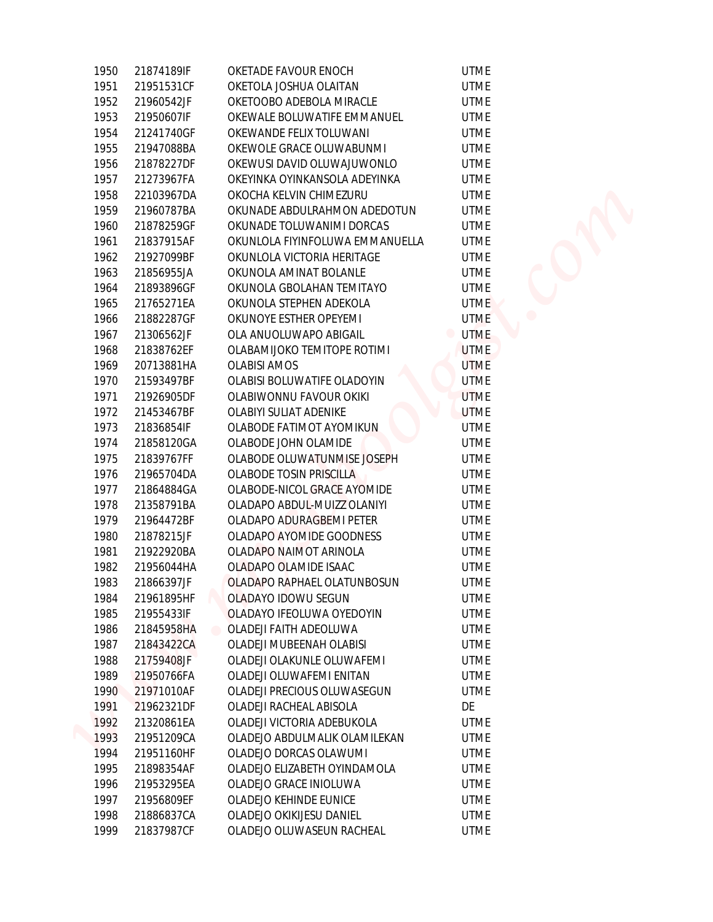| 1950 | 21874189IF | OKETADE FAVOUR ENOCH                | <b>UTME</b> |
|------|------------|-------------------------------------|-------------|
| 1951 | 21951531CF | OKETOLA JOSHUA OLAITAN              | <b>UTME</b> |
| 1952 | 21960542JF | OKETOOBO ADEBOLA MIRACLE            | <b>UTME</b> |
| 1953 | 21950607IF | OKEWALE BOLUWATIFE EMMANUEL         | <b>UTME</b> |
| 1954 | 21241740GF | OKEWANDE FELIX TOLUWANI             | <b>UTME</b> |
| 1955 | 21947088BA | OKEWOLE GRACE OLUWABUNMI            | <b>UTME</b> |
| 1956 | 21878227DF | OKEWUSI DAVID OLUWAJUWONLO          | <b>UTME</b> |
| 1957 | 21273967FA | OKEYINKA OYINKANSOLA ADEYINKA       | <b>UTME</b> |
| 1958 | 22103967DA | OKOCHA KELVIN CHIMEZURU             | <b>UTME</b> |
| 1959 | 21960787BA | OKUNADE ABDULRAHMON ADEDOTUN        | <b>UTME</b> |
| 1960 | 21878259GF | OKUNADE TOLUWANIMI DORCAS           | <b>UTME</b> |
| 1961 | 21837915AF | OKUNLOLA FIYINFOLUWA EMMANUELLA     | <b>UTME</b> |
| 1962 | 21927099BF | OKUNLOLA VICTORIA HERITAGE          | <b>UTME</b> |
| 1963 | 21856955JA | OKUNOLA AMINAT BOLANLE              | <b>UTME</b> |
| 1964 | 21893896GF | OKUNOLA GBOLAHAN TEMITAYO           | <b>UTME</b> |
| 1965 | 21765271EA | OKUNOLA STEPHEN ADEKOLA             | <b>UTME</b> |
| 1966 | 21882287GF | OKUNOYE ESTHER OPEYEMI              | <b>UTME</b> |
| 1967 | 21306562JF | OLA ANUOLUWAPO ABIGAIL              | <b>UTME</b> |
| 1968 | 21838762EF | OLABAMIJOKO TEMITOPE ROTIMI         | <b>UTME</b> |
| 1969 | 20713881HA | <b>OLABISI AMOS</b>                 | <b>UTME</b> |
| 1970 | 21593497BF | OLABISI BOLUWATIFE OLADOYIN         | <b>UTME</b> |
| 1971 | 21926905DF | OLABIWONNU FAVOUR OKIKI             | <b>UTME</b> |
| 1972 | 21453467BF | OLABIYI SULIAT ADENIKE              | <b>UTME</b> |
| 1973 | 21836854IF | OLABODE FATIMOT AYOMIKUN            | <b>UTME</b> |
| 1974 | 21858120GA | OLABODE JOHN OLAMIDE                | <b>UTME</b> |
| 1975 | 21839767FF | OLABODE OLUWATUNMISE JOSEPH         | <b>UTME</b> |
| 1976 | 21965704DA | OLABODE TOSIN PRISCILLA             | <b>UTME</b> |
| 1977 | 21864884GA | OLABODE-NICOL GRACE AYOMIDE         | <b>UTME</b> |
| 1978 | 21358791BA | OLADAPO ABDUL-MUIZZ OLANIYI         | <b>UTME</b> |
| 1979 | 21964472BF | OLADAPO ADURAGBEMI PETER            | <b>UTME</b> |
| 1980 | 21878215JF | OLADAPO AYOMIDE GOODNESS            | <b>UTME</b> |
| 1981 | 21922920BA | OLADAPO NAIMOT ARINOLA              | <b>UTME</b> |
| 1982 | 21956044HA | OLADAPO OLAMIDE ISAAC               | <b>UTME</b> |
| 1983 | 21866397JF | OLADAPO RAPHAEL OLATUNBOSUN         | <b>UTME</b> |
| 1984 | 21961895HF | OLADAYO IDOWU SEGUN                 | UTME        |
| 1985 | 21955433IF | OLADAYO IFEOLUWA OYEDOYIN           | <b>UTME</b> |
| 1986 | 21845958HA | OLADEJI FAITH ADEOLUWA<br>$\bullet$ | <b>UTME</b> |
| 1987 | 21843422CA | OLADEJI MUBEENAH OLABISI            | <b>UTME</b> |
| 1988 | 21759408JF | OLADEJI OLAKUNLE OLUWAFEMI          | <b>UTME</b> |
| 1989 | 21950766FA | OLADEJI OLUWAFEMI ENITAN            | <b>UTME</b> |
| 1990 | 21971010AF | OLADEJI PRECIOUS OLUWASEGUN         | <b>UTME</b> |
| 1991 | 21962321DF | OLADEJI RACHEAL ABISOLA             | DE          |
| 1992 | 21320861EA | OLADEJI VICTORIA ADEBUKOLA          | <b>UTME</b> |
| 1993 | 21951209CA | OLADEJO ABDULMALIK OLAMILEKAN       | <b>UTME</b> |
| 1994 | 21951160HF | OLADEJO DORCAS OLAWUMI              | <b>UTME</b> |
| 1995 | 21898354AF | OLADEJO ELIZABETH OYINDAMOLA        | <b>UTME</b> |
| 1996 | 21953295EA | OLADEJO GRACE INIOLUWA              | <b>UTME</b> |
| 1997 | 21956809EF | OLADEJO KEHINDE EUNICE              | <b>UTME</b> |
| 1998 | 21886837CA | OLADEJO OKIKIJESU DANIEL            | <b>UTME</b> |
| 1999 | 21837987CF | OLADEJO OLUWASEUN RACHEAL           | UTME        |
|      |            |                                     |             |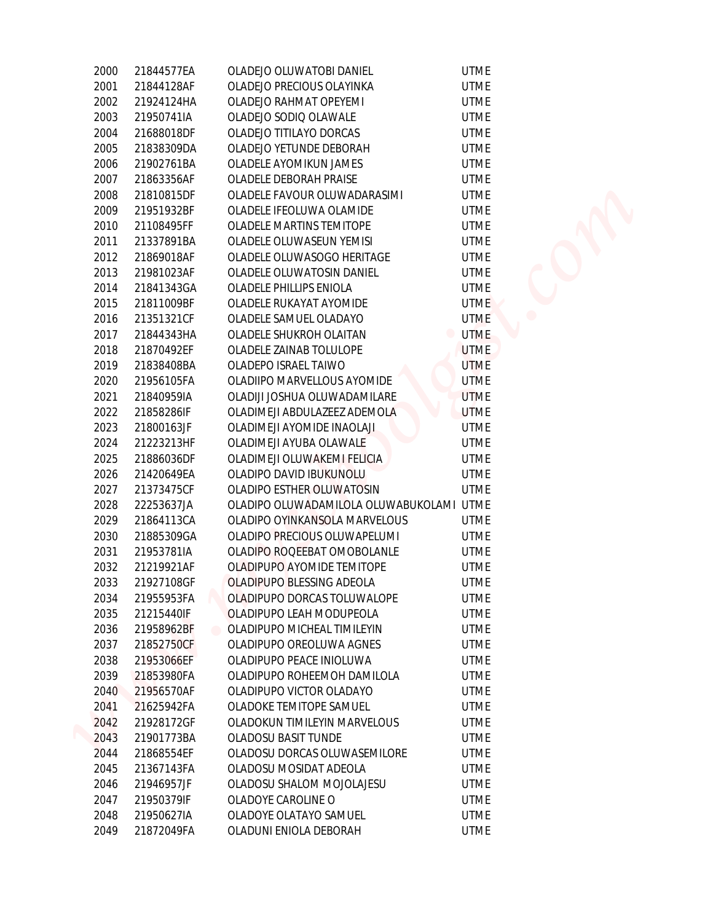| 2000 | 21844577EA | OLADEJO OLUWATOBI DANIEL                  | <b>UTME</b> |
|------|------------|-------------------------------------------|-------------|
| 2001 | 21844128AF | OLADEJO PRECIOUS OLAYINKA                 | <b>UTME</b> |
| 2002 | 21924124HA | OLADEJO RAHMAT OPEYEMI                    | <b>UTME</b> |
| 2003 | 21950741IA | OLADEJO SODIO OLAWALE                     | <b>UTME</b> |
| 2004 | 21688018DF | OLADEJO TITILAYO DORCAS                   | <b>UTME</b> |
| 2005 | 21838309DA | OLADEJO YETUNDE DEBORAH                   | <b>UTME</b> |
| 2006 | 21902761BA | OLADELE AYOMIKUN JAMES                    | <b>UTME</b> |
| 2007 | 21863356AF | OLADELE DEBORAH PRAISE                    | <b>UTME</b> |
| 2008 | 21810815DF | OLADELE FAVOUR OLUWADARASIMI              | <b>UTME</b> |
| 2009 | 21951932BF | OLADELE IFEOLUWA OLAMIDE                  | <b>UTME</b> |
| 2010 | 21108495FF | OLADELE MARTINS TEMITOPE                  | <b>UTME</b> |
| 2011 | 21337891BA | OLADELE OLUWASEUN YEMISI                  | <b>UTME</b> |
| 2012 | 21869018AF | OLADELE OLUWASOGO HERITAGE                | <b>UTME</b> |
| 2013 | 21981023AF | OLADELE OLUWATOSIN DANIEL                 | <b>UTME</b> |
| 2014 | 21841343GA | OLADELE PHILLIPS ENIOLA                   | <b>UTME</b> |
| 2015 | 21811009BF | OLADELE RUKAYAT AYOMIDE                   | <b>UTME</b> |
| 2016 | 21351321CF | OLADELE SAMUEL OLADAYO                    | <b>UTME</b> |
| 2017 | 21844343HA | OLADELE SHUKROH OLAITAN<br>$\blacksquare$ | <b>UTME</b> |
| 2018 | 21870492EF | OLADELE ZAINAB TOLULOPE                   | <b>UTME</b> |
| 2019 | 21838408BA | OLADEPO ISRAEL TAIWO                      | <b>UTME</b> |
| 2020 | 21956105FA | OLADIIPO MARVELLOUS AYOMIDE               | <b>UTME</b> |
| 2021 | 21840959IA | OLADIJI JOSHUA OLUWADAMILARE              | <b>UTME</b> |
| 2022 | 21858286IF | OLADIMEJI ABDULAZEEZ ADEMOLA              | <b>UTME</b> |
| 2023 | 21800163JF | OLADIMEJI AYOMIDE INAOLAJI                | <b>UTME</b> |
| 2024 | 21223213HF | OLADIMEJI AYUBA OLAWALE                   | <b>UTME</b> |
| 2025 | 21886036DF | OLADIMEJI OLUWAKEMI FELICIA               | <b>UTME</b> |
| 2026 | 21420649EA | OLADIPO DAVID IBUKUNOLU                   | <b>UTME</b> |
| 2027 | 21373475CF | OLADIPO ESTHER OLUWATOSIN                 | <b>UTME</b> |
| 2028 | 22253637JA | OLADIPO OLUWADAMILOLA OLUWABUKOLAMI UTME  |             |
| 2029 | 21864113CA | OLADIPO OYINKANSOLA MARVELOUS             | <b>UTME</b> |
| 2030 | 21885309GA | OLADIPO PRECIOUS OLUWAPELUMI              | <b>UTME</b> |
| 2031 | 21953781IA | OLADIPO ROQEEBAT OMOBOLANLE               | <b>UTME</b> |
| 2032 | 21219921AF | OLADIPUPO AYOMIDE TEMITOPE                | <b>UTME</b> |
| 2033 | 21927108GF | OLADIPUPO BLESSING ADEOLA                 | <b>UTME</b> |
| 2034 | 21955953FA | OLADIPUPO DORCAS TOLUWALOPE               | <b>UTME</b> |
| 2035 | 21215440IF | OLADIPUPO LEAH MODUPEOLA                  | <b>UTME</b> |
| 2036 | 21958962BF | OLADIPUPO MICHEAL TIMILEYIN               | <b>UTME</b> |
| 2037 | 21852750CF | OLADIPUPO OREOLUWA AGNES                  | <b>UTME</b> |
| 2038 | 21953066EF | OLADIPUPO PEACE INIOLUWA                  | <b>UTME</b> |
| 2039 | 21853980FA | OLADIPUPO ROHEEMOH DAMILOLA               | <b>UTME</b> |
| 2040 | 21956570AF | OLADIPUPO VICTOR OLADAYO                  | <b>UTME</b> |
| 2041 | 21625942FA | OLADOKE TEMITOPE SAMUEL                   | <b>UTME</b> |
| 2042 | 21928172GF | OLADOKUN TIMILEYIN MARVELOUS              | <b>UTME</b> |
| 2043 | 21901773BA | OLADOSU BASIT TUNDE                       | <b>UTME</b> |
| 2044 | 21868554EF | OLADOSU DORCAS OLUWASEMILORE              | <b>UTME</b> |
| 2045 | 21367143FA | OLADOSU MOSIDAT ADEOLA                    | <b>UTME</b> |
| 2046 | 21946957JF | OLADOSU SHALOM MOJOLAJESU                 | <b>UTME</b> |
| 2047 | 21950379IF | OLADOYE CAROLINE O                        | <b>UTME</b> |
| 2048 | 21950627IA | OLADOYE OLATAYO SAMUEL                    | <b>UTME</b> |
| 2049 | 21872049FA | OLADUNI ENIOLA DEBORAH                    | <b>UTME</b> |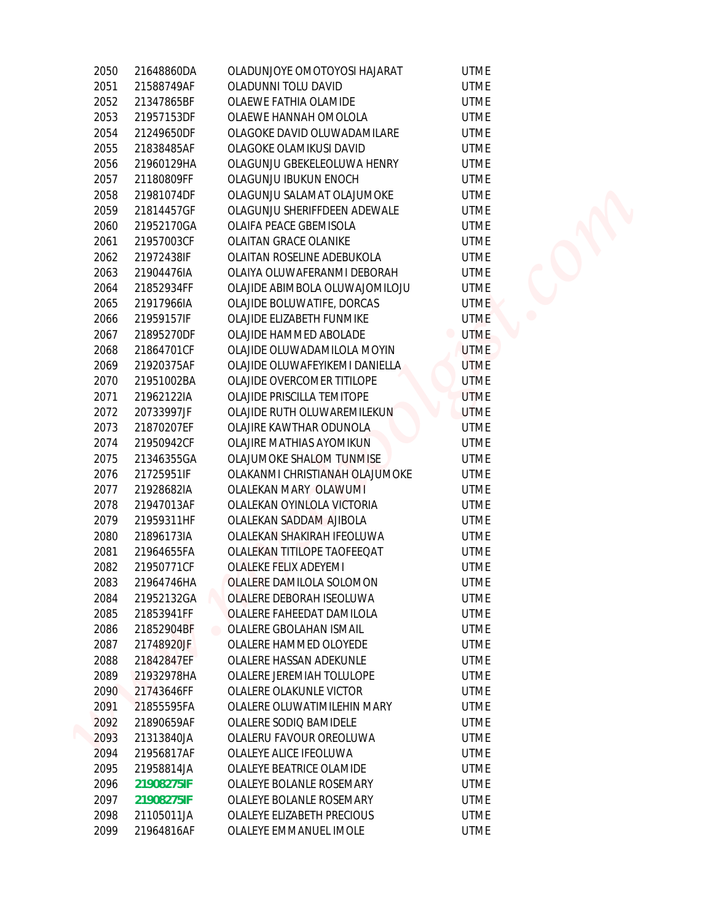| 2050 | 21648860DA | OLADUNJOYE OMOTOYOSI HAJARAT                       | <b>UTME</b> |
|------|------------|----------------------------------------------------|-------------|
| 2051 | 21588749AF | OLADUNNI TOLU DAVID                                | <b>UTME</b> |
| 2052 | 21347865BF | OLAEWE FATHIA OLAMIDE                              | <b>UTME</b> |
| 2053 | 21957153DF | OLAEWE HANNAH OMOLOLA                              | <b>UTME</b> |
| 2054 | 21249650DF | OLAGOKE DAVID OLUWADAMILARE                        | <b>UTME</b> |
| 2055 | 21838485AF | OLAGOKE OLAMIKUSI DAVID                            | <b>UTME</b> |
| 2056 | 21960129HA | OLAGUNJU GBEKELEOLUWA HENRY                        | <b>UTME</b> |
| 2057 | 21180809FF | OLAGUNJU IBUKUN ENOCH                              | <b>UTME</b> |
| 2058 | 21981074DF | OLAGUNJU SALAMAT OLAJUMOKE                         | <b>UTME</b> |
| 2059 | 21814457GF | OLAGUNJU SHERIFFDEEN ADEWALE                       | <b>UTME</b> |
| 2060 | 21952170GA | OLAIFA PEACE GBEMISOLA                             | <b>UTME</b> |
| 2061 | 21957003CF | OLAITAN GRACE OLANIKE                              | <b>UTME</b> |
| 2062 | 21972438IF | OLAITAN ROSELINE ADEBUKOLA                         | <b>UTME</b> |
| 2063 | 21904476IA | OLAIYA OLUWAFERANMI DEBORAH                        | <b>UTME</b> |
| 2064 | 21852934FF | OLAJIDE ABIMBOLA OLUWAJOMILOJU                     | <b>UTME</b> |
| 2065 | 21917966IA | OLAJIDE BOLUWATIFE, DORCAS                         | <b>UTME</b> |
| 2066 | 21959157IF | OLAJIDE ELIZABETH FUNMIKE                          | <b>UTME</b> |
| 2067 | 21895270DF | OLAJIDE HAMMED ABOLADE                             | <b>UTME</b> |
| 2068 | 21864701CF | OLAJIDE OLUWADAMILOLA MOYIN                        | <b>UTME</b> |
| 2069 | 21920375AF | OLAJIDE OLUWAFEYIKEMI DANIELLA                     | <b>UTME</b> |
| 2070 | 21951002BA | OLAJIDE OVERCOMER TITILOPE                         | <b>UTME</b> |
| 2071 | 21962122IA | OLAJIDE PRISCILLA TEMITOPE                         | <b>UTME</b> |
| 2072 | 20733997JF | OLAJIDE RUTH OLUWAREMILEKUN                        | <b>UTME</b> |
| 2073 | 21870207EF | OLAJIRE KAWTHAR ODUNOLA                            | <b>UTME</b> |
| 2074 | 21950942CF | OLAJIRE MATHIAS AYOMIKUN                           | <b>UTME</b> |
| 2075 | 21346355GA | OLAJUMOKE SHALOM TUNMISE                           | <b>UTME</b> |
| 2076 | 21725951IF | OLAKANMI CHRISTIANAH OLAJUMOKE                     | <b>UTME</b> |
| 2077 | 21928682IA | OLALEKAN MARY OLAWUMI                              | <b>UTME</b> |
| 2078 | 21947013AF | OLALEKAN OYINLOLA VICTORIA                         | <b>UTME</b> |
| 2079 | 21959311HF | OLALEKAN SADDAM AJIBOLA                            | <b>UTME</b> |
| 2080 | 21896173IA | OLALEKAN SHAKIRAH IFEOLUWA                         | <b>UTME</b> |
| 2081 | 21964655FA | OLALEKAN TITILOPE TAOFEEQAT                        | <b>UTME</b> |
| 2082 | 21950771CF | <b>OLALEKE FELIX ADEYEMI</b>                       | <b>UTME</b> |
| 2083 | 21964746HA | OLALERE DAMILOLA SOLOMON                           | <b>UTME</b> |
| 2084 | 21952132GA | OLALERE DEBORAH ISEOLUWA                           | <b>UTME</b> |
| 2085 | 21853941FF | OLALERE FAHEEDAT DAMILOLA                          | <b>UTME</b> |
| 2086 | 21852904BF | OLALERE GBOLAHAN ISMAIL<br>$\qquad \qquad \bullet$ | <b>UTME</b> |
| 2087 | 21748920JF | OLALERE HAMMED OLOYEDE                             | <b>UTME</b> |
| 2088 | 21842847EF | OLALERE HASSAN ADEKUNLE                            | <b>UTME</b> |
| 2089 | 21932978HA | OLALERE JEREMIAH TOLULOPE                          | <b>UTME</b> |
| 2090 | 21743646FF | OLALERE OLAKUNLE VICTOR                            | <b>UTME</b> |
| 2091 | 21855595FA | OLALERE OLUWATIMILEHIN MARY                        | <b>UTME</b> |
| 2092 | 21890659AF | OLALERE SODIO BAMIDELE                             | <b>UTME</b> |
| 2093 | 21313840JA | OLALERU FAVOUR OREOLUWA                            | <b>UTME</b> |
| 2094 | 21956817AF | OLALEYE ALICE IFEOLUWA                             | <b>UTME</b> |
| 2095 | 21958814JA | OLALEYE BEATRICE OLAMIDE                           | <b>UTME</b> |
| 2096 | 21908275IF | OLALEYE BOLANLE ROSEMARY                           | <b>UTME</b> |
| 2097 | 21908275IF | OLALEYE BOLANLE ROSEMARY                           | <b>UTME</b> |
| 2098 | 21105011JA | OLALEYE ELIZABETH PRECIOUS                         | <b>UTME</b> |
| 2099 | 21964816AF | OLALEYE EMMANUEL IMOLE                             | <b>UTME</b> |
|      |            |                                                    |             |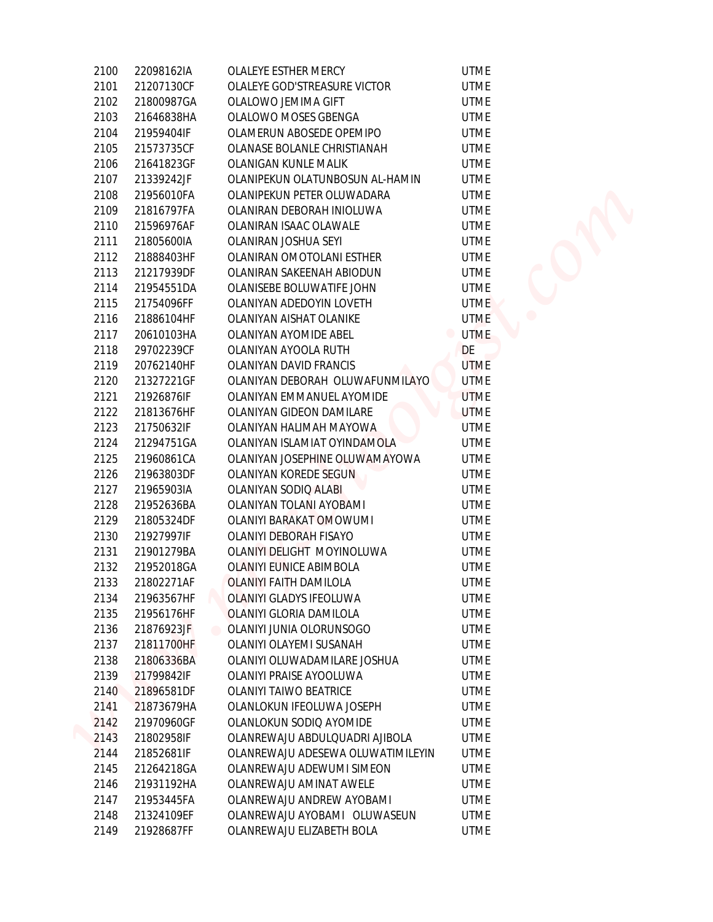| 2100 | 22098162IA | OLALEYE ESTHER MERCY              | <b>UTME</b> |
|------|------------|-----------------------------------|-------------|
| 2101 | 21207130CF | OLALEYE GOD'STREASURE VICTOR      | <b>UTME</b> |
| 2102 | 21800987GA | OLALOWO JEMIMA GIFT               | <b>UTME</b> |
| 2103 | 21646838HA | OLALOWO MOSES GBENGA              | <b>UTME</b> |
| 2104 | 21959404IF | OLAMERUN ABOSEDE OPEMIPO          | <b>UTME</b> |
| 2105 | 21573735CF | OLANASE BOLANLE CHRISTIANAH       | <b>UTME</b> |
| 2106 | 21641823GF | OLANIGAN KUNLE MALIK              | <b>UTME</b> |
| 2107 | 21339242JF | OLANIPEKUN OLATUNBOSUN AL-HAMIN   | <b>UTME</b> |
| 2108 | 21956010FA | OLANIPEKUN PETER OLUWADARA        | <b>UTME</b> |
| 2109 | 21816797FA | OLANIRAN DEBORAH INIOLUWA         | <b>UTME</b> |
| 2110 | 21596976AF | OLANIRAN ISAAC OLAWALE            | <b>UTME</b> |
| 2111 | 21805600IA | OLANIRAN JOSHUA SEYI              | <b>UTME</b> |
| 2112 | 21888403HF | OLANIRAN OMOTOLANI ESTHER         | <b>UTME</b> |
| 2113 | 21217939DF | OLANIRAN SAKEENAH ABIODUN         | <b>UTME</b> |
| 2114 | 21954551DA | OLANISEBE BOLUWATIFE JOHN         | <b>UTME</b> |
| 2115 | 21754096FF | OLANIYAN ADEDOYIN LOVETH          | <b>UTME</b> |
| 2116 | 21886104HF | OLANIYAN AISHAT OLANIKE           | <b>UTME</b> |
| 2117 | 20610103HA | OLANIYAN AYOMIDE ABEL             | <b>UTME</b> |
| 2118 | 29702239CF | OLANIYAN AYOOLA RUTH              | DE          |
| 2119 | 20762140HF | OLANIYAN DAVID FRANCIS            | <b>UTME</b> |
| 2120 | 21327221GF | OLANIYAN DEBORAH OLUWAFUNMILAYO   | <b>UTME</b> |
| 2121 | 21926876IF | OLANIYAN EMMANUEL AYOMIDE         | <b>UTME</b> |
| 2122 | 21813676HF | OLANIYAN GIDEON DAMILARE          | <b>UTME</b> |
| 2123 | 21750632IF | OLANIYAN HALIMAH MAYOWA           | <b>UTME</b> |
| 2124 | 21294751GA | OLANIYAN ISLAMIAT OYINDAMOLA      | <b>UTME</b> |
| 2125 | 21960861CA | OLANIYAN JOSEPHINE OLUWAMAYOWA    | <b>UTME</b> |
| 2126 | 21963803DF | OLANIYAN KOREDE SEGUN             | <b>UTME</b> |
| 2127 | 21965903IA | OLANIYAN SODIQ ALABI              | <b>UTME</b> |
| 2128 | 21952636BA | OLANIYAN TOLANI AYOBAMI           | <b>UTME</b> |
| 2129 | 21805324DF | <b>OLANIYI BARAKAT OMOWUMI</b>    | <b>UTME</b> |
| 2130 | 21927997IF | OLANIYI DEBORAH FISAYO            | <b>UTME</b> |
| 2131 | 21901279BA | OLANIYI DELIGHT MOYINOLUWA        | <b>UTME</b> |
| 2132 | 21952018GA | OLANIYI EUNICE ABIMBOLA           | <b>UTME</b> |
| 2133 | 21802271AF | <b>OLANIYI FAITH DAMILOLA</b>     | <b>UTME</b> |
| 2134 | 21963567HF | OLANIYI GLADYS IFEOLUWA           | <b>UTME</b> |
| 2135 | 21956176HF | OLANIYI GLORIA DAMILOLA           | <b>UTME</b> |
| 2136 | 21876923JF | OLANIYI JUNIA OLORUNSOGO          | <b>UTME</b> |
| 2137 | 21811700HF | OLANIYI OLAYEMI SUSANAH           | <b>UTME</b> |
| 2138 | 21806336BA | OLANIYI OLUWADAMILARE JOSHUA      | <b>UTME</b> |
| 2139 | 21799842IF | OLANIYI PRAISE AYOOLUWA           | <b>UTME</b> |
| 2140 | 21896581DF | OLANIYI TAIWO BEATRICE            | <b>UTME</b> |
| 2141 | 21873679HA | OLANLOKUN IFEOLUWA JOSEPH         | <b>UTME</b> |
| 2142 | 21970960GF | OLANLOKUN SODIQ AYOMIDE           | <b>UTME</b> |
| 2143 | 21802958IF | OLANREWAJU ABDULQUADRI AJIBOLA    | <b>UTME</b> |
| 2144 | 21852681IF | OLANREWAJU ADESEWA OLUWATIMILEYIN | <b>UTME</b> |
| 2145 | 21264218GA | OLANREWAJU ADEWUMI SIMEON         | <b>UTME</b> |
| 2146 | 21931192HA | OLANREWAJU AMINAT AWELE           | <b>UTME</b> |
| 2147 | 21953445FA | OLANREWAJU ANDREW AYOBAMI         | <b>UTME</b> |
| 2148 | 21324109EF | OLANREWAJU AYOBAMI OLUWASEUN      | <b>UTME</b> |
| 2149 | 21928687FF | OLANREWAJU ELIZABETH BOLA         | <b>UTME</b> |
|      |            |                                   |             |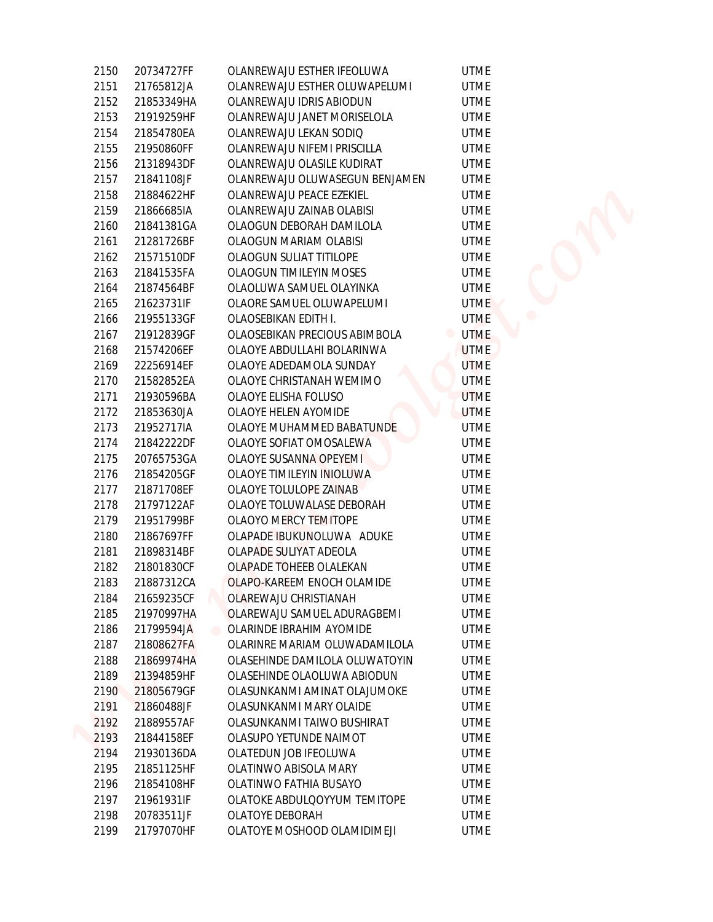| 2150 | 20734727FF | OLANREWAJU ESTHER IFEOLUWA                          | <b>UTME</b> |
|------|------------|-----------------------------------------------------|-------------|
| 2151 | 21765812JA | OLANREWAJU ESTHER OLUWAPELUMI                       | <b>UTME</b> |
| 2152 | 21853349HA | OLANREWAJU IDRIS ABIODUN                            | <b>UTME</b> |
| 2153 | 21919259HF | OLANREWAJU JANET MORISELOLA                         | <b>UTME</b> |
| 2154 | 21854780EA | OLANREWAJU LEKAN SODIO                              | <b>UTME</b> |
| 2155 | 21950860FF | OLANREWAJU NIFEMI PRISCILLA                         | <b>UTME</b> |
| 2156 | 21318943DF | OLANREWAJU OLASILE KUDIRAT                          | <b>UTME</b> |
| 2157 | 21841108JF | OLANREWAJU OLUWASEGUN BENJAMEN                      | <b>UTME</b> |
| 2158 | 21884622HF | OLANREWAJU PEACE EZEKIEL                            | <b>UTME</b> |
| 2159 | 21866685IA | OLANREWAJU ZAINAB OLABISI                           | <b>UTME</b> |
| 2160 | 21841381GA | OLAOGUN DEBORAH DAMILOLA                            | <b>UTME</b> |
| 2161 | 21281726BF | OLAOGUN MARIAM OLABISI                              | <b>UTME</b> |
| 2162 | 21571510DF | OLAOGUN SULIAT TITILOPE                             | <b>UTME</b> |
| 2163 | 21841535FA | OLAOGUN TIMILEYIN MOSES                             | <b>UTME</b> |
| 2164 | 21874564BF | OLAOLUWA SAMUEL OLAYINKA                            | <b>UTME</b> |
| 2165 | 21623731IF | OLAORE SAMUEL OLUWAPELUMI                           | <b>UTME</b> |
| 2166 | 21955133GF | OLAOSEBIKAN EDITH I.                                | <b>UTME</b> |
| 2167 | 21912839GF | OLAOSEBIKAN PRECIOUS ABIMBOLA                       | <b>UTME</b> |
| 2168 | 21574206EF | OLAOYE ABDULLAHI BOLARINWA                          | <b>UTME</b> |
| 2169 | 22256914EF | OLAOYE ADEDAMOLA SUNDAY                             | <b>UTME</b> |
| 2170 | 21582852EA | OLAOYE CHRISTANAH WEMIMO                            | <b>UTME</b> |
| 2171 | 21930596BA | OLAOYE ELISHA FOLUSO                                | <b>UTME</b> |
| 2172 | 21853630JA | OLAOYE HELEN AYOMIDE                                | <b>UTME</b> |
| 2173 | 21952717IA | OLAOYE MUHAMMED BABATUNDE                           | <b>UTME</b> |
| 2174 | 21842222DF | OLAOYE SOFIAT OMOSALEWA                             | <b>UTME</b> |
| 2175 | 20765753GA | OLAOYE SUSANNA OPEYEMI                              | <b>UTME</b> |
| 2176 | 21854205GF | OLAOYE TIMILEYIN INIOLUWA                           | <b>UTME</b> |
| 2177 | 21871708EF | OLAOYE TOLULOPE ZAINAB                              | <b>UTME</b> |
| 2178 | 21797122AF | OLAOYE TOLUWALASE DEBORAH                           | <b>UTME</b> |
| 2179 | 21951799BF | OLAOYO MERCY TEMITOPE                               | <b>UTME</b> |
| 2180 | 21867697FF | OLAPADE IBUKUNOLUWA ADUKE                           | <b>UTME</b> |
| 2181 | 21898314BF | OLAPADE SULIYAT ADEOLA                              | <b>UTME</b> |
| 2182 | 21801830CF | OLAPADE TOHEEB OLALEKAN                             | <b>UTME</b> |
| 2183 | 21887312CA | OLAPO-KAREEM ENOCH OLAMIDE                          | <b>UTME</b> |
| 2184 | 21659235CF | OLAREWAJU CHRISTIANAH                               | <b>UTME</b> |
| 2185 | 21970997HA | OLAREWAJU SAMUEL ADURAGBEMI                         | <b>UTME</b> |
| 2186 | 21799594JA | OLARINDE IBRAHIM AYOMIDE<br>$\qquad \qquad \bullet$ | <b>UTME</b> |
| 2187 | 21808627FA | OLARINRE MARIAM OLUWADAMILOLA                       | <b>UTME</b> |
| 2188 | 21869974HA | OLASEHINDE DAMILOLA OLUWATOYIN                      | <b>UTME</b> |
| 2189 | 21394859HF | OLASEHINDE OLAOLUWA ABIODUN                         | <b>UTME</b> |
| 2190 | 21805679GF | OLASUNKANMI AMINAT OLAJUMOKE                        | <b>UTME</b> |
| 2191 | 21860488JF | OLASUNKANMI MARY OLAIDE                             | <b>UTME</b> |
| 2192 | 21889557AF | OLASUNKANMI TAIWO BUSHIRAT                          | <b>UTME</b> |
| 2193 | 21844158EF | OLASUPO YETUNDE NAIMOT                              | <b>UTME</b> |
| 2194 | 21930136DA | OLATEDUN JOB IFEOLUWA                               | <b>UTME</b> |
| 2195 | 21851125HF | OLATINWO ABISOLA MARY                               | <b>UTME</b> |
| 2196 | 21854108HF | OLATINWO FATHIA BUSAYO                              | <b>UTME</b> |
| 2197 | 21961931IF | OLATOKE ABDULQOYYUM TEMITOPE                        | <b>UTME</b> |
| 2198 | 20783511JF | OLATOYE DEBORAH                                     | <b>UTME</b> |
| 2199 | 21797070HF | OLATOYE MOSHOOD OLAMIDIMEJI                         | <b>UTME</b> |
|      |            |                                                     |             |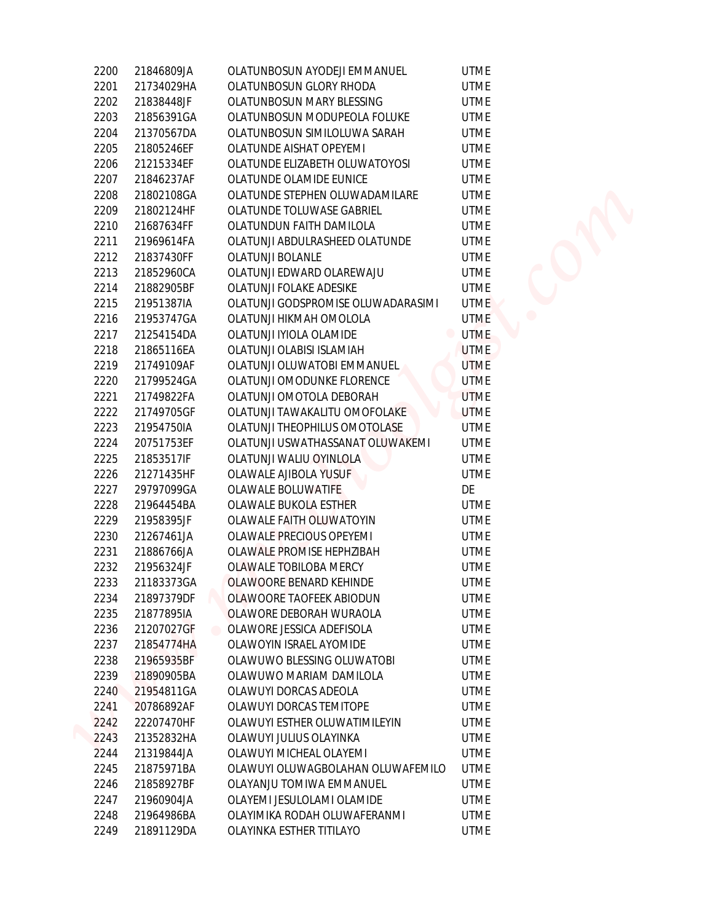| 2200 | 21846809JA                            | OLATUNBOSUN AYODEJI EMMANUEL       | <b>UTME</b> |
|------|---------------------------------------|------------------------------------|-------------|
| 2201 | 21734029HA                            | OLATUNBOSUN GLORY RHODA            | <b>UTME</b> |
| 2202 | 21838448JF                            | OLATUNBOSUN MARY BLESSING          | <b>UTME</b> |
| 2203 | 21856391GA                            | OLATUNBOSUN MODUPEOLA FOLUKE       | <b>UTME</b> |
| 2204 | 21370567DA                            | OLATUNBOSUN SIMILOLUWA SARAH       | <b>UTME</b> |
| 2205 | 21805246EF                            | OLATUNDE AISHAT OPEYEMI            | <b>UTME</b> |
| 2206 | 21215334EF                            | OLATUNDE ELIZABETH OLUWATOYOSI     | <b>UTME</b> |
| 2207 | 21846237AF                            | OLATUNDE OLAMIDE EUNICE            | <b>UTME</b> |
| 2208 | 21802108GA                            | OLATUNDE STEPHEN OLUWADAMILARE     | <b>UTME</b> |
| 2209 | 21802124HF                            | OLATUNDE TOLUWASE GABRIEL          | <b>UTME</b> |
| 2210 | 21687634FF                            | OLATUNDUN FAITH DAMILOLA           | <b>UTME</b> |
| 2211 | 21969614FA                            | OLATUNJI ABDULRASHEED OLATUNDE     | <b>UTME</b> |
| 2212 | 21837430FF                            | <b>OLATUNJI BOLANLE</b>            | <b>UTME</b> |
| 2213 | 21852960CA                            | OLATUNJI EDWARD OLAREWAJU          | <b>UTME</b> |
| 2214 | 21882905BF                            | OLATUNJI FOLAKE ADESIKE            | <b>UTME</b> |
| 2215 | 21951387IA                            | OLATUNJI GODSPROMISE OLUWADARASIMI | <b>UTME</b> |
| 2216 | 21953747GA                            | OLATUNJI HIKMAH OMOLOLA            | <b>UTME</b> |
| 2217 | 21254154DA                            | OLATUNJI IYIOLA OLAMIDE            | <b>UTME</b> |
| 2218 | 21865116EA                            | OLATUNJI OLABISI ISLAMIAH          | <b>UTME</b> |
| 2219 | 21749109AF                            | OLATUNJI OLUWATOBI EMMANUEL        | <b>UTME</b> |
| 2220 | 21799524GA                            | OLATUNJI OMODUNKE FLORENCE         | <b>UTME</b> |
| 2221 | 21749822FA                            | OLATUNJI OMOTOLA DEBORAH           | <b>UTME</b> |
| 2222 | 21749705GF                            | OLATUNJI TAWAKALITU OMOFOLAKE      | <b>UTME</b> |
| 2223 | 21954750IA                            | OLATUNJI THEOPHILUS OMOTOLASE      | <b>UTME</b> |
| 2224 | 20751753EF                            | OLATUNJI USWATHASSANAT OLUWAKEMI   | <b>UTME</b> |
| 2225 | 21853517IF                            | OLATUNJI WALIU OYINLOLA            | <b>UTME</b> |
| 2226 | 21271435HF                            | OLAWALE AJIBOLA YUSUF              | <b>UTME</b> |
| 2227 | 29797099GA                            | OLAWALE BOLUWATIFE                 | DE          |
| 2228 | 21964454BA                            | OLAWALE BUKOLA ESTHER              | <b>UTME</b> |
| 2229 | 21958395JF                            | OLAWALE FAITH OLUWATOYIN           | <b>UTME</b> |
| 2230 | 21267461JA                            | <b>OLAWALE PRECIOUS OPEYEMI</b>    | <b>UTME</b> |
| 2231 | 21886766JA                            | OLAWALE PROMISE HEPHZIBAH          | <b>UTME</b> |
| 2232 | 21956324JF                            | OLAWALE TOBILOBA MERCY             | <b>UTME</b> |
| 2233 | 21183373GA                            | OLAWOORE BENARD KEHINDE            | <b>UTME</b> |
| 2234 | 21897379DF                            | OLAWOORE TAOFEEK ABIODUN           | <b>UTME</b> |
| 2235 | 21877895IA                            | OLAWORE DEBORAH WURAOLA            | <b>UTME</b> |
| 2236 | 21207027GF<br>$\qquad \qquad \bullet$ | OLAWORE JESSICA ADEFISOLA          | <b>UTME</b> |
| 2237 | 21854774HA                            | OLAWOYIN ISRAEL AYOMIDE            | <b>UTME</b> |
| 2238 | 21965935BF                            | OLAWUWO BLESSING OLUWATOBI         | <b>UTME</b> |
| 2239 | 21890905BA                            | OLAWUWO MARIAM DAMILOLA            | <b>UTME</b> |
| 2240 | 21954811GA                            | OLAWUYI DORCAS ADEOLA              | <b>UTME</b> |
| 2241 | 20786892AF                            | OLAWUYI DORCAS TEMITOPE            | <b>UTME</b> |
| 2242 | 22207470HF                            | OLAWUYI ESTHER OLUWATIMILEYIN      | <b>UTME</b> |
| 2243 | 21352832HA                            | OLAWUYI JULIUS OLAYINKA            | <b>UTME</b> |
| 2244 | 21319844JA                            | OLAWUYI MICHEAL OLAYEMI            | <b>UTME</b> |
| 2245 | 21875971BA                            | OLAWUYI OLUWAGBOLAHAN OLUWAFEMILO  | <b>UTME</b> |
| 2246 | 21858927BF                            | OLAYANJU TOMIWA EMMANUEL           | <b>UTME</b> |
| 2247 | 21960904JA                            | OLAYEMI JESULOLAMI OLAMIDE         | <b>UTME</b> |
| 2248 | 21964986BA                            | OLAYIMIKA RODAH OLUWAFERANMI       | <b>UTME</b> |
| 2249 | 21891129DA                            | OLAYINKA ESTHER TITILAYO           | <b>UTME</b> |
|      |                                       |                                    |             |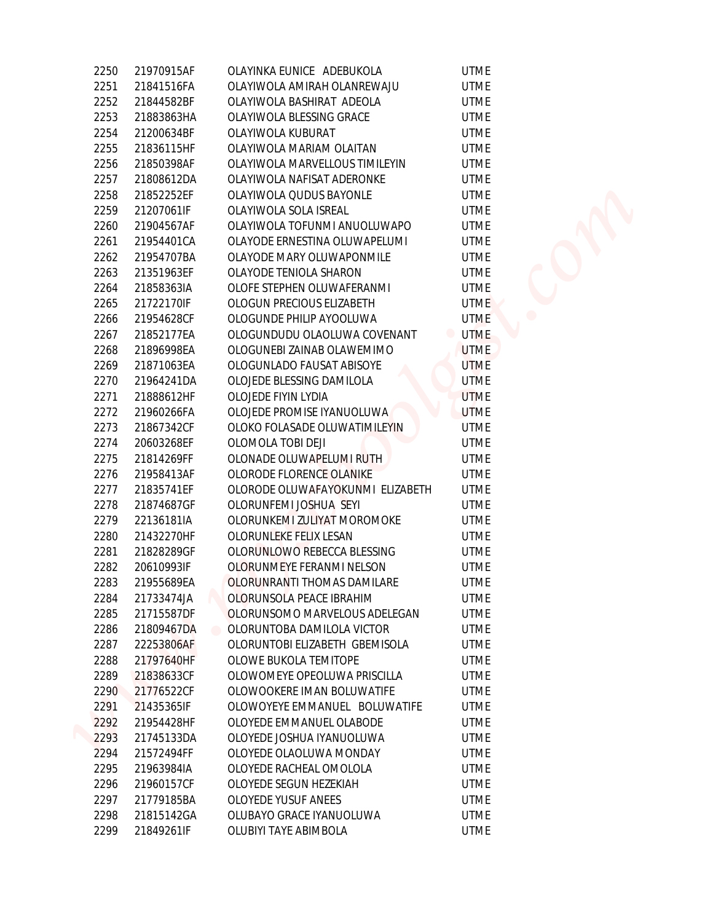| 2250 | 21970915AF | OLAYINKA EUNICE ADEBUKOLA                | UTM |
|------|------------|------------------------------------------|-----|
| 2251 | 21841516FA | OLAYIWOLA AMIRAH OLANREWAJU              | UTM |
| 2252 | 21844582BF | OLAYIWOLA BASHIRAT ADEOLA                | UTM |
| 2253 | 21883863HA | OLAYIWOLA BLESSING GRACE                 | UTM |
| 2254 | 21200634BF | OLAYIWOLA KUBURAT                        | UTM |
| 2255 | 21836115HF | OLAYIWOLA MARIAM OLAITAN                 | UTM |
| 2256 | 21850398AF | OLAYIWOLA MARVELLOUS TIMILEYIN           | UTM |
| 2257 | 21808612DA | OLAYIWOLA NAFISAT ADERONKE               | UTM |
| 2258 | 21852252EF | OLAYIWOLA QUDUS BAYONLE                  | UTM |
| 2259 | 21207061IF | OLAYIWOLA SOLA ISREAL                    | UTM |
| 2260 | 21904567AF | OLAYIWOLA TOFUNMI ANUOLUWAPO             | UTM |
| 2261 | 21954401CA | OLAYODE ERNESTINA OLUWAPELUMI            | UTM |
| 2262 | 21954707BA | OLAYODE MARY OLUWAPONMILE                | UTM |
| 2263 | 21351963EF | OLAYODE TENIOLA SHARON                   | UTM |
| 2264 | 21858363IA | OLOFE STEPHEN OLUWAFERANMI               | UTM |
| 2265 | 21722170IF | OLOGUN PRECIOUS ELIZABETH                | UTM |
| 2266 | 21954628CF | OLOGUNDE PHILIP AYOOLUWA                 | UTM |
| 2267 | 21852177EA | OLOGUNDUDU OLAOLUWA COVENANT             | UTM |
| 2268 | 21896998EA | OLOGUNEBI ZAINAB OLAWEMIMO               | UTM |
| 2269 | 21871063EA | OLOGUNLADO FAUSAT ABISOYE                | UTM |
| 2270 | 21964241DA | OLOJEDE BLESSING DAMILOLA                | UTN |
| 2271 | 21888612HF | OLOJEDE FIYIN LYDIA                      | UTM |
| 2272 | 21960266FA | OLOJEDE PROMISE IYANUOLUWA               | UTM |
| 2273 | 21867342CF | OLOKO FOLASADE OLUWATIMILEYIN            | UTM |
| 2274 | 20603268EF | OLOMOLA TOBI DEJI                        | UTM |
| 2275 | 21814269FF | OLONADE OLUWAPELUMI RUTH                 | UTM |
| 2276 | 21958413AF | OLORODE FLORENCE OLANIKE                 | UTM |
| 2277 | 21835741EF | OLORODE OLUWAFAYOKUNMI ELIZABETH         | UTM |
| 2278 | 21874687GF | OLORUNFEMI JOSHUA SEYI                   | UTM |
| 2279 | 22136181IA | OLORUNKEMI ZULIYAT MOROMOKE              | UTM |
| 2280 | 21432270HF | OLORUNLEKE FELIX LESAN                   | UTM |
| 2281 | 21828289GF | OLORUNLOWO REBECCA BLESSING              | UTM |
| 2282 | 20610993IF | OLORUNMEYE FERANMI NELSON                | UTM |
| 2283 | 21955689EA | OLORUNRANTI THOMAS DAMILARE              | UTM |
| 2284 | 21733474JA | OLORUNSOLA PEACE IBRAHIM                 | UTM |
| 2285 | 21715587DF | OLORUNSOMO MARVELOUS ADELEGAN            | UTM |
| 2286 | 21809467DA | OLORUNTOBA DAMILOLA VICTOR<br>$\bigcirc$ | UTM |
| 2287 | 22253806AF | OLORUNTOBI ELIZABETH GBEMISOLA           | UTM |
| 2288 | 21797640HF | OLOWE BUKOLA TEMITOPE                    | UTM |
| 2289 | 21838633CF | OLOWOMEYE OPEOLUWA PRISCILLA             | UTM |
| 2290 | 21776522CF | OLOWOOKERE IMAN BOLUWATIFE               | UTM |
| 2291 | 21435365IF | OLOWOYEYE EMMANUEL BOLUWATIFE            | UTM |
| 2292 | 21954428HF | OLOYEDE EMMANUEL OLABODE                 | UTM |
| 2293 | 21745133DA | OLOYEDE JOSHUA IYANUOLUWA                | UTM |
| 2294 | 21572494FF | OLOYEDE OLAOLUWA MONDAY                  | UTM |
| 2295 | 21963984IA | OLOYEDE RACHEAL OMOLOLA                  | UTM |
| 2296 | 21960157CF | OLOYEDE SEGUN HEZEKIAH                   | UTM |
| 2297 | 21779185BA | <b>OLOYEDE YUSUF ANEES</b>               | UTM |
| 2298 | 21815142GA | OLUBAYO GRACE IYANUOLUWA                 | UTM |
| 2299 | 21849261IF | OLUBIYI TAYE ABIMBOLA                    | UTM |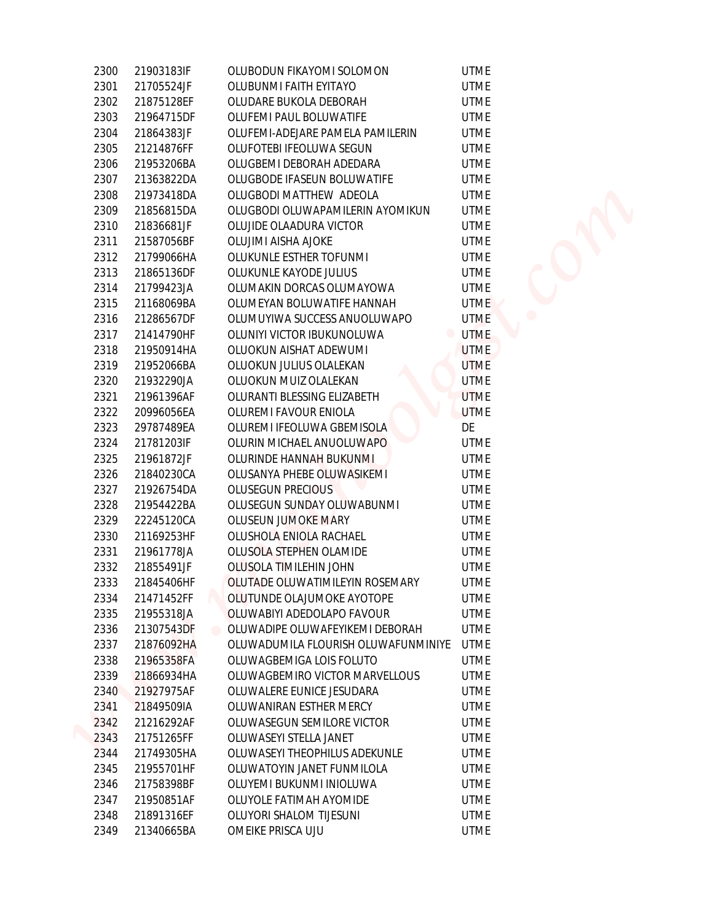| 2300 | 21903183IF |                   | OLUBODUN FIKAYOMI SOLOMON           | <b>UTME</b>                   |  |
|------|------------|-------------------|-------------------------------------|-------------------------------|--|
| 2301 | 21705524JF |                   | OLUBUNMI FAITH EYITAYO              | <b>UTME</b>                   |  |
| 2302 | 21875128EF |                   | OLUDARE BUKOLA DEBORAH              | <b>UTME</b>                   |  |
| 2303 | 21964715DF |                   | OLUFEMI PAUL BOLUWATIFE             | <b>UTME</b>                   |  |
| 2304 | 21864383JF |                   | OLUFEMI-ADEJARE PAMELA PAMILERIN    | <b>UTME</b>                   |  |
| 2305 | 21214876FF |                   | OLUFOTEBI IFEOLUWA SEGUN            | <b>UTME</b>                   |  |
| 2306 | 21953206BA |                   | OLUGBEMI DEBORAH ADEDARA            | <b>UTME</b>                   |  |
| 2307 | 21363822DA |                   | OLUGBODE IFASEUN BOLUWATIFE         | <b>UTME</b>                   |  |
| 2308 | 21973418DA |                   | OLUGBODI MATTHEW ADEOLA             | <b>UTME</b>                   |  |
| 2309 | 21856815DA |                   | OLUGBODI OLUWAPAMILERIN AYOMIKUN    | <b>UTME</b>                   |  |
| 2310 | 21836681JF |                   | OLUJIDE OLAADURA VICTOR             | <b>UTME</b>                   |  |
| 2311 | 21587056BF |                   | OLUJIMI AISHA AJOKE                 | <b>UTME</b>                   |  |
| 2312 | 21799066HA |                   | OLUKUNLE ESTHER TOFUNMI             | <b>UTME</b>                   |  |
| 2313 | 21865136DF |                   | OLUKUNLE KAYODE JULIUS              | <b>UTME</b>                   |  |
| 2314 | 21799423JA |                   | OLUMAKIN DORCAS OLUMAYOWA           | <b>UTME</b>                   |  |
| 2315 | 21168069BA |                   | OLUMEYAN BOLUWATIFE HANNAH          | <b>UTME</b>                   |  |
| 2316 | 21286567DF |                   | OLUMUYIWA SUCCESS ANUOLUWAPO        | <b>UTME</b>                   |  |
| 2317 | 21414790HF |                   | OLUNIYI VICTOR IBUKUNOLUWA          | <b>UTME</b><br>$\blacksquare$ |  |
| 2318 | 21950914HA |                   | OLUOKUN AISHAT ADEWUMI              | <b>UTME</b>                   |  |
| 2319 |            |                   | OLUOKUN JULIUS OLALEKAN             | <b>UTME</b>                   |  |
|      | 21952066BA |                   |                                     |                               |  |
| 2320 | 21932290JA |                   | OLUOKUN MUIZ OLALEKAN               | <b>UTME</b>                   |  |
| 2321 | 21961396AF |                   | OLURANTI BLESSING ELIZABETH         | <b>UTME</b>                   |  |
| 2322 | 20996056EA |                   | OLUREMI FAVOUR ENIOLA               | <b>UTME</b>                   |  |
| 2323 | 29787489EA |                   | OLUREMI IFEOLUWA GBEMISOLA          | DE                            |  |
| 2324 | 21781203IF |                   | OLURIN MICHAEL ANUOLUWAPO           | <b>UTME</b>                   |  |
| 2325 | 21961872JF |                   | OLURINDE HANNAH BUKUNMI             | <b>UTME</b>                   |  |
| 2326 | 21840230CA |                   | OLUSANYA PHEBE OLUWASIKEMI          | <b>UTME</b>                   |  |
| 2327 | 21926754DA |                   | OLUSEGUN PRECIOUS                   | <b>UTME</b>                   |  |
| 2328 | 21954422BA |                   | OLUSEGUN SUNDAY OLUWABUNMI          | <b>UTME</b>                   |  |
| 2329 | 22245120CA |                   | OLUSEUN JUMOKE MARY                 | <b>UTME</b>                   |  |
| 2330 | 21169253HF |                   | OLUSHOLA ENIOLA RACHAEL             | <b>UTME</b>                   |  |
| 2331 | 21961778JA |                   | OLUSOLA STEPHEN OLAMIDE             | <b>UTME</b>                   |  |
| 2332 | 21855491JF |                   | OLUSOLA TIMILEHIN JOHN              | <b>UTME</b>                   |  |
| 2333 | 21845406HF |                   | OLUTADE OLUWATIMILEYIN ROSEMARY     | <b>UTME</b>                   |  |
| 2334 | 21471452FF |                   | OLUTUNDE OLAJUMOKE AYOTOPE          | <b>UTME</b>                   |  |
| 2335 | 21955318JA |                   | OLUWABIYI ADEDOLAPO FAVOUR          | <b>UTME</b>                   |  |
| 2336 | 21307543DF |                   | OLUWADIPE OLUWAFEYIKEMI DEBORAH     | <b>UTME</b>                   |  |
| 2337 | 21876092HA |                   | OLUWADUMILA FLOURISH OLUWAFUNMINIYE | <b>UTME</b>                   |  |
| 2338 | 21965358FA |                   | OLUWAGBEMIGA LOIS FOLUTO            | <b>UTME</b>                   |  |
| 2339 | 21866934HA |                   | OLUWAGBEMIRO VICTOR MARVELLOUS      | <b>UTME</b>                   |  |
| 2340 | 21927975AF |                   | OLUWALERE EUNICE JESUDARA           | <b>UTME</b>                   |  |
| 2341 | 21849509IA |                   | OLUWANIRAN ESTHER MERCY             | <b>UTME</b>                   |  |
| 2342 | 21216292AF |                   | OLUWASEGUN SEMILORE VICTOR          | <b>UTME</b>                   |  |
| 2343 | 21751265FF |                   | OLUWASEYI STELLA JANET              | <b>UTME</b>                   |  |
| 2344 | 21749305HA |                   | OLUWASEYI THEOPHILUS ADEKUNLE       | <b>UTME</b>                   |  |
| 2345 | 21955701HF |                   | OLUWATOYIN JANET FUNMILOLA          | UTME                          |  |
| 2346 | 21758398BF |                   | OLUYEMI BUKUNMI INIOLUWA            | <b>UTME</b>                   |  |
| 2347 | 21950851AF |                   | OLUYOLE FATIMAH AYOMIDE             | UTME                          |  |
| 2348 | 21891316EF |                   | OLUYORI SHALOM TIJESUNI             | <b>UTME</b>                   |  |
| 2349 |            | OMEIKE PRISCA UJU |                                     | <b>UTME</b>                   |  |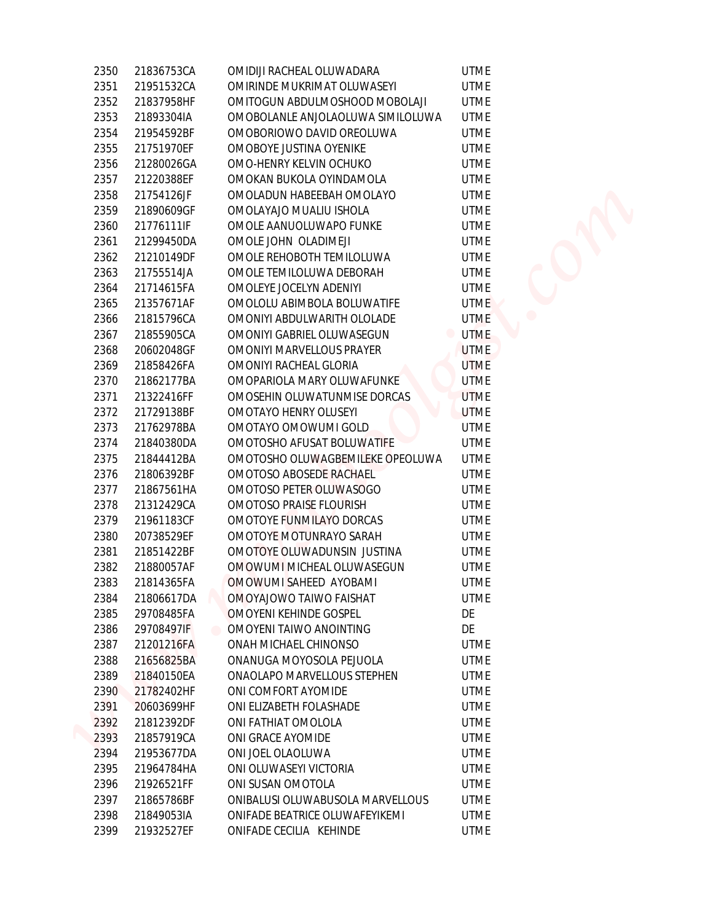| 2350 | 21836753CA | OMIDIJI RACHEAL OLUWADARA         | <b>UTME</b>                   |
|------|------------|-----------------------------------|-------------------------------|
| 2351 | 21951532CA | OMIRINDE MUKRIMAT OLUWASEYI       | <b>UTME</b>                   |
| 2352 | 21837958HF | OMITOGUN ABDULMOSHOOD MOBOLAJI    | <b>UTME</b>                   |
| 2353 | 21893304IA | OMOBOLANLE ANJOLAOLUWA SIMILOLUWA | <b>UTME</b>                   |
| 2354 | 21954592BF | OMOBORIOWO DAVID OREOLUWA         | <b>UTME</b>                   |
| 2355 | 21751970EF | OMOBOYE JUSTINA OYENIKE           | <b>UTME</b>                   |
| 2356 | 21280026GA | OMO-HENRY KELVIN OCHUKO           | <b>UTME</b>                   |
| 2357 | 21220388EF | OMOKAN BUKOLA OYINDAMOLA          | <b>UTME</b>                   |
| 2358 | 21754126JF | OMOLADUN HABEEBAH OMOLAYO         | <b>UTME</b>                   |
| 2359 | 21890609GF | OMOLAYAJO MUALIU ISHOLA           | <b>UTME</b>                   |
| 2360 | 21776111IF | OMOLE AANUOLUWAPO FUNKE           | <b>UTME</b>                   |
| 2361 | 21299450DA | OMOLE JOHN OLADIMEJI              | <b>UTME</b>                   |
| 2362 | 21210149DF | OMOLE REHOBOTH TEMILOLUWA         | <b>UTME</b>                   |
| 2363 | 21755514JA | OMOLE TEMILOLUWA DEBORAH          | <b>UTME</b>                   |
| 2364 | 21714615FA | OMOLEYE JOCELYN ADENIYI           | <b>UTME</b>                   |
| 2365 | 21357671AF | OMOLOLU ABIMBOLA BOLUWATIFE       | <b>UTME</b>                   |
| 2366 | 21815796CA | OMONIYI ABDULWARITH OLOLADE       | <b>UTME</b>                   |
| 2367 | 21855905CA | OMONIYI GABRIEL OLUWASEGUN        | <b>UTME</b><br>$\blacksquare$ |
| 2368 | 20602048GF | OMONIYI MARVELLOUS PRAYER         | <b>UTME</b>                   |
| 2369 | 21858426FA | OMONIYI RACHEAL GLORIA            | <b>UTME</b>                   |
| 2370 | 21862177BA | OMOPARIOLA MARY OLUWAFUNKE        | <b>UTME</b>                   |
| 2371 | 21322416FF | OMOSEHIN OLUWATUNMISE DORCAS      | <b>UTME</b>                   |
| 2372 | 21729138BF | OMOTAYO HENRY OLUSEYI             | <b>UTME</b>                   |
| 2373 | 21762978BA | OMOTAYO OMOWUMI GOLD              | <b>UTME</b>                   |
| 2374 | 21840380DA | OMOTOSHO AFUSAT BOLUWATIFE        | <b>UTME</b>                   |
| 2375 | 21844412BA | OMOTOSHO OLUWAGBEMILEKE OPEOLUWA  | <b>UTME</b>                   |
| 2376 | 21806392BF | OMOTOSO ABOSEDE RACHAEL           | <b>UTME</b>                   |
| 2377 | 21867561HA | OMOTOSO PETER OLUWASOGO           | <b>UTME</b>                   |
| 2378 | 21312429CA | OMOTOSO PRAISE FLOURISH           | <b>UTME</b>                   |
| 2379 | 21961183CF | OMOTOYE FUNMILAYO DORCAS          | <b>UTME</b>                   |
| 2380 | 20738529EF | OMOTOYE MOTUNRAYO SARAH           | <b>UTME</b>                   |
| 2381 | 21851422BF | OMOTOYE OLUWADUNSIN JUSTINA       | <b>UTME</b>                   |
| 2382 | 21880057AF | OMOWUMI MICHEAL OLUWASEGUN        | <b>UTME</b>                   |
| 2383 | 21814365FA | OMOWUMI SAHEED AYOBAMI            | <b>UTME</b>                   |
| 2384 | 21806617DA | OMOYAJOWO TAIWO FAISHAT           | <b>UTME</b>                   |
| 2385 | 29708485FA | OMOYENI KEHINDE GOSPEL            | DE                            |
| 2386 | 29708497IF | OMOYENI TAIWO ANOINTING           | DE                            |
| 2387 | 21201216FA | ONAH MICHAEL CHINONSO             | <b>UTME</b>                   |
| 2388 | 21656825BA | ONANUGA MOYOSOLA PEJUOLA          | <b>UTME</b>                   |
| 2389 | 21840150EA | ONAOLAPO MARVELLOUS STEPHEN       | <b>UTME</b>                   |
|      | 21782402HF | ONI COMFORT AYOMIDE               |                               |
| 2390 | 20603699HF | ONI ELIZABETH FOLASHADE           | <b>UTME</b>                   |
| 2391 | 21812392DF |                                   | <b>UTME</b>                   |
| 2392 |            | ONI FATHIAT OMOLOLA               | <b>UTME</b>                   |
| 2393 | 21857919CA | ONI GRACE AYOMIDE                 | <b>UTME</b>                   |
| 2394 | 21953677DA | ONI JOEL OLAOLUWA                 | <b>UTME</b>                   |
| 2395 | 21964784HA | ONI OLUWASEYI VICTORIA            | <b>UTME</b>                   |
| 2396 | 21926521FF | ONI SUSAN OMOTOLA                 | <b>UTME</b>                   |
| 2397 | 21865786BF | ONIBALUSI OLUWABUSOLA MARVELLOUS  | <b>UTME</b>                   |
| 2398 | 21849053IA | ONIFADE BEATRICE OLUWAFEYIKEMI    | <b>UTME</b>                   |
| 2399 | 21932527EF | ONIFADE CECILIA KEHINDE           | <b>UTME</b>                   |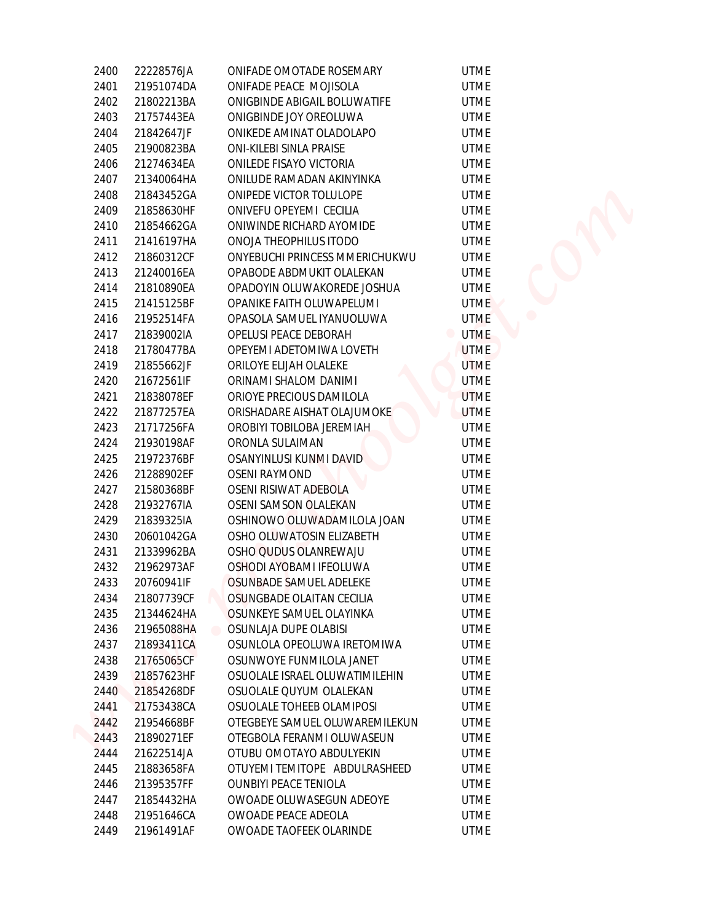| 2400 | 22228576JA | ONIFADE OMOTADE ROSEMARY                | <b>UTME</b> |
|------|------------|-----------------------------------------|-------------|
| 2401 | 21951074DA | ONIFADE PEACE MOJISOLA                  | <b>UTME</b> |
| 2402 | 21802213BA | ONIGBINDE ABIGAIL BOLUWATIFE            | <b>UTME</b> |
| 2403 | 21757443EA | ONIGBINDE JOY OREOLUWA                  | <b>UTME</b> |
| 2404 | 21842647JF | ONIKEDE AMINAT OLADOLAPO                | <b>UTME</b> |
| 2405 | 21900823BA | ONI-KILEBI SINLA PRAISE                 | <b>UTME</b> |
| 2406 | 21274634EA | ONILEDE FISAYO VICTORIA                 | <b>UTME</b> |
| 2407 | 21340064HA | ONILUDE RAMADAN AKINYINKA               | <b>UTME</b> |
| 2408 | 21843452GA | ONIPEDE VICTOR TOLULOPE                 | <b>UTME</b> |
| 2409 | 21858630HF | ONIVEFU OPEYEMI CECILIA                 | <b>UTME</b> |
| 2410 | 21854662GA | ONIWINDE RICHARD AYOMIDE                | <b>UTME</b> |
| 2411 | 21416197HA | ONOJA THEOPHILUS ITODO                  | <b>UTME</b> |
| 2412 | 21860312CF | ONYEBUCHI PRINCESS MMERICHUKWU          | <b>UTME</b> |
| 2413 | 21240016EA | OPABODE ABDMUKIT OLALEKAN               | <b>UTME</b> |
| 2414 | 21810890EA | OPADOYIN OLUWAKOREDE JOSHUA             | <b>UTME</b> |
| 2415 | 21415125BF | OPANIKE FAITH OLUWAPELUMI               | <b>UTME</b> |
| 2416 | 21952514FA | OPASOLA SAMUEL IYANUOLUWA               | <b>UTME</b> |
| 2417 | 21839002IA | OPELUSI PEACE DEBORAH                   | <b>UTME</b> |
| 2418 | 21780477BA | OPEYEMI ADETOMIWA LOVETH                | <b>UTME</b> |
| 2419 | 21855662JF | ORILOYE ELIJAH OLALEKE                  | <b>UTME</b> |
| 2420 | 21672561IF | ORINAMI SHALOM DANIMI                   | <b>UTME</b> |
| 2421 | 21838078EF | ORIOYE PRECIOUS DAMILOLA                | <b>UTME</b> |
| 2422 | 21877257EA | ORISHADARE AISHAT OLAJUMOKE             | <b>UTME</b> |
| 2423 | 21717256FA | OROBIYI TOBILOBA JEREMIAH               | <b>UTME</b> |
| 2424 | 21930198AF | ORONLA SULAIMAN                         | <b>UTME</b> |
| 2425 | 21972376BF | OSANYINLUSI KUNMI DAVID                 | <b>UTME</b> |
| 2426 | 21288902EF | <b>OSENI RAYMOND</b>                    | <b>UTME</b> |
| 2427 | 21580368BF | OSENI RISIWAT ADEBOLA                   | <b>UTME</b> |
| 2428 | 21932767IA | OSENI SAMSON OLALEKAN                   | <b>UTME</b> |
| 2429 | 21839325IA | OSHINOWO OLUWADAMILOLA JOAN             | <b>UTME</b> |
| 2430 | 20601042GA | OSHO OLUWATOSIN ELIZABETH               | <b>UTME</b> |
| 2431 | 21339962BA | OSHO QUDUS OLANREWAJU                   | <b>UTME</b> |
| 2432 | 21962973AF | OSHODI AYOBAMI IFEOLUWA                 | <b>UTME</b> |
| 2433 | 20760941IF | OSUNBADE SAMUEL ADELEKE                 | <b>UTME</b> |
| 2434 | 21807739CF | OSUNGBADE OLAITAN CECILIA               | <b>UTME</b> |
| 2435 | 21344624HA | OSUNKEYE SAMUEL OLAYINKA                | <b>UTME</b> |
| 2436 | 21965088HA | OSUNLAJA DUPE OLABISI<br>$\blacksquare$ | <b>UTME</b> |
| 2437 | 21893411CA | OSUNLOLA OPEOLUWA IRETOMIWA             | <b>UTME</b> |
| 2438 | 21765065CF | OSUNWOYE FUNMILOLA JANET                | <b>UTME</b> |
| 2439 | 21857623HF | OSUOLALE ISRAEL OLUWATIMILEHIN          | <b>UTME</b> |
| 2440 | 21854268DF | OSUOLALE QUYUM OLALEKAN                 | <b>UTME</b> |
| 2441 | 21753438CA | OSUOLALE TOHEEB OLAMIPOSI               | <b>UTME</b> |
| 2442 | 21954668BF | OTEGBEYE SAMUEL OLUWAREMILEKUN          | <b>UTME</b> |
| 2443 | 21890271EF | OTEGBOLA FERANMI OLUWASEUN              | <b>UTME</b> |
| 2444 | 21622514JA | OTUBU OMOTAYO ABDULYEKIN                | <b>UTME</b> |
| 2445 | 21883658FA | OTUYEMI TEMITOPE ABDULRASHEED           | <b>UTME</b> |
| 2446 | 21395357FF | OUNBIYI PEACE TENIOLA                   | <b>UTME</b> |
| 2447 | 21854432HA | OWOADE OLUWASEGUN ADEOYE                | <b>UTME</b> |
| 2448 | 21951646CA | OWOADE PEACE ADEOLA                     | <b>UTME</b> |
| 2449 | 21961491AF | OWOADE TAOFEEK OLARINDE                 | <b>UTME</b> |
|      |            |                                         |             |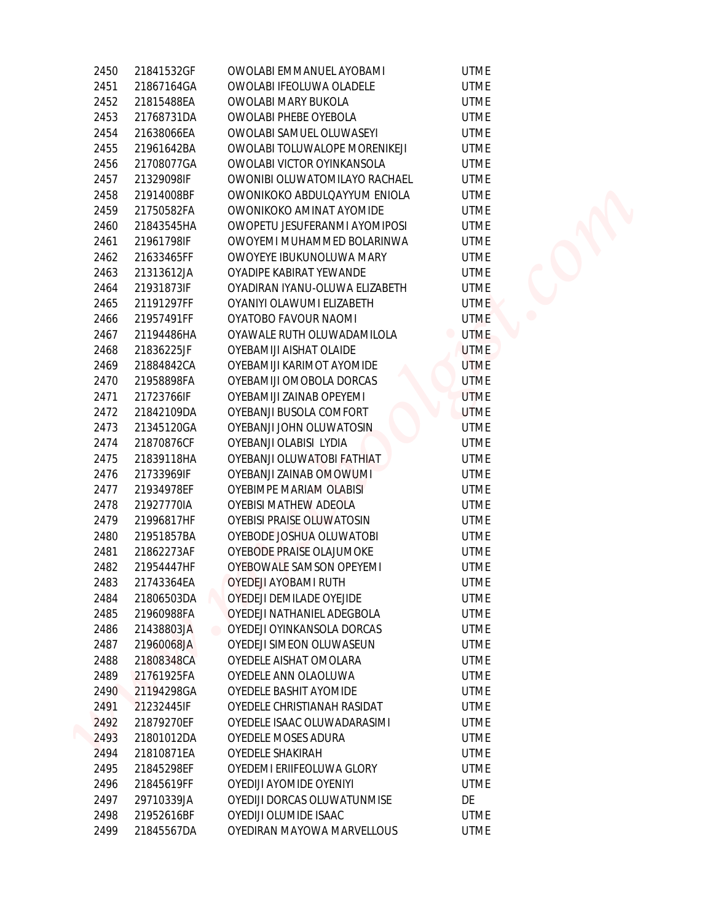| 2450 | 21841532GF | OWOLABI EMMANUEL AYOBAMI                              | <b>UTME</b> |
|------|------------|-------------------------------------------------------|-------------|
| 2451 | 21867164GA | OWOLABI IFEOLUWA OLADELE                              | <b>UTME</b> |
| 2452 | 21815488EA | OWOLABI MARY BUKOLA                                   | <b>UTME</b> |
| 2453 | 21768731DA | OWOLABI PHEBE OYEBOLA                                 | <b>UTME</b> |
| 2454 | 21638066EA | OWOLABI SAMUEL OLUWASEYI                              | <b>UTME</b> |
| 2455 | 21961642BA | OWOLABI TOLUWALOPE MORENIKEJI                         | <b>UTME</b> |
| 2456 | 21708077GA | OWOLABI VICTOR OYINKANSOLA                            | <b>UTME</b> |
| 2457 | 21329098IF | OWONIBI OLUWATOMILAYO RACHAEL                         | <b>UTME</b> |
| 2458 | 21914008BF | OWONIKOKO ABDULQAYYUM ENIOLA                          | <b>UTME</b> |
| 2459 | 21750582FA | OWONIKOKO AMINAT AYOMIDE                              | <b>UTME</b> |
| 2460 | 21843545HA | OWOPETU JESUFERANMI AYOMIPOSI                         | <b>UTME</b> |
| 2461 | 21961798IF | OWOYEMI MUHAMMED BOLARINWA                            | <b>UTME</b> |
| 2462 | 21633465FF | OWOYEYE IBUKUNOLUWA MARY                              | <b>UTME</b> |
| 2463 | 21313612JA | OYADIPE KABIRAT YEWANDE                               | <b>UTME</b> |
| 2464 | 21931873IF | OYADIRAN IYANU-OLUWA ELIZABETH                        | <b>UTME</b> |
| 2465 | 21191297FF | OYANIYI OLAWUMI ELIZABETH                             | <b>UTME</b> |
| 2466 | 21957491FF | OYATOBO FAVOUR NAOMI                                  | <b>UTME</b> |
| 2467 | 21194486HA | OYAWALE RUTH OLUWADAMILOLA                            | <b>UTME</b> |
| 2468 | 21836225JF | OYEBAMIJI AISHAT OLAIDE                               | <b>UTME</b> |
| 2469 | 21884842CA | OYEBAMIJI KARIMOT AYOMIDE                             | <b>UTME</b> |
| 2470 | 21958898FA | OYEBAMIJI OMOBOLA DORCAS                              | <b>UTME</b> |
| 2471 | 21723766IF | OYEBAMIJI ZAINAB OPEYEMI                              | <b>UTME</b> |
| 2472 | 21842109DA | OYEBANJI BUSOLA COMFORT                               | <b>UTME</b> |
| 2473 | 21345120GA | OYEBANJI JOHN OLUWATOSIN                              | <b>UTME</b> |
| 2474 | 21870876CF | OYEBANJI OLABISI LYDIA                                | <b>UTME</b> |
| 2475 | 21839118HA | OYEBANJI OLUWATOBI FATHIAT                            | <b>UTME</b> |
| 2476 | 21733969IF | OYEBANJI ZAINAB OMOWUMI                               | <b>UTME</b> |
| 2477 | 21934978EF | OYEBIMPE MARIAM OLABISI                               | <b>UTME</b> |
| 2478 | 21927770IA | OYEBISI MATHEW ADEOLA                                 | <b>UTME</b> |
| 2479 | 21996817HF | OYEBISI PRAISE OLUWATOSIN                             | <b>UTME</b> |
| 2480 | 21951857BA | OYEBODE JOSHUA OLUWATOBI                              | <b>UTME</b> |
| 2481 | 21862273AF | OYEBODE PRAISE OLAJUMOKE                              | <b>UTME</b> |
| 2482 | 21954447HF | OYEBOWALE SAMSON OPEYEMI                              | <b>UTME</b> |
| 2483 | 21743364EA | OYEDEJI AYOBAMI RUTH                                  | <b>UTME</b> |
| 2484 | 21806503DA | OYEDEJI DEMILADE OYEJIDE                              | <b>UTME</b> |
| 2485 | 21960988FA | OYEDEJI NATHANIEL ADEGBOLA                            | <b>UTME</b> |
| 2486 | 21438803JA | OYEDEJI OYINKANSOLA DORCAS<br>$\qquad \qquad \bullet$ | <b>UTME</b> |
| 2487 | 21960068JA | OYEDEJI SIMEON OLUWASEUN                              | <b>UTME</b> |
| 2488 | 21808348CA | OYEDELE AISHAT OMOLARA                                | <b>UTME</b> |
| 2489 | 21761925FA | OYEDELE ANN OLAOLUWA                                  | <b>UTME</b> |
| 2490 | 21194298GA | OYEDELE BASHIT AYOMIDE                                | <b>UTME</b> |
| 2491 | 21232445IF | OYEDELE CHRISTIANAH RASIDAT                           | <b>UTME</b> |
| 2492 | 21879270EF | OYEDELE ISAAC OLUWADARASIMI                           | <b>UTME</b> |
| 2493 | 21801012DA | OYEDELE MOSES ADURA                                   | <b>UTME</b> |
| 2494 | 21810871EA | OYEDELE SHAKIRAH                                      | <b>UTME</b> |
| 2495 | 21845298EF | OYEDEMI ERIIFEOLUWA GLORY                             | <b>UTME</b> |
| 2496 | 21845619FF | OYEDIJI AYOMIDE OYENIYI                               | <b>UTME</b> |
| 2497 | 29710339JA | OYEDIJI DORCAS OLUWATUNMISE                           | DE          |
| 2498 | 21952616BF | OYEDIJI OLUMIDE ISAAC                                 | <b>UTME</b> |
| 2499 | 21845567DA | OYEDIRAN MAYOWA MARVELLOUS                            | <b>UTME</b> |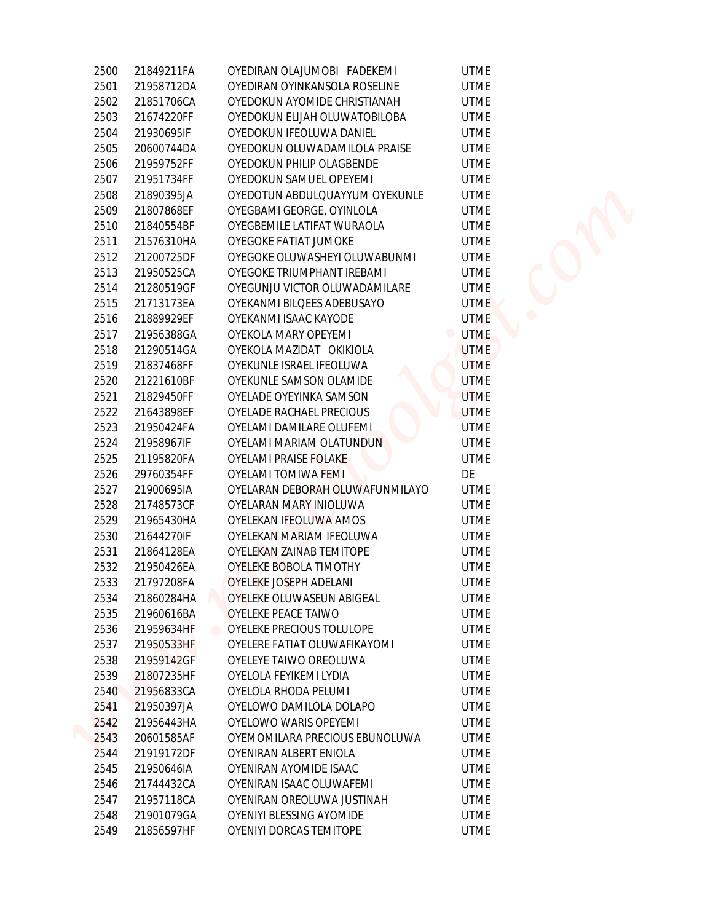| 2500         | 21849211FA               | OYEDIRAN OLAJUMOBI FADEKEMI                                 | <b>UTME</b>                   |
|--------------|--------------------------|-------------------------------------------------------------|-------------------------------|
| 2501         | 21958712DA               | OYEDIRAN OYINKANSOLA ROSELINE                               | <b>UTME</b>                   |
| 2502         | 21851706CA               | OYEDOKUN AYOMIDE CHRISTIANAH                                | <b>UTME</b>                   |
| 2503         | 21674220FF               | OYEDOKUN ELIJAH OLUWATOBILOBA                               | <b>UTME</b>                   |
| 2504         | 21930695IF               | OYEDOKUN IFEOLUWA DANIEL                                    | <b>UTME</b>                   |
| 2505         | 20600744DA               | OYEDOKUN OLUWADAMILOLA PRAISE                               | <b>UTME</b>                   |
| 2506         | 21959752FF               | OYEDOKUN PHILIP OLAGBENDE                                   | <b>UTME</b>                   |
| 2507         | 21951734FF               | OYEDOKUN SAMUEL OPEYEMI                                     | <b>UTME</b>                   |
| 2508         | 21890395JA               | OYEDOTUN ABDULQUAYYUM OYEKUNLE                              | <b>UTME</b>                   |
| 2509         | 21807868EF               | OYEGBAMI GEORGE, OYINLOLA                                   | <b>UTME</b>                   |
| 2510         | 21840554BF               | OYEGBEMILE LATIFAT WURAOLA                                  | <b>UTME</b>                   |
| 2511         | 21576310HA               | OYEGOKE FATIAT JUMOKE                                       | <b>UTME</b>                   |
| 2512         | 21200725DF               | OYEGOKE OLUWASHEYI OLUWABUNMI                               | <b>UTME</b>                   |
|              | 21950525CA               |                                                             |                               |
| 2513<br>2514 |                          | OYEGOKE TRIUMPHANT IREBAMI<br>OYEGUNJU VICTOR OLUWADAMILARE | <b>UTME</b><br><b>UTME</b>    |
| 2515         | 21280519GF<br>21713173EA | OYEKANMI BILQEES ADEBUSAYO                                  | <b>UTME</b>                   |
|              |                          | OYEKANMI ISAAC KAYODE                                       |                               |
| 2516         | 21889929EF               |                                                             | <b>UTME</b>                   |
| 2517         | 21956388GA               | OYEKOLA MARY OPEYEMI                                        | <b>UTME</b><br>$\blacksquare$ |
| 2518         | 21290514GA               | OYEKOLA MAZIDAT OKIKIOLA<br>OYEKUNLE ISRAEL IFEOLUWA        | <b>UTME</b>                   |
| 2519         | 21837468FF               |                                                             | <b>UTME</b>                   |
| 2520         | 21221610BF               | OYEKUNLE SAMSON OLAMIDE                                     | <b>UTME</b>                   |
| 2521         | 21829450FF               | OYELADE OYEYINKA SAMSON                                     | <b>UTME</b>                   |
| 2522         | 21643898EF               | OYELADE RACHAEL PRECIOUS                                    | <b>UTME</b>                   |
| 2523         | 21950424FA               | OYELAMI DAMILARE OLUFEMI                                    | <b>UTME</b>                   |
| 2524         | 21958967IF               | OYELAMI MARIAM OLATUNDUN                                    | <b>UTME</b>                   |
| 2525         | 21195820FA               | OYELAMI PRAISE FOLAKE                                       | <b>UTME</b>                   |
| 2526         | 29760354FF               | OYELAMI TOMIWA FEMI                                         | DE                            |
| 2527         | 21900695IA               | OYELARAN DEBORAH OLUWAFUNMILAYO                             | <b>UTME</b>                   |
| 2528         | 21748573CF               | OYELARAN MARY INIOLUWA                                      | <b>UTME</b>                   |
| 2529         | 21965430HA               | OYELEKAN IFEOLUWA AMOS                                      | <b>UTME</b>                   |
| 2530         | 21644270IF               | OYELEKAN MARIAM IFEOLUWA                                    | <b>UTME</b>                   |
| 2531         | 21864128EA               | OYELEKAN ZAINAB TEMITOPE                                    | <b>UTME</b>                   |
| 2532         | 21950426EA               | OYELEKE BOBOLA TIMOTHY                                      | <b>UTME</b>                   |
| 2533         | 21797208FA               | <b>OYELEKE JOSEPH ADELANI</b>                               | <b>UTME</b>                   |
| 2534         | 21860284HA               | OYELEKE OLUWASEUN ABIGEAL                                   | <b>UTME</b>                   |
| 2535         | 21960616BA               | OYELEKE PEACE TAIWO                                         | <b>UTME</b>                   |
| 2536         | 21959634HF               | OYELEKE PRECIOUS TOLULOPE                                   | <b>UTME</b>                   |
| 2537         | 21950533HF               | OYELERE FATIAT OLUWAFIKAYOMI                                | <b>UTME</b>                   |
| 2538         | 21959142GF               | OYELEYE TAIWO OREOLUWA                                      | <b>UTME</b>                   |
| 2539         | 21807235HF               | OYELOLA FEYIKEMI LYDIA                                      | <b>UTME</b>                   |
| 2540         | 21956833CA               | OYELOLA RHODA PELUMI                                        | <b>UTME</b>                   |
| 2541         | 21950397JA               | OYELOWO DAMILOLA DOLAPO                                     | <b>UTME</b>                   |
| 2542         | 21956443HA               | OYELOWO WARIS OPEYEMI                                       | <b>UTME</b>                   |
| 2543         | 20601585AF               | OYEMOMILARA PRECIOUS EBUNOLUWA                              | <b>UTME</b>                   |
| 2544         | 21919172DF               | OYENIRAN ALBERT ENIOLA                                      | <b>UTME</b>                   |
| 2545         | 21950646IA               | OYENIRAN AYOMIDE ISAAC                                      | UTME                          |
| 2546         | 21744432CA               | OYENIRAN ISAAC OLUWAFEMI                                    | <b>UTME</b>                   |
| 2547         | 21957118CA               | OYENIRAN OREOLUWA JUSTINAH                                  | UTME                          |
| 2548         | 21901079GA               | OYENIYI BLESSING AYOMIDE                                    | <b>UTME</b>                   |
| 2549         | 21856597HF               | OYENIYI DORCAS TEMITOPE                                     | <b>UTME</b>                   |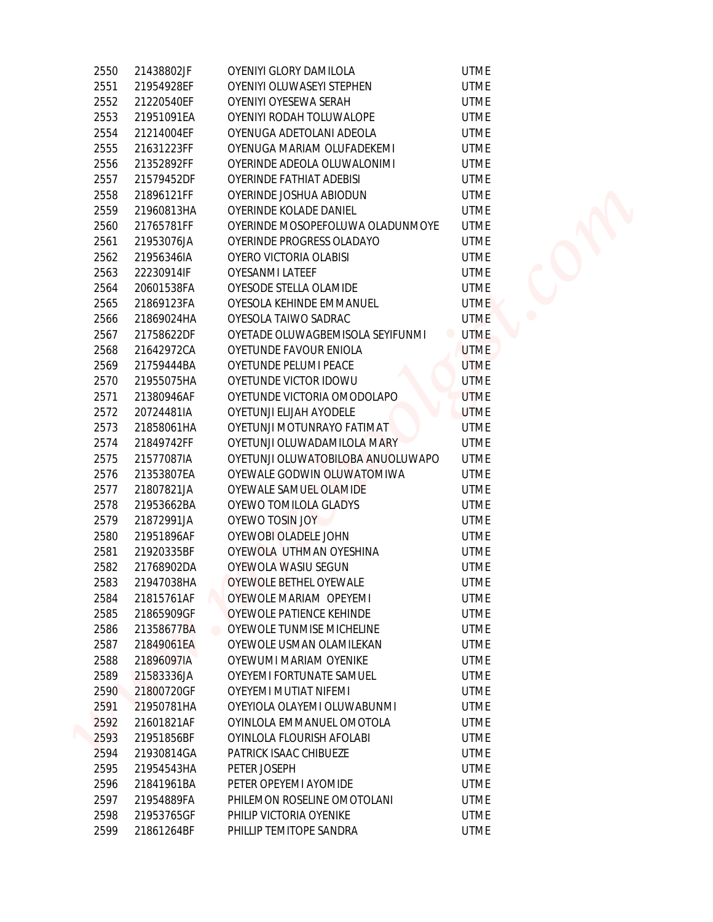| 2550         | 21438802JF               | OYENIYI GLORY DAMILOLA                                 | <b>UTME</b>                |
|--------------|--------------------------|--------------------------------------------------------|----------------------------|
| 2551         | 21954928EF               | OYENIYI OLUWASEYI STEPHEN                              | <b>UTME</b>                |
| 2552         | 21220540EF               | OYENIYI OYESEWA SERAH                                  | <b>UTME</b>                |
| 2553         | 21951091EA               | OYENIYI RODAH TOLUWALOPE                               | <b>UTME</b>                |
| 2554         | 21214004EF               | OYENUGA ADETOLANI ADEOLA                               | <b>UTME</b>                |
| 2555         | 21631223FF               | OYENUGA MARIAM OLUFADEKEMI                             | <b>UTME</b>                |
| 2556         | 21352892FF               | OYERINDE ADEOLA OLUWALONIMI                            | <b>UTME</b>                |
| 2557         | 21579452DF               | OYERINDE FATHIAT ADEBISI                               | <b>UTME</b>                |
| 2558         | 21896121FF               | OYERINDE JOSHUA ABIODUN                                | <b>UTME</b>                |
| 2559         | 21960813HA               | OYERINDE KOLADE DANIEL                                 | <b>UTME</b>                |
| 2560         | 21765781FF               | OYERINDE MOSOPEFOLUWA OLADUNMOYE                       | <b>UTME</b>                |
| 2561         | 21953076JA               | OYERINDE PROGRESS OLADAYO                              | <b>UTME</b>                |
| 2562         | 21956346IA               | OYERO VICTORIA OLABISI                                 | <b>UTME</b>                |
| 2563         | 22230914IF               | OYESANMI LATEEF                                        | <b>UTME</b>                |
| 2564         | 20601538FA               | OYESODE STELLA OLAMIDE                                 | <b>UTME</b>                |
| 2565         | 21869123FA               | OYESOLA KEHINDE EMMANUEL                               | <b>UTME</b>                |
| 2566         | 21869024HA               | OYESOLA TAIWO SADRAC                                   | <b>UTME</b>                |
| 2567         | 21758622DF               | OYETADE OLUWAGBEMISOLA SEYIFUNMI                       | <b>UTME</b><br>$\bullet$   |
| 2568         | 21642972CA               | OYETUNDE FAVOUR ENIOLA                                 | <b>UTME</b>                |
| 2569         | 21759444BA               | OYETUNDE PELUMI PEACE                                  | <b>UTME</b>                |
| 2570         | 21955075HA               | OYETUNDE VICTOR IDOWU                                  | <b>UTME</b>                |
| 2571         | 21380946AF               | OYETUNDE VICTORIA OMODOLAPO                            | <b>UTME</b>                |
| 2572         | 20724481IA               | OYETUNJI ELIJAH AYODELE                                | <b>UTME</b>                |
| 2573         | 21858061HA               | OYETUNJI MOTUNRAYO FATIMAT                             | <b>UTME</b>                |
| 2574         | 21849742FF               | OYETUNJI OLUWADAMILOLA MARY                            | <b>UTME</b>                |
| 2575         | 21577087IA               | OYETUNJI OLUWATOBILOBA ANUOLUWAPO                      | <b>UTME</b>                |
| 2576         | 21353807EA               | OYEWALE GODWIN OLUWATOMIWA                             | <b>UTME</b>                |
| 2577         | 21807821JA               | OYEWALE SAMUEL OLAMIDE                                 | <b>UTME</b>                |
| 2578         | 21953662BA               | OYEWO TOMILOLA GLADYS                                  | <b>UTME</b>                |
| 2579         | 21872991JA               | OYEWO TOSIN JOY                                        | <b>UTME</b>                |
| 2580         | 21951896AF               | OYEWOBI OLADELE JOHN                                   | <b>UTME</b>                |
| 2581         | 21920335BF               | OYEWOLA UTHMAN OYESHINA                                | <b>UTME</b>                |
| 2582         | 21768902DA               | OYEWOLA WASIU SEGUN                                    | <b>UTME</b>                |
| 2583         | 21947038HA               | OYEWOLE BETHEL OYEWALE                                 | <b>UTME</b>                |
| 2584         | 21815761AF               | OYEWOLE MARIAM OPEYEMI                                 | <b>UTME</b>                |
| 2585         | 21865909GF               | OYEWOLE PATIENCE KEHINDE                               | <b>UTME</b>                |
| 2586         | 21358677BA               | OYEWOLE TUNMISE MICHELINE                              | <b>UTME</b>                |
| 2587         | 21849061EA               | OYEWOLE USMAN OLAMILEKAN                               | <b>UTME</b>                |
| 2588         | 21896097IA               | OYEWUMI MARIAM OYENIKE                                 | <b>UTME</b>                |
| 2589         | 21583336JA               | OYEYEMI FORTUNATE SAMUEL                               | <b>UTME</b>                |
| 2590         | 21800720GF               | OYEYEMI MUTIAT NIFEMI                                  | <b>UTME</b>                |
| 2591         |                          | OYEYIOLA OLAYEMI OLUWABUNMI                            | <b>UTME</b>                |
| 2592         | 21950781HA               |                                                        | <b>UTME</b>                |
|              | 21601821AF               | OYINLOLA EMMANUEL OMOTOLA<br>OYINLOLA FLOURISH AFOLABI | <b>UTME</b>                |
| 2593<br>2594 | 21951856BF               | PATRICK ISAAC CHIBUEZE                                 | <b>UTME</b>                |
|              | 21930814GA               |                                                        |                            |
| 2595<br>2596 | 21954543HA               | PETER JOSEPH<br>PETER OPEYEMI AYOMIDE                  | <b>UTME</b><br><b>UTME</b> |
|              | 21841961BA               |                                                        |                            |
| 2597         | 21954889FA               | PHILEMON ROSELINE OMOTOLANI                            | <b>UTME</b>                |
| 2598<br>2599 | 21953765GF<br>21861264BF | PHILIP VICTORIA OYENIKE<br>PHILLIP TEMITOPE SANDRA     | <b>UTME</b><br><b>UTME</b> |
|              |                          |                                                        |                            |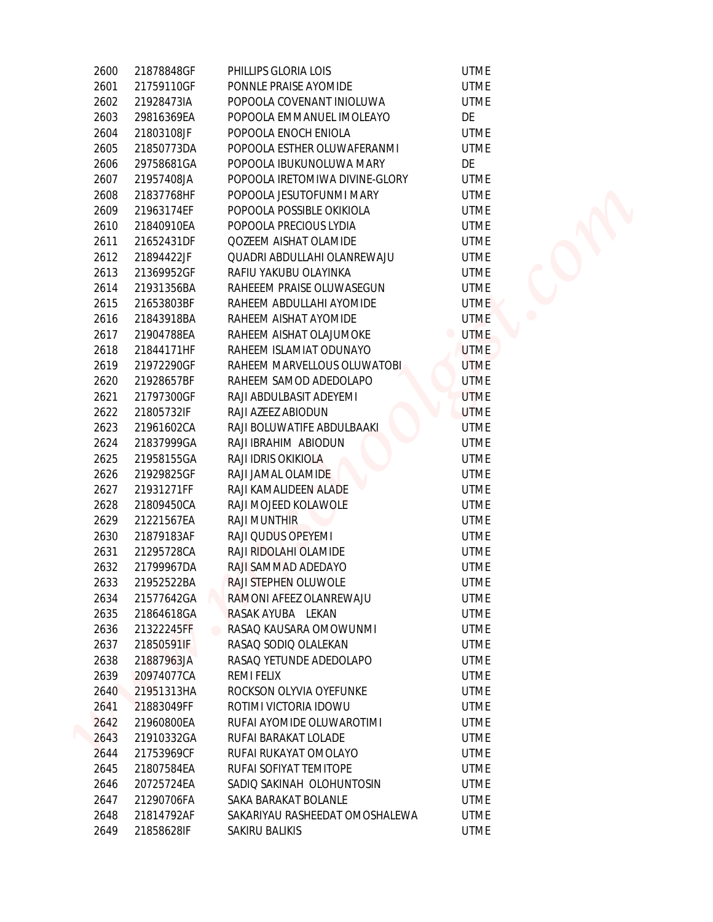| 2600 | 21878848GF | PHILLIPS GLORIA LOIS                | <b>UTME</b> |
|------|------------|-------------------------------------|-------------|
| 2601 | 21759110GF | PONNLE PRAISE AYOMIDE               | <b>UTME</b> |
| 2602 | 21928473IA | POPOOLA COVENANT INIOLUWA           | <b>UTME</b> |
| 2603 | 29816369EA | POPOOLA EMMANUEL IMOLEAYO           | DE          |
| 2604 | 21803108JF | POPOOLA ENOCH ENIOLA                | <b>UTME</b> |
| 2605 | 21850773DA | POPOOLA ESTHER OLUWAFERANMI         | <b>UTME</b> |
| 2606 | 29758681GA | POPOOLA IBUKUNOLUWA MARY            | DE          |
| 2607 | 21957408JA | POPOOLA IRETOMIWA DIVINE-GLORY      | <b>UTME</b> |
| 2608 | 21837768HF | POPOOLA JESUTOFUNMI MARY            | <b>UTME</b> |
| 2609 | 21963174EF | POPOOLA POSSIBLE OKIKIOLA           | <b>UTME</b> |
| 2610 | 21840910EA | POPOOLA PRECIOUS LYDIA              | <b>UTME</b> |
| 2611 | 21652431DF | QOZEEM AISHAT OLAMIDE               | <b>UTME</b> |
| 2612 | 21894422JF | QUADRI ABDULLAHI OLANREWAJU         | <b>UTME</b> |
| 2613 | 21369952GF | RAFIU YAKUBU OLAYINKA               | <b>UTME</b> |
| 2614 | 21931356BA | RAHEEEM PRAISE OLUWASEGUN           | <b>UTME</b> |
| 2615 | 21653803BF | RAHEEM ABDULLAHI AYOMIDE            | <b>UTME</b> |
| 2616 | 21843918BA | RAHEEM AISHAT AYOMIDE               | <b>UTME</b> |
| 2617 | 21904788EA | RAHEEM AISHAT OLAJUMOKE             | <b>UTME</b> |
| 2618 | 21844171HF | RAHEEM ISLAMIAT ODUNAYO             | <b>UTME</b> |
| 2619 | 21972290GF | RAHEEM MARVELLOUS OLUWATOBI         | <b>UTME</b> |
| 2620 | 21928657BF | RAHEEM SAMOD ADEDOLAPO              | <b>UTME</b> |
| 2621 | 21797300GF | RAJI ABDULBASIT ADEYEMI             | <b>UTME</b> |
| 2622 | 21805732IF | RAJI AZEEZ ABIODUN                  | <b>UTME</b> |
| 2623 | 21961602CA | RAJI BOLUWATIFE ABDULBAAKI          | <b>UTME</b> |
| 2624 | 21837999GA | RAJI IBRAHIM ABIODUN                | <b>UTME</b> |
| 2625 | 21958155GA | RAJI IDRIS OKIKIOLA                 | <b>UTME</b> |
| 2626 | 21929825GF | RAJI JAMAL OLAMIDE                  | <b>UTME</b> |
| 2627 | 21931271FF | RAJI KAMALIDEEN ALADE               | <b>UTME</b> |
| 2628 | 21809450CA | RAJI MOJEED KOLAWOLE                | <b>UTME</b> |
| 2629 | 21221567EA | RAJI MUNTHIR                        | <b>UTME</b> |
| 2630 | 21879183AF | RAJI QUDUS OPEYEMI                  | <b>UTME</b> |
| 2631 | 21295728CA | RAJI RIDOLAHI OLAMIDE               | <b>UTME</b> |
| 2632 | 21799967DA | RAJI SAMMAD ADEDAYO                 | <b>UTME</b> |
| 2633 | 21952522BA | RAJI STEPHEN OLUWOLE                | UTME        |
| 2634 | 21577642GA | RAMONI AFEEZ OLANREWAJU             | <b>UTME</b> |
| 2635 | 21864618GA | RASAK AYUBA LEKAN                   | <b>UTME</b> |
| 2636 | 21322245FF | RASAQ KAUSARA OMOWUNMI<br>$\bullet$ | <b>UTME</b> |
| 2637 | 21850591IF | RASAQ SODIQ OLALEKAN                | <b>UTME</b> |
| 2638 | 21887963JA | RASAQ YETUNDE ADEDOLAPO             | <b>UTME</b> |
| 2639 | 20974077CA | REMI FELIX                          | <b>UTME</b> |
| 2640 | 21951313HA | ROCKSON OLYVIA OYEFUNKE             | <b>UTME</b> |
| 2641 | 21883049FF | ROTIMI VICTORIA IDOWU               | <b>UTME</b> |
| 2642 | 21960800EA | RUFAI AYOMIDE OLUWAROTIMI           | <b>UTME</b> |
| 2643 | 21910332GA | RUFAI BARAKAT LOLADE                | <b>UTME</b> |
| 2644 | 21753969CF | RUFAI RUKAYAT OMOLAYO               | <b>UTME</b> |
| 2645 | 21807584EA | RUFAI SOFIYAT TEMITOPE              | <b>UTME</b> |
| 2646 | 20725724EA | SADIO SAKINAH OLOHUNTOSIN           | <b>UTME</b> |
| 2647 | 21290706FA | SAKA BARAKAT BOLANLE                | <b>UTME</b> |
| 2648 | 21814792AF | SAKARIYAU RASHEEDAT OMOSHALEWA      | <b>UTME</b> |
| 2649 | 21858628IF | SAKIRU BALIKIS                      | UTME        |
|      |            |                                     |             |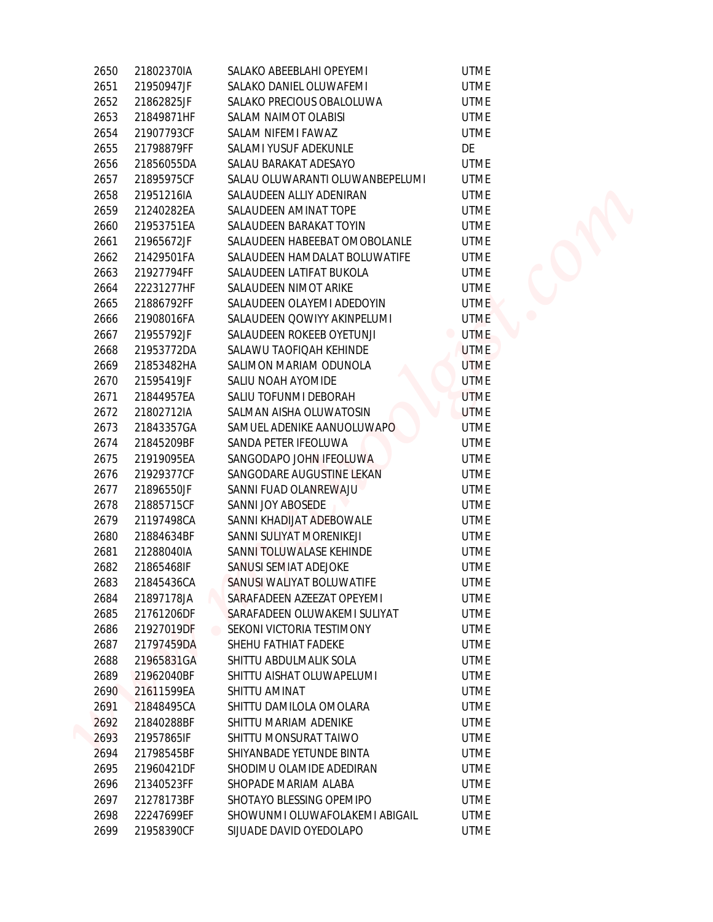| 2650 | 21802370IA | SALAKO ABEEBLAHI OPEYEMI        | <b>UTME</b>                   |
|------|------------|---------------------------------|-------------------------------|
| 2651 | 21950947JF | SALAKO DANIEL OLUWAFEMI         | <b>UTME</b>                   |
| 2652 | 21862825JF | SALAKO PRECIOUS OBALOLUWA       | <b>UTME</b>                   |
| 2653 | 21849871HF | SALAM NAIMOT OLABISI            | <b>UTME</b>                   |
| 2654 | 21907793CF | SALAM NIFEMI FAWAZ              | <b>UTME</b>                   |
| 2655 | 21798879FF | SALAMI YUSUF ADEKUNLE           | DE                            |
| 2656 | 21856055DA | SALAU BARAKAT ADESAYO           | <b>UTME</b>                   |
| 2657 | 21895975CF | SALAU OLUWARANTI OLUWANBEPELUMI | <b>UTME</b>                   |
| 2658 | 21951216IA | SALAUDEEN ALLIY ADENIRAN        | <b>UTME</b>                   |
| 2659 | 21240282EA | SALAUDEEN AMINAT TOPE           | <b>UTME</b>                   |
| 2660 | 21953751EA | SALAUDEEN BARAKAT TOYIN         | <b>UTME</b>                   |
| 2661 | 21965672JF | SALAUDEEN HABEEBAT OMOBOLANLE   | <b>UTME</b>                   |
| 2662 | 21429501FA | SALAUDEEN HAMDALAT BOLUWATIFE   | <b>UTME</b>                   |
| 2663 | 21927794FF | SALAUDEEN LATIFAT BUKOLA        | <b>UTME</b>                   |
| 2664 | 22231277HF | SALAUDEEN NIMOT ARIKE           | <b>UTME</b>                   |
| 2665 | 21886792FF | SALAUDEEN OLAYEMI ADEDOYIN      | <b>UTME</b>                   |
| 2666 | 21908016FA | SALAUDEEN QOWIYY AKINPELUMI     | <b>UTME</b>                   |
| 2667 | 21955792JF | SALAUDEEN ROKEEB OYETUNJI       | <b>UTME</b><br>$\blacksquare$ |
| 2668 | 21953772DA | SALAWU TAOFIQAH KEHINDE         | <b>UTME</b>                   |
| 2669 | 21853482HA | SALIMON MARIAM ODUNOLA          | <b>UTME</b>                   |
| 2670 | 21595419JF | SALIU NOAH AYOMIDE              | <b>UTME</b>                   |
| 2671 | 21844957EA | SALIU TOFUNMI DEBORAH           | <b>UTME</b>                   |
| 2672 | 21802712IA | SALMAN AISHA OLUWATOSIN         | <b>UTME</b>                   |
| 2673 | 21843357GA | SAMUEL ADENIKE AANUOLUWAPO      | <b>UTME</b>                   |
| 2674 | 21845209BF | SANDA PETER IFEOLUWA            | <b>UTME</b>                   |
| 2675 | 21919095EA | SANGODAPO JOHN IFEOLUWA         | <b>UTME</b>                   |
| 2676 | 21929377CF | SANGODARE AUGUSTINE LEKAN       | <b>UTME</b>                   |
| 2677 | 21896550JF | SANNI FUAD OLANREWAJU           | <b>UTME</b>                   |
| 2678 | 21885715CF | SANNI JOY ABOSEDE               | <b>UTME</b>                   |
| 2679 | 21197498CA | SANNI KHADIJAT ADEBOWALE        | <b>UTME</b>                   |
| 2680 | 21884634BF | SANNI SULIYAT MORENIKEJI        | <b>UTME</b>                   |
| 2681 | 21288040IA | SANNI TOLUWALASE KEHINDE        | <b>UTME</b>                   |
| 2682 | 21865468IF | SANUSI SEMIAT ADEJOKE           | <b>UTME</b>                   |
| 2683 | 21845436CA | SANUSI WALIYAT BOLUWATIFE       | <b>UTME</b>                   |
| 2684 | 21897178JA | SARAFADEEN AZEEZAT OPEYEMI      | <b>UTME</b>                   |
| 2685 | 21761206DF | SARAFADEEN OLUWAKEMI SULIYAT    | <b>UTME</b>                   |
| 2686 | 21927019DF | SEKONI VICTORIA TESTIMONY       | UTME                          |
| 2687 | 21797459DA | SHEHU FATHIAT FADEKE            | <b>UTME</b>                   |
| 2688 | 21965831GA | SHITTU ABDULMALIK SOLA          | <b>UTME</b>                   |
| 2689 | 21962040BF | SHITTU AISHAT OLUWAPELUMI       | <b>UTME</b>                   |
| 2690 | 21611599EA | SHITTU AMINAT                   | <b>UTME</b>                   |
| 2691 | 21848495CA | SHITTU DAMILOLA OMOLARA         | <b>UTME</b>                   |
| 2692 | 21840288BF | SHITTU MARIAM ADENIKE           | <b>UTME</b>                   |
| 2693 | 21957865IF | SHITTU MONSURAT TAIWO           | <b>UTME</b>                   |
| 2694 | 21798545BF | SHIYANBADE YETUNDE BINTA        | <b>UTME</b>                   |
| 2695 | 21960421DF | SHODIMU OLAMIDE ADEDIRAN        | UTME                          |
| 2696 | 21340523FF | SHOPADE MARIAM ALABA            | <b>UTME</b>                   |
| 2697 | 21278173BF | SHOTAYO BLESSING OPEMIPO        | <b>UTME</b>                   |
| 2698 | 22247699EF | SHOWUNMI OLUWAFOLAKEMI ABIGAIL  | <b>UTME</b>                   |
| 2699 | 21958390CF | SIJUADE DAVID OYEDOLAPO         | <b>UTME</b>                   |
|      |            |                                 |                               |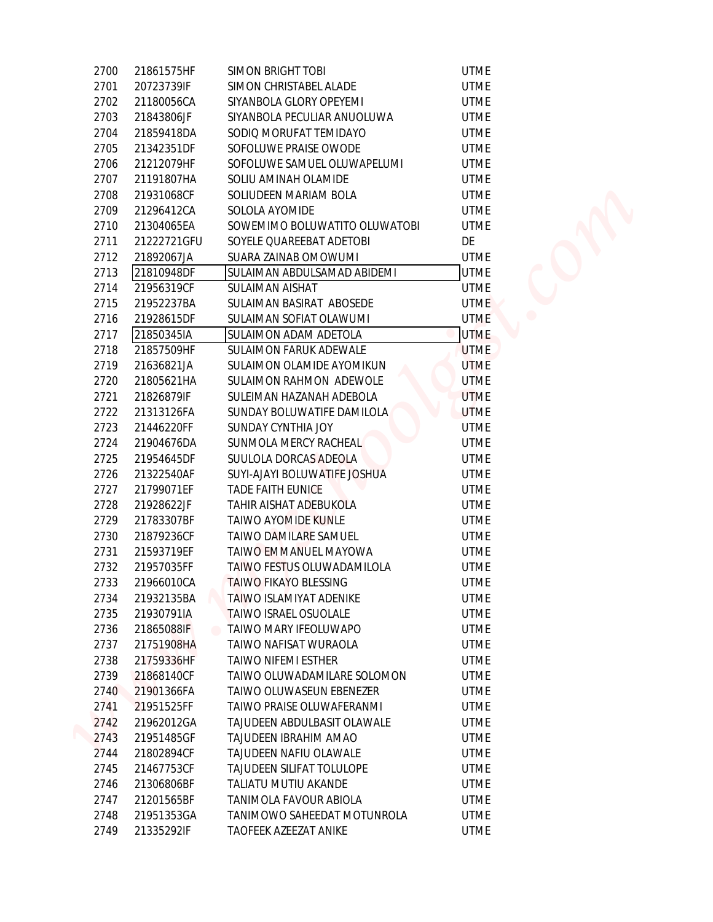| 2700 | 21861575HF  | SIMON BRIGHT TOBI                                     | <b>UTME</b> |  |
|------|-------------|-------------------------------------------------------|-------------|--|
| 2701 | 20723739IF  | SIMON CHRISTABEL ALADE                                | <b>UTME</b> |  |
| 2702 | 21180056CA  | SIYANBOLA GLORY OPEYEMI                               | <b>UTME</b> |  |
| 2703 | 21843806JF  | SIYANBOLA PECULIAR ANUOLUWA                           | <b>UTME</b> |  |
| 2704 | 21859418DA  | SODIQ MORUFAT TEMIDAYO                                | <b>UTME</b> |  |
| 2705 | 21342351DF  | SOFOLUWE PRAISE OWODE                                 | <b>UTME</b> |  |
| 2706 | 21212079HF  | SOFOLUWE SAMUEL OLUWAPELUMI                           | <b>UTME</b> |  |
| 2707 | 21191807HA  | SOLIU AMINAH OLAMIDE                                  | <b>UTME</b> |  |
| 2708 | 21931068CF  | SOLIUDEEN MARIAM BOLA                                 | <b>UTME</b> |  |
| 2709 | 21296412CA  | SOLOLA AYOMIDE                                        | <b>UTME</b> |  |
| 2710 | 21304065EA  | SOWEMIMO BOLUWATITO OLUWATOBI                         | <b>UTME</b> |  |
| 2711 | 21222721GFU | SOYELE QUAREEBAT ADETOBI                              | DE          |  |
| 2712 | 21892067JA  | SUARA ZAINAB OMOWUMI                                  | <b>UTME</b> |  |
| 2713 | 21810948DF  | SULAIMAN ABDULSAMAD ABIDEMI                           | <b>UTME</b> |  |
| 2714 | 21956319CF  | SULAIMAN AISHAT                                       | <b>UTME</b> |  |
| 2715 | 21952237BA  | SULAIMAN BASIRAT ABOSEDE                              | <b>UTME</b> |  |
| 2716 | 21928615DF  | SULAIMAN SOFIAT OLAWUMI                               | <b>UTME</b> |  |
| 2717 | 21850345IA  | <b>SULAIMON ADAM ADETOLA</b>                          | <b>UTME</b> |  |
| 2718 | 21857509HF  | SULAIMON FARUK ADEWALE                                | <b>UTME</b> |  |
| 2719 | 21636821JA  | SULAIMON OLAMIDE AYOMIKUN                             | <b>UTME</b> |  |
| 2720 | 21805621HA  | SULAIMON RAHMON ADEWOLE                               | <b>UTME</b> |  |
|      |             |                                                       | <b>UTME</b> |  |
| 2721 | 21826879IF  | SULEIMAN HAZANAH ADEBOLA                              |             |  |
| 2722 | 21313126FA  | SUNDAY BOLUWATIFE DAMILOLA                            | <b>UTME</b> |  |
| 2723 | 21446220FF  | SUNDAY CYNTHIA JOY                                    | <b>UTME</b> |  |
| 2724 | 21904676DA  | SUNMOLA MERCY RACHEAL                                 | <b>UTME</b> |  |
| 2725 | 21954645DF  | SUULOLA DORCAS ADEOLA<br>SUYI-AJAYI BOLUWATIFE JOSHUA | <b>UTME</b> |  |
| 2726 | 21322540AF  |                                                       | <b>UTME</b> |  |
| 2727 | 21799071EF  | TADE FAITH EUNICE                                     | <b>UTME</b> |  |
| 2728 | 21928622JF  | TAHIR AISHAT ADEBUKOLA                                | <b>UTME</b> |  |
| 2729 | 21783307BF  | <b>TAIWO AYOMIDE KUNLE</b>                            | <b>UTME</b> |  |
| 2730 | 21879236CF  | TAIWO DAMILARE SAMUEL                                 | <b>UTME</b> |  |
| 2731 | 21593719EF  | TAIWO EMMANUEL MAYOWA                                 | <b>UTME</b> |  |
| 2732 | 21957035FF  | TAIWO FESTUS OLUWADAMILOLA                            | <b>UTME</b> |  |
| 2733 | 21966010CA  | TAIWO FIKAYO BLESSING                                 | <b>UTME</b> |  |
| 2734 | 21932135BA  | TAIWO ISLAMIYAT ADENIKE                               | <b>UTME</b> |  |
| 2735 | 21930791IA  | TAIWO ISRAEL OSUOLALE                                 | <b>UTME</b> |  |
| 2736 | 21865088IF  | TAIWO MARY IFEOLUWAPO                                 | <b>UTME</b> |  |
| 2737 | 21751908HA  | TAIWO NAFISAT WURAOLA                                 | <b>UTME</b> |  |
| 2738 | 21759336HF  | TAIWO NIFEMI ESTHER                                   | <b>UTME</b> |  |
| 2739 | 21868140CF  | TAIWO OLUWADAMILARE SOLOMON                           | <b>UTME</b> |  |
| 2740 | 21901366FA  | TAIWO OLUWASEUN EBENEZER                              | <b>UTME</b> |  |
| 2741 | 21951525FF  | TAIWO PRAISE OLUWAFERANMI                             | <b>UTME</b> |  |
| 2742 | 21962012GA  | TAJUDEEN ABDULBASIT OLAWALE                           | <b>UTME</b> |  |
| 2743 | 21951485GF  | TAJUDEEN IBRAHIM AMAO                                 | <b>UTME</b> |  |
| 2744 | 21802894CF  | TAJUDEEN NAFIU OLAWALE                                | <b>UTME</b> |  |
| 2745 | 21467753CF  | <b>TAJUDEEN SILIFAT TOLULOPE</b>                      | UTME        |  |
| 2746 | 21306806BF  | TALIATU MUTIU AKANDE                                  | <b>UTME</b> |  |
| 2747 | 21201565BF  | TANIMOLA FAVOUR ABIOLA                                | <b>UTME</b> |  |
| 2748 | 21951353GA  | TANIMOWO SAHEEDAT MOTUNROLA                           | <b>UTME</b> |  |
| 2749 | 21335292IF  | TAOFEEK AZEEZAT ANIKE                                 | <b>UTME</b> |  |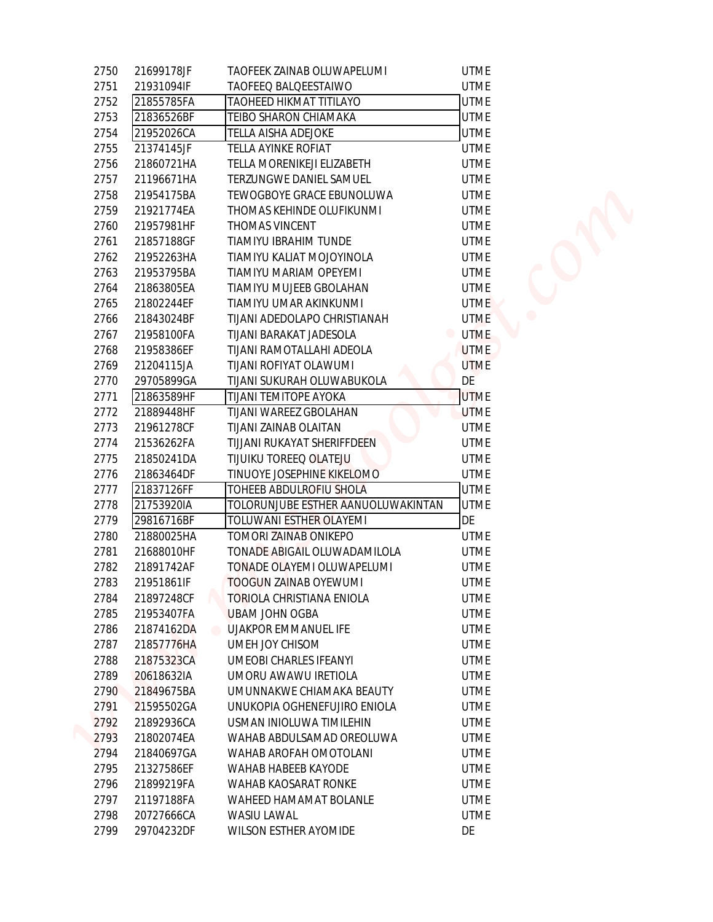| 2750 | 21699178JF | TAOFEEK ZAINAB OLUWAPELUMI           | <b>UTME</b>      |
|------|------------|--------------------------------------|------------------|
| 2751 | 21931094IF | TAOFEEQ BALQEESTAIWO                 | <b>UTME</b>      |
| 2752 | 21855785FA | <b>TAOHEED HIKMAT TITILAYO</b>       | <b>UTME</b>      |
| 2753 | 21836526BF | TEIBO SHARON CHIAMAKA                | <b>UTME</b>      |
| 2754 | 21952026CA | TELLA AISHA ADEJOKE                  | <b>UTME</b>      |
| 2755 | 21374145JF | TELLA AYINKE ROFIAT                  | <b>UTME</b>      |
| 2756 | 21860721HA | TELLA MORENIKEJI ELIZABETH           | <b>UTME</b>      |
| 2757 | 21196671HA | TERZUNGWE DANIEL SAMUEL              | <b>UTME</b>      |
| 2758 | 21954175BA | TEWOGBOYE GRACE EBUNOLUWA            | <b>UTME</b>      |
| 2759 | 21921774EA | THOMAS KEHINDE OLUFIKUNMI            | <b>UTME</b>      |
| 2760 | 21957981HF | THOMAS VINCENT                       | <b>UTME</b>      |
| 2761 | 21857188GF | TIAMIYU IBRAHIM TUNDE                | <b>UTME</b>      |
| 2762 | 21952263HA | TIAMIYU KALIAT MOJOYINOLA            | <b>UTME</b>      |
| 2763 | 21953795BA | TIAMIYU MARIAM OPEYEMI               | <b>UTME</b>      |
| 2764 | 21863805EA | TIAMIYU MUJEEB GBOLAHAN              | <b>UTME</b>      |
| 2765 | 21802244EF | TIAMIYU UMAR AKINKUNMI               | <b>UTME</b>      |
| 2766 | 21843024BF | TIJANI ADEDOLAPO CHRISTIANAH         | <b>UTME</b>      |
| 2767 | 21958100FA | TIJANI BARAKAT JADESOLA              | <b>UTME</b><br>۰ |
| 2768 | 21958386EF | TIJANI RAMOTALLAHI ADEOLA            | <b>UTME</b>      |
| 2769 | 21204115JA | TIJANI ROFIYAT OLAWUMI               | <b>UTME</b>      |
| 2770 | 29705899GA | TIJANI SUKURAH OLUWABUKOLA           | DE               |
| 2771 | 21863589HF | TIJANI TEMITOPE AYOKA                | <b>UTME</b>      |
| 2772 | 21889448HF | TIJANI WAREEZ GBOLAHAN               | <b>UTME</b>      |
| 2773 | 21961278CF | TIJANI ZAINAB OLAITAN                | <b>UTME</b>      |
| 2774 | 21536262FA | TIJJANI RUKAYAT SHERIFFDEEN          | <b>UTME</b>      |
| 2775 | 21850241DA | TIJUIKU TOREEQ OLATEJU               | <b>UTME</b>      |
| 2776 | 21863464DF | TINUOYE JOSEPHINE KIKELOMO           | <b>UTME</b>      |
| 2777 | 21837126FF | <b>TOHEEB ABDULROFIU SHOLA</b>       | <b>UTME</b>      |
| 2778 | 21753920IA | TOLORUNJUBE ESTHER AANUOLUWAKINTAN   | <b>UTME</b>      |
| 2779 | 29816716BF | TOLUWANI ESTHER OLAYEMI              | DE               |
| 2780 | 21880025HA | TOMORI ZAINAB ONIKEPO                | <b>UTME</b>      |
| 2781 | 21688010HF | TONADE ABIGAIL OLUWADAMILOLA         | <b>UTME</b>      |
| 2782 | 21891742AF | TONADE OLAYEMI OLUWAPELUMI           | <b>UTME</b>      |
| 2783 | 21951861IF | <b>TOOGUN ZAINAB OYEWUMI</b>         | <b>UTME</b>      |
| 2784 | 21897248CF | TORIOLA CHRISTIANA ENIOLA            | <b>UTME</b>      |
| 2785 | 21953407FA | <b>UBAM JOHN OGBA</b>                | <b>UTME</b>      |
| 2786 | 21874162DA | UJAKPOR EMMANUEL IFE                 | <b>UTME</b>      |
| 2787 | 21857776HA | UMEH JOY CHISOM                      | <b>UTME</b>      |
| 2788 | 21875323CA | UMEOBI CHARLES IFEANYI               | <b>UTME</b>      |
| 2789 | 20618632IA | UMORU AWAWU IRETIOLA                 | <b>UTME</b>      |
| 2790 | 21849675BA | UMUNNAKWE CHIAMAKA BEAUTY            | <b>UTME</b>      |
| 2791 | 21595502GA | UNUKOPIA OGHENEFUJIRO ENIOLA         | <b>UTME</b>      |
| 2792 | 21892936CA | USMAN INIOLUWA TIMILEHIN             | <b>UTME</b>      |
| 2793 | 21802074EA | WAHAB ABDULSAMAD OREOLUWA            | <b>UTME</b>      |
| 2794 | 21840697GA | WAHAB AROFAH OMOTOLANI               | <b>UTME</b>      |
| 2795 | 21327586EF | WAHAB HABEEB KAYODE                  | UTME             |
| 2796 | 21899219FA | WAHAB KAOSARAT RONKE                 | <b>UTME</b>      |
| 2797 | 21197188FA | WAHEED HAMAMAT BOLANLE               | <b>UTME</b>      |
| 2798 | 20727666CA | WASIU LAWAL<br>WILSON ESTHER AYOMIDE | <b>UTME</b>      |
|      |            |                                      |                  |